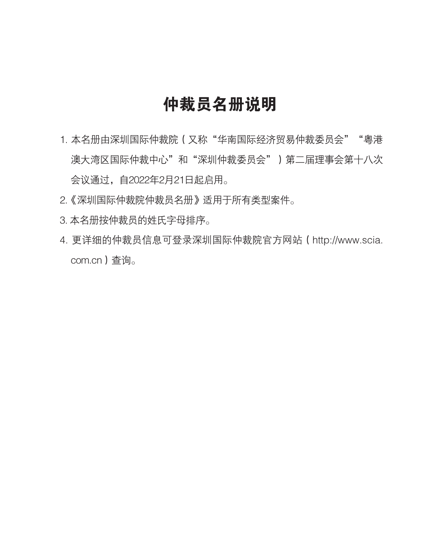### 仲裁员名册说明

- 1. 本名册由深圳国际仲裁院(又称"华南国际经济贸易仲裁委员会""粤港 澳大湾区国际仲裁中心"和"深圳仲裁委员会")第二届理事会第十八次 会议通过,自2022年2月21日起启用。
- 2.《深圳国际仲裁院仲裁员名册》适用于所有类型案件。
- 3. 本名册按仲裁员的姓氏字母排序。
- 4. 更详细的仲裁员信息可登录深圳国际仲裁院官方网站(http://www.scia. com.cn)查询。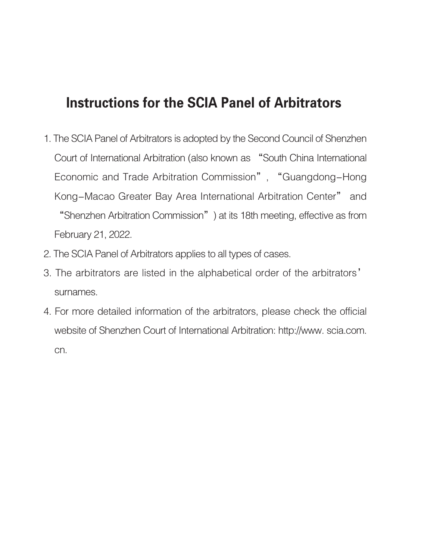#### Instructions for the SCIA Panel of Arbitrators

- 1. The SCIA Panel of Arbitrators is adopted by the Second Council of Shenzhen Court of International Arbitration (also known as "South China International Economic and Trade Arbitration Commission", "Guangdong-Hong Kong-Macao Greater Bay Area International Arbitration Center" and "Shenzhen Arbitration Commission") at its 18th meeting, effective as from February 21, 2022.
- 2. The SCIA Panel of Arbitrators applies to all types of cases.
- 3. The arbitrators are listed in the alphabetical order of the arbitrators' surnames.
- 4. For more detailed information of the arbitrators, please check the official website of Shenzhen Court of International Arbitration: http://www. scia.com. cn.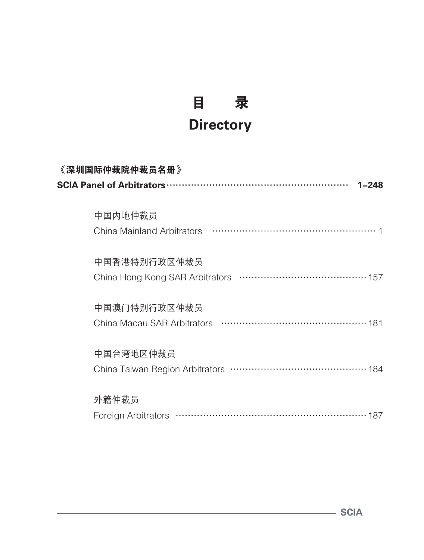## 目 录 **Directory**

| 《深圳国际仲裁院仲裁员名册》      |  |
|---------------------|--|
| $1 - 248$           |  |
|                     |  |
| 中国内地仲裁员             |  |
|                     |  |
|                     |  |
| 中国香港特别行政区仲裁员        |  |
|                     |  |
|                     |  |
| 中国澳门特别行政区仲裁员        |  |
|                     |  |
|                     |  |
| 中国台湾地区仲裁员           |  |
|                     |  |
|                     |  |
| 外籍仲裁员               |  |
| Foreign Arbitrators |  |

SCIA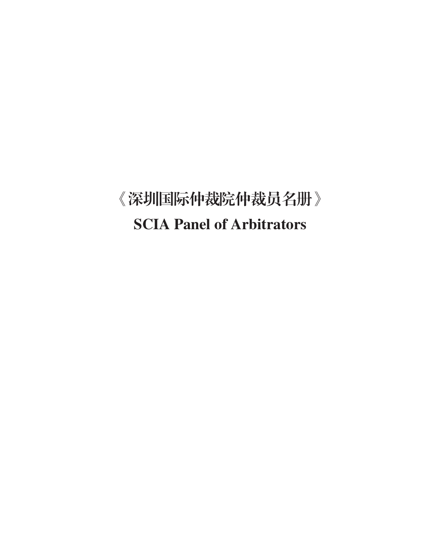# 《深圳国际仲裁院仲裁员名册》 SCIA Panel of Arbitrators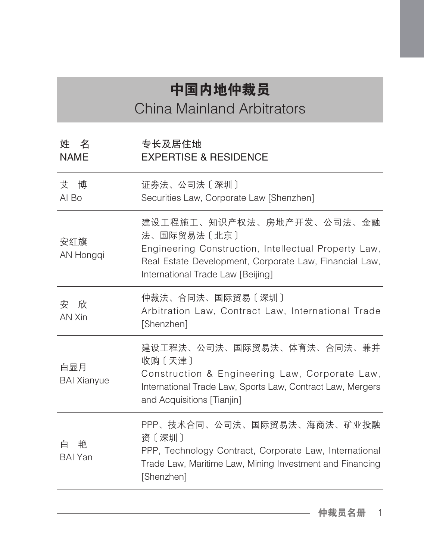### 中国内地仲裁员 China Mainland Arbitrators

姓 名 NAME 专长及居住地 EXPERTISE & RESIDENCE 艾 博 AI Bo 证券法、公司法〔深圳〕 Securities Law, Corporate Law [Shenzhen] 安红旗 AN Hongqi 建设工程施工、知识产权法、房地产开发、公司法、金融 法、国际贸易法〔北京〕 Engineering Construction, Intellectual Property Law, Real Estate Development, Corporate Law, Financial Law, International Trade Law [Beijing] 安 欣 AN Xin 仲裁法、合同法、国际贸易〔深圳〕 Arbitration Law, Contract Law, International Trade [Shenzhen] 白显月 BAI Xianyue 建设工程法、公司法、国际贸易法、体育法、合同法、兼并 收购〔天津〕 Construction & Engineering Law, Corporate Law, International Trade Law, Sports Law, Contract Law, Mergers and Acquisitions [Tianjin] 白 艳 BAI Yan PPP、技术合同、公司法、国际贸易法、海商法、矿业投融 资〔深圳〕 PPP, Technology Contract, Corporate Law, International Trade Law, Maritime Law, Mining Investment and Financing [Shenzhen]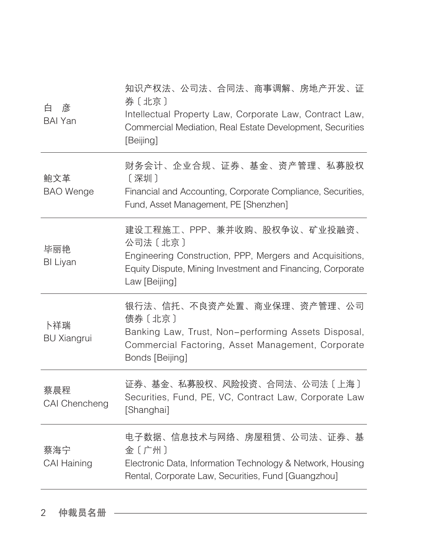| 彦<br>白<br><b>BAI Yan</b>  | 知识产权法、公司法、合同法、商事调解、房地产开发、证<br>券〔北京〕<br>Intellectual Property Law, Corporate Law, Contract Law,<br>Commercial Mediation, Real Estate Development, Securities<br>[Beijing]          |
|---------------------------|-----------------------------------------------------------------------------------------------------------------------------------------------------------------------------------|
| 鲍文革<br><b>BAO</b> Wenge   | 财务会计、企业合规、证券、基金、资产管理、私募股权<br>[深圳]<br>Financial and Accounting, Corporate Compliance, Securities,<br>Fund, Asset Management, PE [Shenzhen]                                         |
| 毕丽艳<br><b>BI Liyan</b>    | 建设工程施工、PPP、兼并收购、股权争议、矿业投融资、<br>公司法〔北京〕<br>Engineering Construction, PPP, Mergers and Acquisitions,<br>Equity Dispute, Mining Investment and Financing, Corporate<br>Law [Beijing] |
| 卜祥瑞<br><b>BU Xiangrui</b> | 银行法、信托、不良资产处置、商业保理、资产管理、公司<br>债券〔北京〕<br>Banking Law, Trust, Non-performing Assets Disposal,<br>Commercial Factoring, Asset Management, Corporate<br>Bonds [Beijing]               |
| 蔡晨程<br>CAI Chencheng      | 证券、基金、私募股权、风险投资、合同法、公司法〔上海〕<br>Securities, Fund, PE, VC, Contract Law, Corporate Law<br>[Shanghai]                                                                                |
| 蔡海宁<br><b>CAI Haining</b> | 电子数据、信息技术与网络、房屋租赁、公司法、证券、基<br>金〔广州〕<br>Electronic Data, Information Technology & Network, Housing<br>Rental, Corporate Law, Securities, Fund [Guangzhou]                          |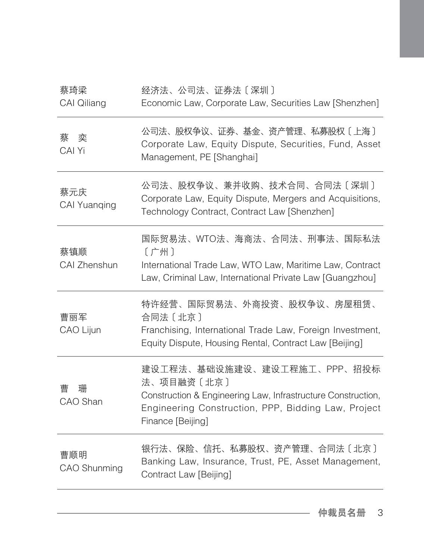| 蔡琦梁<br>CAI Qiliang  | 经济法、公司法、证券法〔深圳〕<br>Economic Law, Corporate Law, Securities Law [Shenzhen]                                                                                                             |
|---------------------|---------------------------------------------------------------------------------------------------------------------------------------------------------------------------------------|
| 奕<br>蔡<br>CAI Yi    | 公司法、股权争议、证券、基金、资产管理、私募股权〔上海〕<br>Corporate Law, Equity Dispute, Securities, Fund, Asset<br>Management, PE [Shanghai]                                                                   |
| 蔡元庆<br>CAI Yuanqing | 公司法、股权争议、兼并收购、技术合同、合同法〔深圳〕<br>Corporate Law, Equity Dispute, Mergers and Acquisitions,<br>Technology Contract, Contract Law [Shenzhen]                                                |
| 蔡镇顺<br>CAI Zhenshun | 国际贸易法、WTO法、海商法、合同法、刑事法、国际私法<br>〔广州〕<br>International Trade Law, WTO Law, Maritime Law, Contract<br>Law, Criminal Law, International Private Law [Guangzhou]                           |
| 曹丽军<br>CAO Lijun    | 特许经营、国际贸易法、外商投资、股权争议、房屋租赁、<br>合同法 [北京]<br>Franchising, International Trade Law, Foreign Investment,<br>Equity Dispute, Housing Rental, Contract Law [Beijing]                         |
| 曹<br>珊<br>CAO Shan  | 建设工程法、基础设施建设、建设工程施工、PPP、招投标<br>法、项目融资〔北京〕<br>Construction & Engineering Law, Infrastructure Construction,<br>Engineering Construction, PPP, Bidding Law, Project<br>Finance [Beijing] |
| 曹顺明<br>CAO Shunming | 银行法、保险、信托、私募股权、资产管理、合同法〔北京〕<br>Banking Law, Insurance, Trust, PE, Asset Management,<br>Contract Law [Beijing]                                                                         |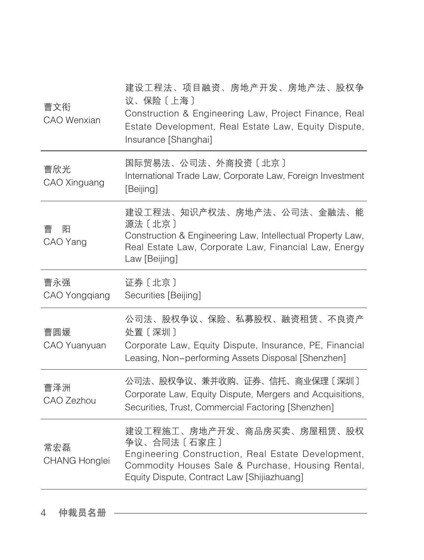| 曹文衔<br><b>CAO</b> Wenxian   | 建设工程法、项目融资、房地产开发、房地产法、股权争<br>议、保险〔上海〕<br>Construction & Engineering Law, Project Finance, Real<br>Estate Development, Real Estate Law, Equity Dispute,<br>Insurance [Shanghai]                      |
|-----------------------------|-----------------------------------------------------------------------------------------------------------------------------------------------------------------------------------------------------|
| 曹欣光<br>CAO Xinguang         | 国际贸易法、公司法、外商投资〔北京〕<br>International Trade Law, Corporate Law, Foreign Investment<br>[Beijing]                                                                                                       |
| 阳<br>曹<br>CAO Yang          | 建设工程法、知识产权法、房地产法、公司法、金融法、能<br>源法〔北京〕<br>Construction & Engineering Law, Intellectual Property Law,<br>Real Estate Law, Corporate Law, Financial Law, Energy<br>Law [Beijing]                        |
| 曹永强<br>CAO Yongqiang        | 证券〔北京〕<br>Securities [Beijing]                                                                                                                                                                      |
| 曹圆媛<br>CAO Yuanyuan         | 公司法、股权争议、保险、私募股权、融资租赁、不良资产<br>处置〔深圳〕<br>Corporate Law, Equity Dispute, Insurance, PE, Financial<br>Leasing, Non-performing Assets Disposal [Shenzhen]                                               |
| 曹泽洲<br>CAO Zezhou           | 公司法、股权争议、兼并收购、证券、信托、商业保理〔深圳〕<br>Corporate Law, Equity Dispute, Mergers and Acquisitions,<br>Securities, Trust, Commercial Factoring [Shenzhen]                                                      |
| 常宏磊<br><b>CHANG Honglei</b> | 建设工程施工、房地产开发、商品房买卖、房屋租赁、股权<br>争议、合同法〔石家庄〕<br>Engineering Construction, Real Estate Development,<br>Commodity Houses Sale & Purchase, Housing Rental,<br>Equity Dispute, Contract Law [Shijiazhuang] |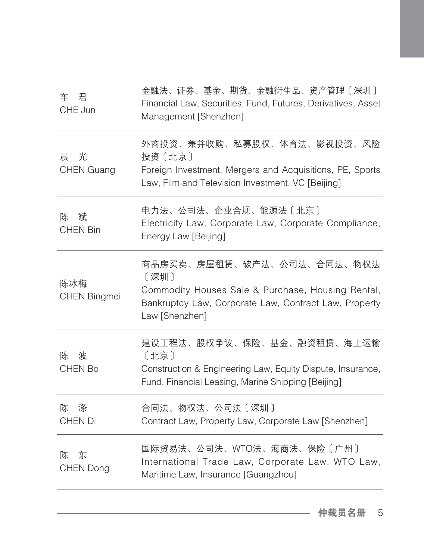| 车<br>君<br>CHE Jun           | 金融法、证券、基金、期货、金融衍生品、资产管理〔深圳〕<br>Financial Law, Securities, Fund, Futures, Derivatives, Asset<br>Management [Shenzhen]                                               |
|-----------------------------|--------------------------------------------------------------------------------------------------------------------------------------------------------------------|
| 光<br>晨<br><b>CHEN Guang</b> | 外商投资、兼并收购、私募股权、体育法、影视投资、风险<br>投资〔北京〕<br>Foreign Investment, Mergers and Acquisitions, PE, Sports<br>Law, Film and Television Investment, VC [Beijing]              |
| 斌<br>陈<br><b>CHEN Bin</b>   | 电力法、公司法、企业合规、能源法〔北京〕<br>Electricity Law, Corporate Law, Corporate Compliance,<br>Energy Law [Beijing]                                                              |
| 陈冰梅<br><b>CHEN Bingmei</b>  | 商品房买卖、房屋租赁、破产法、公司法、合同法、物权法<br>[深圳]<br>Commodity Houses Sale & Purchase, Housing Rental,<br>Bankruptcy Law, Corporate Law, Contract Law, Property<br>Law [Shenzhen] |
| 波<br>陈<br><b>CHEN Bo</b>    | 建设工程法、股权争议、保险、基金、融资租赁、海上运输<br>[北京]<br>Construction & Engineering Law, Equity Dispute, Insurance,<br>Fund, Financial Leasing, Marine Shipping [Beijing]             |
| 陈<br>涤<br><b>CHEN Di</b>    | 合同法、物权法、公司法〔深圳〕<br>Contract Law, Property Law, Corporate Law [Shenzhen]                                                                                            |
| 东<br>陈<br>CHEN Dong         | 国际贸易法、公司法、WTO法、海商法、保险〔广州〕<br>International Trade Law, Corporate Law, WTO Law,<br>Maritime Law, Insurance [Guangzhou]                                               |
|                             |                                                                                                                                                                    |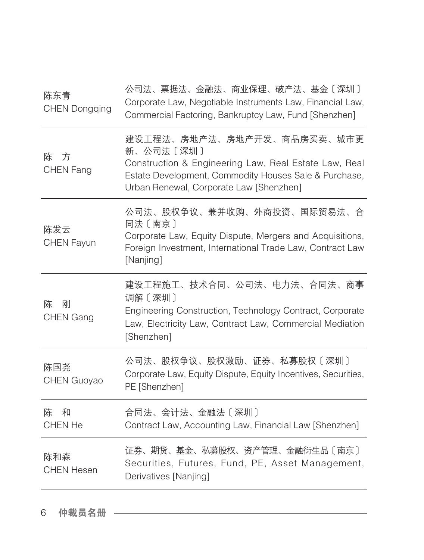| 陈东青<br><b>CHEN Dongqing</b> | 公司法、票据法、金融法、商业保理、破产法、基金〔深圳〕<br>Corporate Law, Negotiable Instruments Law, Financial Law,<br>Commercial Factoring, Bankruptcy Law, Fund [Shenzhen]                                                    |
|-----------------------------|------------------------------------------------------------------------------------------------------------------------------------------------------------------------------------------------------|
| 方<br>陈<br><b>CHEN Fang</b>  | 建设工程法、房地产法、房地产开发、商品房买卖、城市更<br>新、公司法〔深圳〕<br>Construction & Engineering Law, Real Estate Law, Real<br>Estate Development, Commodity Houses Sale & Purchase,<br>Urban Renewal, Corporate Law [Shenzhen] |
| 陈发云<br><b>CHEN Fayun</b>    | 公司法、股权争议、兼并收购、外商投资、国际贸易法、合<br>同法〔南京〕<br>Corporate Law, Equity Dispute, Mergers and Acquisitions,<br>Foreign Investment, International Trade Law, Contract Law<br>[Nanjing]                           |
| 刚<br>陈<br><b>CHEN Gang</b>  | 建设工程施工、技术合同、公司法、电力法、合同法、商事<br>调解〔深圳〕<br>Engineering Construction, Technology Contract, Corporate<br>Law, Electricity Law, Contract Law, Commercial Mediation<br>[Shenzhen]                           |
| 陈国尧<br><b>CHEN Guoyao</b>   | 公司法、股权争议、股权激励、证券、私募股权〔深圳〕<br>Corporate Law, Equity Dispute, Equity Incentives, Securities,<br>PE [Shenzhen]                                                                                          |
| 陈<br>和<br>CHEN He           | 合同法、会计法、金融法〔深圳〕<br>Contract Law, Accounting Law, Financial Law [Shenzhen]                                                                                                                            |
| 陈和森<br><b>CHEN Hesen</b>    | 证券、期货、基金、私募股权、资产管理、金融衍生品〔南京〕<br>Securities, Futures, Fund, PE, Asset Management,<br>Derivatives [Nanjing]                                                                                            |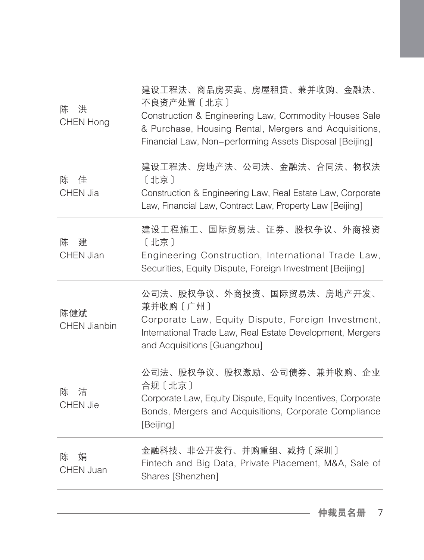| 建设工程法、房地产法、公司法、金融法、合同法、物权法<br>佳<br>[北京]<br>陈<br><b>CHEN Jia</b><br>Construction & Engineering Law, Real Estate Law, Corporate<br>Law, Financial Law, Contract Law, Property Law [Beijing]<br>建设工程施工、国际贸易法、证券、股权争议、外商投资<br>建<br>[北京]<br>陈<br><b>CHEN Jian</b><br>Engineering Construction, International Trade Law,<br>Securities, Equity Dispute, Foreign Investment [Beijing]<br>公司法、股权争议、外商投资、国际贸易法、房地产开发、<br>兼并收购〔广州〕<br>陈健斌<br>Corporate Law, Equity Dispute, Foreign Investment,<br><b>CHEN Jianbin</b><br>International Trade Law, Real Estate Development, Mergers<br>and Acquisitions [Guangzhou] |
|-----------------------------------------------------------------------------------------------------------------------------------------------------------------------------------------------------------------------------------------------------------------------------------------------------------------------------------------------------------------------------------------------------------------------------------------------------------------------------------------------------------------------------------------------------------------------------------------------------------|
|                                                                                                                                                                                                                                                                                                                                                                                                                                                                                                                                                                                                           |
|                                                                                                                                                                                                                                                                                                                                                                                                                                                                                                                                                                                                           |
|                                                                                                                                                                                                                                                                                                                                                                                                                                                                                                                                                                                                           |
| 公司法、股权争议、股权激励、公司债券、兼并收购、企业<br>合规〔北京〕<br>洁<br>陈<br>Corporate Law, Equity Dispute, Equity Incentives, Corporate<br><b>CHEN Jie</b><br>Bonds, Mergers and Acquisitions, Corporate Compliance<br>[Beijing]                                                                                                                                                                                                                                                                                                                                                                                                    |
| 金融科技、非公开发行、并购重组、减持〔深圳〕<br>陈<br>娟<br>Fintech and Big Data, Private Placement, M&A, Sale of<br><b>CHEN Juan</b><br>Shares [Shenzhen]                                                                                                                                                                                                                                                                                                                                                                                                                                                                        |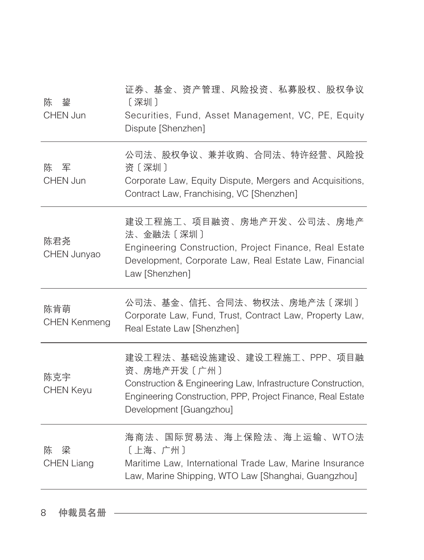| 陈<br>鋆<br>CHEN Jun          | 证券、基金、资产管理、风险投资、私募股权、股权争议<br>[深圳]<br>Securities, Fund, Asset Management, VC, PE, Equity<br>Dispute [Shenzhen]                                                                                        |
|-----------------------------|------------------------------------------------------------------------------------------------------------------------------------------------------------------------------------------------------|
| 军<br>陈<br>CHEN Jun          | 公司法、股权争议、兼并收购、合同法、特许经营、风险投<br>资〔深圳〕<br>Corporate Law, Equity Dispute, Mergers and Acquisitions,<br>Contract Law, Franchising, VC [Shenzhen]                                                          |
| 陈君尧<br>CHEN Junyao          | 建设工程施工、项目融资、房地产开发、公司法、房地产<br>法、金融法〔深圳〕<br>Engineering Construction, Project Finance, Real Estate<br>Development, Corporate Law, Real Estate Law, Financial<br>Law [Shenzhen]                         |
| 陈肯萌<br><b>CHEN Kenmeng</b>  | 公司法、基金、信托、合同法、物权法、房地产法〔深圳〕<br>Corporate Law, Fund, Trust, Contract Law, Property Law,<br>Real Estate Law [Shenzhen]                                                                                  |
| 陈克宇<br><b>CHEN Keyu</b>     | 建设工程法、基础设施建设、建设工程施工、PPP、项目融<br>资、房地产开发〔广州〕<br>Construction & Engineering Law, Infrastructure Construction,<br>Engineering Construction, PPP, Project Finance, Real Estate<br>Development [Guangzhou] |
| 梁<br>陈<br><b>CHEN Liang</b> | 海商法、国际贸易法、海上保险法、海上运输、WTO法<br>[上海、广州]<br>Maritime Law, International Trade Law, Marine Insurance<br>Law, Marine Shipping, WTO Law [Shanghai, Guangzhou]                                               |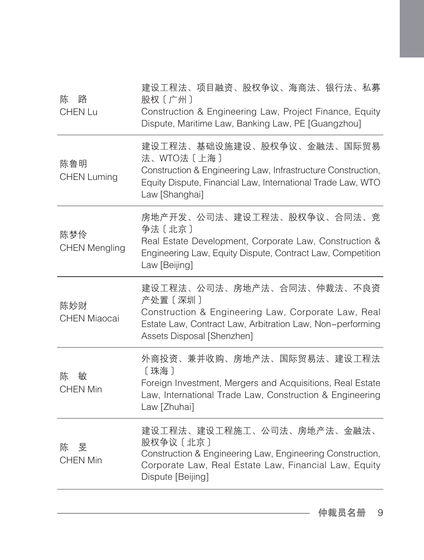| 路<br>陈<br><b>CHEN Lu</b>    | 建设工程法、项目融资、股权争议、海商法、银行法、私募<br>股权〔广州〕<br>Construction & Engineering Law, Project Finance, Equity<br>Dispute, Maritime Law, Banking Law, PE [Guangzhou]                                     |
|-----------------------------|-------------------------------------------------------------------------------------------------------------------------------------------------------------------------------------------|
| 陈鲁明<br><b>CHEN Luming</b>   | 建设工程法、基础设施建设、股权争议、金融法、国际贸易<br>法、WTO法〔上海〕<br>Construction & Engineering Law, Infrastructure Construction,<br>Equity Dispute, Financial Law, International Trade Law, WTO<br>Law [Shanghai] |
| 陈梦伶<br><b>CHEN Mengling</b> | 房地产开发、公司法、建设工程法、股权争议、合同法、竞<br>争法〔北京〕<br>Real Estate Development, Corporate Law, Construction &<br>Engineering Law, Equity Dispute, Contract Law, Competition<br>Law [Beijing]             |
| 陈妙财<br><b>CHEN Miaocai</b>  | 建设工程法、公司法、房地产法、合同法、仲裁法、不良资<br>产处置 [深圳]<br>Construction & Engineering Law, Corporate Law, Real<br>Estate Law, Contract Law, Arbitration Law, Non-performing<br>Assets Disposal [Shenzhen]  |
| 敏<br>陈<br><b>CHEN Min</b>   | 外商投资、兼并收购、房地产法、国际贸易法、建设工程法<br>[珠海]<br>Foreign Investment, Mergers and Acquisitions, Real Estate<br>Law, International Trade Law, Construction & Engineering<br>Law [Zhuhai]               |
| 旻<br>陈<br><b>CHEN Min</b>   | 建设工程法、建设工程施工、公司法、房地产法、金融法、<br>股权争议 [北京]<br>Construction & Engineering Law, Engineering Construction,<br>Corporate Law, Real Estate Law, Financial Law, Equity<br>Dispute [Beijing]        |
|                             |                                                                                                                                                                                           |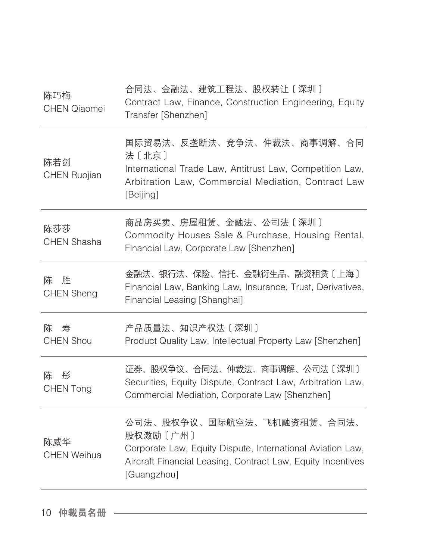| 陈巧梅<br><b>CHEN Qiaomei</b>  | 合同法、金融法、建筑工程法、股权转让〔深圳〕<br>Contract Law, Finance, Construction Engineering, Equity<br>Transfer [Shenzhen]                                                                           |
|-----------------------------|------------------------------------------------------------------------------------------------------------------------------------------------------------------------------------|
| 陈若剑<br><b>CHEN Ruojian</b>  | 国际贸易法、反垄断法、竞争法、仲裁法、商事调解、合同<br>法〔北京〕<br>International Trade Law, Antitrust Law, Competition Law,<br>Arbitration Law, Commercial Mediation, Contract Law<br>[Beijing]                |
| 陈莎莎<br><b>CHEN Shasha</b>   | 商品房买卖、房屋租赁、金融法、公司法〔深圳〕<br>Commodity Houses Sale & Purchase, Housing Rental,<br>Financial Law, Corporate Law [Shenzhen]                                                             |
| 陈<br>胜<br><b>CHEN Sheng</b> | 金融法、银行法、保险、信托、金融衍生品、融资租赁〔上海〕<br>Financial Law, Banking Law, Insurance, Trust, Derivatives,<br>Financial Leasing [Shanghai]                                                         |
| 寿<br>陈<br><b>CHEN Shou</b>  | 产品质量法、知识产权法〔深圳〕<br>Product Quality Law, Intellectual Property Law [Shenzhen]                                                                                                       |
| 陈<br>彤<br>CHEN Tong         | 证券、股权争议、合同法、仲裁法、商事调解、公司法〔深圳〕<br>Securities, Equity Dispute, Contract Law, Arbitration Law,<br>Commercial Mediation, Corporate Law [Shenzhen]                                       |
| 陈威华<br><b>CHEN Weihua</b>   | 公司法、股权争议、国际航空法、飞机融资租赁、合同法、<br>股权激励〔广州〕<br>Corporate Law, Equity Dispute, International Aviation Law,<br>Aircraft Financial Leasing, Contract Law, Equity Incentives<br>[Guangzhou] |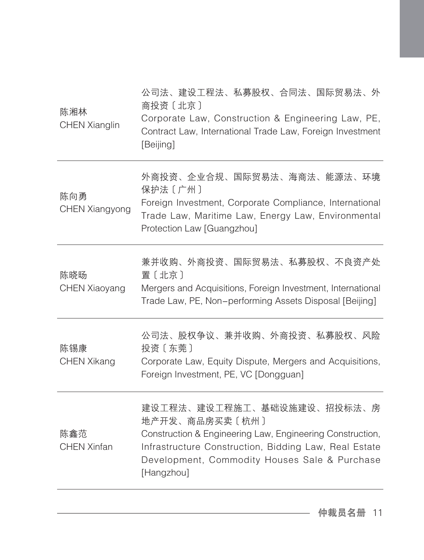| 陈湘林<br><b>CHEN Xianglin</b>  | 公司法、建设工程法、私募股权、合同法、国际贸易法、外<br>商投资〔北京〕<br>Corporate Law, Construction & Engineering Law, PE,<br>Contract Law, International Trade Law, Foreign Investment<br>[Beijing]                                                             |
|------------------------------|-----------------------------------------------------------------------------------------------------------------------------------------------------------------------------------------------------------------------------------|
| 陈向勇<br><b>CHEN Xiangyong</b> | 外商投资、企业合规、国际贸易法、海商法、能源法、环境<br>保护法〔广州〕<br>Foreign Investment, Corporate Compliance, International<br>Trade Law, Maritime Law, Energy Law, Environmental<br>Protection Law [Guangzhou]                                              |
| 陈晓旸<br>CHEN Xiaoyang         | 兼并收购、外商投资、国际贸易法、私募股权、不良资产处<br>置〔北京〕<br>Mergers and Acquisitions, Foreign Investment, International<br>Trade Law, PE, Non-performing Assets Disposal [Beijing]                                                                     |
| 陈锡康<br><b>CHEN Xikang</b>    | 公司法、股权争议、兼并收购、外商投资、私募股权、风险<br>投资〔东莞〕<br>Corporate Law, Equity Dispute, Mergers and Acquisitions,<br>Foreign Investment, PE, VC [Dongguan]                                                                                         |
| 陈鑫范<br><b>CHEN Xinfan</b>    | 建设工程法、建设工程施工、基础设施建设、招投标法、房<br>地产开发、商品房买卖〔杭州〕<br>Construction & Engineering Law, Engineering Construction,<br>Infrastructure Construction, Bidding Law, Real Estate<br>Development, Commodity Houses Sale & Purchase<br>[Hangzhou] |
|                              |                                                                                                                                                                                                                                   |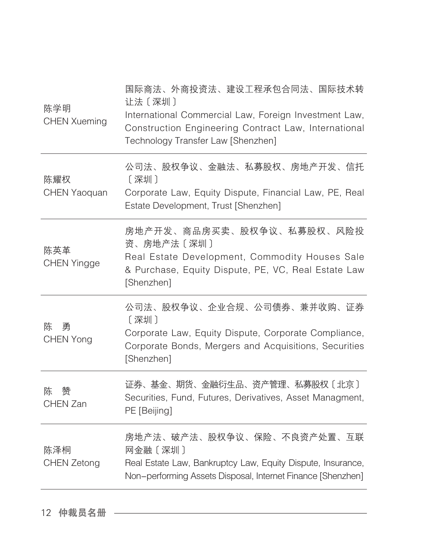| 陈学明<br><b>CHEN Xueming</b> | 国际商法、外商投资法、建设工程承包合同法、国际技术转<br>让法〔深圳〕<br>International Commercial Law, Foreign Investment Law,<br>Construction Engineering Contract Law, International<br>Technology Transfer Law [Shenzhen] |
|----------------------------|---------------------------------------------------------------------------------------------------------------------------------------------------------------------------------------------|
| 陈耀权<br><b>CHEN Yaoquan</b> | 公司法、股权争议、金融法、私募股权、房地产开发、信托<br>[深圳]<br>Corporate Law, Equity Dispute, Financial Law, PE, Real<br>Estate Development, Trust [Shenzhen]                                                        |
| 陈英革<br><b>CHEN Yingge</b>  | 房地产开发、商品房买卖、股权争议、私募股权、风险投<br>资、房地产法〔深圳〕<br>Real Estate Development, Commodity Houses Sale<br>& Purchase, Equity Dispute, PE, VC, Real Estate Law<br>[Shenzhen]                              |
| 陈<br>勇<br><b>CHEN Yong</b> | 公司法、股权争议、企业合规、公司债券、兼并收购、证券<br>[深圳]<br>Corporate Law, Equity Dispute, Corporate Compliance,<br>Corporate Bonds, Mergers and Acquisitions, Securities<br>[Shenzhen]                           |
| 幣<br>陈<br>CHEN Zan         | 证券、基金、期货、金融衍生品、资产管理、私募股权〔北京〕<br>Securities, Fund, Futures, Derivatives, Asset Managment,<br>PE [Beijing]                                                                                    |
| 陈泽桐<br><b>CHEN Zetong</b>  | 房地产法、破产法、股权争议、保险、不良资产处置、互联<br>网金融〔深圳〕<br>Real Estate Law, Bankruptcy Law, Equity Dispute, Insurance,<br>Non-performing Assets Disposal, Internet Finance [Shenzhen]                         |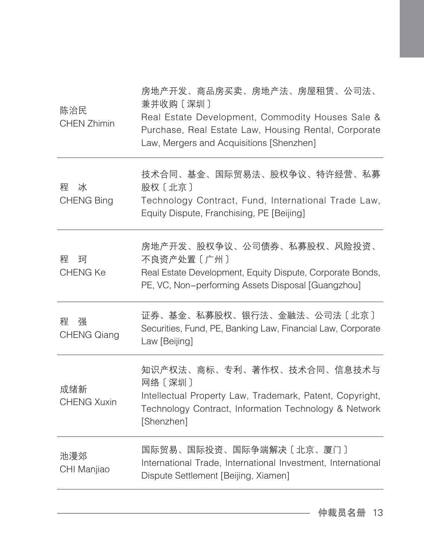| 陈治民<br><b>CHEN Zhimin</b>    | 房地产开发、商品房买卖、房地产法、房屋租赁、公司法、<br>兼并收购 [深圳]<br>Real Estate Development, Commodity Houses Sale &<br>Purchase, Real Estate Law, Housing Rental, Corporate<br>Law, Mergers and Acquisitions [Shenzhen] |
|------------------------------|-------------------------------------------------------------------------------------------------------------------------------------------------------------------------------------------------|
| 稈<br>冰<br><b>CHENG Bing</b>  | 技术合同、基金、国际贸易法、股权争议、特许经营、私募<br>股权〔北京〕<br>Technology Contract, Fund, International Trade Law,<br>Equity Dispute, Franchising, PE [Beijing]                                                        |
| 稈<br>珂<br><b>CHENG Ke</b>    | 房地产开发、股权争议、公司债券、私募股权、风险投资、<br>不良资产处置〔广州〕<br>Real Estate Development, Equity Dispute, Corporate Bonds,<br>PE, VC, Non-performing Assets Disposal [Guangzhou]                                     |
| 强<br>稈<br><b>CHENG Qiang</b> | 证券、基金、私募股权、银行法、金融法、公司法〔北京〕<br>Securities, Fund, PE, Banking Law, Financial Law, Corporate<br>Law [Beijing]                                                                                      |
| 成绪新<br><b>CHENG Xuxin</b>    | 知识产权法、商标、专利、著作权、技术合同、信息技术与<br>网络〔深圳〕<br>Intellectual Property Law, Trademark, Patent, Copyright,<br>Technology Contract, Information Technology & Network<br>[Shenzhen]                         |
| 池漫郊<br>CHI Manjiao           | 国际贸易、国际投资、国际争端解决〔北京、厦门〕<br>International Trade, International Investment, International<br>Dispute Settlement [Beijing, Xiamen]                                                                 |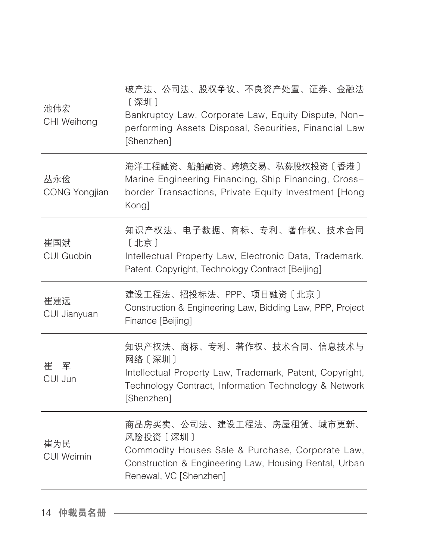| 池伟宏<br>CHI Weihong          | 破产法、公司法、股权争议、不良资产处置、证券、金融法<br>〔深圳〕<br>Bankruptcy Law, Corporate Law, Equity Dispute, Non-<br>performing Assets Disposal, Securities, Financial Law<br>[Shenzhen]               |
|-----------------------------|--------------------------------------------------------------------------------------------------------------------------------------------------------------------------------|
| 丛永俭<br><b>CONG Yongjian</b> | 海洋工程融资、船舶融资、跨境交易、私募股权投资〔香港〕<br>Marine Engineering Financing, Ship Financing, Cross-<br>border Transactions, Private Equity Investment [Hong<br>Kong]                           |
| 崔国斌<br><b>CUI Guobin</b>    | 知识产权法、电子数据、商标、专利、著作权、技术合同<br>[北京]<br>Intellectual Property Law, Electronic Data, Trademark,<br>Patent, Copyright, Technology Contract [Beijing]                                |
| 崔建远<br>CUI Jianyuan         | 建设工程法、招投标法、PPP、项目融资〔北京〕<br>Construction & Engineering Law, Bidding Law, PPP, Project<br>Finance [Beijing]                                                                      |
| 崔军<br>CUI Jun               | 知识产权法、商标、专利、著作权、技术合同、信息技术与<br>网络〔深圳〕<br>Intellectual Property Law, Trademark, Patent, Copyright,<br>Technology Contract, Information Technology & Network<br>[Shenzhen]        |
| 崔为民<br><b>CUI Weimin</b>    | 商品房买卖、公司法、建设工程法、房屋租赁、城市更新、<br>风险投资 [深圳]<br>Commodity Houses Sale & Purchase, Corporate Law,<br>Construction & Engineering Law, Housing Rental, Urban<br>Renewal, VC [Shenzhen] |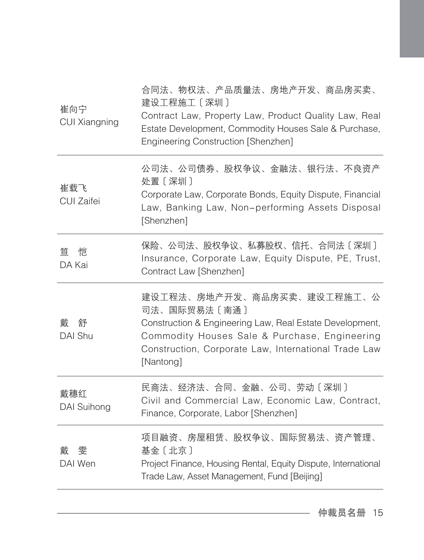| 崔向宁<br><b>CUI Xiangning</b> | 合同法、物权法、产品质量法、房地产开发、商品房买卖、<br>建设工程施工〔深圳〕<br>Contract Law, Property Law, Product Quality Law, Real<br>Estate Development, Commodity Houses Sale & Purchase,<br>Engineering Construction [Shenzhen]                            |
|-----------------------------|------------------------------------------------------------------------------------------------------------------------------------------------------------------------------------------------------------------------------|
| 崔载飞<br>CUI Zaifei           | 公司法、公司债券、股权争议、金融法、银行法、不良资产<br>处置〔深圳〕<br>Corporate Law, Corporate Bonds, Equity Dispute, Financial<br>Law, Banking Law, Non-performing Assets Disposal<br>[Shenzhen]                                                          |
| 恺<br>笞<br>DA Kai            | 保险、公司法、股权争议、私募股权、信托、合同法〔深圳〕<br>Insurance, Corporate Law, Equity Dispute, PE, Trust,<br>Contract Law [Shenzhen]                                                                                                               |
| 戴<br>舒<br>DAI Shu           | 建设工程法、房地产开发、商品房买卖、建设工程施工、公<br>司法、国际贸易法〔南通〕<br>Construction & Engineering Law, Real Estate Development,<br>Commodity Houses Sale & Purchase, Engineering<br>Construction, Corporate Law, International Trade Law<br>[Nantong] |
| 戴穗红<br>DAI Suihong          | 民商法、经济法、合同、金融、公司、劳动〔深圳〕<br>Civil and Commercial Law, Economic Law, Contract,<br>Finance, Corporate, Labor [Shenzhen]                                                                                                         |
| 雯<br>載<br>DAI Wen           | 项目融资、房屋租赁、股权争议、国际贸易法、资产管理、<br>基金 [北京]<br>Project Finance, Housing Rental, Equity Dispute, International<br>Trade Law, Asset Management, Fund [Beijing]                                                                       |
|                             |                                                                                                                                                                                                                              |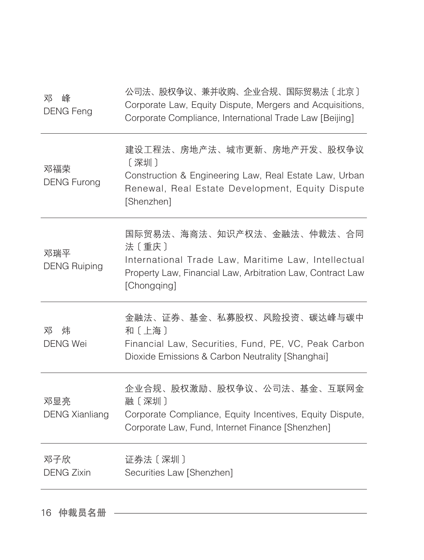| 邓<br>峰<br><b>DENG Feng</b>   | 公司法、股权争议、兼并收购、企业合规、国际贸易法〔北京〕<br>Corporate Law, Equity Dispute, Mergers and Acquisitions,<br>Corporate Compliance, International Trade Law [Beijing]                     |
|------------------------------|-------------------------------------------------------------------------------------------------------------------------------------------------------------------------|
| 邓福荣<br><b>DENG Furong</b>    | 建设工程法、房地产法、城市更新、房地产开发、股权争议<br>〔深圳〕<br>Construction & Engineering Law, Real Estate Law, Urban<br>Renewal, Real Estate Development, Equity Dispute<br>[Shenzhen]          |
| 邓瑞平<br><b>DENG Ruiping</b>   | 国际贸易法、海商法、知识产权法、金融法、仲裁法、合同<br>法〔重庆〕<br>International Trade Law, Maritime Law, Intellectual<br>Property Law, Financial Law, Arbitration Law, Contract Law<br>[Chongqing] |
| 炜<br>邓<br><b>DENG Wei</b>    | 金融法、证券、基金、私募股权、风险投资、碳达峰与碳中<br>和〔上海〕<br>Financial Law, Securities, Fund, PE, VC, Peak Carbon<br>Dioxide Emissions & Carbon Neutrality [Shanghai]                         |
| 邓显亮<br><b>DENG Xianliang</b> | 企业合规、股权激励、股权争议、公司法、基金、互联网金<br>融〔深圳〕<br>Corporate Compliance, Equity Incentives, Equity Dispute,<br>Corporate Law, Fund, Internet Finance [Shenzhen]                     |
| 邓子欣<br><b>DENG Zixin</b>     | 证券法〔深圳〕<br>Securities Law [Shenzhen]                                                                                                                                    |
|                              |                                                                                                                                                                         |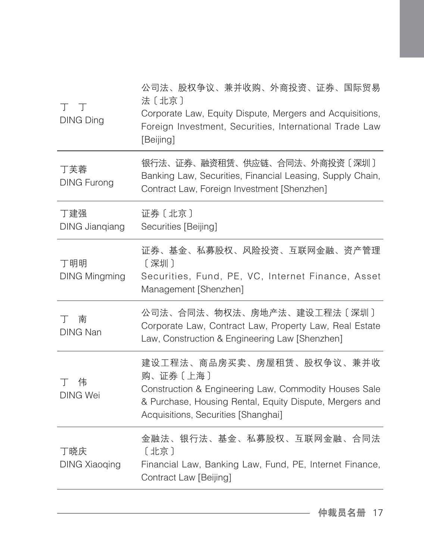| 工工<br><b>DING Ding</b>       | 公司法、股权争议、兼并收购、外商投资、证券、国际贸易<br>法〔北京〕<br>Corporate Law, Equity Dispute, Mergers and Acquisitions,<br>Foreign Investment, Securities, International Trade Law<br>[Beijing]                          |
|------------------------------|--------------------------------------------------------------------------------------------------------------------------------------------------------------------------------------------------|
| 丁芙蓉<br><b>DING Furong</b>    | 银行法、证券、融资租赁、供应链、合同法、外商投资〔深圳〕<br>Banking Law, Securities, Financial Leasing, Supply Chain,<br>Contract Law, Foreign Investment [Shenzhen]                                                         |
| 丁建强<br><b>DING Jianqiang</b> | 证券〔北京〕<br>Securities [Beijing]                                                                                                                                                                   |
| 丁明明<br><b>DING Mingming</b>  | 证券、基金、私募股权、风险投资、互联网金融、资产管理<br>[深圳]<br>Securities, Fund, PE, VC, Internet Finance, Asset<br>Management [Shenzhen]                                                                                 |
| 南<br>T<br><b>DING Nan</b>    | 公司法、合同法、物权法、房地产法、建设工程法〔深圳〕<br>Corporate Law, Contract Law, Property Law, Real Estate<br>Law, Construction & Engineering Law [Shenzhen]                                                           |
| 伟<br>T.<br><b>DING Wei</b>   | 建设工程法、商品房买卖、房屋租赁、股权争议、兼并收<br>购、证券〔上海〕<br>Construction & Engineering Law, Commodity Houses Sale<br>& Purchase, Housing Rental, Equity Dispute, Mergers and<br>Acquisitions, Securities [Shanghai] |
| 丁晓庆<br><b>DING Xiaoqing</b>  | 金融法、银行法、基金、私募股权、互联网金融、合同法<br>[北京]<br>Financial Law, Banking Law, Fund, PE, Internet Finance,<br>Contract Law [Beijing]                                                                           |
|                              |                                                                                                                                                                                                  |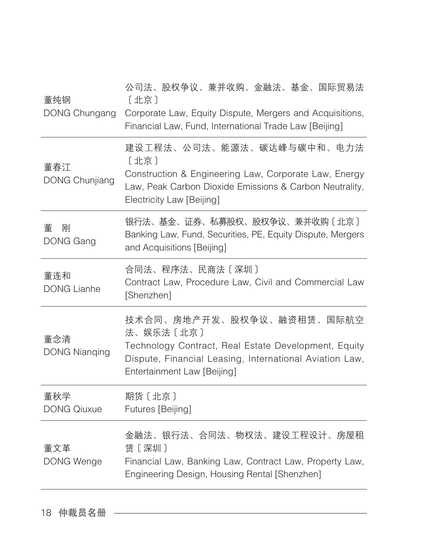| 董纯钢<br>DONG Chungang         | 公司法、股权争议、兼并收购、金融法、基金、国际贸易法<br>[北京]<br>Corporate Law, Equity Dispute, Mergers and Acquisitions,<br>Financial Law, Fund, International Trade Law [Beijing]                                 |
|------------------------------|------------------------------------------------------------------------------------------------------------------------------------------------------------------------------------------|
| 董春江<br><b>DONG Chunjiang</b> | 建设工程法、公司法、能源法、碳达峰与碳中和、电力法<br>[北京]<br>Construction & Engineering Law, Corporate Law, Energy<br>Law, Peak Carbon Dioxide Emissions & Carbon Neutrality,<br>Electricity Law [Beijing]       |
| 董<br>刚<br><b>DONG Gang</b>   | 银行法、基金、证券、私募股权、股权争议、兼并收购〔北京〕<br>Banking Law, Fund, Securities, PE, Equity Dispute, Mergers<br>and Acquisitions [Beijing]                                                                 |
| 董连和<br><b>DONG Lianhe</b>    | 合同法、程序法、民商法〔深圳〕<br>Contract Law, Procedure Law, Civil and Commercial Law<br>[Shenzhen]                                                                                                   |
| 董念清<br><b>DONG Nianging</b>  | 技术合同、房地产开发、股权争议、融资租赁、国际航空<br>法、娱乐法〔北京〕<br>Technology Contract, Real Estate Development, Equity<br>Dispute, Financial Leasing, International Aviation Law,<br>Entertainment Law [Beijing] |
| 董秋学<br><b>DONG Qiuxue</b>    | 期货〔北京〕<br>Futures [Beijing]                                                                                                                                                              |
| 董文革<br><b>DONG Wenge</b>     | 金融法、银行法、合同法、物权法、建设工程设计、房屋租<br>赁〔深圳〕<br>Financial Law, Banking Law, Contract Law, Property Law,<br>Engineering Design, Housing Rental [Shenzhen]                                          |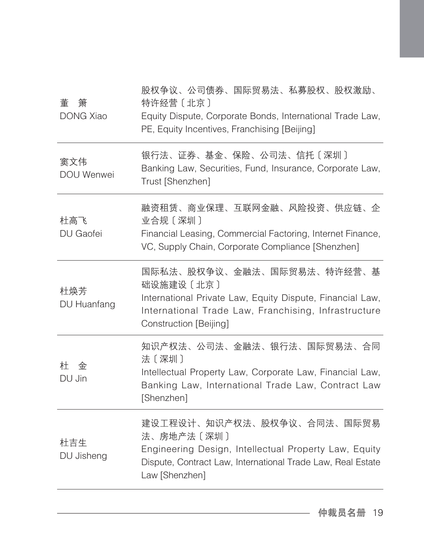| 董<br>箫<br><b>DONG Xiao</b> | 股权争议、公司债券、国际贸易法、私募股权、股权激励、<br>特许经营 [北京]<br>Equity Dispute, Corporate Bonds, International Trade Law,<br>PE, Equity Incentives, Franchising [Beijing]                                   |
|----------------------------|----------------------------------------------------------------------------------------------------------------------------------------------------------------------------------------|
| 窦文伟<br>DOU Wenwei          | 银行法、证券、基金、保险、公司法、信托〔深圳〕<br>Banking Law, Securities, Fund, Insurance, Corporate Law,<br>Trust [Shenzhen]                                                                                |
| 杜高飞<br>DU Gaofei           | 融资租赁、商业保理、互联网金融、风险投资、供应链、企<br>业合规〔深圳〕<br>Financial Leasing, Commercial Factoring, Internet Finance,<br>VC, Supply Chain, Corporate Compliance [Shenzhen]                               |
| 杜焕芳<br>DU Huanfang         | 国际私法、股权争议、金融法、国际贸易法、特许经营、基<br>础设施建设〔北京〕<br>International Private Law, Equity Dispute, Financial Law,<br>International Trade Law, Franchising, Infrastructure<br>Construction [Beijing] |
| 籵<br>金<br>DU Jin           | 知识产权法、公司法、金融法、银行法、国际贸易法、合同<br>法〔深圳〕<br>Intellectual Property Law, Corporate Law, Financial Law,<br>Banking Law, International Trade Law, Contract Law<br>[Shenzhen]                    |
| 杜吉生<br>DU Jisheng          | 建设工程设计、知识产权法、股权争议、合同法、国际贸易<br>法、房地产法〔深圳〕<br>Engineering Design, Intellectual Property Law, Equity<br>Dispute, Contract Law, International Trade Law, Real Estate<br>Law [Shenzhen]     |
|                            |                                                                                                                                                                                        |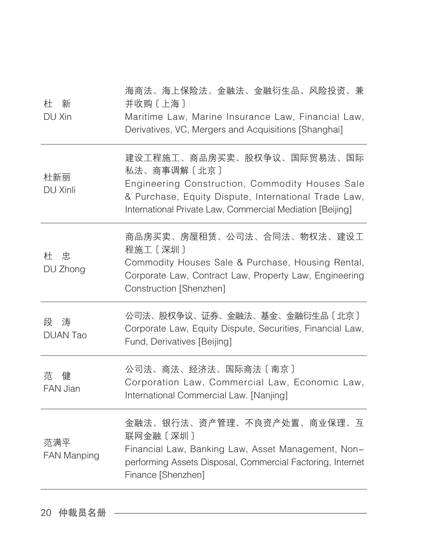| 私法、商事调解〔北京〕<br>杜新丽<br>DU Xinli<br>International Private Law, Commercial Mediation [Beijing]<br>程施工〔深圳〕<br>杜忠<br>DU Zhong<br>Construction [Shenzhen]<br>段 涛<br><b>DUAN Tao</b><br>Fund, Derivatives [Beijing]<br>公司法、商法、经济法、国际商法〔南京〕<br>范<br>健<br>FAN Jian<br>International Commercial Law. [Nanjing]<br>联网金融〔深圳〕<br>范满平<br><b>FAN Manping</b> | 杜<br>新<br>DU Xin | 海商法、海上保险法、金融法、金融衍生品、风险投资、兼<br>并收购〔上海〕<br>Maritime Law, Marine Insurance Law, Financial Law,<br>Derivatives, VC, Mergers and Acquisitions [Shanghai] |
|-----------------------------------------------------------------------------------------------------------------------------------------------------------------------------------------------------------------------------------------------------------------------------------------------------------------------------------------------|------------------|-----------------------------------------------------------------------------------------------------------------------------------------------------|
|                                                                                                                                                                                                                                                                                                                                               |                  | 建设工程施工、商品房买卖、股权争议、国际贸易法、国际<br>Engineering Construction, Commodity Houses Sale<br>& Purchase, Equity Dispute, International Trade Law,               |
|                                                                                                                                                                                                                                                                                                                                               |                  | 商品房买卖、房屋租赁、公司法、合同法、物权法、建设工<br>Commodity Houses Sale & Purchase, Housing Rental,<br>Corporate Law, Contract Law, Property Law, Engineering           |
|                                                                                                                                                                                                                                                                                                                                               |                  | 公司法、股权争议、证券、金融法、基金、金融衍生品〔北京〕<br>Corporate Law, Equity Dispute, Securities, Financial Law,                                                           |
|                                                                                                                                                                                                                                                                                                                                               |                  | Corporation Law, Commercial Law, Economic Law,                                                                                                      |
| Finance [Shenzhen]                                                                                                                                                                                                                                                                                                                            |                  | 金融法、银行法、资产管理、不良资产处置、商业保理、互<br>Financial Law, Banking Law, Asset Management, Non-<br>performing Assets Disposal, Commercial Factoring, Internet      |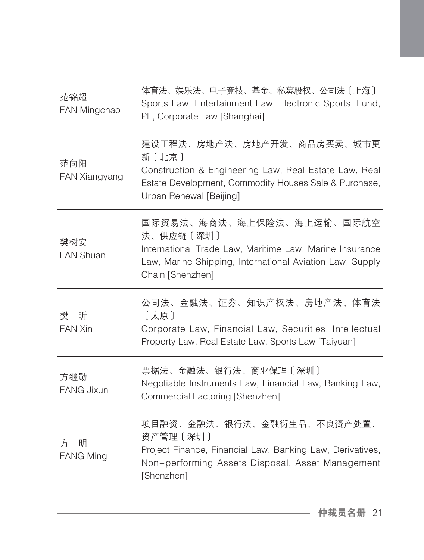| 范铭超<br>FAN Mingchao        | 体育法、娱乐法、电子竞技、基金、私募股权、公司法〔上海〕<br>Sports Law, Entertainment Law, Electronic Sports, Fund,<br>PE, Corporate Law [Shanghai]                                                           |
|----------------------------|-----------------------------------------------------------------------------------------------------------------------------------------------------------------------------------|
| 范向阳<br>FAN Xiangyang       | 建设工程法、房地产法、房地产开发、商品房买卖、城市更<br>新〔北京〕<br>Construction & Engineering Law, Real Estate Law, Real<br>Estate Development, Commodity Houses Sale & Purchase,<br>Urban Renewal [Beijing]  |
| 樊树安<br><b>FAN Shuan</b>    | 国际贸易法、海商法、海上保险法、海上运输、国际航空<br>法、供应链〔深圳〕<br>International Trade Law, Maritime Law, Marine Insurance<br>Law, Marine Shipping, International Aviation Law, Supply<br>Chain [Shenzhen] |
| 樊<br>昕<br>FAN Xin          | 公司法、金融法、证券、知识产权法、房地产法、体育法<br>〔太原〕<br>Corporate Law, Financial Law, Securities, Intellectual<br>Property Law, Real Estate Law, Sports Law [Taiyuan]                                |
| 方继勋<br><b>FANG Jixun</b>   | 票据法、金融法、银行法、商业保理〔深圳〕<br>Negotiable Instruments Law, Financial Law, Banking Law,<br>Commercial Factoring [Shenzhen]                                                                |
| 明<br>方<br><b>FANG Ming</b> | 项目融资、金融法、银行法、金融衍生品、不良资产处置、<br>资产管理 [深圳]<br>Project Finance, Financial Law, Banking Law, Derivatives,<br>Non-performing Assets Disposal, Asset Management<br>[Shenzhen]            |
|                            |                                                                                                                                                                                   |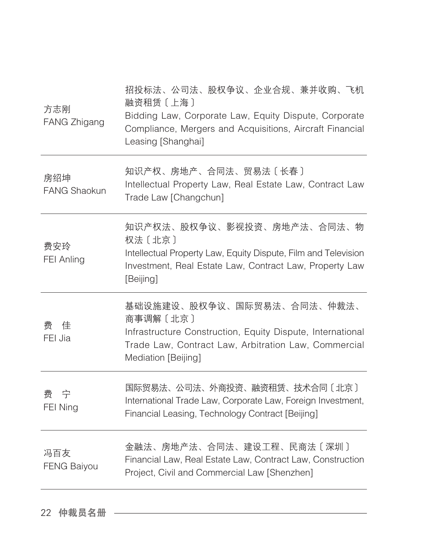| 方志刚<br><b>FANG Zhigang</b> | 招投标法、公司法、股权争议、企业合规、兼并收购、飞机<br>融资租赁 [上海]<br>Bidding Law, Corporate Law, Equity Dispute, Corporate<br>Compliance, Mergers and Acquisitions, Aircraft Financial<br>Leasing [Shanghai]  |
|----------------------------|-------------------------------------------------------------------------------------------------------------------------------------------------------------------------------------|
| 房绍坤<br><b>FANG Shaokun</b> | 知识产权、房地产、合同法、贸易法〔长春〕<br>Intellectual Property Law, Real Estate Law, Contract Law<br>Trade Law [Changchun]                                                                           |
| 费安玲<br>FEI Anling          | 知识产权法、股权争议、影视投资、房地产法、合同法、物<br>权法 [北京]<br>Intellectual Property Law, Equity Dispute, Film and Television<br>Investment, Real Estate Law, Contract Law, Property Law<br>[Beijing]     |
| 费<br>佳<br>FEI Jia          | 基础设施建设、股权争议、国际贸易法、合同法、仲裁法、<br>商事调解〔北京〕<br>Infrastructure Construction, Equity Dispute, International<br>Trade Law, Contract Law, Arbitration Law, Commercial<br>Mediation [Beijing] |
| 费<br>一宁<br>FEI Ning        | 国际贸易法、公司法、外商投资、融资租赁、技术合同〔北京〕<br>International Trade Law, Corporate Law, Foreign Investment,<br>Financial Leasing, Technology Contract [Beijing]                                     |
| 冯百友<br><b>FENG Baiyou</b>  | 金融法、房地产法、合同法、建设工程、民商法〔深圳〕<br>Financial Law, Real Estate Law, Contract Law, Construction<br>Project, Civil and Commercial Law [Shenzhen]                                             |
|                            |                                                                                                                                                                                     |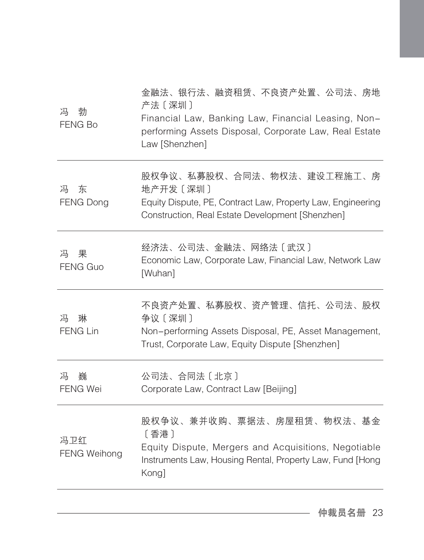| 冯<br>勃<br><b>FENG Bo</b>   | 金融法、银行法、融资租赁、不良资产处置、公司法、房地<br>产法〔深圳〕<br>Financial Law, Banking Law, Financial Leasing, Non-<br>performing Assets Disposal, Corporate Law, Real Estate<br>Law [Shenzhen] |
|----------------------------|-------------------------------------------------------------------------------------------------------------------------------------------------------------------------|
| 冯<br>东<br><b>FENG Dong</b> | 股权争议、私募股权、合同法、物权法、建设工程施工、房<br>地产开发〔深圳〕<br>Equity Dispute, PE, Contract Law, Property Law, Engineering<br>Construction, Real Estate Development [Shenzhen]               |
| 冯<br>果<br><b>FENG Guo</b>  | 经济法、公司法、金融法、网络法〔武汉〕<br>Economic Law, Corporate Law, Financial Law, Network Law<br>[Wuhan]                                                                               |
| 琳<br>冯<br><b>FENG Lin</b>  | 不良资产处置、私募股权、资产管理、信托、公司法、股权<br>争议〔深圳〕<br>Non-performing Assets Disposal, PE, Asset Management,<br>Trust, Corporate Law, Equity Dispute [Shenzhen]                        |
| 巍<br>冯<br><b>FENG Wei</b>  | 公司法、合同法〔北京〕<br>Corporate Law, Contract Law [Beijing]                                                                                                                    |
| 冯卫红<br><b>FENG Weihong</b> | 股权争议、兼并收购、票据法、房屋租赁、物权法、基金<br>〔香港〕<br>Equity Dispute, Mergers and Acquisitions, Negotiable<br>Instruments Law, Housing Rental, Property Law, Fund [Hong<br>Kong]         |
|                            |                                                                                                                                                                         |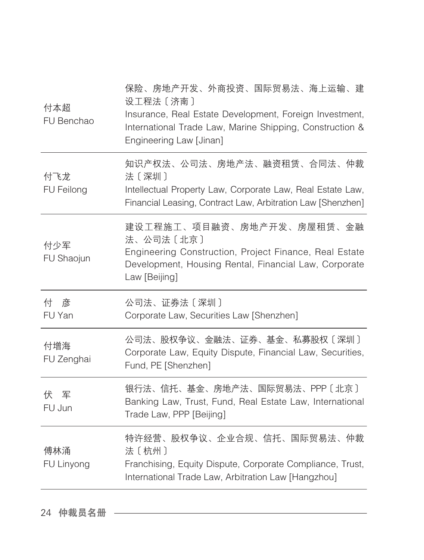| 付本超<br>FU Benchao         | 保险、房地产开发、外商投资、国际贸易法、海上运输、建<br>设工程法 [济南]<br>Insurance, Real Estate Development, Foreign Investment,<br>International Trade Law, Marine Shipping, Construction &<br>Engineering Law [Jinan] |
|---------------------------|-------------------------------------------------------------------------------------------------------------------------------------------------------------------------------------------|
| 付飞龙<br>FU Feilong         | 知识产权法、公司法、房地产法、融资租赁、合同法、仲裁<br>法〔深圳〕<br>Intellectual Property Law, Corporate Law, Real Estate Law,<br>Financial Leasing, Contract Law, Arbitration Law [Shenzhen]                          |
| 付少军<br>FU Shaojun         | 建设工程施工、项目融资、房地产开发、房屋租赁、金融<br>法、公司法〔北京〕<br>Engineering Construction, Project Finance, Real Estate<br>Development, Housing Rental, Financial Law, Corporate<br>Law [Beijing]                |
|                           |                                                                                                                                                                                           |
| 付<br>彦<br>FU Yan          | 公司法、证券法〔深圳〕<br>Corporate Law, Securities Law [Shenzhen]                                                                                                                                   |
| 付增海<br>FU Zenghai         | 公司法、股权争议、金融法、证券、基金、私募股权〔深圳〕<br>Corporate Law, Equity Dispute, Financial Law, Securities,<br>Fund, PE [Shenzhen]                                                                           |
| かんしょう 伏り 军 こうかい<br>FU Jun | 银行法、信托、基金、房地产法、国际贸易法、PPP〔北京〕<br>Banking Law, Trust, Fund, Real Estate Law, International<br>Trade Law, PPP [Beijing]                                                                      |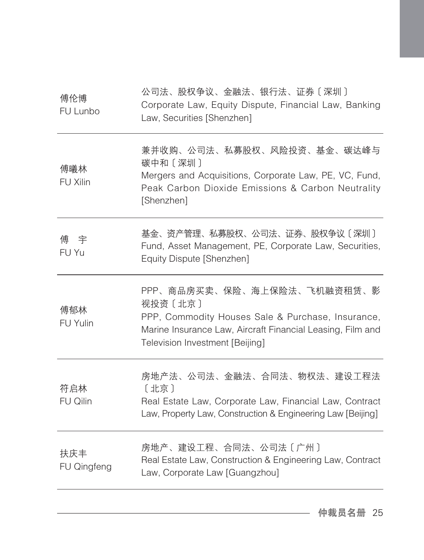| 公司法、股权争议、金融法、银行法、证券〔深圳〕<br>Corporate Law, Equity Dispute, Financial Law, Banking<br>Law, Securities [Shenzhen]                                                                               |
|----------------------------------------------------------------------------------------------------------------------------------------------------------------------------------------------|
| 兼并收购、公司法、私募股权、风险投资、基金、碳达峰与<br>碳中和〔深圳〕<br>Mergers and Acquisitions, Corporate Law, PE, VC, Fund,<br>Peak Carbon Dioxide Emissions & Carbon Neutrality<br>[Shenzhen]                           |
| 基金、资产管理、私募股权、公司法、证券、股权争议〔深圳〕<br>Fund, Asset Management, PE, Corporate Law, Securities,<br>Equity Dispute [Shenzhen]                                                                          |
| PPP、商品房买卖、保险、海上保险法、飞机融资租赁、影<br>视投资〔北京〕<br>PPP, Commodity Houses Sale & Purchase, Insurance,<br>Marine Insurance Law, Aircraft Financial Leasing, Film and<br>Television Investment [Beijing] |
| 房地产法、公司法、金融法、合同法、物权法、建设工程法<br>〔北京〕<br>Real Estate Law, Corporate Law, Financial Law, Contract<br>Law, Property Law, Construction & Engineering Law [Beijing]                                 |
| 房地产、建设工程、合同法、公司法〔广州〕<br>Real Estate Law, Construction & Engineering Law, Contract<br>Law, Corporate Law [Guangzhou]                                                                          |
|                                                                                                                                                                                              |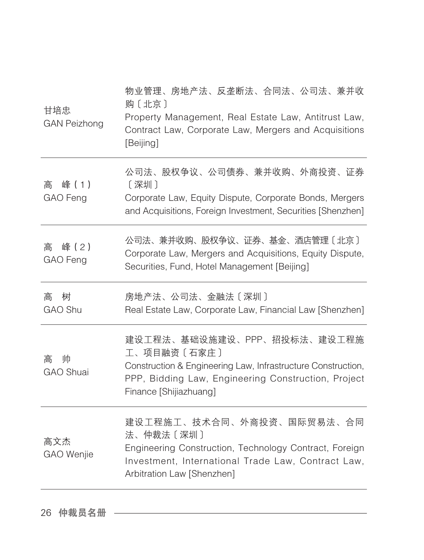| 甘培忠<br><b>GAN Peizhong</b> | 物业管理、房地产法、反垄断法、合同法、公司法、兼并收<br>购〔北京〕<br>Property Management, Real Estate Law, Antitrust Law,<br>Contract Law, Corporate Law, Mergers and Acquisitions<br>[Beijing]                           |
|----------------------------|---------------------------------------------------------------------------------------------------------------------------------------------------------------------------------------------|
| 峰(1)<br>高<br>GAO Feng      | 公司法、股权争议、公司债券、兼并收购、外商投资、证券<br>[深圳]<br>Corporate Law, Equity Dispute, Corporate Bonds, Mergers<br>and Acquisitions, Foreign Investment, Securities [Shenzhen]                                |
| 峰(2)<br>高<br>GAO Feng      | 公司法、兼并收购、股权争议、证券、基金、酒店管理〔北京〕<br>Corporate Law, Mergers and Acquisitions, Equity Dispute,<br>Securities, Fund, Hotel Management [Beijing]                                                    |
| 树<br>高<br>GAO Shu          | 房地产法、公司法、金融法〔深圳〕<br>Real Estate Law, Corporate Law, Financial Law [Shenzhen]                                                                                                                |
| 帅<br>高<br><b>GAO Shuai</b> | 建设工程法、基础设施建设、PPP、招投标法、建设工程施<br>工、项目融资〔石家庄〕<br>Construction & Engineering Law, Infrastructure Construction,<br>PPP, Bidding Law, Engineering Construction, Project<br>Finance [Shijiazhuang] |
| 高文杰<br><b>GAO</b> Wenjie   | 建设工程施工、技术合同、外商投资、国际贸易法、合同<br>法、仲裁法〔深圳〕<br>Engineering Construction, Technology Contract, Foreign<br>Investment, International Trade Law, Contract Law,<br>Arbitration Law [Shenzhen]        |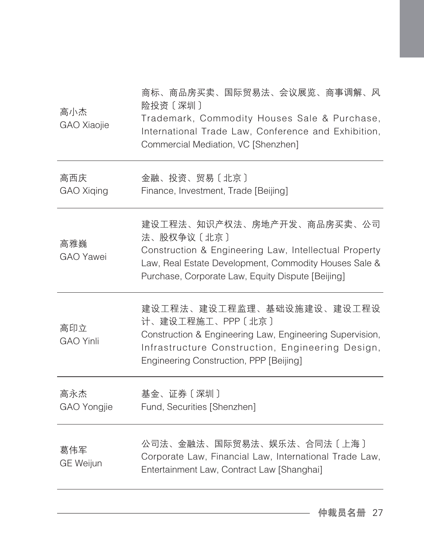| 高小杰<br>GAO Xiaojie      | 商标、商品房买卖、国际贸易法、会议展览、商事调解、风<br>险投资〔深圳〕<br>Trademark, Commodity Houses Sale & Purchase,<br>International Trade Law, Conference and Exhibition,<br>Commercial Mediation, VC [Shenzhen]                             |
|-------------------------|-----------------------------------------------------------------------------------------------------------------------------------------------------------------------------------------------------------------|
| 高西庆<br>GAO Xiqing       | 金融、投资、贸易〔北京〕<br>Finance, Investment, Trade [Beijing]                                                                                                                                                            |
| 高雅巍<br><b>GAO</b> Yawei | 建设工程法、知识产权法、房地产开发、商品房买卖、公司<br>法、股权争议〔北京〕<br>Construction & Engineering Law, Intellectual Property<br>Law, Real Estate Development, Commodity Houses Sale &<br>Purchase, Corporate Law, Equity Dispute [Beijing] |
| 高印立<br><b>GAO Yinli</b> | 建设工程法、建设工程监理、基础设施建设、建设工程设<br>计、建设工程施工、PPP〔北京〕<br>Construction & Engineering Law, Engineering Supervision,<br>Infrastructure Construction, Engineering Design,<br>Engineering Construction, PPP [Beijing]        |
| 高永杰<br>GAO Yongjie      | 基金、证券〔深圳〕<br>Fund, Securities [Shenzhen]                                                                                                                                                                        |
| 葛伟军<br><b>GE Weijun</b> | 公司法、金融法、国际贸易法、娱乐法、合同法〔上海〕<br>Corporate Law, Financial Law, International Trade Law,<br>Entertainment Law, Contract Law [Shanghai]                                                                               |
|                         |                                                                                                                                                                                                                 |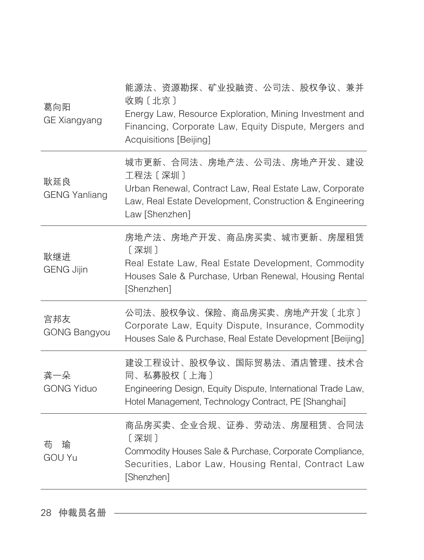| 葛向阳<br><b>GE Xiangyang</b>  | 能源法、资源勘探、矿业投融资、公司法、股权争议、兼并<br>收购〔北京〕<br>Energy Law, Resource Exploration, Mining Investment and<br>Financing, Corporate Law, Equity Dispute, Mergers and<br>Acquisitions [Beijing] |
|-----------------------------|------------------------------------------------------------------------------------------------------------------------------------------------------------------------------------|
| 耿延良<br><b>GENG Yanliang</b> | 城市更新、合同法、房地产法、公司法、房地产开发、建设<br>工程法 [深圳]<br>Urban Renewal, Contract Law, Real Estate Law, Corporate<br>Law, Real Estate Development, Construction & Engineering<br>Law [Shenzhen]    |
| 耿继进<br><b>GENG Jijin</b>    | 房地产法、房地产开发、商品房买卖、城市更新、房屋租赁<br>[深圳]<br>Real Estate Law, Real Estate Development, Commodity<br>Houses Sale & Purchase, Urban Renewal, Housing Rental<br>[Shenzhen]                   |
| 宫邦友<br><b>GONG Bangyou</b>  | 公司法、股权争议、保险、商品房买卖、房地产开发〔北京〕<br>Corporate Law, Equity Dispute, Insurance, Commodity<br>Houses Sale & Purchase, Real Estate Development [Beijing]                                    |
| 龚一朵<br><b>GONG Yiduo</b>    | 建设工程设计、股权争议、国际贸易法、酒店管理、技术合<br>同、私募股权〔上海〕<br>Engineering Design, Equity Dispute, International Trade Law,<br>Hotel Management, Technology Contract, PE [Shanghai]                   |
| 荀<br>瑜<br><b>GOU Yu</b>     | 商品房买卖、企业合规、证券、劳动法、房屋租赁、合同法<br>[深圳]<br>Commodity Houses Sale & Purchase, Corporate Compliance,<br>Securities, Labor Law, Housing Rental, Contract Law<br>[Shenzhen]                 |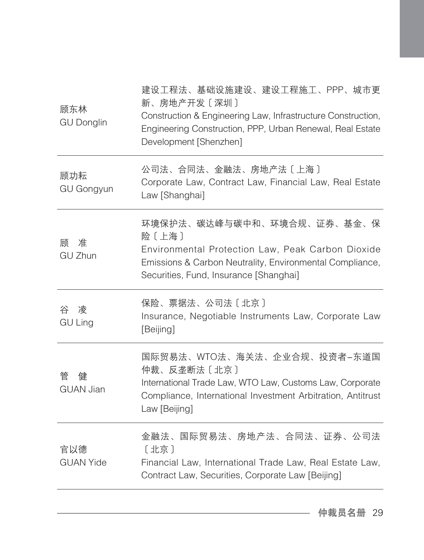| 顾东林<br><b>GU Donglin</b><br>顾功耘 | 新、房地产开发〔深圳〕<br>Construction & Engineering Law, Infrastructure Construction,<br>Engineering Construction, PPP, Urban Renewal, Real Estate<br>Development [Shenzhen]<br>公司法、合同法、金融法、房地产法〔上海〕     |
|---------------------------------|------------------------------------------------------------------------------------------------------------------------------------------------------------------------------------------------|
| <b>GU Gongyun</b>               | Corporate Law, Contract Law, Financial Law, Real Estate<br>Law [Shanghai]                                                                                                                      |
| 顾<br>准<br><b>GU Zhun</b>        | 环境保护法、碳达峰与碳中和、环境合规、证券、基金、保<br>险〔上海〕<br>Environmental Protection Law, Peak Carbon Dioxide<br>Emissions & Carbon Neutrality, Environmental Compliance,<br>Securities, Fund, Insurance [Shanghai] |
| 谷 凌<br><b>GU Ling</b>           | 保险、票据法、公司法〔北京〕<br>Insurance, Negotiable Instruments Law, Corporate Law<br>[Beijing]                                                                                                            |
| 健<br>管                          | 国际贸易法、WTO法、海关法、企业合规、投资者-东道国<br>仲裁、反垄断法〔北京〕                                                                                                                                                     |
| <b>GUAN Jian</b>                | International Trade Law, WTO Law, Customs Law, Corporate<br>Compliance, International Investment Arbitration, Antitrust<br>Law [Beijing]                                                       |
| 官以德<br><b>GUAN Yide</b>         | 金融法、国际贸易法、房地产法、合同法、证券、公司法<br>[北京]<br>Financial Law, International Trade Law, Real Estate Law,<br>Contract Law, Securities, Corporate Law [Beijing]                                             |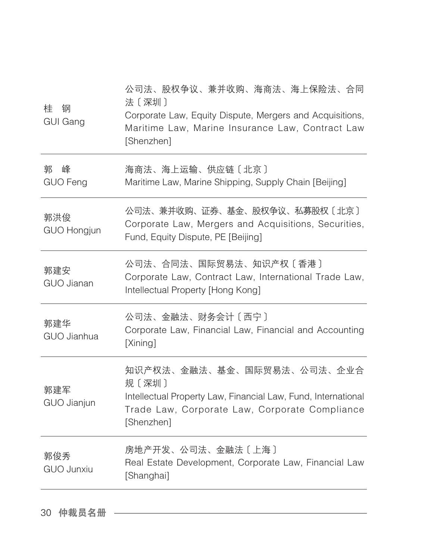| 钢<br>桂<br><b>GUI Gang</b> | 公司法、股权争议、兼并收购、海商法、海上保险法、合同<br>法〔深圳〕<br>Corporate Law, Equity Dispute, Mergers and Acquisitions,<br>Maritime Law, Marine Insurance Law, Contract Law<br>[Shenzhen]    |
|---------------------------|----------------------------------------------------------------------------------------------------------------------------------------------------------------------|
| 郭<br>峰<br><b>GUO Feng</b> | 海商法、海上运输、供应链〔北京〕<br>Maritime Law, Marine Shipping, Supply Chain [Beijing]                                                                                            |
| 郭洪俊<br><b>GUO Hongjun</b> | 公司法、兼并收购、证券、基金、股权争议、私募股权〔北京〕<br>Corporate Law, Mergers and Acquisitions, Securities,<br>Fund, Equity Dispute, PE [Beijing]                                           |
| 郭建安<br><b>GUO Jianan</b>  | 公司法、合同法、国际贸易法、知识产权〔香港〕<br>Corporate Law, Contract Law, International Trade Law,<br>Intellectual Property [Hong Kong]                                                 |
| 郭建华<br><b>GUO Jianhua</b> | 公司法、金融法、财务会计〔西宁〕<br>Corporate Law, Financial Law, Financial and Accounting<br>[Xining]                                                                               |
| 郭建军<br>GUO Jianjun        | 知识产权法、金融法、基金、国际贸易法、公司法、企业合<br>规〔深圳〕<br>Intellectual Property Law, Financial Law, Fund, International<br>Trade Law, Corporate Law, Corporate Compliance<br>[Shenzhen] |
| 郭俊秀<br><b>GUO Junxiu</b>  | 房地产开发、公司法、金融法〔上海〕<br>Real Estate Development, Corporate Law, Financial Law<br>[Shanghai]                                                                             |
|                           |                                                                                                                                                                      |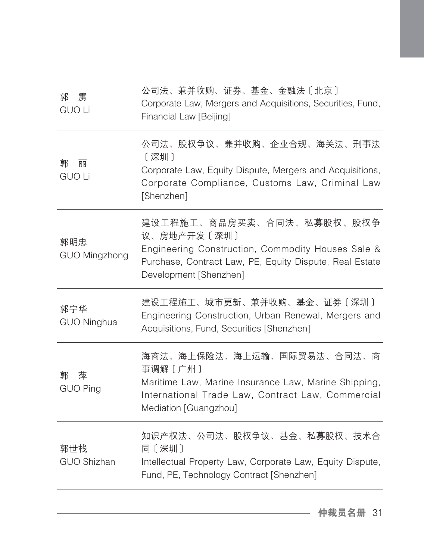| 雳<br>郭<br><b>GUO Li</b>   | 公司法、兼并收购、证券、基金、金融法〔北京〕<br>Corporate Law, Mergers and Acquisitions, Securities, Fund,<br>Financial Law [Beijing]                                                                    |
|---------------------------|------------------------------------------------------------------------------------------------------------------------------------------------------------------------------------|
| 郭<br>丽<br><b>GUO Li</b>   | 公司法、股权争议、兼并收购、企业合规、海关法、刑事法<br>[深圳]<br>Corporate Law, Equity Dispute, Mergers and Acquisitions,<br>Corporate Compliance, Customs Law, Criminal Law<br>[Shenzhen]                    |
| 郭明忠<br>GUO Mingzhong      | 建设工程施工、商品房买卖、合同法、私募股权、股权争<br>议、房地产开发〔深圳〕<br>Engineering Construction, Commodity Houses Sale &<br>Purchase, Contract Law, PE, Equity Dispute, Real Estate<br>Development [Shenzhen] |
| 郭宁华<br><b>GUO Ninghua</b> | 建设工程施工、城市更新、兼并收购、基金、证券〔深圳〕<br>Engineering Construction, Urban Renewal, Mergers and<br>Acquisitions, Fund, Securities [Shenzhen]                                                    |
| 萍<br>郭<br><b>GUO Ping</b> | 海商法、海上保险法、海上运输、国际贸易法、合同法、商<br>事调解〔广州〕<br>Maritime Law, Marine Insurance Law, Marine Shipping,<br>International Trade Law, Contract Law, Commercial<br>Mediation [Guangzhou]        |
| 郭世栈<br><b>GUO Shizhan</b> | 知识产权法、公司法、股权争议、基金、私募股权、技术合<br>同〔深圳〕<br>Intellectual Property Law, Corporate Law, Equity Dispute,<br>Fund, PE, Technology Contract [Shenzhen]                                       |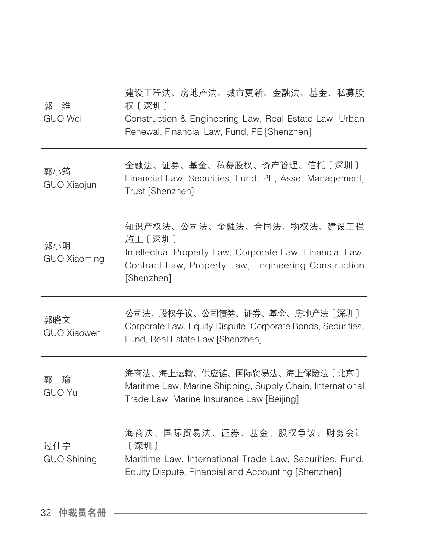| 郭<br>维<br><b>GUO Wei</b>   | 建设工程法、房地产法、城市更新、金融法、基金、私募股<br>权〔深圳〕<br>Construction & Engineering Law, Real Estate Law, Urban<br>Renewal, Financial Law, Fund, PE [Shenzhen]                           |
|----------------------------|------------------------------------------------------------------------------------------------------------------------------------------------------------------------|
| 郭小筠<br>GUO Xiaojun         | 金融法、证券、基金、私募股权、资产管理、信托〔深圳〕<br>Financial Law, Securities, Fund, PE, Asset Management,<br>Trust [Shenzhen]                                                               |
| 郭小明<br><b>GUO Xiaoming</b> | 知识产权法、公司法、金融法、合同法、物权法、建设工程<br>施工〔深圳〕<br>Intellectual Property Law, Corporate Law, Financial Law,<br>Contract Law, Property Law, Engineering Construction<br>[Shenzhen] |
| 郭晓文<br><b>GUO Xiaowen</b>  | 公司法、股权争议、公司债券、证券、基金、房地产法〔深圳〕<br>Corporate Law, Equity Dispute, Corporate Bonds, Securities,<br>Fund, Real Estate Law [Shenzhen]                                        |
| 郭<br>瑜<br><b>GUO Yu</b>    | 海商法、海上运输、供应链、国际贸易法、海上保险法〔北京〕<br>Maritime Law, Marine Shipping, Supply Chain, International<br>Trade Law, Marine Insurance Law [Beijing]                                |
| 过仕宁<br><b>GUO Shining</b>  | 海商法、国际贸易法、证券、基金、股权争议、财务会计<br>[深圳]<br>Maritime Law, International Trade Law, Securities, Fund,<br>Equity Dispute, Financial and Accounting [Shenzhen]                   |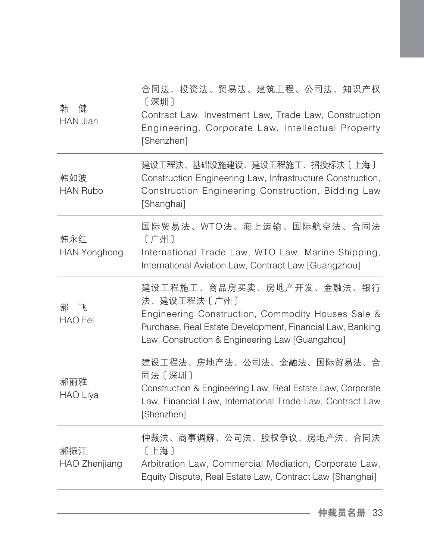| 韩<br>健<br><b>HAN Jian</b>  | 合同法、投资法、贸易法、建筑工程、公司法、知识产权<br>[深圳]<br>Contract Law, Investment Law, Trade Law, Construction<br>Engineering, Corporate Law, Intellectual Property<br>[Shenzhen]                                                 |
|----------------------------|---------------------------------------------------------------------------------------------------------------------------------------------------------------------------------------------------------------|
| 韩如波<br><b>HAN Rubo</b>     | 建设工程法、基础设施建设、建设工程施工、招投标法〔上海〕<br>Construction Engineering Law, Infrastructure Construction,<br>Construction Engineering Construction, Bidding Law<br>[Shanghai]                                                |
| 韩永红<br><b>HAN Yonghong</b> | 国际贸易法、WTO法、海上运输、国际航空法、合同法<br>〔广州〕<br>International Trade Law, WTO Law, Marine Shipping,<br>International Aviation Law, Contract Law [Guangzhou]                                                               |
| 郝 飞<br><b>HAO</b> Fei      | 建设工程施工、商品房买卖、房地产开发、金融法、银行<br>法、建设工程法〔广州〕<br>Engineering Construction, Commodity Houses Sale &<br>Purchase, Real Estate Development, Financial Law, Banking<br>Law, Construction & Engineering Law [Guangzhou] |
| 郝丽雅<br><b>HAO Liya</b>     | 建设工程法、房地产法、公司法、金融法、国际贸易法、合<br>同法〔深圳〕<br>Construction & Engineering Law, Real Estate Law, Corporate<br>Law, Financial Law, International Trade Law, Contract Law<br>[Shenzhen]                                 |
| 郝振江<br>HAO Zhenjiang       | 仲裁法、商事调解、公司法、股权争议、房地产法、合同法<br>[上海]<br>Arbitration Law, Commercial Mediation, Corporate Law,<br>Equity Dispute, Real Estate Law, Contract Law [Shanghai]                                                       |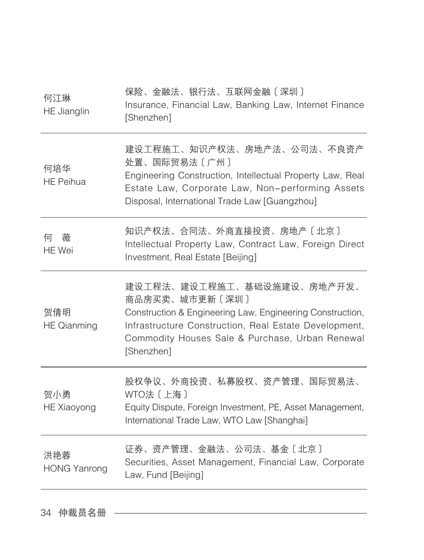| 何江琳<br><b>HE</b> Jianglin  | 保险、金融法、银行法、互联网金融〔深圳〕<br>Insurance, Financial Law, Banking Law, Internet Finance<br>[Shenzhen]                                                                                                                                       |
|----------------------------|-------------------------------------------------------------------------------------------------------------------------------------------------------------------------------------------------------------------------------------|
| 何培华<br><b>HE Peihua</b>    | 建设工程施工、知识产权法、房地产法、公司法、不良资产<br>处置、国际贸易法〔广州〕<br>Engineering Construction, Intellectual Property Law, Real<br>Estate Law, Corporate Law, Non-performing Assets<br>Disposal, International Trade Law [Guangzhou]                        |
| 薇<br>何<br>HE Wei           | 知识产权法、合同法、外商直接投资、房地产〔北京〕<br>Intellectual Property Law, Contract Law, Foreign Direct<br>Investment, Real Estate [Beijing]                                                                                                            |
| 贺倩明<br><b>HE Qianming</b>  | 建设工程法、建设工程施工、基础设施建设、房地产开发、<br>商品房买卖、城市更新〔深圳〕<br>Construction & Engineering Law, Engineering Construction,<br>Infrastructure Construction, Real Estate Development,<br>Commodity Houses Sale & Purchase, Urban Renewal<br>[Shenzhen] |
| 贺小勇<br><b>HE Xiaoyong</b>  | 股权争议、外商投资、私募股权、资产管理、国际贸易法、<br>WTO法 [上海]<br>Equity Dispute, Foreign Investment, PE, Asset Management,<br>International Trade Law, WTO Law [Shanghai]                                                                                 |
| 洪艳蓉<br><b>HONG Yanrong</b> | 证券、资产管理、金融法、公司法、基金〔北京〕<br>Securities, Asset Management, Financial Law, Corporate<br>Law, Fund [Beijing]                                                                                                                             |

34 仲裁员名册 ––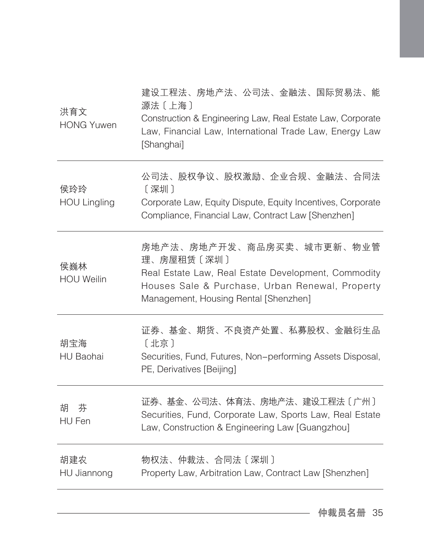| 洪育文<br><b>HONG Yuwen</b>   | 建设工程法、房地产法、公司法、金融法、国际贸易法、能<br>源法〔上海〕<br>Construction & Engineering Law, Real Estate Law, Corporate<br>Law, Financial Law, International Trade Law, Energy Law<br>[Shanghai]                |
|----------------------------|--------------------------------------------------------------------------------------------------------------------------------------------------------------------------------------------|
| 侯玲玲<br><b>HOU Lingling</b> | 公司法、股权争议、股权激励、企业合规、金融法、合同法<br>[深圳]<br>Corporate Law, Equity Dispute, Equity Incentives, Corporate<br>Compliance, Financial Law, Contract Law [Shenzhen]                                    |
| 侯巍林<br><b>HOU Weilin</b>   | 房地产法、房地产开发、商品房买卖、城市更新、物业管<br>理、房屋租赁〔深圳〕<br>Real Estate Law, Real Estate Development, Commodity<br>Houses Sale & Purchase, Urban Renewal, Property<br>Management, Housing Rental [Shenzhen] |
| 胡宝海<br><b>HU Baohai</b>    | 证券、基金、期货、不良资产处置、私募股权、金融衍生品<br>[北京]<br>Securities, Fund, Futures, Non-performing Assets Disposal,<br>PE, Derivatives [Beijing]                                                              |
| 胡<br>芬<br>HU Fen           | 证券、基金、公司法、体育法、房地产法、建设工程法〔广州〕<br>Securities, Fund, Corporate Law, Sports Law, Real Estate<br>Law, Construction & Engineering Law [Guangzhou]                                                |
| 胡建农<br>HU Jiannong         | 物权法、仲裁法、合同法〔深圳〕<br>Property Law, Arbitration Law, Contract Law [Shenzhen]                                                                                                                  |
|                            |                                                                                                                                                                                            |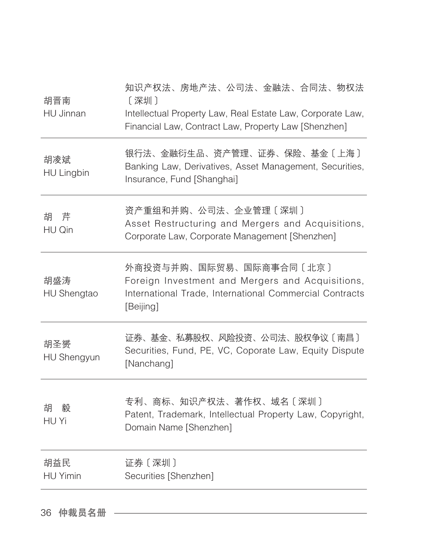| 胡晋南<br>HU Jinnan         | 知识产权法、房地产法、公司法、金融法、合同法、物权法<br>[深圳]<br>Intellectual Property Law, Real Estate Law, Corporate Law,<br>Financial Law, Contract Law, Property Law [Shenzhen] |
|--------------------------|----------------------------------------------------------------------------------------------------------------------------------------------------------|
| 胡凌斌<br><b>HU Lingbin</b> | 银行法、金融衍生品、资产管理、证券、保险、基金〔上海〕<br>Banking Law, Derivatives, Asset Management, Securities,<br>Insurance, Fund [Shanghai]                                     |
| 胡 芹<br>HU Qin            | 资产重组和并购、公司法、企业管理〔深圳〕<br>Asset Restructuring and Mergers and Acquisitions,<br>Corporate Law, Corporate Management [Shenzhen]                              |
| 胡盛涛<br>HU Shengtao       | 外商投资与并购、国际贸易、国际商事合同〔北京〕<br>Foreign Investment and Mergers and Acquisitions,<br>International Trade, International Commercial Contracts<br>[Beijing]      |
| 胡圣赟<br>HU Shengyun       | 证券、基金、私募股权、风险投资、公司法、股权争议〔南昌〕<br>Securities, Fund, PE, VC, Coporate Law, Equity Dispute<br>[Nanchang]                                                     |
| 胡<br>毅<br>HU Yi          | 专利、商标、知识产权法、著作权、域名〔深圳〕<br>Patent, Trademark, Intellectual Property Law, Copyright,<br>Domain Name [Shenzhen]                                             |
| 胡益民<br><b>HU Yimin</b>   | 证券〔深圳〕<br>Securities [Shenzhen]                                                                                                                          |
|                          |                                                                                                                                                          |

36 仲裁员名册 ––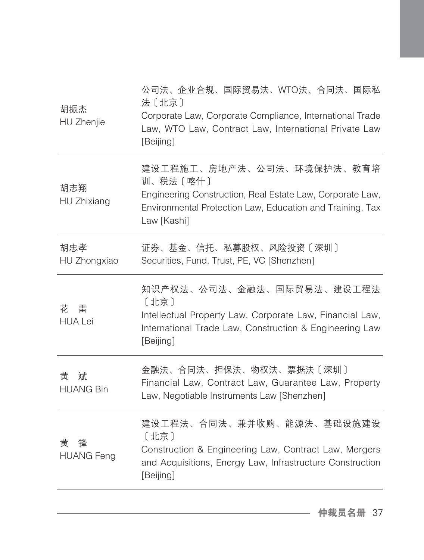| 胡振杰<br>HU Zhenjie           | 公司法、企业合规、国际贸易法、WTO法、合同法、国际私<br>法〔北京〕<br>Corporate Law, Corporate Compliance, International Trade<br>Law, WTO Law, Contract Law, International Private Law<br>[Beijing]         |
|-----------------------------|--------------------------------------------------------------------------------------------------------------------------------------------------------------------------------|
| 胡志翔<br>HU Zhixiang          | 建设工程施工、房地产法、公司法、环境保护法、教育培<br>训、税法〔喀什〕<br>Engineering Construction, Real Estate Law, Corporate Law,<br>Environmental Protection Law, Education and Training, Tax<br>Law [Kashi] |
| 胡忠孝<br>HU Zhongxiao         | 证券、基金、信托、私募股权、风险投资〔深圳〕<br>Securities, Fund, Trust, PE, VC [Shenzhen]                                                                                                           |
| 花<br>雷<br><b>HUA Lei</b>    | 知识产权法、公司法、金融法、国际贸易法、建设工程法<br>[北京]<br>Intellectual Property Law, Corporate Law, Financial Law,<br>International Trade Law, Construction & Engineering Law<br>[Beijing]          |
| 斌<br>黄<br><b>HUANG Bin</b>  | 金融法、合同法、担保法、物权法、票据法〔深圳〕<br>Financial Law, Contract Law, Guarantee Law, Property<br>Law, Negotiable Instruments Law [Shenzhen]                                                  |
| 黄<br>锋<br><b>HUANG Feng</b> | 建设工程法、合同法、兼并收购、能源法、基础设施建设<br>[北京]<br>Construction & Engineering Law, Contract Law, Mergers<br>and Acquisitions, Energy Law, Infrastructure Construction<br>[Beijing]           |
|                             |                                                                                                                                                                                |

仲裁员名册 37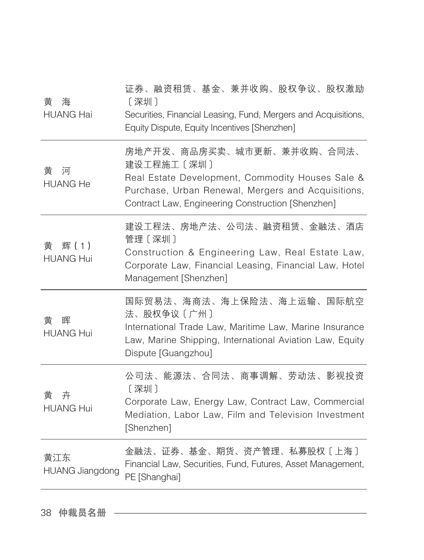| 黄<br>海<br><b>HUANG Hai</b>    | 证券、融资租赁、基金、兼并收购、股权争议、股权激励<br>[深圳]<br>Securities, Financial Leasing, Fund, Mergers and Acquisitions,<br>Equity Dispute, Equity Incentives [Shenzhen]                                                     |
|-------------------------------|---------------------------------------------------------------------------------------------------------------------------------------------------------------------------------------------------------|
| 黄<br>河<br><b>HUANG He</b>     | 房地产开发、商品房买卖、城市更新、兼并收购、合同法、<br>建设工程施工〔深圳〕<br>Real Estate Development, Commodity Houses Sale &<br>Purchase, Urban Renewal, Mergers and Acquisitions,<br>Contract Law, Engineering Construction [Shenzhen] |
| 辉(1)<br>黄<br><b>HUANG Hui</b> | 建设工程法、房地产法、公司法、融资租赁、金融法、酒店<br>管理 〔深圳〕<br>Construction & Engineering Law, Real Estate Law,<br>Corporate Law, Financial Leasing, Financial Law, Hotel<br>Management [Shenzhen]                            |
| 晖<br>黄<br><b>HUANG Hui</b>    | 国际贸易法、海商法、海上保险法、海上运输、国际航空<br>法、股权争议〔广州〕<br>International Trade Law, Maritime Law, Marine Insurance<br>Law, Marine Shipping, International Aviation Law, Equity<br>Dispute [Guangzhou]                   |
| 卉<br>黄<br><b>HUANG Hui</b>    | 公司法、能源法、合同法、商事调解、劳动法、影视投资<br>[深圳]<br>Corporate Law, Energy Law, Contract Law, Commercial<br>Mediation, Labor Law, Film and Television Investment<br>[Shenzhen]                                          |
| 黄江东<br><b>HUANG Jiangdong</b> | 金融法、证券、基金、期货、资产管理、私募股权〔上海〕<br>Financial Law, Securities, Fund, Futures, Asset Management,<br>PE [Shanghai]                                                                                              |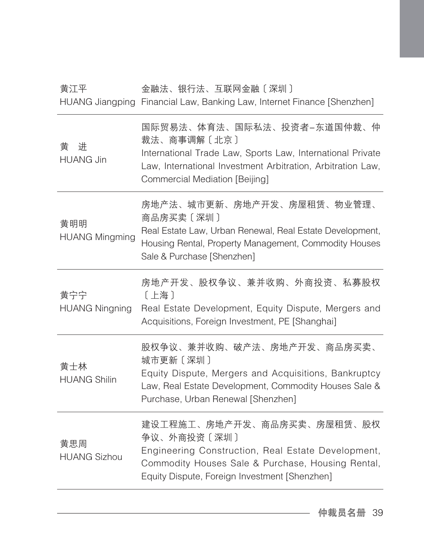## 黄江平 金融法、银行法、互联网金融〔深圳〕

HUANG Jiangping Financial Law, Banking Law, Internet Finance [Shenzhen]

| 黄<br>讲<br><b>HUANG Jin</b>   | 国际贸易法、体育法、国际私法、投资者―东道国仲裁、仲<br>裁法、商事调解〔北京〕<br>International Trade Law, Sports Law, International Private<br>Law, International Investment Arbitration, Arbitration Law,<br>Commercial Mediation [Beijing] |
|------------------------------|----------------------------------------------------------------------------------------------------------------------------------------------------------------------------------------------------------|
| 黄明明<br><b>HUANG Mingming</b> | 房地产法、城市更新、房地产开发、房屋租赁、物业管理、<br>商品房买卖〔深圳〕<br>Real Estate Law, Urban Renewal, Real Estate Development,<br>Housing Rental, Property Management, Commodity Houses<br>Sale & Purchase [Shenzhen]               |
| 黄宁宁<br><b>HUANG Ningning</b> | 房地产开发、股权争议、兼并收购、外商投资、私募股权<br>[上海]<br>Real Estate Development, Equity Dispute, Mergers and<br>Acquisitions, Foreign Investment, PE [Shanghai]                                                             |
| 黄士林<br><b>HUANG Shilin</b>   | 股权争议、兼并收购、破产法、房地产开发、商品房买卖、<br>城市更新〔深圳〕<br>Equity Dispute, Mergers and Acquisitions, Bankruptcy<br>Law, Real Estate Development, Commodity Houses Sale &<br>Purchase, Urban Renewal [Shenzhen]            |
| 黄思周<br><b>HUANG Sizhou</b>   | 建设工程施工、房地产开发、商品房买卖、房屋租赁、股权<br>争议、外商投资〔深圳〕<br>Engineering Construction, Real Estate Development,<br>Commodity Houses Sale & Purchase, Housing Rental,<br>Equity Dispute, Foreign Investment [Shenzhen]    |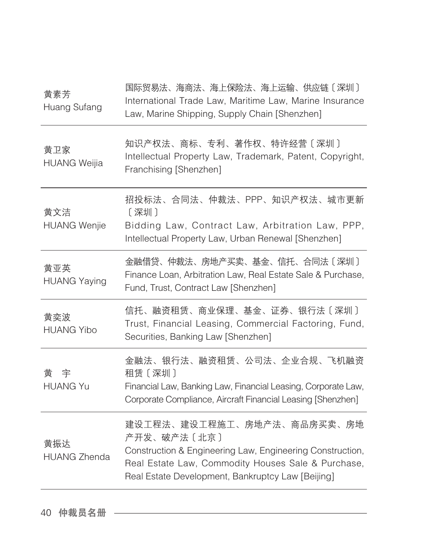| 黄素芳<br>Huang Sufang        | 国际贸易法、海商法、海上保险法、海上运输、供应链〔深圳〕<br>International Trade Law, Maritime Law, Marine Insurance<br>Law, Marine Shipping, Supply Chain [Shenzhen]                                                                          |
|----------------------------|-------------------------------------------------------------------------------------------------------------------------------------------------------------------------------------------------------------------|
| 黄卫家<br><b>HUANG Weijia</b> | 知识产权法、商标、专利、著作权、特许经营〔深圳〕<br>Intellectual Property Law, Trademark, Patent, Copyright,<br>Franchising [Shenzhen]                                                                                                    |
| 黄文洁<br><b>HUANG Wenjie</b> | 招投标法、合同法、仲裁法、PPP、知识产权法、城市更新<br>〔深圳〕<br>Bidding Law, Contract Law, Arbitration Law, PPP,<br>Intellectual Property Law, Urban Renewal [Shenzhen]                                                                    |
| 黄亚英<br><b>HUANG Yaying</b> | 金融借贷、仲裁法、房地产买卖、基金、信托、合同法〔深圳〕<br>Finance Loan, Arbitration Law, Real Estate Sale & Purchase,<br>Fund, Trust, Contract Law [Shenzhen]                                                                               |
| 黄奕波<br><b>HUANG Yibo</b>   | 信托、融资租赁、商业保理、基金、证券、银行法〔深圳〕<br>Trust, Financial Leasing, Commercial Factoring, Fund,<br>Securities, Banking Law [Shenzhen]                                                                                         |
| 宇<br>黄<br><b>HUANG Yu</b>  | 金融法、银行法、融资租赁、公司法、企业合规、飞机融资<br>租赁〔深圳〕<br>Financial Law, Banking Law, Financial Leasing, Corporate Law,<br>Corporate Compliance, Aircraft Financial Leasing [Shenzhen]                                              |
| 黄振达<br><b>HUANG Zhenda</b> | 建设工程法、建设工程施工、房地产法、商品房买卖、房地<br>产开发、破产法〔北京〕<br>Construction & Engineering Law, Engineering Construction,<br>Real Estate Law, Commodity Houses Sale & Purchase,<br>Real Estate Development, Bankruptcy Law [Beijing] |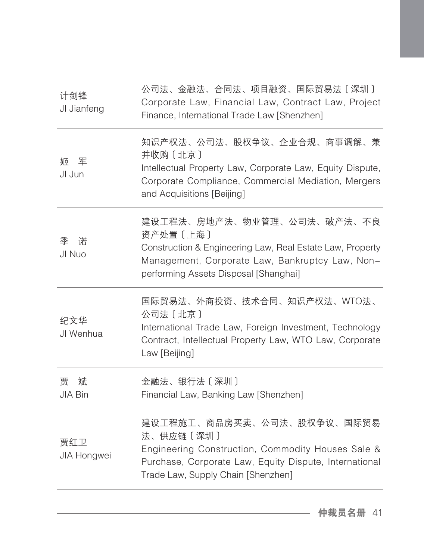| 计剑锋<br>JI Jianfeng       | 公司法、金融法、合同法、项目融资、国际贸易法〔深圳〕<br>Corporate Law, Financial Law, Contract Law, Project<br>Finance, International Trade Law [Shenzhen]                                                                |
|--------------------------|-------------------------------------------------------------------------------------------------------------------------------------------------------------------------------------------------|
| 军<br>姬<br>JI Jun         | 知识产权法、公司法、股权争议、企业合规、商事调解、兼<br>并收购〔北京〕<br>Intellectual Property Law, Corporate Law, Equity Dispute,<br>Corporate Compliance, Commercial Mediation, Mergers<br>and Acquisitions [Beijing]         |
| 诺<br>季<br>JI Nuo         | 建设工程法、房地产法、物业管理、公司法、破产法、不良<br>资产处置〔上海〕<br>Construction & Engineering Law, Real Estate Law, Property<br>Management, Corporate Law, Bankruptcy Law, Non-<br>performing Assets Disposal [Shanghai] |
| 纪文华<br>JI Wenhua         | 国际贸易法、外商投资、技术合同、知识产权法、WTO法、<br>公司法〔北京〕<br>International Trade Law, Foreign Investment, Technology<br>Contract, Intellectual Property Law, WTO Law, Corporate<br>Law [Beijing]                   |
| 贾<br>斌<br><b>JIA Bin</b> | 金融法、银行法〔深圳〕<br>Financial Law, Banking Law [Shenzhen]                                                                                                                                            |
| 贾红卫<br>JIA Hongwei       | 建设工程施工、商品房买卖、公司法、股权争议、国际贸易<br>法、供应链〔深圳〕<br>Engineering Construction, Commodity Houses Sale &<br>Purchase, Corporate Law, Equity Dispute, International<br>Trade Law, Supply Chain [Shenzhen]    |
|                          |                                                                                                                                                                                                 |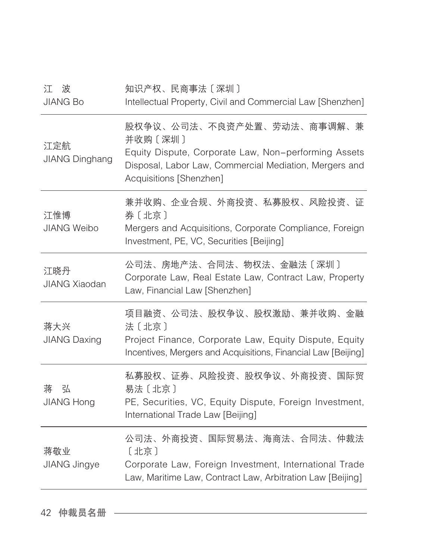| 波<br>江<br><b>JIANG Bo</b>    | 知识产权、民商事法〔深圳〕<br>Intellectual Property, Civil and Commercial Law [Shenzhen]                                                                                                         |
|------------------------------|-------------------------------------------------------------------------------------------------------------------------------------------------------------------------------------|
| 江定航<br><b>JIANG Dinghang</b> | 股权争议、公司法、不良资产处置、劳动法、商事调解、兼<br>并收购 [深圳]<br>Equity Dispute, Corporate Law, Non-performing Assets<br>Disposal, Labor Law, Commercial Mediation, Mergers and<br>Acquisitions [Shenzhen] |
| 江惟博<br><b>JIANG Weibo</b>    | 兼并收购、企业合规、外商投资、私募股权、风险投资、证<br>券〔北京〕<br>Mergers and Acquisitions, Corporate Compliance, Foreign<br>Investment, PE, VC, Securities [Beijing]                                          |
| 江晓丹<br><b>JIANG Xiaodan</b>  | 公司法、房地产法、合同法、物权法、金融法〔深圳〕<br>Corporate Law, Real Estate Law, Contract Law, Property<br>Law, Financial Law [Shenzhen]                                                                 |
| 蒋大兴<br><b>JIANG Daxing</b>   | 项目融资、公司法、股权争议、股权激励、兼并收购、金融<br>法〔北京〕<br>Project Finance, Corporate Law, Equity Dispute, Equity<br>Incentives, Mergers and Acquisitions, Financial Law [Beijing]                      |
| 弘<br>蒋<br><b>JIANG Hong</b>  | 私募股权、证券、风险投资、股权争议、外商投资、国际贸<br>易法〔北京〕<br>PE, Securities, VC, Equity Dispute, Foreign Investment,<br>International Trade Law [Beijing]                                                |
| 蒋敬业<br>JIANG Jingye          | 公司法、外商投资、国际贸易法、海商法、合同法、仲裁法<br>[北京]<br>Corporate Law, Foreign Investment, International Trade<br>Law, Maritime Law, Contract Law, Arbitration Law [Beijing]                          |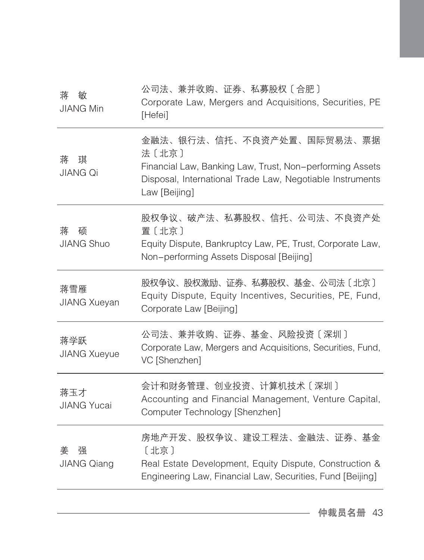| 公司法、兼并收购、证券、私募股权〔合肥〕<br>Corporate Law, Mergers and Acquisitions, Securities, PE<br>[Hefei]                                                                                    |
|-------------------------------------------------------------------------------------------------------------------------------------------------------------------------------|
| 金融法、银行法、信托、不良资产处置、国际贸易法、票据<br>法〔北京〕<br>Financial Law, Banking Law, Trust, Non-performing Assets<br>Disposal, International Trade Law, Negotiable Instruments<br>Law [Beijing] |
| 股权争议、破产法、私募股权、信托、公司法、不良资产处<br>置〔北京〕<br>Equity Dispute, Bankruptcy Law, PE, Trust, Corporate Law,<br>Non-performing Assets Disposal [Beijing]                                  |
| 股权争议、股权激励、证券、私募股权、基金、公司法〔北京〕<br>Equity Dispute, Equity Incentives, Securities, PE, Fund,<br>Corporate Law [Beijing]                                                           |
| 公司法、兼并收购、证券、基金、风险投资〔深圳〕<br>Corporate Law, Mergers and Acquisitions, Securities, Fund,<br>VC [Shenzhen]                                                                        |
| 会计和财务管理、创业投资、计算机技术〔深圳〕<br>Accounting and Financial Management, Venture Capital,<br>Computer Technology [Shenzhen]                                                             |
| 房地产开发、股权争议、建设工程法、金融法、证券、基金<br>[北京]<br>Real Estate Development, Equity Dispute, Construction &<br>Engineering Law, Financial Law, Securities, Fund [Beijing]                   |
|                                                                                                                                                                               |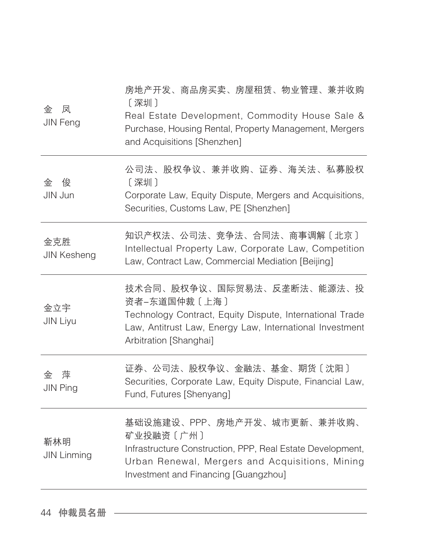| 凤<br>金<br>JIN Feng        | 房地产开发、商品房买卖、房屋租赁、物业管理、兼并收购<br>[深圳]<br>Real Estate Development, Commodity House Sale &<br>Purchase, Housing Rental, Property Management, Mergers<br>and Acquisitions [Shenzhen]                    |
|---------------------------|---------------------------------------------------------------------------------------------------------------------------------------------------------------------------------------------------|
| 俊<br>金<br>JIN Jun         | 公司法、股权争议、兼并收购、证券、海关法、私募股权<br>〔深圳〕<br>Corporate Law, Equity Dispute, Mergers and Acquisitions,<br>Securities, Customs Law, PE [Shenzhen]                                                           |
| 金克胜<br><b>JIN Kesheng</b> | 知识产权法、公司法、竞争法、合同法、商事调解〔北京〕<br>Intellectual Property Law, Corporate Law, Competition<br>Law, Contract Law, Commercial Mediation [Beijing]                                                          |
| 金立宇<br><b>JIN Liyu</b>    | 技术合同、股权争议、国际贸易法、反垄断法、能源法、投<br>资者-东道国仲裁〔上海〕<br>Technology Contract, Equity Dispute, International Trade<br>Law, Antitrust Law, Energy Law, International Investment<br>Arbitration [Shanghai]      |
| 萍<br>金<br><b>JIN Ping</b> | 证券、公司法、股权争议、金融法、基金、期货〔沈阳〕<br>Securities, Corporate Law, Equity Dispute, Financial Law,<br>Fund, Futures [Shenyang]                                                                                |
| 靳林明<br><b>JIN Linming</b> | 基础设施建设、PPP、房地产开发、城市更新、兼并收购、<br>矿业投融资〔广州〕<br>Infrastructure Construction, PPP, Real Estate Development,<br>Urban Renewal, Mergers and Acquisitions, Mining<br>Investment and Financing [Guangzhou] |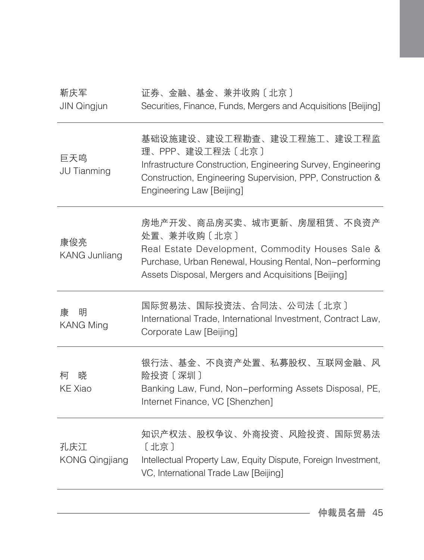| 靳庆军<br><b>JIN Qingjun</b>    | 证券、金融、基金、兼并收购〔北京〕<br>Securities, Finance, Funds, Mergers and Acquisitions [Beijing]                                                                                                                             |
|------------------------------|-----------------------------------------------------------------------------------------------------------------------------------------------------------------------------------------------------------------|
| 巨天鸣<br>JU Tianming           | 基础设施建设、建设工程勘查、建设工程施工、建设工程监<br>理、PPP、建设工程法〔北京〕<br>Infrastructure Construction, Engineering Survey, Engineering<br>Construction, Engineering Supervision, PPP, Construction &<br>Engineering Law [Beijing]        |
| 康俊亮<br>KANG Junliang         | 房地产开发、商品房买卖、城市更新、房屋租赁、不良资产<br>处置、兼并收购〔北京〕<br>Real Estate Development, Commodity Houses Sale &<br>Purchase, Urban Renewal, Housing Rental, Non-performing<br>Assets Disposal, Mergers and Acquisitions [Beijing] |
| 明<br>康<br><b>KANG Ming</b>   | 国际贸易法、国际投资法、合同法、公司法〔北京〕<br>International Trade, International Investment, Contract Law,<br>Corporate Law [Beijing]                                                                                              |
| 柯<br>晓<br><b>KE Xiao</b>     | 银行法、基金、不良资产处置、私募股权、互联网金融、风<br>险投资〔深圳〕<br>Banking Law, Fund, Non-performing Assets Disposal, PE,<br>Internet Finance, VC [Shenzhen]                                                                              |
| 孔庆江<br><b>KONG Qingjiang</b> | 知识产权法、股权争议、外商投资、风险投资、国际贸易法<br>[北京]<br>Intellectual Property Law, Equity Dispute, Foreign Investment,<br>VC, International Trade Law [Beijing]                                                                   |
|                              |                                                                                                                                                                                                                 |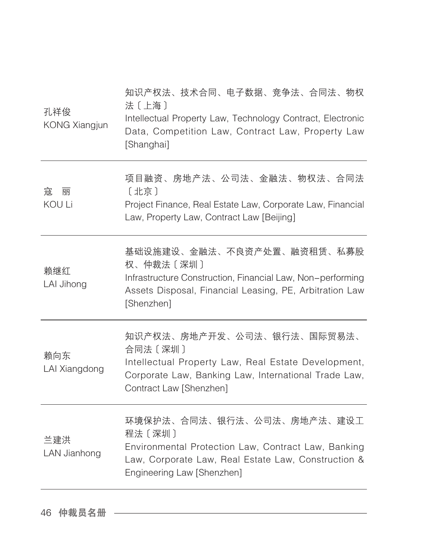| 孔祥俊<br><b>KONG Xiangjun</b> | 知识产权法、技术合同、电子数据、竞争法、合同法、物权<br>法〔上海〕<br>Intellectual Property Law, Technology Contract, Electronic<br>Data, Competition Law, Contract Law, Property Law<br>[Shanghai]             |
|-----------------------------|----------------------------------------------------------------------------------------------------------------------------------------------------------------------------------|
| 寇<br>丽<br>KOU Li            | 项目融资、房地产法、公司法、金融法、物权法、合同法<br>〔北京〕<br>Project Finance, Real Estate Law, Corporate Law, Financial<br>Law, Property Law, Contract Law [Beijing]                                     |
| 赖继红<br>LAI Jihong           | 基础设施建设、金融法、不良资产处置、融资租赁、私募股<br>权、仲裁法〔深圳〕<br>Infrastructure Construction, Financial Law, Non-performing<br>Assets Disposal, Financial Leasing, PE, Arbitration Law<br>[Shenzhen]   |
| 赖向东<br>LAI Xiangdong        | 知识产权法、房地产开发、公司法、银行法、国际贸易法、<br>合同法〔深圳〕<br>Intellectual Property Law, Real Estate Development,<br>Corporate Law, Banking Law, International Trade Law,<br>Contract Law [Shenzhen]  |
| 兰建洪<br>LAN Jianhong         | 环境保护法、合同法、银行法、公司法、房地产法、建设工<br>程法〔深圳〕<br>Environmental Protection Law, Contract Law, Banking<br>Law, Corporate Law, Real Estate Law, Construction &<br>Engineering Law [Shenzhen] |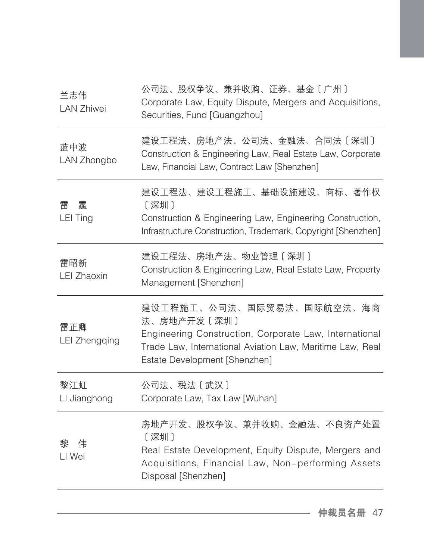| 兰志伟<br><b>LAN Zhiwei</b>    | 公司法、股权争议、兼并收购、证券、基金〔广州〕<br>Corporate Law, Equity Dispute, Mergers and Acquisitions,<br>Securities, Fund [Guangzhou]                                                                              |
|-----------------------------|--------------------------------------------------------------------------------------------------------------------------------------------------------------------------------------------------|
| 蓝中波<br>LAN Zhongbo          | 建设工程法、房地产法、公司法、金融法、合同法〔深圳〕<br>Construction & Engineering Law, Real Estate Law, Corporate<br>Law, Financial Law, Contract Law [Shenzhen]                                                          |
| 霆<br>雷<br><b>LEI Ting</b>   | 建设工程法、建设工程施工、基础设施建设、商标、著作权<br>[深圳]<br>Construction & Engineering Law, Engineering Construction,<br>Infrastructure Construction, Trademark, Copyright [Shenzhen]                                  |
| 雷昭新<br><b>LEI Zhaoxin</b>   | 建设工程法、房地产法、物业管理〔深圳〕<br>Construction & Engineering Law, Real Estate Law, Property<br>Management [Shenzhen]                                                                                        |
| 雷正卿<br><b>LEI Zhengqing</b> | 建设工程施工、公司法、国际贸易法、国际航空法、海商<br>法、房地产开发〔深圳〕<br>Engineering Construction, Corporate Law, International<br>Trade Law, International Aviation Law, Maritime Law, Real<br>Estate Development [Shenzhen] |
| 黎江虹<br>LI Jianghong         | 公司法、税法〔武汉〕<br>Corporate Law, Tax Law [Wuhan]                                                                                                                                                     |
| 黎<br>伟<br>LI Wei            | 房地产开发、股权争议、兼并收购、金融法、不良资产处置<br>[深圳]<br>Real Estate Development, Equity Dispute, Mergers and<br>Acquisitions, Financial Law, Non-performing Assets<br>Disposal [Shenzhen]                          |

仲裁员名册 47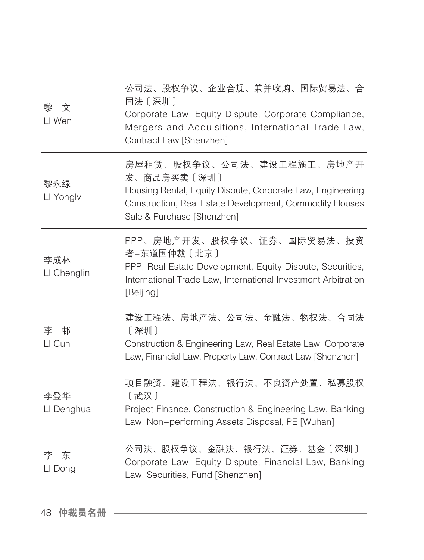| 文<br>黎<br>LI Wen   | 公司法、股权争议、企业合规、兼并收购、国际贸易法、合<br>同法 〔深圳〕<br>Corporate Law, Equity Dispute, Corporate Compliance,<br>Mergers and Acquisitions, International Trade Law,<br>Contract Law [Shenzhen]                  |
|--------------------|-------------------------------------------------------------------------------------------------------------------------------------------------------------------------------------------------|
| 黎永绿<br>LI Yonglv   | 房屋租赁、股权争议、公司法、建设工程施工、房地产开<br>发、商品房买卖〔深圳〕<br>Housing Rental, Equity Dispute, Corporate Law, Engineering<br>Construction, Real Estate Development, Commodity Houses<br>Sale & Purchase [Shenzhen] |
| 李成林<br>LI Chenglin | PPP、房地产开发、股权争议、证券、国际贸易法、投资<br>者-东道国仲裁〔北京〕<br>PPP, Real Estate Development, Equity Dispute, Securities,<br>International Trade Law, International Investment Arbitration<br>[Beijing]            |
| 李<br>邨<br>LI Cun   | 建设工程法、房地产法、公司法、金融法、物权法、合同法<br>〔深圳〕<br>Construction & Engineering Law, Real Estate Law, Corporate<br>Law, Financial Law, Property Law, Contract Law [Shenzhen]                                   |
| 李登华<br>LI Denghua  | 项目融资、建设工程法、银行法、不良资产处置、私募股权<br>[武汉]<br>Project Finance, Construction & Engineering Law, Banking<br>Law, Non-performing Assets Disposal, PE [Wuhan]                                               |
| 东<br>李<br>LI Dong  | 公司法、股权争议、金融法、银行法、证券、基金〔深圳〕<br>Corporate Law, Equity Dispute, Financial Law, Banking<br>Law, Securities, Fund [Shenzhen]                                                                         |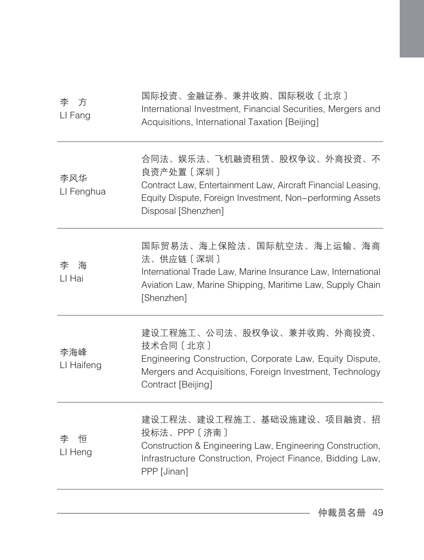| 国际投资、金融证券、兼并收购、国际税收〔北京〕<br>International Investment, Financial Securities, Mergers and<br>Acquisitions, International Taxation [Beijing]                                                    |
|---------------------------------------------------------------------------------------------------------------------------------------------------------------------------------------------|
| 合同法、娱乐法、飞机融资租赁、股权争议、外商投资、不<br>良资产处置〔深圳〕<br>Contract Law, Entertainment Law, Aircraft Financial Leasing,<br>Equity Dispute, Foreign Investment, Non-performing Assets<br>Disposal [Shenzhen] |
| 国际贸易法、海上保险法、国际航空法、海上运输、海商<br>法、供应链〔深圳〕<br>International Trade Law, Marine Insurance Law, International<br>Aviation Law, Marine Shipping, Maritime Law, Supply Chain<br>[Shenzhen]           |
| 建设工程施工、公司法、股权争议、兼并收购、外商投资、<br>技术合同 [北京]<br>Engineering Construction, Corporate Law, Equity Dispute,<br>Mergers and Acquisitions, Foreign Investment, Technology<br>Contract [Beijing]       |
| 建设工程法、建设工程施工、基础设施建设、项目融资、招<br>投标法、PPP〔济南〕<br>Construction & Engineering Law, Engineering Construction,<br>Infrastructure Construction, Project Finance, Bidding Law,<br>PPP [Jinan]         |
|                                                                                                                                                                                             |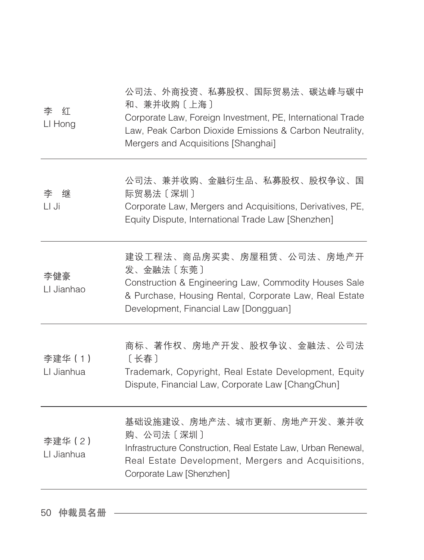| 李<br>红<br>LI Hong     | 公司法、外商投资、私募股权、国际贸易法、碳达峰与碳中<br>和、兼并收购〔上海〕<br>Corporate Law, Foreign Investment, PE, International Trade<br>Law, Peak Carbon Dioxide Emissions & Carbon Neutrality,<br>Mergers and Acquisitions [Shanghai] |
|-----------------------|----------------------------------------------------------------------------------------------------------------------------------------------------------------------------------------------------------|
| 李<br>继<br>LI Ji       | 公司法、兼并收购、金融衍生品、私募股权、股权争议、国<br>际贸易法〔深圳〕<br>Corporate Law, Mergers and Acquisitions, Derivatives, PE,<br>Equity Dispute, International Trade Law [Shenzhen]                                                |
| 李健豪<br>LI Jianhao     | 建设工程法、商品房买卖、房屋租赁、公司法、房地产开<br>发、金融法〔东莞〕<br>Construction & Engineering Law, Commodity Houses Sale<br>& Purchase, Housing Rental, Corporate Law, Real Estate<br>Development, Financial Law [Dongguan]       |
| 李建华 (1)<br>LI Jianhua | 商标、著作权、房地产开发、股权争议、金融法、公司法<br>[长春]<br>Trademark, Copyright, Real Estate Development, Equity<br>Dispute, Financial Law, Corporate Law [ChangChun]                                                          |
| 李建华 (2)<br>LI Jianhua | 基础设施建设、房地产法、城市更新、房地产开发、兼并收<br>购、公司法〔深圳〕<br>Infrastructure Construction, Real Estate Law, Urban Renewal,<br>Real Estate Development, Mergers and Acquisitions,<br>Corporate Law [Shenzhen]                |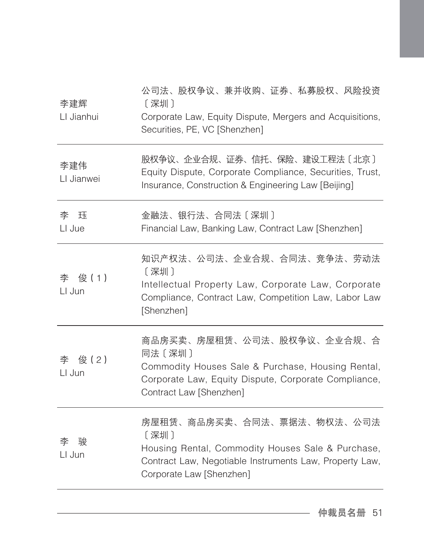| 李建辉<br>LI Jianhui   | 公司法、股权争议、兼并收购、证券、私募股权、风险投资<br>[深圳]<br>Corporate Law, Equity Dispute, Mergers and Acquisitions,<br>Securities, PE, VC [Shenzhen]                                                |
|---------------------|--------------------------------------------------------------------------------------------------------------------------------------------------------------------------------|
| 李建伟<br>LI Jianwei   | 股权争议、企业合规、证券、信托、保险、建设工程法〔北京〕<br>Equity Dispute, Corporate Compliance, Securities, Trust,<br>Insurance, Construction & Engineering Law [Beijing]                                |
| 李<br>珏<br>LI Jue    | 金融法、银行法、合同法〔深圳〕<br>Financial Law, Banking Law, Contract Law [Shenzhen]                                                                                                         |
| 李 俊(1)<br>LI Jun    | 知识产权法、公司法、企业合规、合同法、竞争法、劳动法<br>〔深圳〕<br>Intellectual Property Law, Corporate Law, Corporate<br>Compliance, Contract Law, Competition Law, Labor Law<br>[Shenzhen]                |
| 俊(2)<br>李<br>LI Jun | 商品房买卖、房屋租赁、公司法、股权争议、企业合规、合<br>同法〔深圳〕<br>Commodity Houses Sale & Purchase, Housing Rental,<br>Corporate Law, Equity Dispute, Corporate Compliance,<br>Contract Law [Shenzhen]   |
| LI Jun              | 房屋租赁、商品房买卖、合同法、票据法、物权法、公司法<br>[深圳]<br>Housing Rental, Commodity Houses Sale & Purchase,<br>Contract Law, Negotiable Instruments Law, Property Law,<br>Corporate Law [Shenzhen] |
|                     |                                                                                                                                                                                |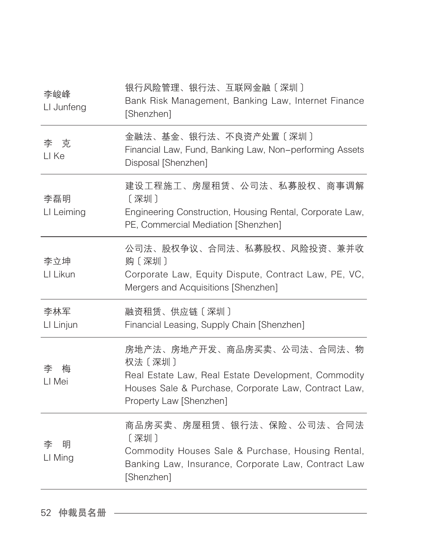| 李峻峰<br>LI Junfeng | 银行风险管理、银行法、互联网金融〔深圳〕<br>Bank Risk Management, Banking Law, Internet Finance<br>[Shenzhen]                                                                                      |
|-------------------|--------------------------------------------------------------------------------------------------------------------------------------------------------------------------------|
| 李克<br>LI Ke       | 金融法、基金、银行法、不良资产处置〔深圳〕<br>Financial Law, Fund, Banking Law, Non-performing Assets<br>Disposal [Shenzhen]                                                                        |
| 李磊明<br>LI Leiming | 建设工程施工、房屋租赁、公司法、私募股权、商事调解<br>[深圳]<br>Engineering Construction, Housing Rental, Corporate Law,<br>PE, Commercial Mediation [Shenzhen]                                           |
| 李立坤<br>LI Likun   | 公司法、股权争议、合同法、私募股权、风险投资、兼并收<br>购 [深圳]<br>Corporate Law, Equity Dispute, Contract Law, PE, VC,<br>Mergers and Acquisitions [Shenzhen]                                            |
| 李林军<br>LI Linjun  | 融资租赁、供应链〔深圳〕<br>Financial Leasing, Supply Chain [Shenzhen]                                                                                                                     |
| 李<br>梅<br>LI Mei  | 房地产法、房地产开发、商品房买卖、公司法、合同法、物<br>权法〔深圳〕<br>Real Estate Law, Real Estate Development, Commodity<br>Houses Sale & Purchase, Corporate Law, Contract Law,<br>Property Law [Shenzhen] |
| 明<br>李<br>LI Ming | 商品房买卖、房屋租赁、银行法、保险、公司法、合同法<br>〔深圳〕<br>Commodity Houses Sale & Purchase, Housing Rental,<br>Banking Law, Insurance, Corporate Law, Contract Law<br>[Shenzhen]                    |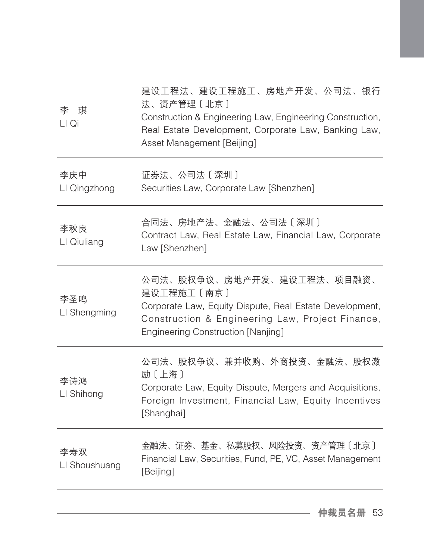| 李<br>琪<br>LI Qi      | 建设工程法、建设工程施工、房地产开发、公司法、银行<br>法、资产管理〔北京〕<br>Construction & Engineering Law, Engineering Construction,<br>Real Estate Development, Corporate Law, Banking Law,<br>Asset Management [Beijing]           |
|----------------------|------------------------------------------------------------------------------------------------------------------------------------------------------------------------------------------------------|
| 李庆中<br>LI Qingzhong  | 证券法、公司法〔深圳〕<br>Securities Law, Corporate Law [Shenzhen]                                                                                                                                              |
| 李秋良<br>LI Qiuliang   | 合同法、房地产法、金融法、公司法〔深圳〕<br>Contract Law, Real Estate Law, Financial Law, Corporate<br>Law [Shenzhen]                                                                                                    |
| 李圣鸣<br>LI Shengming  | 公司法、股权争议、房地产开发、建设工程法、项目融资、<br>建设工程施工〔南京〕<br>Corporate Law, Equity Dispute, Real Estate Development,<br>Construction & Engineering Law, Project Finance,<br><b>Engineering Construction [Nanjing]</b> |
| 李诗鸿<br>LI Shihong    | 公司法、股权争议、兼并收购、外商投资、金融法、股权激<br>励〔上海〕<br>Corporate Law, Equity Dispute, Mergers and Acquisitions,<br>Foreign Investment, Financial Law, Equity Incentives<br>[Shanghai]                                |
| 李寿双<br>LI Shoushuang | 金融法、证券、基金、私募股权、风险投资、资产管理〔北京〕<br>Financial Law, Securities, Fund, PE, VC, Asset Management<br>[Beijing]                                                                                               |
|                      |                                                                                                                                                                                                      |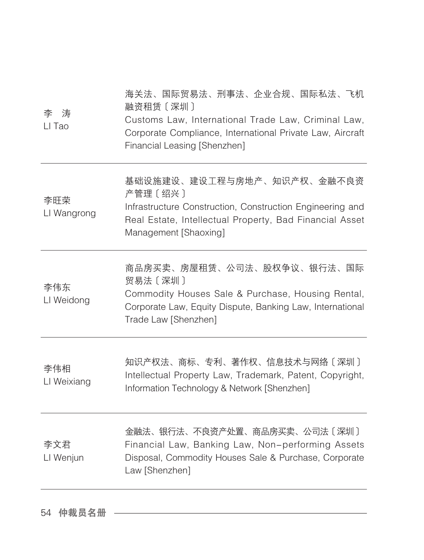| 涛<br>李<br>LI Tao   | 海关法、国际贸易法、刑事法、企业合规、国际私法、飞机<br>融资租赁 [深圳]<br>Customs Law, International Trade Law, Criminal Law,<br>Corporate Compliance, International Private Law, Aircraft<br>Financial Leasing [Shenzhen] |
|--------------------|---------------------------------------------------------------------------------------------------------------------------------------------------------------------------------------------|
| 李旺荣<br>LI Wangrong | 基础设施建设、建设工程与房地产、知识产权、金融不良资<br>产管理〔绍兴〕<br>Infrastructure Construction, Construction Engineering and<br>Real Estate, Intellectual Property, Bad Financial Asset<br>Management [Shaoxing]      |
| 李伟东<br>LI Weidong  | 商品房买卖、房屋租赁、公司法、股权争议、银行法、国际<br>贸易法〔深圳〕<br>Commodity Houses Sale & Purchase, Housing Rental,<br>Corporate Law, Equity Dispute, Banking Law, International<br>Trade Law [Shenzhen]             |
| 李伟相<br>LI Weixiang | 知识产权法、商标、专利、著作权、信息技术与网络〔深圳〕<br>Intellectual Property Law, Trademark, Patent, Copyright,<br>Information Technology & Network [Shenzhen]                                                      |
| 李文君<br>LI Wenjun   | 金融法、银行法、不良资产处置、商品房买卖、公司法〔深圳〕<br>Financial Law, Banking Law, Non-performing Assets<br>Disposal, Commodity Houses Sale & Purchase, Corporate<br>Law [Shenzhen]                                |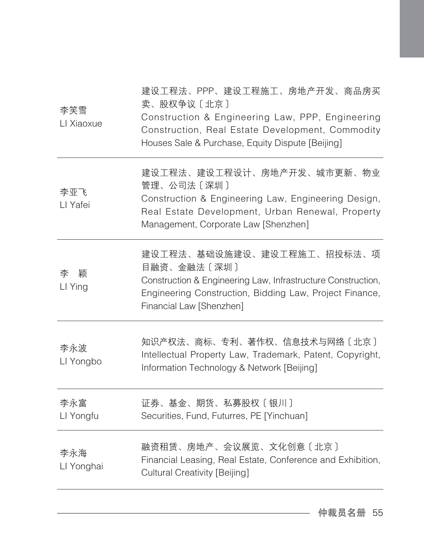| 李笑雪<br>LI Xiaoxue | 建设工程法、PPP、建设工程施工、房地产开发、商品房买<br>卖、股权争议〔北京〕<br>Construction & Engineering Law, PPP, Engineering<br>Construction, Real Estate Development, Commodity<br>Houses Sale & Purchase, Equity Dispute [Beijing] |
|-------------------|-------------------------------------------------------------------------------------------------------------------------------------------------------------------------------------------------------|
| 李亚飞<br>LI Yafei   | 建设工程法、建设工程设计、房地产开发、城市更新、物业<br>管理、公司法〔深圳〕<br>Construction & Engineering Law, Engineering Design,<br>Real Estate Development, Urban Renewal, Property<br>Management, Corporate Law [Shenzhen]           |
| 颖<br>李<br>LI Ying | 建设工程法、基础设施建设、建设工程施工、招投标法、项<br>目融资、金融法〔深圳〕<br>Construction & Engineering Law, Infrastructure Construction,<br>Engineering Construction, Bidding Law, Project Finance,<br>Financial Law [Shenzhen]      |
| 李永波<br>LI Yongbo  | 知识产权法、商标、专利、著作权、信息技术与网络〔北京〕<br>Intellectual Property Law, Trademark, Patent, Copyright,<br>Information Technology & Network [Beijing]                                                                 |
| 李永富<br>LI Yongfu  | 证券、基金、期货、私募股权〔银川〕<br>Securities, Fund, Futurres, PE [Yinchuan]                                                                                                                                        |
| 李永海<br>LI Yonghai | 融资租赁、房地产、会议展览、文化创意〔北京〕<br>Financial Leasing, Real Estate, Conference and Exhibition,<br><b>Cultural Creativity [Beijing]</b>                                                                          |
|                   |                                                                                                                                                                                                       |

 $\overline{\phantom{0}}$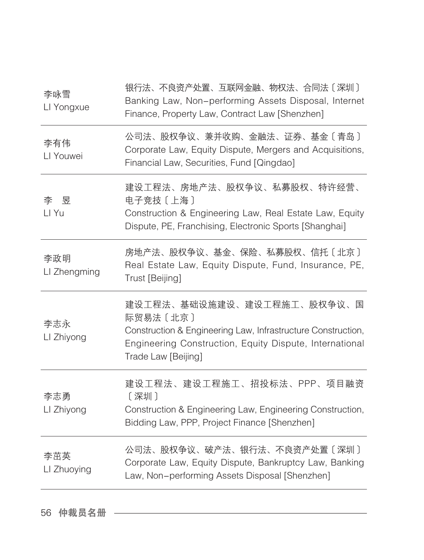| 李咏雪<br>LI Yongxue   | 银行法、不良资产处置、互联网金融、物权法、合同法〔深圳〕<br>Banking Law, Non-performing Assets Disposal, Internet<br>Finance, Property Law, Contract Law [Shenzhen]                                                  |
|---------------------|------------------------------------------------------------------------------------------------------------------------------------------------------------------------------------------|
| 李有伟<br>LI Youwei    | 公司法、股权争议、兼并收购、金融法、证券、基金〔青岛〕<br>Corporate Law, Equity Dispute, Mergers and Acquisitions,<br>Financial Law, Securities, Fund [Qingdao]                                                     |
| 李昱<br>LI Yu         | 建设工程法、房地产法、股权争议、私募股权、特许经营、<br>电子竞技〔上海〕<br>Construction & Engineering Law, Real Estate Law, Equity<br>Dispute, PE, Franchising, Electronic Sports [Shanghai]                              |
| 李政明<br>LI Zhengming | 房地产法、股权争议、基金、保险、私募股权、信托〔北京〕<br>Real Estate Law, Equity Dispute, Fund, Insurance, PE,<br>Trust [Beijing]                                                                                  |
| 李志永<br>LI Zhiyong   | 建设工程法、基础设施建设、建设工程施工、股权争议、国<br>际贸易法〔北京〕<br>Construction & Engineering Law, Infrastructure Construction,<br>Engineering Construction, Equity Dispute, International<br>Trade Law [Beijing] |
| 李志勇<br>LI Zhiyong   | 建设工程法、建设工程施工、招投标法、PPP、项目融资<br>[深圳]<br>Construction & Engineering Law, Engineering Construction,<br>Bidding Law, PPP, Project Finance [Shenzhen]                                          |
| 李茁英<br>LI Zhuoying  | 公司法、股权争议、破产法、银行法、不良资产处置〔深圳〕<br>Corporate Law, Equity Dispute, Bankruptcy Law, Banking<br>Law, Non-performing Assets Disposal [Shenzhen]                                                  |
|                     |                                                                                                                                                                                          |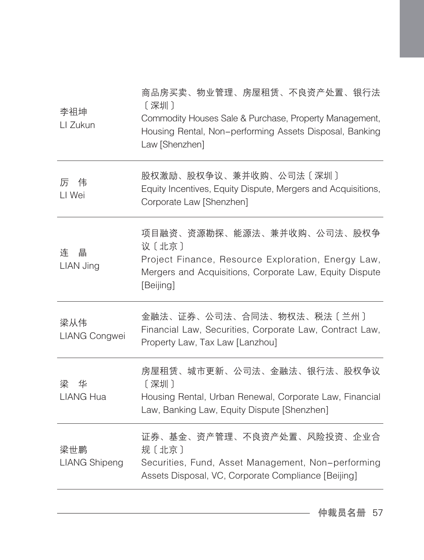| 商品房买卖、物业管理、房屋租赁、不良资产处置、银行法<br>[深圳]<br>Commodity Houses Sale & Purchase, Property Management,<br>Housing Rental, Non-performing Assets Disposal, Banking<br>Law [Shenzhen] |
|---------------------------------------------------------------------------------------------------------------------------------------------------------------------------|
| 股权激励、股权争议、兼并收购、公司法〔深圳〕<br>Equity Incentives, Equity Dispute, Mergers and Acquisitions,<br>Corporate Law [Shenzhen]                                                        |
| 项目融资、资源勘探、能源法、兼并收购、公司法、股权争<br>议〔北京〕<br>Project Finance, Resource Exploration, Energy Law,<br>Mergers and Acquisitions, Corporate Law, Equity Dispute<br>[Beijing]         |
| 金融法、证券、公司法、合同法、物权法、税法〔兰州〕<br>Financial Law, Securities, Corporate Law, Contract Law,<br>Property Law, Tax Law [Lanzhou]                                                   |
| 房屋租赁、城市更新、公司法、金融法、银行法、股权争议<br>[深圳]<br>Housing Rental, Urban Renewal, Corporate Law, Financial<br>Law, Banking Law, Equity Dispute [Shenzhen]                              |
| 证券、基金、资产管理、不良资产处置、风险投资、企业合<br>规〔北京〕<br>Securities, Fund, Asset Management, Non-performing<br>Assets Disposal, VC, Corporate Compliance [Beijing]                          |
|                                                                                                                                                                           |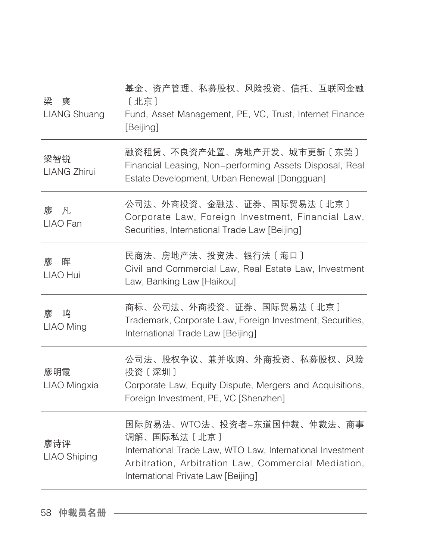| 梁<br>爽<br><b>LIANG Shuang</b> | 基金、资产管理、私募股权、风险投资、信托、互联网金融<br>[北京]<br>Fund, Asset Management, PE, VC, Trust, Internet Finance<br>[Beijing]                                                                                             |
|-------------------------------|--------------------------------------------------------------------------------------------------------------------------------------------------------------------------------------------------------|
| 梁智锐<br><b>LIANG Zhirui</b>    | 融资租赁、不良资产处置、房地产开发、城市更新〔东莞〕<br>Financial Leasing, Non-performing Assets Disposal, Real<br>Estate Development, Urban Renewal [Dongguan]                                                                  |
| 廖 凡<br>LIAO Fan               | 公司法、外商投资、金融法、证券、国际贸易法〔北京〕<br>Corporate Law, Foreign Investment, Financial Law,<br>Securities, International Trade Law [Beijing]                                                                        |
| 晖<br>廖<br>LIAO Hui            | 民商法、房地产法、投资法、银行法〔海口〕<br>Civil and Commercial Law, Real Estate Law, Investment<br>Law, Banking Law [Haikou]                                                                                             |
| 鸣<br>廖<br><b>LIAO Ming</b>    | 商标、公司法、外商投资、证券、国际贸易法〔北京〕<br>Trademark, Corporate Law, Foreign Investment, Securities,<br>International Trade Law [Beijing]                                                                             |
| 廖明霞<br>LIAO Mingxia           | 公司法、股权争议、兼并收购、外商投资、私募股权、风险<br>投资〔深圳〕<br>Corporate Law, Equity Dispute, Mergers and Acquisitions,<br>Foreign Investment, PE, VC [Shenzhen]                                                              |
| 廖诗评<br><b>LIAO Shiping</b>    | 国际贸易法、WTO法、投资者-东道国仲裁、仲裁法、商事<br>调解、国际私法〔北京〕<br>International Trade Law, WTO Law, International Investment<br>Arbitration, Arbitration Law, Commercial Mediation,<br>International Private Law [Beijing] |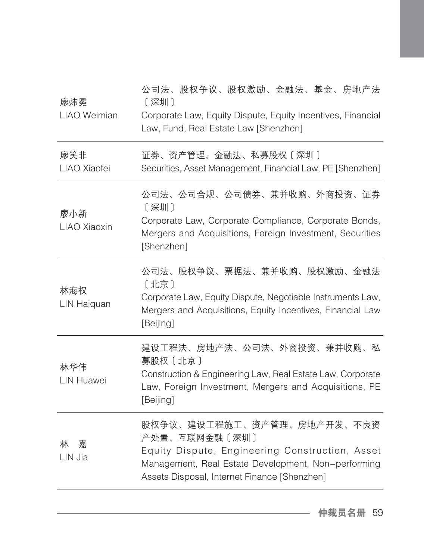| 廖炜冕<br>LIAO Weimian      | 公司法、股权争议、股权激励、金融法、基金、房地产法<br>[深圳]<br>Corporate Law, Equity Dispute, Equity Incentives, Financial<br>Law, Fund, Real Estate Law [Shenzhen]                                                             |
|--------------------------|-------------------------------------------------------------------------------------------------------------------------------------------------------------------------------------------------------|
| 廖笑非<br>LIAO Xiaofei      | 证券、资产管理、金融法、私募股权〔深圳〕<br>Securities, Asset Management, Financial Law, PE [Shenzhen]                                                                                                                    |
| 廖小新<br>LIAO Xiaoxin      | 公司法、公司合规、公司债券、兼并收购、外商投资、证券<br>[深圳]<br>Corporate Law, Corporate Compliance, Corporate Bonds,<br>Mergers and Acquisitions, Foreign Investment, Securities<br>[Shenzhen]                                 |
| 林海权<br>LIN Haiquan       | 公司法、股权争议、票据法、兼并收购、股权激励、金融法<br>[北京]<br>Corporate Law, Equity Dispute, Negotiable Instruments Law,<br>Mergers and Acquisitions, Equity Incentives, Financial Law<br>[Beijing]                           |
| 林华伟<br><b>LIN Huawei</b> | 建设工程法、房地产法、公司法、外商投资、兼并收购、私<br>募股权〔北京〕<br>Construction & Engineering Law, Real Estate Law, Corporate<br>Law, Foreign Investment, Mergers and Acquisitions, PE<br>[Beijing]                             |
| 嘉<br>林<br>LIN Jia        | 股权争议、建设工程施工、资产管理、房地产开发、不良资<br>产处置、互联网金融〔深圳〕<br>Equity Dispute, Engineering Construction, Asset<br>Management, Real Estate Development, Non-performing<br>Assets Disposal, Internet Finance [Shenzhen] |
|                          |                                                                                                                                                                                                       |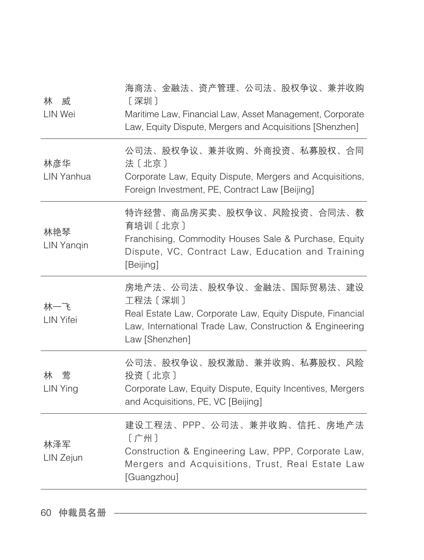| 林<br>威<br>LIN Wei                                                     | 海商法、金融法、资产管理、公司法、股权争议、兼并收购<br>[深圳]<br>Maritime Law, Financial Law, Asset Management, Corporate<br>Law, Equity Dispute, Mergers and Acquisitions [Shenzhen]                       |
|-----------------------------------------------------------------------|----------------------------------------------------------------------------------------------------------------------------------------------------------------------------------|
| 林彦华<br>LIN Yanhua                                                     | 公司法、股权争议、兼并收购、外商投资、私募股权、合同<br>法〔北京〕<br>Corporate Law, Equity Dispute, Mergers and Acquisitions,<br>Foreign Investment, PE, Contract Law [Beijing]                                |
| 林艳琴<br><b>LIN Yangin</b>                                              | 特许经营、商品房买卖、股权争议、风险投资、合同法、教<br>育培训〔北京〕<br>Franchising, Commodity Houses Sale & Purchase, Equity<br>Dispute, VC, Contract Law, Education and Training<br>[Beijing]                 |
| 水一飞<br>LIN Yifei                                                      | 房地产法、公司法、股权争议、金融法、国际贸易法、建设<br>工程法〔深圳〕<br>Real Estate Law, Corporate Law, Equity Dispute, Financial<br>Law, International Trade Law, Construction & Engineering<br>Law [Shenzhen] |
| はんじゅう しょうかん しゅうしゃ トラックス こうきょう こうしゃ こうしゃく こうしゃ トラックス しゅうしゃ<br>LIN Ying | 公司法、股权争议、股权激励、兼并收购、私募股权、风险<br>投资〔北京〕<br>Corporate Law, Equity Dispute, Equity Incentives, Mergers<br>and Acquisitions, PE, VC [Beijing]                                          |
| 林泽军<br>LIN Zejun                                                      | 建设工程法、PPP、公司法、兼并收购、信托、房地产法<br>[广州]<br>Construction & Engineering Law, PPP, Corporate Law,<br>Mergers and Acquisitions, Trust, Real Estate Law<br>[Guangzhou]                     |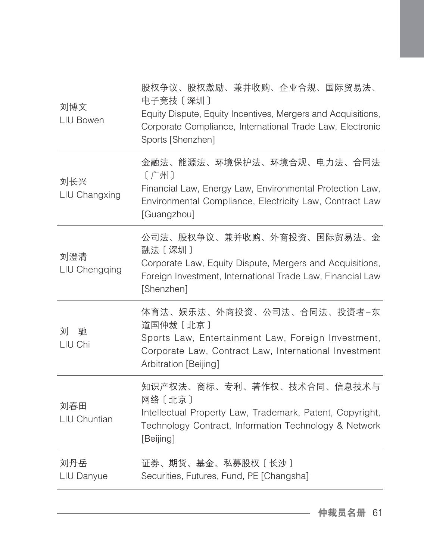| 刘博文<br>LIU Bowen     | 股权争议、股权激励、兼并收购、企业合规、国际贸易法、<br>电子竞技〔深圳〕<br>Equity Dispute, Equity Incentives, Mergers and Acquisitions,<br>Corporate Compliance, International Trade Law, Electronic<br>Sports [Shenzhen] |
|----------------------|------------------------------------------------------------------------------------------------------------------------------------------------------------------------------------------|
| 刘长兴<br>LIU Changxing | 金融法、能源法、环境保护法、环境合规、电力法、合同法<br>[广州]<br>Financial Law, Energy Law, Environmental Protection Law,<br>Environmental Compliance, Electricity Law, Contract Law<br>[Guangzhou]                 |
| 刘澄清<br>LIU Chengqing | 公司法、股权争议、兼并收购、外商投资、国际贸易法、金<br>融法〔深圳〕<br>Corporate Law, Equity Dispute, Mergers and Acquisitions,<br>Foreign Investment, International Trade Law, Financial Law<br>[Shenzhen]             |
| 刘<br>驰<br>LIU Chi    | 体育法、娱乐法、外商投资、公司法、合同法、投资者-东<br>道国仲裁〔北京〕<br>Sports Law, Entertainment Law, Foreign Investment,<br>Corporate Law, Contract Law, International Investment<br>Arbitration [Beijing]           |
| 刘春田<br>LIU Chuntian  | 知识产权法、商标、专利、著作权、技术合同、信息技术与<br>网络〔北京〕<br>Intellectual Property Law, Trademark, Patent, Copyright,<br>Technology Contract, Information Technology & Network<br>[Beijing]                   |
| 刘丹岳<br>LIU Danyue    | 证券、期货、基金、私募股权〔长沙〕<br>Securities, Futures, Fund, PE [Changsha]                                                                                                                            |
|                      |                                                                                                                                                                                          |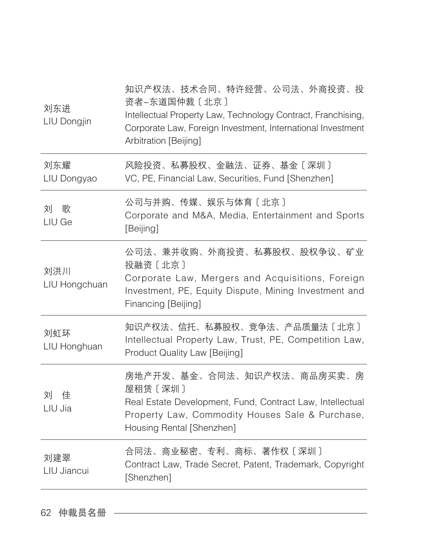| 刘东进<br>LIU Dongjin   | 知识产权法、技术合同、特许经营、公司法、外商投资、投<br>资者-东道国仲裁〔北京〕<br>Intellectual Property Law, Technology Contract, Franchising,<br>Corporate Law, Foreign Investment, International Investment<br>Arbitration [Beijing] |
|----------------------|----------------------------------------------------------------------------------------------------------------------------------------------------------------------------------------------------|
| 刘东耀<br>LIU Dongyao   | 风险投资、私募股权、金融法、证券、基金〔深圳〕<br>VC, PE, Financial Law, Securities, Fund [Shenzhen]                                                                                                                      |
| 刘<br>歌<br>LIU Ge     | 公司与并购、传媒、娱乐与体育〔北京〕<br>Corporate and M&A, Media, Entertainment and Sports<br>[Beijing]                                                                                                              |
| 刘洪川<br>LIU Hongchuan | 公司法、兼并收购、外商投资、私募股权、股权争议、矿业<br>投融资〔北京〕<br>Corporate Law, Mergers and Acquisitions, Foreign<br>Investment, PE, Equity Dispute, Mining Investment and<br>Financing [Beijing]                          |
| 刘虹环<br>LIU Honghuan  | 知识产权法、信托、私募股权、竞争法、产品质量法〔北京〕<br>Intellectual Property Law, Trust, PE, Competition Law,<br>Product Quality Law [Beijing]                                                                             |
| 刘 佳<br>LIU Jia       | 房地产开发、基金、合同法、知识产权法、商品房买卖、房<br>屋租赁 [深圳]<br>Real Estate Development, Fund, Contract Law, Intellectual<br>Property Law, Commodity Houses Sale & Purchase,<br>Housing Rental [Shenzhen]                |
| 刘建翠<br>LIU Jiancui   | 合同法、商业秘密、专利、商标、著作权〔深圳〕<br>Contract Law, Trade Secret, Patent, Trademark, Copyright<br>[Shenzhen]                                                                                                   |
|                      |                                                                                                                                                                                                    |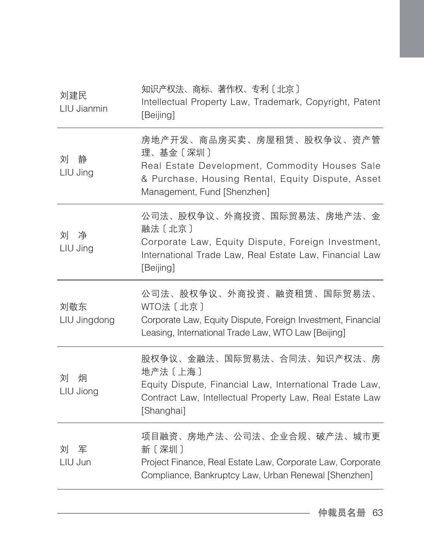| 刘建民<br>LIU Jianmin  | 知识产权法、商标、著作权、专利〔北京〕<br>Intellectual Property Law, Trademark, Copyright, Patent<br>[Beijing]                                                                                 |
|---------------------|-----------------------------------------------------------------------------------------------------------------------------------------------------------------------------|
| 刘<br>静<br>LIU Jing  | 房地产开发、商品房买卖、房屋租赁、股权争议、资产管<br>理、基金〔深圳〕<br>Real Estate Development, Commodity Houses Sale<br>& Purchase, Housing Rental, Equity Dispute, Asset<br>Management, Fund [Shenzhen] |
| 刘 净<br>LIU Jing     | 公司法、股权争议、外商投资、国际贸易法、房地产法、金<br>融法 〔北京〕<br>Corporate Law, Equity Dispute, Foreign Investment,<br>International Trade Law, Real Estate Law, Financial Law<br>[Beijing]         |
| 刘敬东<br>LIU Jingdong | 公司法、股权争议、外商投资、融资租赁、国际贸易法、<br>WTO法〔北京〕<br>Corporate Law, Equity Dispute, Foreign Investment, Financial<br>Leasing, International Trade Law, WTO Law [Beijing]                |
| 刘<br>炯<br>LIU Jiong | 股权争议、金融法、国际贸易法、合同法、知识产权法、房<br>地产法〔上海〕<br>Equity Dispute, Financial Law, International Trade Law,<br>Contract Law, Intellectual Property Law, Real Estate Law<br>[Shanghai]  |
| 刘军<br>LIU Jun       | 项目融资、房地产法、公司法、企业合规、破产法、城市更<br>新〔深圳〕<br>Project Finance, Real Estate Law, Corporate Law, Corporate<br>Compliance, Bankruptcy Law, Urban Renewal [Shenzhen]                   |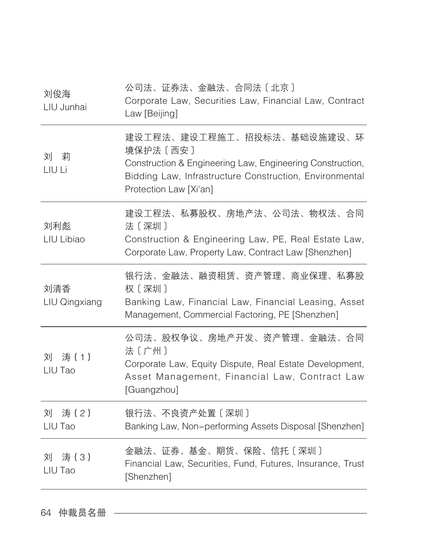| 刘俊海<br>LIU Junhai    | 公司法、证券法、金融法、合同法〔北京〕<br>Corporate Law, Securities Law, Financial Law, Contract<br>Law [Beijing]                                                                                            |
|----------------------|-------------------------------------------------------------------------------------------------------------------------------------------------------------------------------------------|
| 刘 莉<br>LIU Li        | 建设工程法、建设工程施工、招投标法、基础设施建设、环<br>境保护法 [西安]<br>Construction & Engineering Law, Engineering Construction,<br>Bidding Law, Infrastructure Construction, Environmental<br>Protection Law [Xi'an] |
| 刘利彪<br>LIU Libiao    | 建设工程法、私募股权、房地产法、公司法、物权法、合同<br>法〔深圳〕<br>Construction & Engineering Law, PE, Real Estate Law,<br>Corporate Law, Property Law, Contract Law [Shenzhen]                                       |
| 刘清香<br>LIU Qingxiang | 银行法、金融法、融资租赁、资产管理、商业保理、私募股<br>权〔深圳〕<br>Banking Law, Financial Law, Financial Leasing, Asset<br>Management, Commercial Factoring, PE [Shenzhen]                                            |
| 刘<br>涛(1)<br>LIU Tao | 公司法、股权争议、房地产开发、资产管理、金融法、合同<br>法〔广州〕<br>Corporate Law, Equity Dispute, Real Estate Development,<br>Asset Management, Financial Law, Contract Law<br>[Guangzhou]                            |
| 刘 涛 (2)<br>LIU Tao   | 银行法、不良资产处置〔深圳〕<br>Banking Law, Non-performing Assets Disposal [Shenzhen]                                                                                                                  |
| 刘 涛 (3)<br>LIU Tao   | 金融法、证券、基金、期货、保险、信托〔深圳〕<br>Financial Law, Securities, Fund, Futures, Insurance, Trust<br>[Shenzhen]                                                                                        |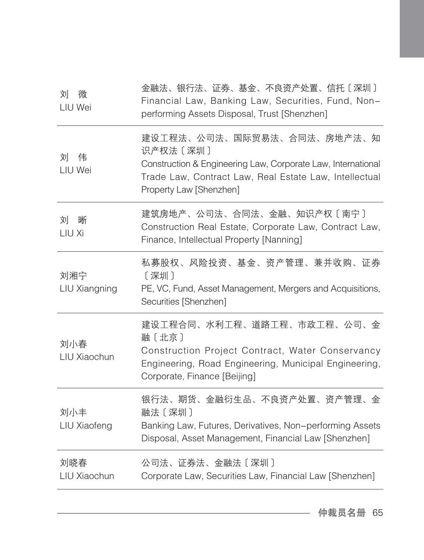| 刘<br>微<br>LIU Wei    | 金融法、银行法、证券、基金、不良资产处置、信托〔深圳〕<br>Financial Law, Banking Law, Securities, Fund, Non-<br>performing Assets Disposal, Trust [Shenzhen]                                                            |
|----------------------|----------------------------------------------------------------------------------------------------------------------------------------------------------------------------------------------|
| 伟<br>刘<br>LIU Wei    | 建设工程法、公司法、国际贸易法、合同法、房地产法、知<br>识产权法 [深圳]<br>Construction & Engineering Law, Corporate Law, International<br>Trade Law, Contract Law, Real Estate Law, Intellectual<br>Property Law [Shenzhen] |
| 刘<br>晰<br>LIU Xi     | 建筑房地产、公司法、合同法、金融、知识产权〔南宁〕<br>Construction Real Estate, Corporate Law, Contract Law,<br>Finance, Intellectual Property [Nanning]                                                              |
| 刘湘宁<br>LIU Xiangning | 私募股权、风险投资、基金、资产管理、兼并收购、证券<br>[深圳]<br>PE, VC, Fund, Asset Management, Mergers and Acquisitions,<br>Securities [Shenzhen]                                                                      |
| 刘小春<br>LIU Xiaochun  | 建设工程合同、水利工程、道路工程、市政工程、公司、金<br>融〔北京〕<br>Construction Project Contract, Water Conservancy<br>Engineering, Road Engineering, Municipal Engineering,<br>Corporate, Finance [Beijing]             |
| 刘小丰<br>LIU Xiaofeng  | 银行法、期货、金融衍生品、不良资产处置、资产管理、金<br>融法〔深圳〕<br>Banking Law, Futures, Derivatives, Non-performing Assets<br>Disposal, Asset Management, Financial Law [Shenzhen]                                     |
| 刘晓春<br>LIU Xiaochun  | 公司法、证券法、金融法〔深圳〕<br>Corporate Law, Securities Law, Financial Law [Shenzhen]                                                                                                                   |
|                      |                                                                                                                                                                                              |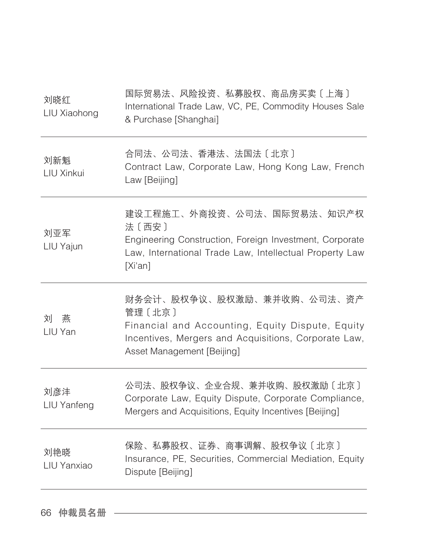| 刘晓红<br>LIU Xiaohong | 国际贸易法、风险投资、私募股权、商品房买卖〔上海〕<br>International Trade Law, VC, PE, Commodity Houses Sale<br>& Purchase [Shanghai]                                                                    |
|---------------------|---------------------------------------------------------------------------------------------------------------------------------------------------------------------------------|
| 刘新魁<br>LIU Xinkui   | 合同法、公司法、香港法、法国法〔北京〕<br>Contract Law, Corporate Law, Hong Kong Law, French<br>Law [Beijing]                                                                                      |
| 刘亚军<br>LIU Yajun    | 建设工程施工、外商投资、公司法、国际贸易法、知识产权<br>法〔西安〕<br>Engineering Construction, Foreign Investment, Corporate<br>Law, International Trade Law, Intellectual Property Law<br>[Xi'an]            |
| 刘<br>燕<br>LIU Yan   | 财务会计、股权争议、股权激励、兼并收购、公司法、资产<br>管理 [北京]<br>Financial and Accounting, Equity Dispute, Equity<br>Incentives, Mergers and Acquisitions, Corporate Law,<br>Asset Management [Beijing] |
| 刘彦沣<br>LIU Yanfeng  | 公司法、股权争议、企业合规、兼并收购、股权激励〔北京〕<br>Corporate Law, Equity Dispute, Corporate Compliance,<br>Mergers and Acquisitions, Equity Incentives [Beijing]                                    |
| 刘艳晓<br>LIU Yanxiao  | 保险、私募股权、证券、商事调解、股权争议〔北京〕<br>Insurance, PE, Securities, Commercial Mediation, Equity<br>Dispute [Beijing]                                                                        |
|                     |                                                                                                                                                                                 |

66 仲裁员名册 –––––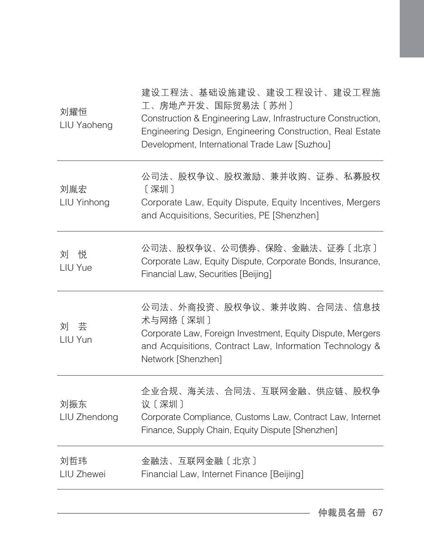| 刘耀恒<br>LIU Yaoheng  | 建设工程法、基础设施建设、建设工程设计、建设工程施<br>工、房地产开发、国际贸易法〔苏州〕<br>Construction & Engineering Law, Infrastructure Construction,<br>Engineering Design, Engineering Construction, Real Estate<br>Development, International Trade Law [Suzhou] |
|---------------------|------------------------------------------------------------------------------------------------------------------------------------------------------------------------------------------------------------------------------|
| 刘胤宏<br>LIU Yinhong  | 公司法、股权争议、股权激励、兼并收购、证券、私募股权<br>[深圳]<br>Corporate Law, Equity Dispute, Equity Incentives, Mergers<br>and Acquisitions, Securities, PE [Shenzhen]                                                                               |
| 刘<br>悦<br>LIU Yue   | 公司法、股权争议、公司债券、保险、金融法、证券〔北京〕<br>Corporate Law, Equity Dispute, Corporate Bonds, Insurance,<br>Financial Law, Securities [Beijing]                                                                                             |
| 芸<br>刘<br>LIU Yun   | 公司法、外商投资、股权争议、兼并收购、合同法、信息技<br>术与网络〔深圳〕<br>Corporate Law, Foreign Investment, Equity Dispute, Mergers<br>and Acquisitions, Contract Law, Information Technology &<br>Network [Shenzhen]                                       |
| 刘振东<br>LIU Zhendong | 企业合规、海关法、合同法、互联网金融、供应链、股权争<br>议〔深圳〕<br>Corporate Compliance, Customs Law, Contract Law, Internet<br>Finance, Supply Chain, Equity Dispute [Shenzhen]                                                                         |
| 刘哲玮<br>LIU Zhewei   | 金融法、互联网金融〔北京〕<br>Financial Law, Internet Finance [Beijing]                                                                                                                                                                   |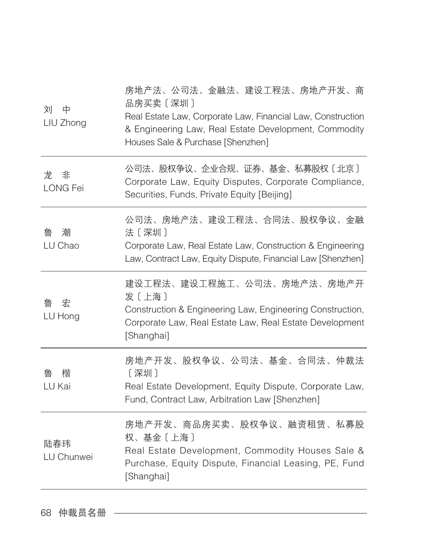| 刘<br>中<br>LIU Zhong | 房地产法、公司法、金融法、建设工程法、房地产开发、商<br>品房买卖 [深圳]<br>Real Estate Law, Corporate Law, Financial Law, Construction<br>& Engineering Law, Real Estate Development, Commodity<br>Houses Sale & Purchase [Shenzhen] |
|---------------------|------------------------------------------------------------------------------------------------------------------------------------------------------------------------------------------------------|
| 非<br>龙<br>LONG Fei  | 公司法、股权争议、企业合规、证券、基金、私募股权〔北京〕<br>Corporate Law, Equity Disputes, Corporate Compliance,<br>Securities, Funds, Private Equity [Beijing]                                                                 |
| 潮<br>鲁<br>LU Chao   | 公司法、房地产法、建设工程法、合同法、股权争议、金融<br>法〔深圳〕<br>Corporate Law, Real Estate Law, Construction & Engineering<br>Law, Contract Law, Equity Dispute, Financial Law [Shenzhen]                                     |
| 宏<br>鲁<br>LU Hong   | 建设工程法、建设工程施工、公司法、房地产法、房地产开<br>发〔上海〕<br>Construction & Engineering Law, Engineering Construction,<br>Corporate Law, Real Estate Law, Real Estate Development<br>[Shanghai]                            |
| 楷<br>鲁<br>LU Kai    | 房地产开发、股权争议、公司法、基金、合同法、仲裁法<br>[深圳]<br>Real Estate Development, Equity Dispute, Corporate Law,<br>Fund, Contract Law, Arbitration Law [Shenzhen]                                                       |
| 陆春玮<br>LU Chunwei   | 房地产开发、商品房买卖、股权争议、融资租赁、私募股<br>权、基金〔上海〕<br>Real Estate Development, Commodity Houses Sale &<br>Purchase, Equity Dispute, Financial Leasing, PE, Fund<br>[Shanghai]                                     |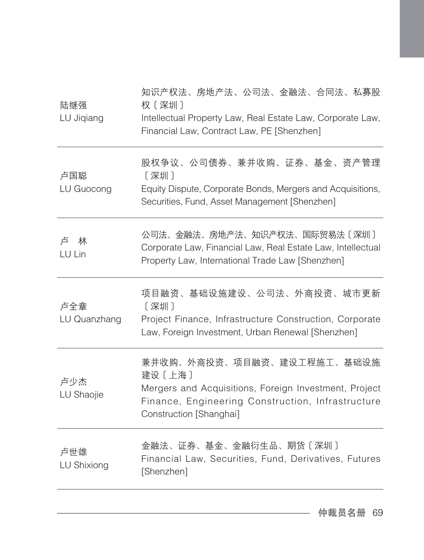| 陆继强<br>LU Jiqiang   | 知识产权法、房地产法、公司法、金融法、合同法、私募股<br>权〔深圳〕<br>Intellectual Property Law, Real Estate Law, Corporate Law,<br>Financial Law, Contract Law, PE [Shenzhen]                               |
|---------------------|-------------------------------------------------------------------------------------------------------------------------------------------------------------------------------|
| 卢国聪<br>LU Guocong   | 股权争议、公司债券、兼并收购、证券、基金、资产管理<br>〔深圳〕<br>Equity Dispute, Corporate Bonds, Mergers and Acquisitions,<br>Securities, Fund, Asset Management [Shenzhen]                              |
| 卢<br>林<br>LU Lin    | 公司法、金融法、房地产法、知识产权法、国际贸易法〔深圳〕<br>Corporate Law, Financial Law, Real Estate Law, Intellectual<br>Property Law, International Trade Law [Shenzhen]                               |
| 卢全章<br>LU Quanzhang | 项目融资、基础设施建设、公司法、外商投资、城市更新<br>[深圳]<br>Project Finance, Infrastructure Construction, Corporate<br>Law, Foreign Investment, Urban Renewal [Shenzhen]                             |
| 卢少杰<br>LU Shaojie   | 兼并收购、外商投资、项目融资、建设工程施工、基础设施<br>建设〔上海〕<br>Mergers and Acquisitions, Foreign Investment, Project<br>Finance, Engineering Construction, Infrastructure<br>Construction [Shanghai] |
| 卢世雄<br>LU Shixiong  | 金融法、证券、基金、金融衍生品、期货〔深圳〕<br>Financial Law, Securities, Fund, Derivatives, Futures<br>[Shenzhen]                                                                                 |
|                     |                                                                                                                                                                               |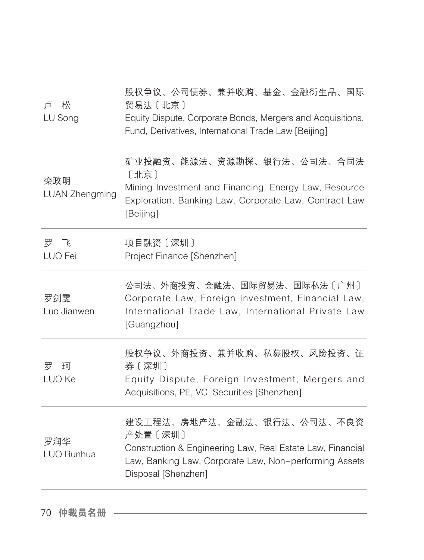| 卢<br>松<br>LU Song            | 股权争议、公司债券、兼并收购、基金、金融衍生品、国际<br>贸易法〔北京〕<br>Equity Dispute, Corporate Bonds, Mergers and Acquisitions,<br>Fund, Derivatives, International Trade Law [Beijing]                           |
|------------------------------|---------------------------------------------------------------------------------------------------------------------------------------------------------------------------------------|
| 栾政明<br><b>LUAN Zhengming</b> | 矿业投融资、能源法、资源勘探、银行法、公司法、合同法<br>[北京]<br>Mining Investment and Financing, Energy Law, Resource<br>Exploration, Banking Law, Corporate Law, Contract Law<br>[Beijing]                     |
| 罗飞<br>LUO Fei                | 项目融资〔深圳〕<br>Project Finance [Shenzhen]                                                                                                                                                |
| 罗剑雯<br>Luo Jianwen           | 公司法、外商投资、金融法、国际贸易法、国际私法〔广州〕<br>Corporate Law, Foreign Investment, Financial Law,<br>International Trade Law, International Private Law<br>[Guangzhou]                                 |
| 罗<br>珂<br>LUO Ke             | 股权争议、外商投资、兼并收购、私募股权、风险投资、证<br>券〔深圳〕<br>Equity Dispute, Foreign Investment, Mergers and<br>Acquisitions, PE, VC, Securities [Shenzhen]                                                 |
| 罗润华<br>LUO Runhua            | 建设工程法、房地产法、金融法、银行法、公司法、不良资<br>产处置 [深圳]<br>Construction & Engineering Law, Real Estate Law, Financial<br>Law, Banking Law, Corporate Law, Non-performing Assets<br>Disposal [Shenzhen] |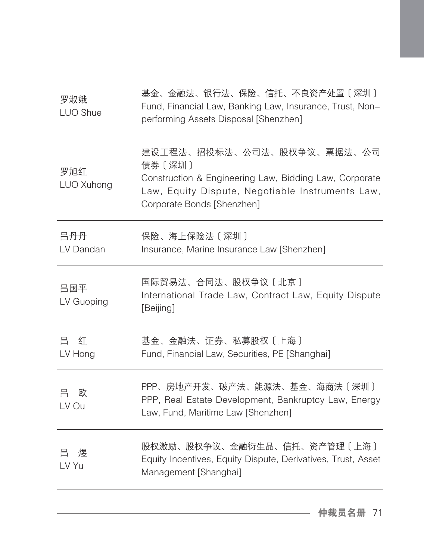| 罗淑娥<br>LUO Shue   | 基金、金融法、银行法、保险、信托、不良资产处置〔深圳〕<br>Fund, Financial Law, Banking Law, Insurance, Trust, Non-<br>performing Assets Disposal [Shenzhen]                                                 |
|-------------------|----------------------------------------------------------------------------------------------------------------------------------------------------------------------------------|
| 罗旭红<br>LUO Xuhong | 建设工程法、招投标法、公司法、股权争议、票据法、公司<br>债券〔深圳〕<br>Construction & Engineering Law, Bidding Law, Corporate<br>Law, Equity Dispute, Negotiable Instruments Law,<br>Corporate Bonds [Shenzhen] |
| 吕丹丹<br>LV Dandan  | 保险、海上保险法〔深圳〕<br>Insurance, Marine Insurance Law [Shenzhen]                                                                                                                       |
| 吕国平<br>LV Guoping | 国际贸易法、合同法、股权争议〔北京〕<br>International Trade Law, Contract Law, Equity Dispute<br>[Beijing]                                                                                         |
| 吕<br>红<br>LV Hong | 基金、金融法、证券、私募股权〔上海〕<br>Fund, Financial Law, Securities, PE [Shanghai]                                                                                                             |
| 吕 欧<br>LV Ou      | PPP、房地产开发、破产法、能源法、基金、海商法〔深圳〕<br>PPP, Real Estate Development, Bankruptcy Law, Energy<br>Law, Fund, Maritime Law [Shenzhen]                                                       |
| 吕<br>煜<br>LV Yu   | 股权激励、股权争议、金融衍生品、信托、资产管理〔上海〕<br>Equity Incentives, Equity Dispute, Derivatives, Trust, Asset<br>Management [Shanghai]                                                             |
|                   |                                                                                                                                                                                  |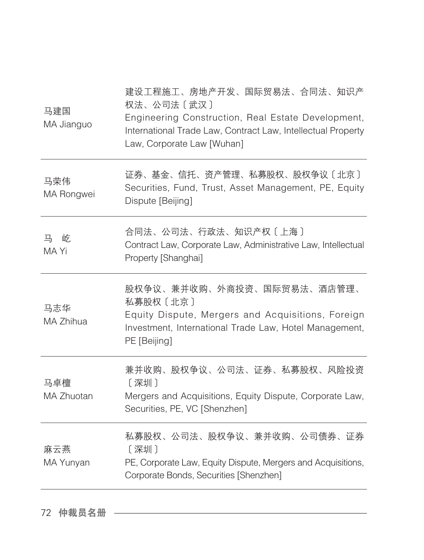| 马建国<br>MA Jianguo | 建设工程施工、房地产开发、国际贸易法、合同法、知识产<br>权法、公司法〔武汉〕<br>Engineering Construction, Real Estate Development,<br>International Trade Law, Contract Law, Intellectual Property<br>Law, Corporate Law [Wuhan] |
|-------------------|----------------------------------------------------------------------------------------------------------------------------------------------------------------------------------------------|
| 马荣伟<br>MA Rongwei | 证券、基金、信托、资产管理、私募股权、股权争议〔北京〕<br>Securities, Fund, Trust, Asset Management, PE, Equity<br>Dispute [Beijing]                                                                                    |
| 屹<br>马<br>MA Yi   | 合同法、公司法、行政法、知识产权〔上海〕<br>Contract Law, Corporate Law, Administrative Law, Intellectual<br>Property [Shanghai]                                                                                 |
| 马志华<br>MA Zhihua  | 股权争议、兼并收购、外商投资、国际贸易法、酒店管理、<br>私募股权〔北京〕<br>Equity Dispute, Mergers and Acquisitions, Foreign<br>Investment, International Trade Law, Hotel Management,<br>PE [Beijing]                        |
| 马卓檀<br>MA Zhuotan | 兼并收购、股权争议、公司法、证券、私募股权、风险投资<br>[深圳]<br>Mergers and Acquisitions, Equity Dispute, Corporate Law,<br>Securities, PE, VC [Shenzhen]                                                              |
| 麻云燕<br>MA Yunyan  | 私募股权、公司法、股权争议、兼并收购、公司债券、证券<br>[深圳]<br>PE, Corporate Law, Equity Dispute, Mergers and Acquisitions,<br>Corporate Bonds, Securities [Shenzhen]                                                 |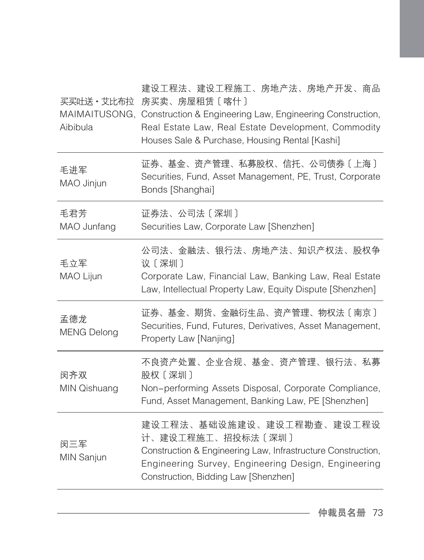买买吐送·艾比布拉 房买卖、房屋租赁〔喀什〕 MAIMAITUSONG, Construction & Engineering Law, Engineering Construction, Aibibula 建设工程法、建设工程施工、房地产法、房地产开发、商品 Real Estate Law, Real Estate Development, Commodity Houses Sale & Purchase, Housing Rental [Kashi] 毛进军 MAO Jinjun 证券、基金、资产管理、私募股权、信托、公司债券〔上海〕 Securities, Fund, Asset Management, PE, Trust, Corporate Bonds [Shanghai] 毛君芳 MAO Junfang 证券法、公司法〔深圳〕 Securities Law, Corporate Law [Shenzhen] 毛立军 MAO Lijun 公司法、金融法、银行法、房地产法、知识产权法、股权争 议〔深圳〕 Corporate Law, Financial Law, Banking Law, Real Estate Law, Intellectual Property Law, Equity Dispute [Shenzhen] 孟德龙 MENG Delong 证券、基金、期货、金融衍生品、资产管理、物权法〔南京〕 Securities, Fund, Futures, Derivatives, Asset Management, Property Law [Nanjing] 闵齐双 MIN Qishuang 不良资产处置、企业合规、基金、资产管理、银行法、私募 股权〔深圳〕 Non-performing Assets Disposal, Corporate Compliance, Fund, Asset Management, Banking Law, PE [Shenzhen] 闵三军 MIN Sanjun 建设工程法、基础设施建设、建设工程勘查、建设工程设 计、建设工程施工、招投标法〔深圳〕 Construction & Engineering Law, Infrastructure Construction, Engineering Survey, Engineering Design, Engineering Construction, Bidding Law [Shenzhen]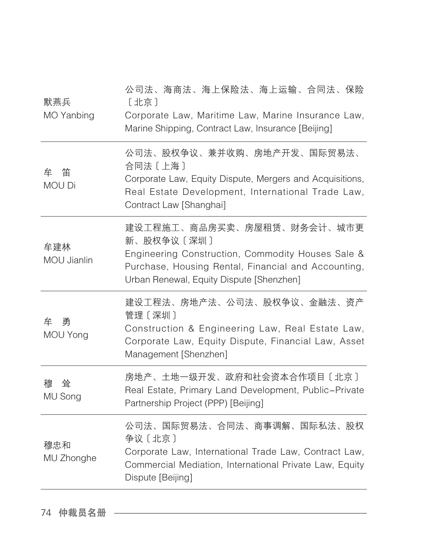| 默燕兵<br>MO Yanbing    | 公司法、海商法、海上保险法、海上运输、合同法、保险<br>[北京]<br>Corporate Law, Maritime Law, Marine Insurance Law,<br>Marine Shipping, Contract Law, Insurance [Beijing]                                                    |
|----------------------|--------------------------------------------------------------------------------------------------------------------------------------------------------------------------------------------------|
| 牟 笛<br><b>MOU Di</b> | 公司法、股权争议、兼并收购、房地产开发、国际贸易法、<br>合同法 〔上海〕<br>Corporate Law, Equity Dispute, Mergers and Acquisitions,<br>Real Estate Development, International Trade Law,<br>Contract Law [Shanghai]               |
| 牟建林<br>MOU Jianlin   | 建设工程施工、商品房买卖、房屋租赁、财务会计、城市更<br>新、股权争议〔深圳〕<br>Engineering Construction, Commodity Houses Sale &<br>Purchase, Housing Rental, Financial and Accounting,<br>Urban Renewal, Equity Dispute [Shenzhen] |
| 牟<br>勇<br>MOU Yong   | 建设工程法、房地产法、公司法、股权争议、金融法、资产<br>管理 [深圳]<br>Construction & Engineering Law, Real Estate Law,<br>Corporate Law, Equity Dispute, Financial Law, Asset<br>Management [Shenzhen]                        |
| 耸<br>穆<br>MU Song    | 房地产、土地一级开发、政府和社会资本合作项目〔北京〕<br>Real Estate, Primary Land Development, Public-Private<br>Partnership Project (PPP) [Beijing]                                                                       |
| 穆忠和<br>MU Zhonghe    | 公司法、国际贸易法、合同法、商事调解、国际私法、股权<br>争议〔北京〕<br>Corporate Law, International Trade Law, Contract Law,<br>Commercial Mediation, International Private Law, Equity<br>Dispute [Beijing]                    |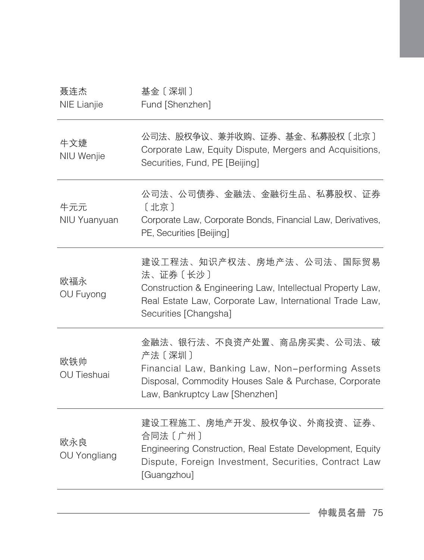| 聂连杰<br>NIE Lianjie         | 基金〔深圳〕<br>Fund [Shenzhen]                                                                                                                                                                |
|----------------------------|------------------------------------------------------------------------------------------------------------------------------------------------------------------------------------------|
| 牛文婕<br>NIU Wenjie          | 公司法、股权争议、兼并收购、证券、基金、私募股权〔北京〕<br>Corporate Law, Equity Dispute, Mergers and Acquisitions,<br>Securities, Fund, PE [Beijing]                                                               |
| 牛元元<br>NIU Yuanyuan        | 公司法、公司债券、金融法、金融衍生品、私募股权、证券<br>[北京]<br>Corporate Law, Corporate Bonds, Financial Law, Derivatives,<br>PE, Securities [Beijing]                                                            |
| 欧福永<br>OU Fuyong           | 建设工程法、知识产权法、房地产法、公司法、国际贸易<br>法、证券〔长沙〕<br>Construction & Engineering Law, Intellectual Property Law,<br>Real Estate Law, Corporate Law, International Trade Law,<br>Securities [Changsha] |
| 欧铁帅<br><b>OU Tieshuai</b>  | 金融法、银行法、不良资产处置、商品房买卖、公司法、破<br>产法〔深圳〕<br>Financial Law, Banking Law, Non-performing Assets<br>Disposal, Commodity Houses Sale & Purchase, Corporate<br>Law, Bankruptcy Law [Shenzhen]     |
| 欧永良<br><b>OU Yongliang</b> | 建设工程施工、房地产开发、股权争议、外商投资、证券、<br>合同法〔广州〕<br>Engineering Construction, Real Estate Development, Equity<br>Dispute, Foreign Investment, Securities, Contract Law<br>[Guangzhou]               |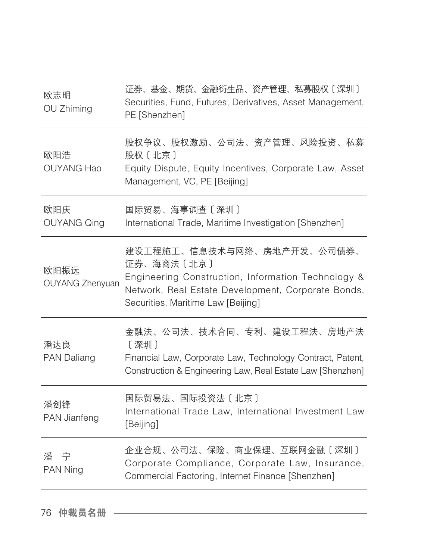| 证券、基金、期货、金融衍生品、资产管理、私募股权〔深圳〕<br>Securities, Fund, Futures, Derivatives, Asset Management,<br>PE [Shenzhen]                                                                                 |
|--------------------------------------------------------------------------------------------------------------------------------------------------------------------------------------------|
| 股权争议、股权激励、公司法、资产管理、风险投资、私募<br>股权〔北京〕<br>Equity Dispute, Equity Incentives, Corporate Law, Asset<br>Management, VC, PE [Beijing]                                                            |
| 国际贸易、海事调查〔深圳〕<br>International Trade, Maritime Investigation [Shenzhen]                                                                                                                    |
| 建设工程施工、信息技术与网络、房地产开发、公司债券、<br>证券、海商法〔北京〕<br>Engineering Construction, Information Technology &<br>Network, Real Estate Development, Corporate Bonds,<br>Securities, Maritime Law [Beijing] |
| 金融法、公司法、技术合同、专利、建设工程法、房地产法<br>〔深圳〕<br>Financial Law, Corporate Law, Technology Contract, Patent,<br>Construction & Engineering Law, Real Estate Law [Shenzhen]                             |
| 国际贸易法、国际投资法〔北京〕<br>International Trade Law, International Investment Law<br>[Beijing]                                                                                                      |
| 企业合规、公司法、保险、商业保理、互联网金融〔深圳〕<br>Corporate Compliance, Corporate Law, Insurance,<br>Commercial Factoring, Internet Finance [Shenzhen]                                                         |
|                                                                                                                                                                                            |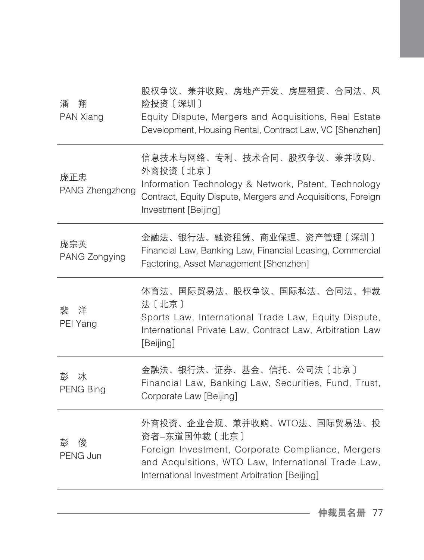| 潘<br>翔<br>PAN Xiang    | 股权争议、兼并收购、房地产开发、房屋租赁、合同法、风<br>险投资〔深圳〕<br>Equity Dispute, Mergers and Acquisitions, Real Estate<br>Development, Housing Rental, Contract Law, VC [Shenzhen]                                                |
|------------------------|-----------------------------------------------------------------------------------------------------------------------------------------------------------------------------------------------------------|
| 庞正忠<br>PANG Zhengzhong | 信息技术与网络、专利、技术合同、股权争议、兼并收购、<br>外商投资〔北京〕<br>Information Technology & Network, Patent, Technology<br>Contract, Equity Dispute, Mergers and Acquisitions, Foreign<br>Investment [Beijing]                     |
| 庞宗英<br>PANG Zongying   | 金融法、银行法、融资租赁、商业保理、资产管理〔深圳〕<br>Financial Law, Banking Law, Financial Leasing, Commercial<br>Factoring, Asset Management [Shenzhen]                                                                         |
| 裴<br>洋<br>PEI Yang     | 体育法、国际贸易法、股权争议、国际私法、合同法、仲裁<br>法〔北京〕<br>Sports Law, International Trade Law, Equity Dispute,<br>International Private Law, Contract Law, Arbitration Law<br>[Beijing]                                      |
| 彭<br>冰<br>PENG Bing    | 金融法、银行法、证券、基金、信托、公司法〔北京〕<br>Financial Law, Banking Law, Securities, Fund, Trust,<br>Corporate Law [Beijing]                                                                                               |
| 俊<br>彭<br>PENG Jun     | 外商投资、企业合规、兼并收购、WTO法、国际贸易法、投<br>资者-东道国仲裁〔北京〕<br>Foreign Investment, Corporate Compliance, Mergers<br>and Acquisitions, WTO Law, International Trade Law,<br>International Investment Arbitration [Beijing] |
|                        |                                                                                                                                                                                                           |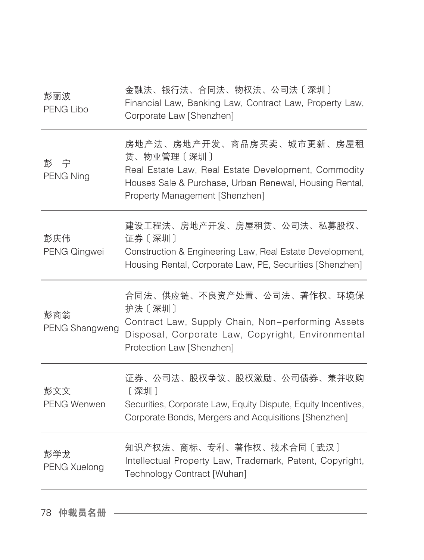| 金融法、银行法、合同法、物权法、公司法〔深圳〕<br>Financial Law, Banking Law, Contract Law, Property Law,<br>Corporate Law [Shenzhen]                                                                             |
|--------------------------------------------------------------------------------------------------------------------------------------------------------------------------------------------|
| 房地产法、房地产开发、商品房买卖、城市更新、房屋租<br>赁、物业管理〔深圳〕<br>Real Estate Law, Real Estate Development, Commodity<br>Houses Sale & Purchase, Urban Renewal, Housing Rental,<br>Property Management [Shenzhen] |
| 建设工程法、房地产开发、房屋租赁、公司法、私募股权、<br>证券〔深圳〕<br>Construction & Engineering Law, Real Estate Development,<br>Housing Rental, Corporate Law, PE, Securities [Shenzhen]                               |
| 合同法、供应链、不良资产处置、公司法、著作权、环境保<br>护法〔深圳〕<br>Contract Law, Supply Chain, Non-performing Assets<br>Disposal, Corporate Law, Copyright, Environmental<br>Protection Law [Shenzhen]                |
| 证券、公司法、股权争议、股权激励、公司债券、兼并收购<br>〔深圳〕<br>Securities, Corporate Law, Equity Dispute, Equity Incentives,<br>Corporate Bonds, Mergers and Acquisitions [Shenzhen]                                |
| 知识产权法、商标、专利、著作权、技术合同〔武汉〕<br>Intellectual Property Law, Trademark, Patent, Copyright,<br>Technology Contract [Wuhan]                                                                        |
|                                                                                                                                                                                            |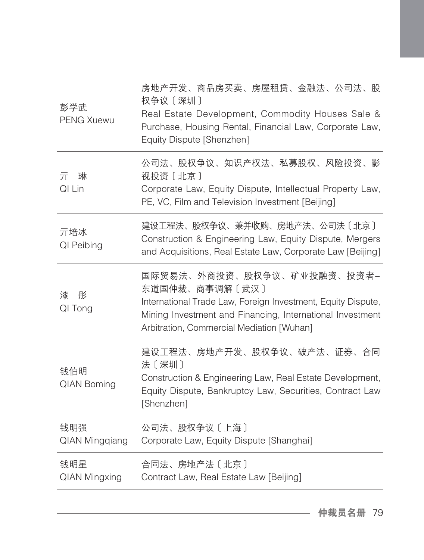| 彭学武<br><b>PENG Xuewu</b>     | 房地产开发、商品房买卖、房屋租赁、金融法、公司法、股<br>权争议 [深圳]<br>Real Estate Development, Commodity Houses Sale &<br>Purchase, Housing Rental, Financial Law, Corporate Law,<br>Equity Dispute [Shenzhen]                                     |
|------------------------------|------------------------------------------------------------------------------------------------------------------------------------------------------------------------------------------------------------------------|
| 琳<br>亓<br>QI Lin             | 公司法、股权争议、知识产权法、私募股权、风险投资、影<br>视投资〔北京〕<br>Corporate Law, Equity Dispute, Intellectual Property Law,<br>PE, VC, Film and Television Investment [Beijing]                                                                 |
| 亓培冰<br>QI Peibing            | 建设工程法、股权争议、兼并收购、房地产法、公司法〔北京〕<br>Construction & Engineering Law, Equity Dispute, Mergers<br>and Acquisitions, Real Estate Law, Corporate Law [Beijing]                                                                  |
| 漆<br>彤<br>QI Tong            | 国际贸易法、外商投资、股权争议、矿业投融资、投资者-<br>东道国仲裁、商事调解〔武汉〕<br>International Trade Law, Foreign Investment, Equity Dispute,<br>Mining Investment and Financing, International Investment<br>Arbitration, Commercial Mediation [Wuhan] |
| 钱伯明<br><b>QIAN Boming</b>    | 建设工程法、房地产开发、股权争议、破产法、证券、合同<br>法〔深圳〕<br>Construction & Engineering Law, Real Estate Development,<br>Equity Dispute, Bankruptcy Law, Securities, Contract Law<br>[Shenzhen]                                              |
| 钱明强<br><b>QIAN Mingqiang</b> | 公司法、股权争议〔上海〕<br>Corporate Law, Equity Dispute [Shanghai]                                                                                                                                                               |
| 钱明星<br><b>QIAN Mingxing</b>  | 合同法、房地产法〔北京〕<br>Contract Law, Real Estate Law [Beijing]                                                                                                                                                                |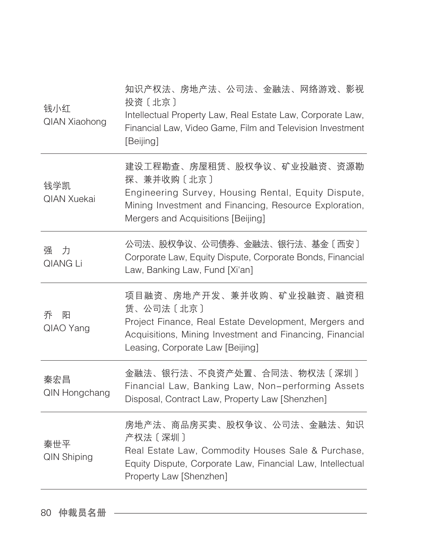| 钱小红<br><b>QIAN Xiaohong</b> | 知识产权法、房地产法、公司法、金融法、网络游戏、影视<br>投资〔北京〕<br>Intellectual Property Law, Real Estate Law, Corporate Law,<br>Financial Law, Video Game, Film and Television Investment<br>[Beijing]                    |
|-----------------------------|-------------------------------------------------------------------------------------------------------------------------------------------------------------------------------------------------|
| 钱学凯<br><b>QIAN Xuekai</b>   | 建设工程勘查、房屋租赁、股权争议、矿业投融资、资源勘<br>探、兼并收购〔北京〕<br>Engineering Survey, Housing Rental, Equity Dispute,<br>Mining Investment and Financing, Resource Exploration,<br>Mergers and Acquisitions [Beijing] |
| 力<br>强<br>QIANG Li          | 公司法、股权争议、公司债券、金融法、银行法、基金〔西安〕<br>Corporate Law, Equity Dispute, Corporate Bonds, Financial<br>Law, Banking Law, Fund [Xi'an]                                                                     |
| 乔<br>阳<br>QIAO Yang         | 项目融资、房地产开发、兼并收购、矿业投融资、融资租<br>赁、公司法〔北京〕<br>Project Finance, Real Estate Development, Mergers and<br>Acquisitions, Mining Investment and Financing, Financial<br>Leasing, Corporate Law [Beijing] |
| 秦宏昌<br>QIN Hongchang        | 金融法、银行法、不良资产处置、合同法、物权法〔深圳〕<br>Financial Law, Banking Law, Non-performing Assets<br>Disposal, Contract Law, Property Law [Shenzhen]                                                              |
| 秦世平<br><b>QIN Shiping</b>   | 房地产法、商品房买卖、股权争议、公司法、金融法、知识<br>产权法〔深圳〕<br>Real Estate Law, Commodity Houses Sale & Purchase,<br>Equity Dispute, Corporate Law, Financial Law, Intellectual<br>Property Law [Shenzhen]            |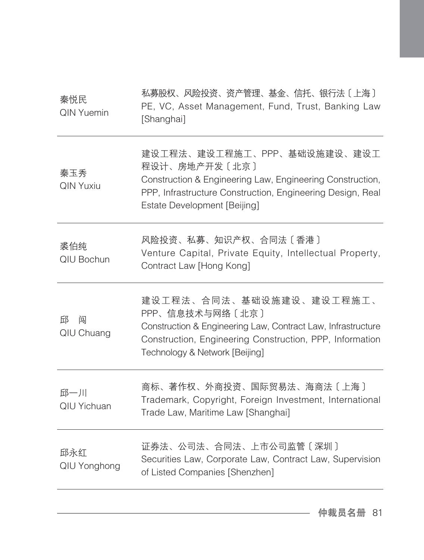| 秦悦民<br><b>QIN Yuemin</b>  | 私募股权、风险投资、资产管理、基金、信托、银行法〔上海〕<br>PE, VC, Asset Management, Fund, Trust, Banking Law<br>[Shanghai]                                                                                                          |
|---------------------------|-----------------------------------------------------------------------------------------------------------------------------------------------------------------------------------------------------------|
| 秦玉秀<br><b>QIN Yuxiu</b>   | 建设工程法、建设工程施工、PPP、基础设施建设、建设工<br>程设计、房地产开发〔北京〕<br>Construction & Engineering Law, Engineering Construction,<br>PPP, Infrastructure Construction, Engineering Design, Real<br>Estate Development [Beijing]   |
| 裘伯纯<br>QIU Bochun         | 风险投资、私募、知识产权、合同法〔香港〕<br>Venture Capital, Private Equity, Intellectual Property,<br>Contract Law [Hong Kong]                                                                                               |
| 邱<br>闯<br>QIU Chuang      | 建设工程法、合同法、基础设施建设、建设工程施工、<br>PPP、信息技术与网络〔北京〕<br>Construction & Engineering Law, Contract Law, Infrastructure<br>Construction, Engineering Construction, PPP, Information<br>Technology & Network [Beijing] |
| 邱一川<br><b>QIU Yichuan</b> | 商标、著作权、外商投资、国际贸易法、海商法〔上海〕<br>Trademark, Copyright, Foreign Investment, International<br>Trade Law, Maritime Law [Shanghai]                                                                                |
| 邱永红<br>QIU Yonghong       | 证券法、公司法、合同法、上市公司监管〔深圳〕<br>Securities Law, Corporate Law, Contract Law, Supervision<br>of Listed Companies [Shenzhen]                                                                                      |
|                           |                                                                                                                                                                                                           |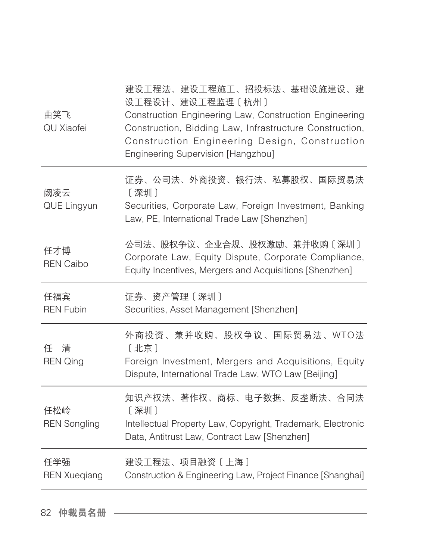| 曲笑飞<br>QU Xiaofei          | 建设工程法、建设工程施工、招投标法、基础设施建设、建<br>设工程设计、建设工程监理〔杭州〕<br>Construction Engineering Law, Construction Engineering<br>Construction, Bidding Law, Infrastructure Construction,<br>Construction Engineering Design, Construction<br>Engineering Supervision [Hangzhou] |
|----------------------------|------------------------------------------------------------------------------------------------------------------------------------------------------------------------------------------------------------------------------------------------------------|
| 阙凌云<br>QUE Lingyun         | 证券、公司法、外商投资、银行法、私募股权、国际贸易法<br>[深圳]<br>Securities, Corporate Law, Foreign Investment, Banking<br>Law, PE, International Trade Law [Shenzhen]                                                                                                                |
| 任才博<br><b>REN Caibo</b>    | 公司法、股权争议、企业合规、股权激励、兼并收购〔深圳〕<br>Corporate Law, Equity Dispute, Corporate Compliance,<br>Equity Incentives, Mergers and Acquisitions [Shenzhen]                                                                                                              |
| 任福宾<br><b>REN Fubin</b>    | 证券、资产管理〔深圳〕<br>Securities, Asset Management [Shenzhen]                                                                                                                                                                                                     |
| 清<br>任<br><b>REN Qing</b>  | 外商投资、兼并收购、股权争议、国际贸易法、WTO法<br>[北京]<br>Foreign Investment, Mergers and Acquisitions, Equity<br>Dispute, International Trade Law, WTO Law [Beijing]                                                                                                           |
| 任松岭<br><b>REN Songling</b> | 知识产权法、著作权、商标、电子数据、反垄断法、合同法<br>[深圳]<br>Intellectual Property Law, Copyright, Trademark, Electronic<br>Data, Antitrust Law, Contract Law [Shenzhen]                                                                                                          |
| 任学强<br><b>REN Xueqiang</b> | 建设工程法、项目融资〔上海〕<br>Construction & Engineering Law, Project Finance [Shanghai]                                                                                                                                                                               |
|                            |                                                                                                                                                                                                                                                            |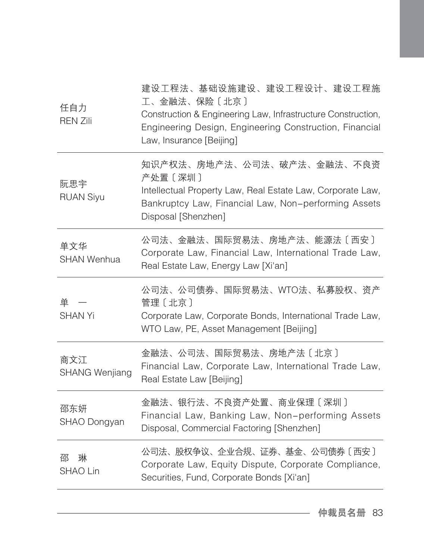| 任自力<br><b>REN Zili</b>       | 建设工程法、基础设施建设、建设工程设计、建设工程施<br>工、金融法、保险〔北京〕<br>Construction & Engineering Law, Infrastructure Construction,<br>Engineering Design, Engineering Construction, Financial<br>Law, Insurance [Beijing] |
|------------------------------|--------------------------------------------------------------------------------------------------------------------------------------------------------------------------------------------------|
| 阮思宇<br><b>RUAN Siyu</b>      | 知识产权法、房地产法、公司法、破产法、金融法、不良资<br>产处置 [深圳]<br>Intellectual Property Law, Real Estate Law, Corporate Law,<br>Bankruptcy Law, Financial Law, Non-performing Assets<br>Disposal [Shenzhen]              |
| 单文华<br><b>SHAN Wenhua</b>    | 公司法、金融法、国际贸易法、房地产法、能源法〔西安〕<br>Corporate Law, Financial Law, International Trade Law,<br>Real Estate Law, Energy Law [Xi'an]                                                                      |
| 单一<br><b>SHAN Yi</b>         | 公司法、公司债券、国际贸易法、WTO法、私募股权、资产<br>管理 [北京]<br>Corporate Law, Corporate Bonds, International Trade Law,<br>WTO Law, PE, Asset Management [Beijing]                                                    |
| 商文江<br><b>SHANG Wenjiang</b> | 金融法、公司法、国际贸易法、房地产法〔北京〕<br>Financial Law, Corporate Law, International Trade Law,<br>Real Estate Law [Beijing]                                                                                    |
| 邵东妍<br>SHAO Dongyan          | 金融法、银行法、不良资产处置、商业保理〔深圳〕<br>Financial Law, Banking Law, Non-performing Assets<br>Disposal, Commercial Factoring [Shenzhen]                                                                        |
| 邵<br>琳<br>SHAO Lin           | 公司法、股权争议、企业合规、证券、基金、公司债券〔西安〕<br>Corporate Law, Equity Dispute, Corporate Compliance,<br>Securities, Fund, Corporate Bonds [Xi'an]                                                                |
|                              |                                                                                                                                                                                                  |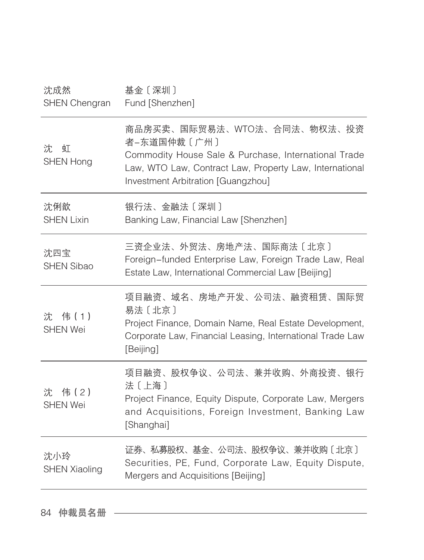| 沈成然<br>SHEN Chengran          | 基金〔深圳〕<br>Fund [Shenzhen]                                                                                                                                                                           |
|-------------------------------|-----------------------------------------------------------------------------------------------------------------------------------------------------------------------------------------------------|
| 沈<br>虹<br><b>SHEN Hong</b>    | 商品房买卖、国际贸易法、WTO法、合同法、物权法、投资<br>者-东道国仲裁〔广州〕<br>Commodity House Sale & Purchase, International Trade<br>Law, WTO Law, Contract Law, Property Law, International<br>Investment Arbitration [Guangzhou] |
| 沈俐歆<br><b>SHEN Lixin</b>      | 银行法、金融法〔深圳〕<br>Banking Law, Financial Law [Shenzhen]                                                                                                                                                |
| 沈四宝<br><b>SHEN Sibao</b>      | 三资企业法、外贸法、房地产法、国际商法〔北京〕<br>Foreign-funded Enterprise Law, Foreign Trade Law, Real<br>Estate Law, International Commercial Law [Beijing]                                                             |
| 沈 伟 (1)<br><b>SHEN Wei</b>    | 项目融资、域名、房地产开发、公司法、融资租赁、国际贸<br>易法〔北京〕<br>Project Finance, Domain Name, Real Estate Development,<br>Corporate Law, Financial Leasing, International Trade Law<br>[Beijing]                            |
| 伟 (2)<br>沈<br><b>SHEN Wei</b> | 项目融资、股权争议、公司法、兼并收购、外商投资、银行<br>法〔上海〕<br>Project Finance, Equity Dispute, Corporate Law, Mergers<br>and Acquisitions, Foreign Investment, Banking Law<br>[Shanghai]                                   |
| 沈小玲<br><b>SHEN Xiaoling</b>   | 证券、私募股权、基金、公司法、股权争议、兼并收购〔北京〕<br>Securities, PE, Fund, Corporate Law, Equity Dispute,<br>Mergers and Acquisitions [Beijing]                                                                          |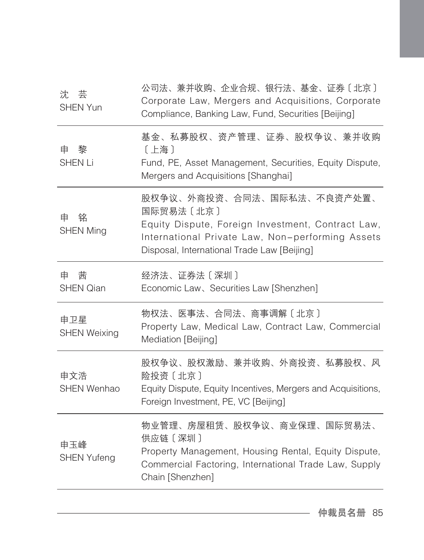| 沈芸<br>SHEN Yun             | 公司法、兼并收购、企业合规、银行法、基金、证券〔北京〕<br>Corporate Law, Mergers and Acquisitions, Corporate<br>Compliance, Banking Law, Fund, Securities [Beijing]                                                        |
|----------------------------|-------------------------------------------------------------------------------------------------------------------------------------------------------------------------------------------------|
| 黎<br>申<br><b>SHEN Li</b>   | 基金、私募股权、资产管理、证券、股权争议、兼并收购<br>〔上海〕<br>Fund, PE, Asset Management, Securities, Equity Dispute,<br>Mergers and Acquisitions [Shanghai]                                                             |
| 铭<br>申<br><b>SHEN Ming</b> | 股权争议、外商投资、合同法、国际私法、不良资产处置、<br>国际贸易法〔北京〕<br>Equity Dispute, Foreign Investment, Contract Law,<br>International Private Law, Non-performing Assets<br>Disposal, International Trade Law [Beijing] |
| 茜<br>申<br><b>SHEN Qian</b> | 经济法、证券法〔深圳〕<br>Economic Law、Securities Law [Shenzhen]                                                                                                                                           |
| 申卫星<br><b>SHEN Weixing</b> | 物权法、医事法、合同法、商事调解〔北京〕<br>Property Law, Medical Law, Contract Law, Commercial<br>Mediation [Beijing]                                                                                              |
| 申文浩<br><b>SHEN Wenhao</b>  | 股权争议、股权激励、兼并收购、外商投资、私募股权、风<br>险投资〔北京〕<br>Equity Dispute, Equity Incentives, Mergers and Acquisitions,<br>Foreign Investment, PE, VC [Beijing]                                                   |
| 申玉峰<br><b>SHEN Yufeng</b>  | 物业管理、房屋租赁、股权争议、商业保理、国际贸易法、<br>供应链 [深圳]<br>Property Management, Housing Rental, Equity Dispute,<br>Commercial Factoring, International Trade Law, Supply<br>Chain [Shenzhen]                     |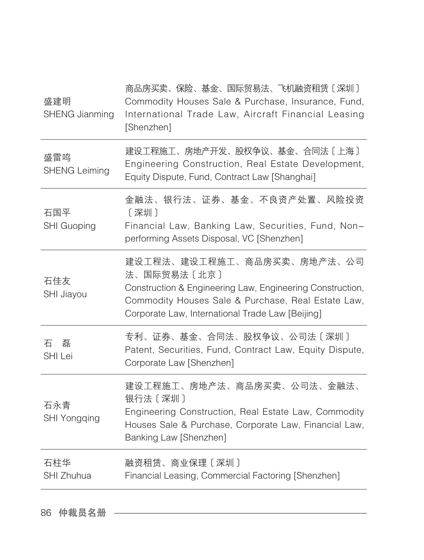| 盛建明<br><b>SHENG Jianming</b> | 商品房买卖、保险、基金、国际贸易法、飞机融资租赁〔深圳〕<br>Commodity Houses Sale & Purchase, Insurance, Fund,<br>International Trade Law, Aircraft Financial Leasing<br>[Shenzhen]                                                          |
|------------------------------|------------------------------------------------------------------------------------------------------------------------------------------------------------------------------------------------------------------|
| 盛雷鸣<br><b>SHENG Leiming</b>  | 建设工程施工、房地产开发、股权争议、基金、合同法〔上海〕<br>Engineering Construction, Real Estate Development,<br>Equity Dispute, Fund, Contract Law [Shanghai]                                                                              |
| 石国平<br><b>SHI Guoping</b>    | 金融法、银行法、证券、基金、不良资产处置、风险投资<br>〔深圳〕<br>Financial Law, Banking Law, Securities, Fund, Non-<br>performing Assets Disposal, VC [Shenzhen]                                                                             |
| 石佳友<br>SHI Jiayou            | 建设工程法、建设工程施工、商品房买卖、房地产法、公司<br>法、国际贸易法〔北京〕<br>Construction & Engineering Law, Engineering Construction,<br>Commodity Houses Sale & Purchase, Real Estate Law,<br>Corporate Law, International Trade Law [Beijing] |
| 磊<br>石<br><b>SHI Lei</b>     | 专利、证券、基金、合同法、股权争议、公司法〔深圳〕<br>Patent, Securities, Fund, Contract Law, Equity Dispute,<br>Corporate Law [Shenzhen]                                                                                                 |
| 石永青<br><b>SHI Yongqing</b>   | 建设工程施工、房地产法、商品房买卖、公司法、金融法、<br>银行法 [深圳]<br>Engineering Construction, Real Estate Law, Commodity<br>Houses Sale & Purchase, Corporate Law, Financial Law,<br>Banking Law [Shenzhen]                                |
| 石柱华<br>SHI Zhuhua            | 融资租赁、商业保理〔深圳〕<br>Financial Leasing, Commercial Factoring [Shenzhen]                                                                                                                                              |
|                              |                                                                                                                                                                                                                  |

86 仲裁员名册 –––––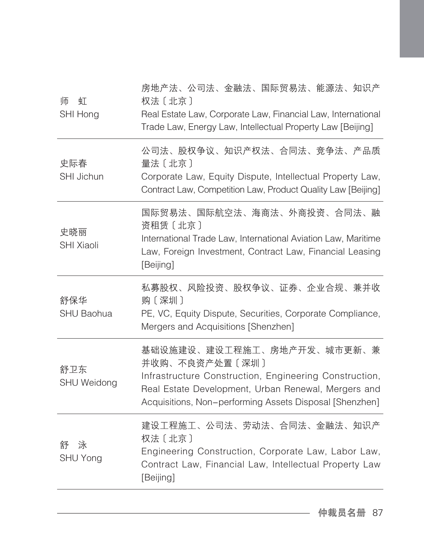| 泳<br>舒<br>SHU Yong       | 建设工程施工、公司法、劳动法、合同法、金融法、知识产<br>权法 [北京]<br>Engineering Construction, Corporate Law, Labor Law,<br>Contract Law, Financial Law, Intellectual Property Law<br>[Beijing]                                                      |
|--------------------------|--------------------------------------------------------------------------------------------------------------------------------------------------------------------------------------------------------------------------|
| 舒卫东<br>SHU Weidong       | 基础设施建设、建设工程施工、房地产开发、城市更新、兼<br>并收购、不良资产处置〔深圳〕<br>Infrastructure Construction, Engineering Construction,<br>Real Estate Development, Urban Renewal, Mergers and<br>Acquisitions, Non-performing Assets Disposal [Shenzhen] |
| 舒保华<br><b>SHU Baohua</b> | 私募股权、风险投资、股权争议、证券、企业合规、兼并收<br>购〔深圳〕<br>PE, VC, Equity Dispute, Securities, Corporate Compliance,<br>Mergers and Acquisitions [Shenzhen]                                                                                  |
| 史晓丽<br><b>SHI Xiaoli</b> | 国际贸易法、国际航空法、海商法、外商投资、合同法、融<br>资租赁〔北京〕<br>International Trade Law, International Aviation Law, Maritime<br>Law, Foreign Investment, Contract Law, Financial Leasing<br>[Beijing]                                          |
| 史际春<br>SHI Jichun        | 公司法、股权争议、知识产权法、合同法、竞争法、产品质<br>量法 [北京]<br>Corporate Law, Equity Dispute, Intellectual Property Law,<br>Contract Law, Competition Law, Product Quality Law [Beijing]                                                       |
| 师<br>虰<br>SHI Hong       | 房地产法、公司法、金融法、国际贸易法、能源法、知识产<br>权法 [北京]<br>Real Estate Law, Corporate Law, Financial Law, International<br>Trade Law, Energy Law, Intellectual Property Law [Beijing]                                                      |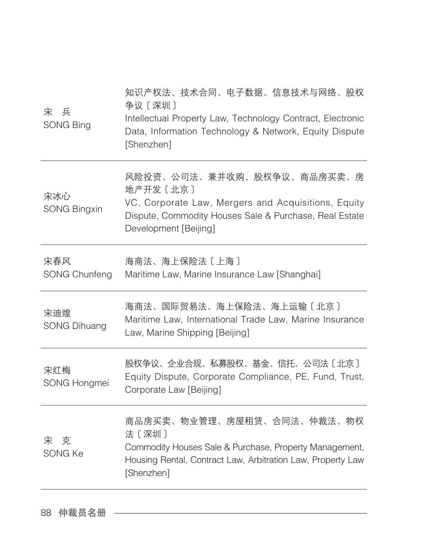| 兵<br>宋<br><b>SONG Bing</b>  | 知识产权法、技术合同、电子数据、信息技术与网络、股权<br>争议〔深圳〕<br>Intellectual Property Law, Technology Contract, Electronic<br>Data, Information Technology & Network, Equity Dispute<br>[Shenzhen]       |
|-----------------------------|----------------------------------------------------------------------------------------------------------------------------------------------------------------------------------|
| 宋冰心<br><b>SONG Bingxin</b>  | 风险投资、公司法、兼并收购、股权争议、商品房买卖、房<br>地产开发〔北京〕<br>VC, Corporate Law, Mergers and Acquisitions, Equity<br>Dispute, Commodity Houses Sale & Purchase, Real Estate<br>Development [Beijing] |
| 宋春风<br><b>SONG Chunfeng</b> | 海商法、海上保险法〔上海〕<br>Maritime Law, Marine Insurance Law [Shanghai]                                                                                                                   |
| 宋迪煌<br><b>SONG Dihuang</b>  | 海商法、国际贸易法、海上保险法、海上运输〔北京〕<br>Maritime Law, International Trade Law, Marine Insurance<br>Law, Marine Shipping [Beijing]                                                            |
| 宋红梅<br>SONG Hongmei         | 股权争议、企业合规、私募股权、基金、信托、公司法〔北京〕<br>Equity Dispute, Corporate Compliance, PE, Fund, Trust,<br>Corporate Law [Beijing]                                                                |
| 宋 克<br>SONG Ke              | 商品房买卖、物业管理、房屋租赁、合同法、仲裁法、物权<br>法〔深圳〕<br>Commodity Houses Sale & Purchase, Property Management,<br>Housing Rental, Contract Law, Arbitration Law, Property Law<br>[Shenzhen]       |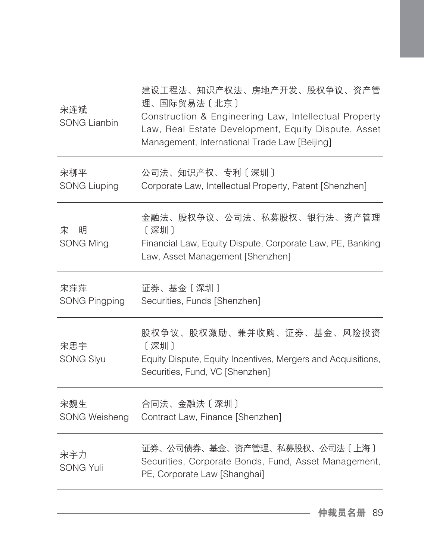| 宋连斌<br><b>SONG Lianbin</b>  | 建设工程法、知识产权法、房地产开发、股权争议、资产管<br>理、国际贸易法〔北京〕<br>Construction & Engineering Law, Intellectual Property<br>Law, Real Estate Development, Equity Dispute, Asset<br>Management, International Trade Law [Beijing] |
|-----------------------------|------------------------------------------------------------------------------------------------------------------------------------------------------------------------------------------------------------|
| 宋柳平<br><b>SONG Liuping</b>  | 公司法、知识产权、专利〔深圳〕<br>Corporate Law, Intellectual Property, Patent [Shenzhen]                                                                                                                                 |
| 明<br>宋<br><b>SONG Ming</b>  | 金融法、股权争议、公司法、私募股权、银行法、资产管理<br>[深圳]<br>Financial Law, Equity Dispute, Corporate Law, PE, Banking<br>Law, Asset Management [Shenzhen]                                                                        |
| 宋萍萍<br><b>SONG Pingping</b> | 证券、基金〔深圳〕<br>Securities, Funds [Shenzhen]                                                                                                                                                                  |
| 宋思宇<br><b>SONG Siyu</b>     | 股权争议、股权激励、兼并收购、证券、基金、风险投资<br>〔深圳〕<br>Equity Dispute, Equity Incentives, Mergers and Acquisitions,<br>Securities, Fund, VC [Shenzhen]                                                                       |
| 宋魏生<br><b>SONG Weisheng</b> | 合同法、金融法〔深圳〕<br>Contract Law, Finance [Shenzhen]                                                                                                                                                            |
| 宋宇力<br><b>SONG Yuli</b>     | 证券、公司债券、基金、资产管理、私募股权、公司法〔上海〕<br>Securities, Corporate Bonds, Fund, Asset Management,<br>PE, Corporate Law [Shanghai]                                                                                       |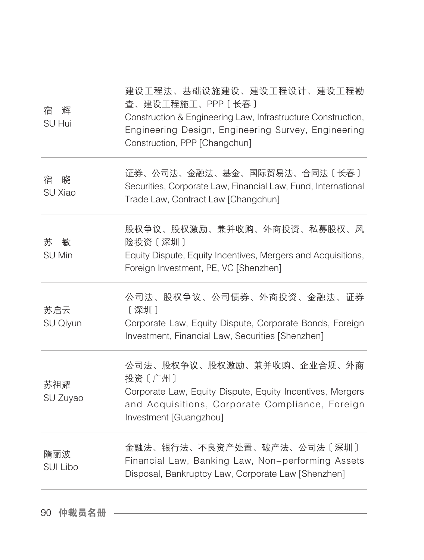| 宿<br>辉<br>SU Hui        | 建设工程法、基础设施建设、建设工程设计、建设工程勘<br>查、建设工程施工、PPP〔长春〕<br>Construction & Engineering Law, Infrastructure Construction,<br>Engineering Design, Engineering Survey, Engineering<br>Construction, PPP [Changchun] |
|-------------------------|-------------------------------------------------------------------------------------------------------------------------------------------------------------------------------------------------------|
| 宿<br>晓<br>SU Xiao       | 证券、公司法、金融法、基金、国际贸易法、合同法〔长春〕<br>Securities, Corporate Law, Financial Law, Fund, International<br>Trade Law, Contract Law [Changchun]                                                                   |
| 苏<br>敏<br><b>SU Min</b> | 股权争议、股权激励、兼并收购、外商投资、私募股权、风<br>险投资〔深圳〕<br>Equity Dispute, Equity Incentives, Mergers and Acquisitions,<br>Foreign Investment, PE, VC [Shenzhen]                                                        |
| 苏启云<br>SU Qiyun         | 公司法、股权争议、公司债券、外商投资、金融法、证券<br>[深圳]<br>Corporate Law, Equity Dispute, Corporate Bonds, Foreign<br>Investment, Financial Law, Securities [Shenzhen]                                                      |
| 苏祖耀<br>SU Zuyao         | 公司法、股权争议、股权激励、兼并收购、企业合规、外商<br>投资〔广州〕<br>Corporate Law, Equity Dispute, Equity Incentives, Mergers<br>and Acquisitions, Corporate Compliance, Foreign<br>Investment [Guangzhou]                        |
| 隋丽波<br>SUI Libo         | 金融法、银行法、不良资产处置、破产法、公司法〔深圳〕<br>Financial Law, Banking Law, Non-performing Assets<br>Disposal, Bankruptcy Law, Corporate Law [Shenzhen]                                                                 |
|                         |                                                                                                                                                                                                       |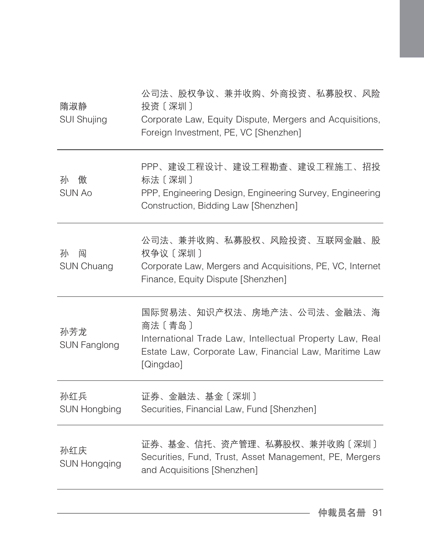| 隋淑静<br><b>SUI Shujing</b>   | 公司法、股权争议、兼并收购、外商投资、私募股权、风险<br>投资〔深圳〕<br>Corporate Law, Equity Dispute, Mergers and Acquisitions,<br>Foreign Investment, PE, VC [Shenzhen]                               |
|-----------------------------|-------------------------------------------------------------------------------------------------------------------------------------------------------------------------|
| 孙<br>傲<br><b>SUN Ao</b>     | PPP、建设工程设计、建设工程勘查、建设工程施工、招投<br>标法 [深圳]<br>PPP, Engineering Design, Engineering Survey, Engineering<br>Construction, Bidding Law [Shenzhen]                              |
| 孙<br>闯<br><b>SUN Chuang</b> | 公司法、兼并收购、私募股权、风险投资、互联网金融、股<br>权争议〔深圳〕<br>Corporate Law, Mergers and Acquisitions, PE, VC, Internet<br>Finance, Equity Dispute [Shenzhen]                                |
| 孙芳龙<br><b>SUN Fanglong</b>  | 国际贸易法、知识产权法、房地产法、公司法、金融法、海<br>商法〔青岛〕<br>International Trade Law, Intellectual Property Law, Real<br>Estate Law, Corporate Law, Financial Law, Maritime Law<br>[Qingdao] |
| 孙红兵<br><b>SUN Hongbing</b>  | 证券、金融法、基金〔深圳〕<br>Securities, Financial Law, Fund [Shenzhen]                                                                                                             |
| 孙红庆<br><b>SUN Hongqing</b>  | 证券、基金、信托、资产管理、私募股权、兼并收购〔深圳〕<br>Securities, Fund, Trust, Asset Management, PE, Mergers<br>and Acquisitions [Shenzhen]                                                    |
|                             |                                                                                                                                                                         |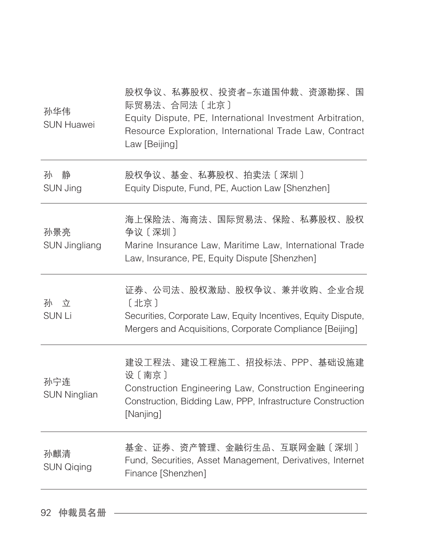| 孙华伟<br><b>SUN Huawei</b>    | 股权争议、私募股权、投资者-东道国仲裁、资源勘探、国<br>际贸易法、合同法〔北京〕<br>Equity Dispute, PE, International Investment Arbitration,<br>Resource Exploration, International Trade Law, Contract<br>Law [Beijing] |
|-----------------------------|-------------------------------------------------------------------------------------------------------------------------------------------------------------------------------------|
| 静<br>孙<br>SUN Jing          | 股权争议、基金、私募股权、拍卖法〔深圳〕<br>Equity Dispute, Fund, PE, Auction Law [Shenzhen]                                                                                                            |
| 孙景亮<br><b>SUN Jingliang</b> | 海上保险法、海商法、国际贸易法、保险、私募股权、股权<br>争议〔深圳〕<br>Marine Insurance Law, Maritime Law, International Trade<br>Law, Insurance, PE, Equity Dispute [Shenzhen]                                    |
| 孙 立<br><b>SUNLi</b>         | 证券、公司法、股权激励、股权争议、兼并收购、企业合规<br>〔北京〕<br>Securities, Corporate Law, Equity Incentives, Equity Dispute,<br>Mergers and Acquisitions, Corporate Compliance [Beijing]                     |
| 孙宁连<br><b>SUN Ninglian</b>  | 建设工程法、建设工程施工、招投标法、PPP、基础设施建<br>设〔南京〕<br>Construction Engineering Law, Construction Engineering<br>Construction, Bidding Law, PPP, Infrastructure Construction<br>[Nanjing]          |
| 孙麒清<br><b>SUN Qiqing</b>    | 基金、证券、资产管理、金融衍生品、互联网金融〔深圳〕<br>Fund, Securities, Asset Management, Derivatives, Internet<br>Finance [Shenzhen]                                                                       |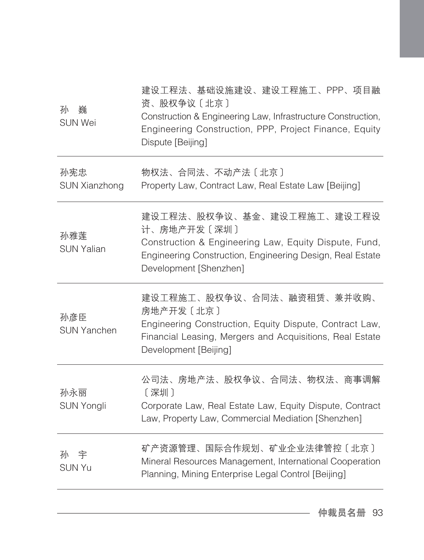| 孙<br>巍<br><b>SUN Wei</b>    | 建设工程法、基础设施建设、建设工程施工、PPP、项目融<br>资、股权争议〔北京〕<br>Construction & Engineering Law, Infrastructure Construction,<br>Engineering Construction, PPP, Project Finance, Equity<br>Dispute [Beijing]  |
|-----------------------------|-------------------------------------------------------------------------------------------------------------------------------------------------------------------------------------------|
| 孙宪忠<br><b>SUN Xianzhong</b> | 物权法、合同法、不动产法〔北京〕<br>Property Law, Contract Law, Real Estate Law [Beijing]                                                                                                                 |
| 孙雅莲<br><b>SUN Yalian</b>    | 建设工程法、股权争议、基金、建设工程施工、建设工程设<br>计、房地产开发〔深圳〕<br>Construction & Engineering Law, Equity Dispute, Fund,<br>Engineering Construction, Engineering Design, Real Estate<br>Development [Shenzhen] |
| 孙彦臣<br><b>SUN Yanchen</b>   | 建设工程施工、股权争议、合同法、融资租赁、兼并收购、<br>房地产开发〔北京〕<br>Engineering Construction, Equity Dispute, Contract Law,<br>Financial Leasing, Mergers and Acquisitions, Real Estate<br>Development [Beijing]   |
| 孙永丽<br>SUN Yongli           | 公司法、房地产法、股权争议、合同法、物权法、商事调解<br>[深圳]<br>Corporate Law, Real Estate Law, Equity Dispute, Contract<br>Law, Property Law, Commercial Mediation [Shenzhen]                                      |
| 孙<br>宇<br><b>SUN Yu</b>     | 矿产资源管理、国际合作规划、矿业企业法律管控〔北京〕<br>Mineral Resources Management, International Cooperation<br>Planning, Mining Enterprise Legal Control [Beijing]                                              |
|                             |                                                                                                                                                                                           |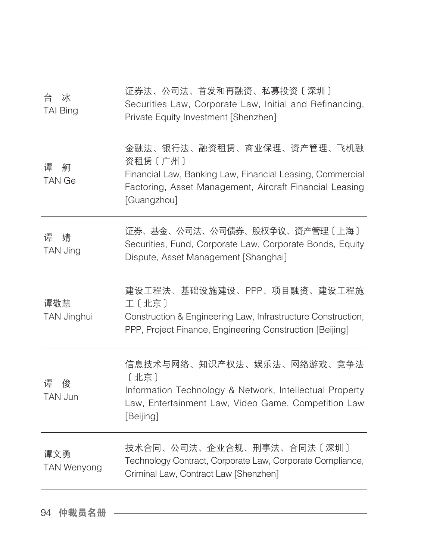| 台<br>冰<br><b>TAI Bing</b> | 证券法、公司法、首发和再融资、私募投资〔深圳〕<br>Securities Law, Corporate Law, Initial and Refinancing,<br>Private Equity Investment [Shenzhen]                                                   |
|---------------------------|------------------------------------------------------------------------------------------------------------------------------------------------------------------------------|
| 谭<br>舸<br><b>TAN Ge</b>   | 金融法、银行法、融资租赁、商业保理、资产管理、飞机融<br>资租赁〔广州〕<br>Financial Law, Banking Law, Financial Leasing, Commercial<br>Factoring, Asset Management, Aircraft Financial Leasing<br>[Guangzhou] |
| 谭<br>婧<br>TAN Jing        | 证券、基金、公司法、公司债券、股权争议、资产管理〔上海〕<br>Securities, Fund, Corporate Law, Corporate Bonds, Equity<br>Dispute, Asset Management [Shanghai]                                             |
| 谭敬慧<br>TAN Jinghui        | 建设工程法、基础设施建设、PPP、项目融资、建设工程施<br>工〔北京〕<br>Construction & Engineering Law, Infrastructure Construction,<br>PPP, Project Finance, Engineering Construction [Beijing]             |
| 谭<br>俊<br>TAN Jun         | 信息技术与网络、知识产权法、娱乐法、网络游戏、竞争法<br>[北京]<br>Information Technology & Network, Intellectual Property<br>Law, Entertainment Law, Video Game, Competition Law<br>[Beijing]            |
| 谭文勇<br><b>TAN Wenyong</b> | 技术合同、公司法、企业合规、刑事法、合同法〔深圳〕<br>Technology Contract, Corporate Law, Corporate Compliance,<br>Criminal Law, Contract Law [Shenzhen]                                              |
|                           |                                                                                                                                                                              |

94 仲裁员名册 ––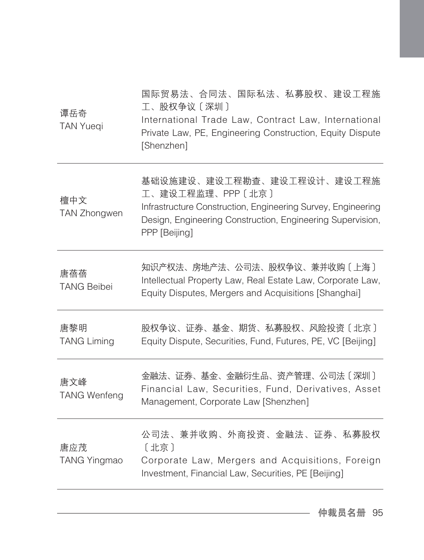| 谭岳奇<br><b>TAN Yueqi</b>    | 国际贸易法、合同法、国际私法、私募股权、建设工程施<br>工、股权争议〔深圳〕<br>International Trade Law, Contract Law, International<br>Private Law, PE, Engineering Construction, Equity Dispute<br>[Shenzhen]                    |
|----------------------------|-----------------------------------------------------------------------------------------------------------------------------------------------------------------------------------------------|
| 檀中文<br>TAN Zhongwen        | 基础设施建设、建设工程勘查、建设工程设计、建设工程施<br>工、建设工程监理、PPP〔北京〕<br>Infrastructure Construction, Engineering Survey, Engineering<br>Design, Engineering Construction, Engineering Supervision,<br>PPP [Beijing] |
| 唐蓓蓓<br><b>TANG Beibei</b>  | 知识产权法、房地产法、公司法、股权争议、兼并收购〔上海〕<br>Intellectual Property Law, Real Estate Law, Corporate Law,<br>Equity Disputes, Mergers and Acquisitions [Shanghai]                                            |
| 唐黎明<br><b>TANG Liming</b>  | 股权争议、证券、基金、期货、私募股权、风险投资〔北京〕<br>Equity Dispute, Securities, Fund, Futures, PE, VC [Beijing]                                                                                                    |
| 唐文峰<br><b>TANG Wenfeng</b> | 金融法、证券、基金、金融衍生品、资产管理、公司法〔深圳〕<br>Financial Law, Securities, Fund, Derivatives, Asset<br>Management, Corporate Law [Shenzhen]                                                                   |
| 唐应茂<br><b>TANG Yingmao</b> | 公司法、兼并收购、外商投资、金融法、证券、私募股权<br>[北京]<br>Corporate Law, Mergers and Acquisitions, Foreign<br>Investment, Financial Law, Securities, PE [Beijing]                                                  |
|                            |                                                                                                                                                                                               |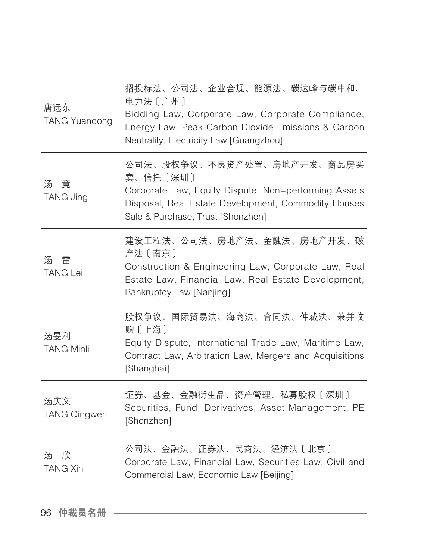| 唐远东<br><b>TANG Yuandong</b> | 招投标法、公司法、企业合规、能源法、碳达峰与碳中和、<br>电力法〔广州〕<br>Bidding Law, Corporate Law, Corporate Compliance,<br>Energy Law, Peak Carbon Dioxide Emissions & Carbon<br>Neutrality, Electricity Law [Guangzhou] |
|-----------------------------|---------------------------------------------------------------------------------------------------------------------------------------------------------------------------------------------|
| 汤竟<br>TANG Jing             | 公司法、股权争议、不良资产处置、房地产开发、商品房买<br>卖、信托〔深圳〕<br>Corporate Law, Equity Dispute, Non-performing Assets<br>Disposal, Real Estate Development, Commodity Houses<br>Sale & Purchase, Trust [Shenzhen]  |
| 雷<br>汤<br><b>TANG Lei</b>   | 建设工程法、公司法、房地产法、金融法、房地产开发、破<br>产法〔南京〕<br>Construction & Engineering Law, Corporate Law, Real<br>Estate Law, Financial Law, Real Estate Development,<br>Bankruptcy Law [Nanjing]              |
| 汤旻利<br><b>TANG Minli</b>    | 股权争议、国际贸易法、海商法、合同法、仲裁法、兼并收<br>购〔上海〕<br>Equity Dispute, International Trade Law, Maritime Law,<br>Contract Law, Arbitration Law, Mergers and Acquisitions<br>[Shanghai]                      |
| 汤庆文<br><b>TANG Qingwen</b>  | 证券、基金、金融衍生品、资产管理、私募股权〔深圳〕<br>Securities, Fund, Derivatives, Asset Management, PE<br>[Shenzhen]                                                                                              |
| 一欣<br>汤<br><b>TANG Xin</b>  | 公司法、金融法、证券法、民商法、经济法〔北京〕<br>Corporate Law, Financial Law, Securities Law, Civil and<br>Commercial Law, Economic Law [Beijing]                                                                |
|                             |                                                                                                                                                                                             |

96 仲裁员名册 –––––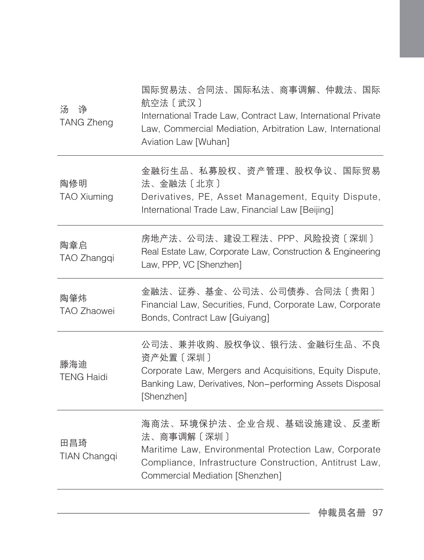| 金融衍生品、私募股权、资产管理、股权争议、国际贸易<br>陶修明<br>法、金融法〔北京〕<br><b>TAO Xiuming</b><br>Derivatives, PE, Asset Management, Equity Dispute,<br>International Trade Law, Financial Law [Beijing]<br>房地产法、公司法、建设工程法、PPP、风险投资〔深圳〕<br>陶章启<br>Real Estate Law, Corporate Law, Construction & Engineering<br>TAO Zhangqi<br>Law, PPP, VC [Shenzhen]<br>金融法、证券、基金、公司法、公司债券、合同法〔贵阳〕<br>陶肇炜<br>Financial Law, Securities, Fund, Corporate Law, Corporate<br><b>TAO Zhaowei</b><br>Bonds, Contract Law [Guiyang]<br>公司法、兼并收购、股权争议、银行法、金融衍生品、不良<br>资产处置 [深圳]<br>滕海迪<br>Corporate Law, Mergers and Acquisitions, Equity Dispute,<br><b>TENG Haidi</b><br>Banking Law, Derivatives, Non-performing Assets Disposal<br>[Shenzhen]<br>海商法、环境保护法、企业合规、基础设施建设、反垄断<br>法、商事调解〔深圳〕<br>田昌琦<br>Maritime Law, Environmental Protection Law, Corporate<br>TIAN Changqi<br>Compliance, Infrastructure Construction, Antitrust Law,<br>Commercial Mediation [Shenzhen] | 诤<br>汤<br><b>TANG Zheng</b> | 国际贸易法、合同法、国际私法、商事调解、仲裁法、国际<br>航空法 [武汉]<br>International Trade Law, Contract Law, International Private<br>Law, Commercial Mediation, Arbitration Law, International<br>Aviation Law [Wuhan] |
|----------------------------------------------------------------------------------------------------------------------------------------------------------------------------------------------------------------------------------------------------------------------------------------------------------------------------------------------------------------------------------------------------------------------------------------------------------------------------------------------------------------------------------------------------------------------------------------------------------------------------------------------------------------------------------------------------------------------------------------------------------------------------------------------------------------------------------------------------------------------------------------------------------------------------|-----------------------------|---------------------------------------------------------------------------------------------------------------------------------------------------------------------------------------------|
|                                                                                                                                                                                                                                                                                                                                                                                                                                                                                                                                                                                                                                                                                                                                                                                                                                                                                                                            |                             |                                                                                                                                                                                             |
|                                                                                                                                                                                                                                                                                                                                                                                                                                                                                                                                                                                                                                                                                                                                                                                                                                                                                                                            |                             |                                                                                                                                                                                             |
|                                                                                                                                                                                                                                                                                                                                                                                                                                                                                                                                                                                                                                                                                                                                                                                                                                                                                                                            |                             |                                                                                                                                                                                             |
|                                                                                                                                                                                                                                                                                                                                                                                                                                                                                                                                                                                                                                                                                                                                                                                                                                                                                                                            |                             |                                                                                                                                                                                             |
|                                                                                                                                                                                                                                                                                                                                                                                                                                                                                                                                                                                                                                                                                                                                                                                                                                                                                                                            |                             |                                                                                                                                                                                             |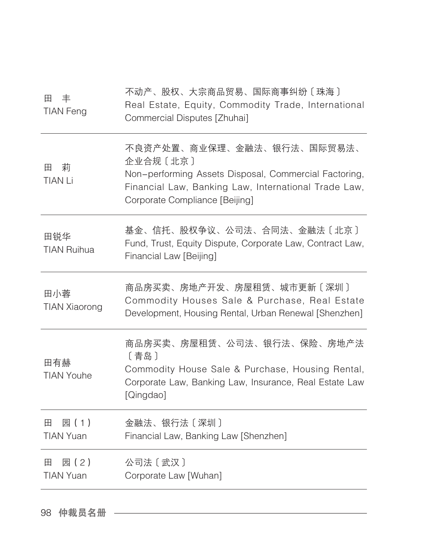| 田<br>丰<br><b>TIAN Feng</b>     | 不动产、股权、大宗商品贸易、国际商事纠纷〔珠海〕<br>Real Estate, Equity, Commodity Trade, International<br>Commercial Disputes [Zhuhai]                                                                           |
|--------------------------------|-------------------------------------------------------------------------------------------------------------------------------------------------------------------------------------------|
| 莉<br>田<br><b>TIAN Li</b>       | 不良资产处置、商业保理、金融法、银行法、国际贸易法、<br>企业合规〔北京〕<br>Non-performing Assets Disposal, Commercial Factoring,<br>Financial Law, Banking Law, International Trade Law,<br>Corporate Compliance [Beijing] |
| 田锐华<br><b>TIAN Ruihua</b>      | 基金、信托、股权争议、公司法、合同法、金融法〔北京〕<br>Fund, Trust, Equity Dispute, Corporate Law, Contract Law,<br>Financial Law [Beijing]                                                                        |
| 田小蓉<br><b>TIAN Xiaorong</b>    | 商品房买卖、房地产开发、房屋租赁、城市更新〔深圳〕<br>Commodity Houses Sale & Purchase, Real Estate<br>Development, Housing Rental, Urban Renewal [Shenzhen]                                                       |
| 田有赫<br><b>TIAN Youhe</b>       | 商品房买卖、房屋租赁、公司法、银行法、保险、房地产法<br>〔青岛〕<br>Commodity House Sale & Purchase, Housing Rental,<br>Corporate Law, Banking Law, Insurance, Real Estate Law<br>[Qingdao]                             |
| 田<br>园 (1)<br><b>TIAN Yuan</b> | 金融法、银行法〔深圳〕<br>Financial Law, Banking Law [Shenzhen]                                                                                                                                      |
| 园(2)<br>田<br><b>TIAN Yuan</b>  | 公司法 [ 武汉 ]<br>Corporate Law [Wuhan]                                                                                                                                                       |
|                                |                                                                                                                                                                                           |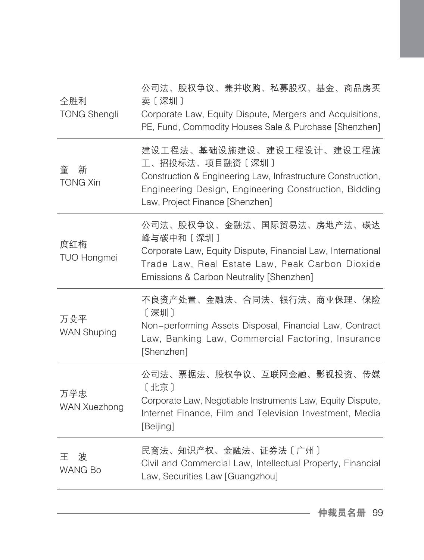| 仝胜利<br><b>TONG Shengli</b> | 公司法、股权争议、兼并收购、私募股权、基金、商品房买<br>卖〔深圳〕<br>Corporate Law, Equity Dispute, Mergers and Acquisitions,<br>PE, Fund, Commodity Houses Sale & Purchase [Shenzhen]                                                 |
|----------------------------|----------------------------------------------------------------------------------------------------------------------------------------------------------------------------------------------------------|
| 新<br>童<br><b>TONG Xin</b>  | 建设工程法、基础设施建设、建设工程设计、建设工程施<br>工、招投标法、项目融资〔深圳〕<br>Construction & Engineering Law, Infrastructure Construction,<br>Engineering Design, Engineering Construction, Bidding<br>Law, Project Finance [Shenzhen] |
| 庹红梅<br><b>TUO Hongmei</b>  | 公司法、股权争议、金融法、国际贸易法、房地产法、碳达<br>峰与碳中和〔深圳〕<br>Corporate Law, Equity Dispute, Financial Law, International<br>Trade Law, Real Estate Law, Peak Carbon Dioxide<br>Emissions & Carbon Neutrality [Shenzhen]    |
| 万殳平<br><b>WAN Shuping</b>  | 不良资产处置、金融法、合同法、银行法、商业保理、保险<br>〔深圳〕<br>Non-performing Assets Disposal, Financial Law, Contract<br>Law, Banking Law, Commercial Factoring, Insurance<br>[Shenzhen]                                         |
| 万学忠<br><b>WAN Xuezhong</b> | 公司法、票据法、股权争议、互联网金融、影视投资、传媒<br>〔北京〕<br>Corporate Law, Negotiable Instruments Law, Equity Dispute,<br>Internet Finance, Film and Television Investment, Media<br>[Beijing]                                 |
| 波<br>干<br><b>WANG Bo</b>   | 民商法、知识产权、金融法、证券法〔广州〕<br>Civil and Commercial Law, Intellectual Property, Financial<br>Law, Securities Law [Guangzhou]                                                                                    |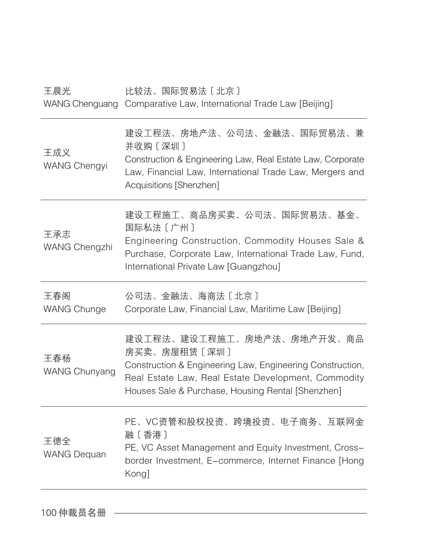| 王晨光                        | 比较法、国际贸易法〔北京〕<br>WANG Chenguang Comparative Law, International Trade Law [Beijing]                                                                                                                                  |
|----------------------------|---------------------------------------------------------------------------------------------------------------------------------------------------------------------------------------------------------------------|
| 王成义<br><b>WANG Chengyi</b> | 建设工程法、房地产法、公司法、金融法、国际贸易法、兼<br>并收购〔深圳〕<br>Construction & Engineering Law, Real Estate Law, Corporate<br>Law, Financial Law, International Trade Law, Mergers and<br>Acquisitions [Shenzhen]                          |
| 王承志<br>WANG Chengzhi       | 建设工程施工、商品房买卖、公司法、国际贸易法、基金、<br>国际私法〔广州〕<br>Engineering Construction, Commodity Houses Sale &<br>Purchase, Corporate Law, International Trade Law, Fund,<br>International Private Law [Guangzhou]                     |
| 王春阁<br><b>WANG Chunge</b>  | 公司法、金融法、海商法〔北京〕<br>Corporate Law, Financial Law, Maritime Law [Beijing]                                                                                                                                             |
| 王春杨<br>WANG Chunyang       | 建设工程法、建设工程施工、房地产法、房地产开发、商品<br>房买卖、房屋租赁〔深圳〕<br>Construction & Engineering Law, Engineering Construction,<br>Real Estate Law, Real Estate Development, Commodity<br>Houses Sale & Purchase, Housing Rental [Shenzhen] |
| 王德全<br><b>WANG Dequan</b>  | PE、VC资管和股权投资、跨境投资、电子商务、互联网金<br>融〔香港〕<br>PE, VC Asset Management and Equity Investment, Cross-<br>border Investment, E-commerce, Internet Finance [Hong<br>Kong]                                                     |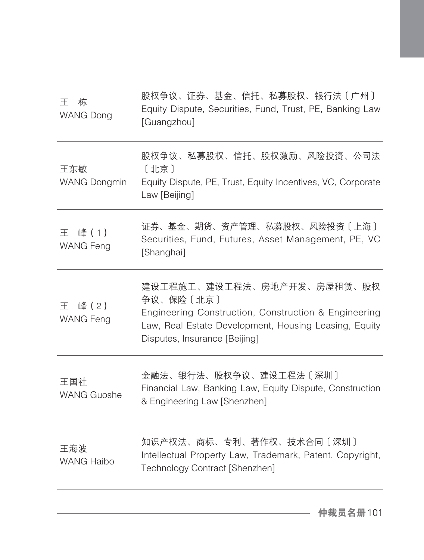| 王<br>栋<br><b>WANG Dong</b>    | 股权争议、证券、基金、信托、私募股权、银行法〔广州〕<br>Equity Dispute, Securities, Fund, Trust, PE, Banking Law<br>[Guangzhou]                                                                                     |
|-------------------------------|-------------------------------------------------------------------------------------------------------------------------------------------------------------------------------------------|
| 王东敏<br><b>WANG Dongmin</b>    | 股权争议、私募股权、信托、股权激励、风险投资、公司法<br>〔北京〕<br>Equity Dispute, PE, Trust, Equity Incentives, VC, Corporate<br>Law [Beijing]                                                                        |
| 王<br>峰(1)<br><b>WANG Feng</b> | 证券、基金、期货、资产管理、私募股权、风险投资〔上海〕<br>Securities, Fund, Futures, Asset Management, PE, VC<br>[Shanghai]                                                                                          |
| 峰(2)<br>王<br><b>WANG Feng</b> | 建设工程施工、建设工程法、房地产开发、房屋租赁、股权<br>争议、保险〔北京〕<br>Engineering Construction, Construction & Engineering<br>Law, Real Estate Development, Housing Leasing, Equity<br>Disputes, Insurance [Beijing] |
| 王国社<br><b>WANG Guoshe</b>     | 金融法、银行法、股权争议、建设工程法〔深圳〕<br>Financial Law, Banking Law, Equity Dispute, Construction<br>& Engineering Law [Shenzhen]                                                                        |
| 王海波<br><b>WANG Haibo</b>      | 知识产权法、商标、专利、著作权、技术合同〔深圳〕<br>Intellectual Property Law, Trademark, Patent, Copyright,<br>Technology Contract [Shenzhen]                                                                    |
|                               |                                                                                                                                                                                           |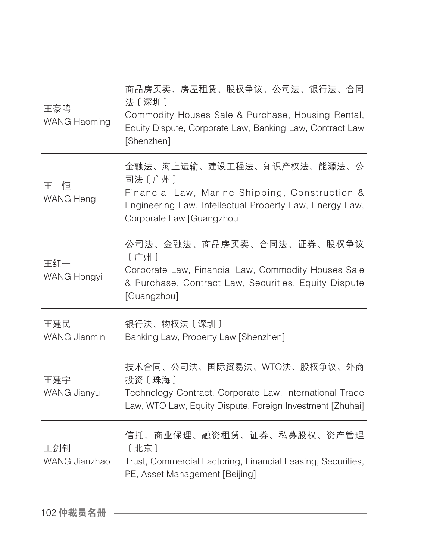| 王豪鸣<br><b>WANG Haoming</b> | 商品房买卖、房屋租赁、股权争议、公司法、银行法、合同<br>法〔深圳〕<br>Commodity Houses Sale & Purchase, Housing Rental,<br>Equity Dispute, Corporate Law, Banking Law, Contract Law<br>[Shenzhen]             |
|----------------------------|--------------------------------------------------------------------------------------------------------------------------------------------------------------------------------|
| 干<br>恒<br><b>WANG Heng</b> | 金融法、海上运输、建设工程法、知识产权法、能源法、公<br>司法〔广州〕<br>Financial Law, Marine Shipping, Construction &<br>Engineering Law, Intellectual Property Law, Energy Law,<br>Corporate Law [Guangzhou] |
| 王红一<br><b>WANG Hongyi</b>  | 公司法、金融法、商品房买卖、合同法、证券、股权争议<br>〔广州〕<br>Corporate Law, Financial Law, Commodity Houses Sale<br>& Purchase, Contract Law, Securities, Equity Dispute<br>[Guangzhou]                |
| 王建民<br><b>WANG Jianmin</b> | 银行法、物权法〔深圳〕<br>Banking Law, Property Law [Shenzhen]                                                                                                                            |
| 王建宇<br>WANG Jianyu         | 技术合同、公司法、国际贸易法、WTO法、股权争议、外商<br>投资〔珠海〕<br>Technology Contract, Corporate Law, International Trade<br>Law, WTO Law, Equity Dispute, Foreign Investment [Zhuhai]                  |
| 王剑钊<br>WANG Jianzhao       | 信托、商业保理、融资租赁、证券、私募股权、资产管理<br>[北京]<br>Trust, Commercial Factoring, Financial Leasing, Securities,<br>PE, Asset Management [Beijing]                                             |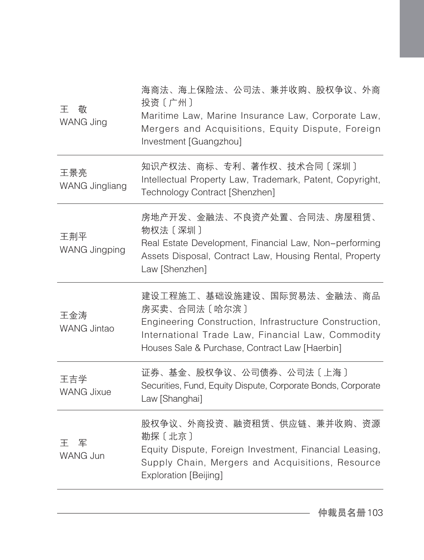| 干<br>敬<br>WANG Jing          | 海商法、海上保险法、公司法、兼并收购、股权争议、外商<br>投资〔广州〕<br>Maritime Law, Marine Insurance Law, Corporate Law,<br>Mergers and Acquisitions, Equity Dispute, Foreign<br>Investment [Guangzhou]                                   |
|------------------------------|-------------------------------------------------------------------------------------------------------------------------------------------------------------------------------------------------------------|
| 王景亮<br><b>WANG Jingliang</b> | 知识产权法、商标、专利、著作权、技术合同〔深圳〕<br>Intellectual Property Law, Trademark, Patent, Copyright,<br>Technology Contract [Shenzhen]                                                                                      |
| 王荆平<br>WANG Jingping         | 房地产开发、金融法、不良资产处置、合同法、房屋租赁、<br>物权法〔深圳〕<br>Real Estate Development, Financial Law, Non-performing<br>Assets Disposal, Contract Law, Housing Rental, Property<br>Law [Shenzhen]                                |
| 王金涛<br><b>WANG Jintao</b>    | 建设工程施工、基础设施建设、国际贸易法、金融法、商品<br>房买卖、合同法〔哈尔滨〕<br>Engineering Construction, Infrastructure Construction,<br>International Trade Law, Financial Law, Commodity<br>Houses Sale & Purchase, Contract Law [Haerbin] |
| 王吉学<br><b>WANG Jixue</b>     | 证券、基金、股权争议、公司债券、公司法〔上海〕<br>Securities, Fund, Equity Dispute, Corporate Bonds, Corporate<br>Law [Shanghai]                                                                                                   |
| 王军<br>WANG Jun               | 股权争议、外商投资、融资租赁、供应链、兼并收购、资源<br>勘探〔北京〕<br>Equity Dispute, Foreign Investment, Financial Leasing,<br>Supply Chain, Mergers and Acquisitions, Resource<br>Exploration [Beijing]                                 |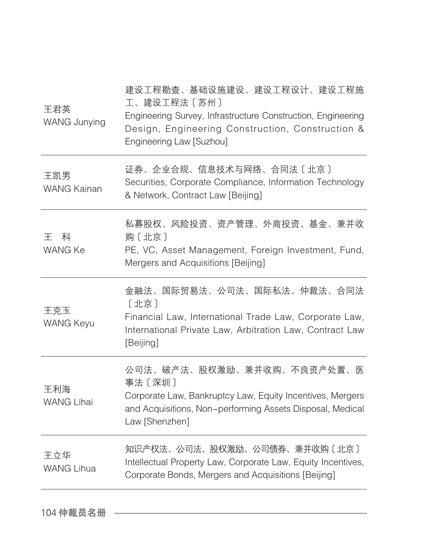| 证券、企业合规、信息技术与网络、合同法〔北京〕<br>王凯男<br>Securities, Corporate Compliance, Information Technology<br><b>WANG Kainan</b><br>& Network, Contract Law [Beijing]<br>私募股权、风险投资、资产管理、外商投资、基金、兼并收<br>科<br>干<br>购〔北京〕<br><b>WANG Ke</b><br>PE, VC, Asset Management, Foreign Investment, Fund,<br>Mergers and Acquisitions [Beijing]<br>金融法、国际贸易法、公司法、国际私法、仲裁法、合同法<br>〔北京〕<br>王克玉<br>Financial Law, International Trade Law, Corporate Law,<br><b>WANG Keyu</b><br>International Private Law, Arbitration Law, Contract Law<br>[Beijing]<br>公司法、破产法、股权激励、兼并收购、不良资产处置、医<br>事法〔深圳〕<br>王利海 |
|--------------------------------------------------------------------------------------------------------------------------------------------------------------------------------------------------------------------------------------------------------------------------------------------------------------------------------------------------------------------------------------------------------------------------------------------------------------------------------------------------------------------------------------------------------------------------|
|                                                                                                                                                                                                                                                                                                                                                                                                                                                                                                                                                                          |
|                                                                                                                                                                                                                                                                                                                                                                                                                                                                                                                                                                          |
|                                                                                                                                                                                                                                                                                                                                                                                                                                                                                                                                                                          |
| Corporate Law, Bankruptcy Law, Equity Incentives, Mergers<br><b>WANG Lihai</b><br>and Acquisitions, Non-performing Assets Disposal, Medical<br>Law [Shenzhen]                                                                                                                                                                                                                                                                                                                                                                                                            |
| 知识产权法、公司法、股权激励、公司债券、兼并收购〔北京〕<br>王立华<br>Intellectual Property Law, Corporate Law, Equity Incentives,<br><b>WANG Lihua</b><br>Corporate Bonds, Mergers and Acquisitions [Beijing]                                                                                                                                                                                                                                                                                                                                                                                          |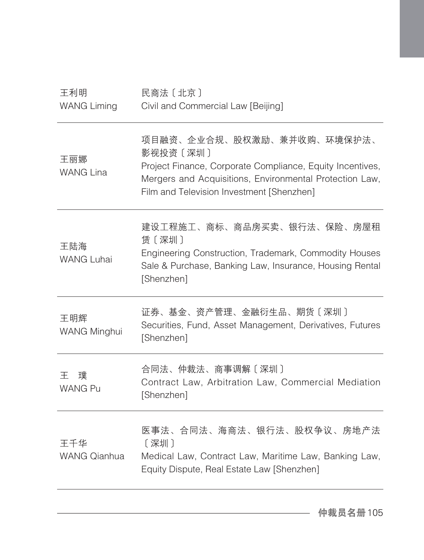| 王利明<br><b>WANG Liming</b>  | 民商法 [北京]<br>Civil and Commercial Law [Beijing]                                                                                                                                                              |
|----------------------------|-------------------------------------------------------------------------------------------------------------------------------------------------------------------------------------------------------------|
| 王丽娜<br><b>WANG Lina</b>    | 项目融资、企业合规、股权激励、兼并收购、环境保护法、<br>影视投资〔深圳〕<br>Project Finance, Corporate Compliance, Equity Incentives,<br>Mergers and Acquisitions, Environmental Protection Law,<br>Film and Television Investment [Shenzhen] |
| 王陆海<br><b>WANG Luhai</b>   | 建设工程施工、商标、商品房买卖、银行法、保险、房屋租<br>赁〔深圳〕<br>Engineering Construction, Trademark, Commodity Houses<br>Sale & Purchase, Banking Law, Insurance, Housing Rental<br>[Shenzhen]                                       |
| 王明辉<br><b>WANG Minghui</b> | 证券、基金、资产管理、金融衍生品、期货〔深圳〕<br>Securities, Fund, Asset Management, Derivatives, Futures<br>[Shenzhen]                                                                                                           |
| 璞<br>王<br><b>WANG Pu</b>   | 合同法、仲裁法、商事调解〔深圳〕<br>Contract Law, Arbitration Law, Commercial Mediation<br>[Shenzhen]                                                                                                                       |
| 王千华<br>WANG Qianhua        | 医事法、合同法、海商法、银行法、股权争议、房地产法<br>[深圳]<br>Medical Law, Contract Law, Maritime Law, Banking Law,<br>Equity Dispute, Real Estate Law [Shenzhen]                                                                    |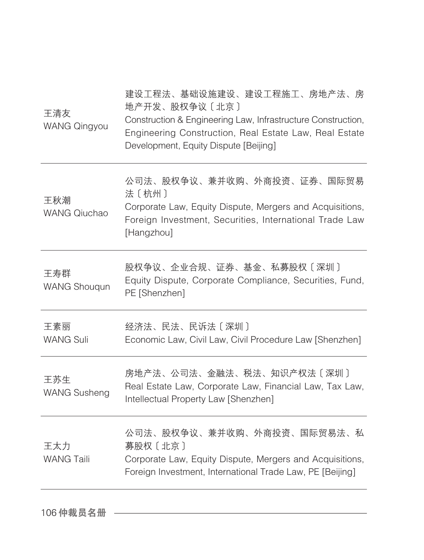| 王清友<br><b>WANG Qingyou</b> | 建设工程法、基础设施建设、建设工程施工、房地产法、房<br>地产开发、股权争议〔北京〕<br>Construction & Engineering Law, Infrastructure Construction,<br>Engineering Construction, Real Estate Law, Real Estate<br>Development, Equity Dispute [Beijing] |
|----------------------------|----------------------------------------------------------------------------------------------------------------------------------------------------------------------------------------------------------------|
| 王秋潮<br><b>WANG Qiuchao</b> | 公司法、股权争议、兼并收购、外商投资、证券、国际贸易<br>法〔杭州〕<br>Corporate Law, Equity Dispute, Mergers and Acquisitions,<br>Foreign Investment, Securities, International Trade Law<br>[Hangzhou]                                       |
| 王寿群<br><b>WANG Shouqun</b> | 股权争议、企业合规、证券、基金、私募股权〔深圳〕<br>Equity Dispute, Corporate Compliance, Securities, Fund,<br>PE [Shenzhen]                                                                                                           |
| 王素丽<br><b>WANG Suli</b>    | 经济法、民法、民诉法〔深圳〕<br>Economic Law, Civil Law, Civil Procedure Law [Shenzhen]                                                                                                                                      |
| 王苏生<br><b>WANG Susheng</b> | 房地产法、公司法、金融法、税法、知识产权法〔深圳〕<br>Real Estate Law, Corporate Law, Financial Law, Tax Law,<br>Intellectual Property Law [Shenzhen]                                                                                   |
| 王太力<br><b>WANG Taili</b>   | 公司法、股权争议、兼并收购、外商投资、国际贸易法、私<br>募股权〔北京〕<br>Corporate Law, Equity Dispute, Mergers and Acquisitions,<br>Foreign Investment, International Trade Law, PE [Beijing]                                                 |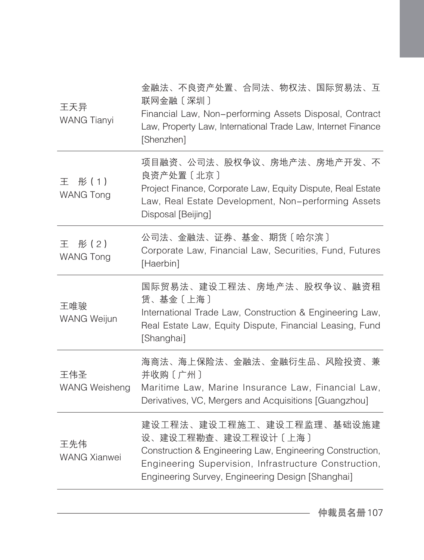| 王天异<br><b>WANG Tianyi</b>      | 金融法、不良资产处置、合同法、物权法、国际贸易法、互<br>联网金融〔深圳〕<br>Financial Law, Non-performing Assets Disposal, Contract<br>Law, Property Law, International Trade Law, Internet Finance<br>[Shenzhen]                                             |
|--------------------------------|-----------------------------------------------------------------------------------------------------------------------------------------------------------------------------------------------------------------------------|
| 彤(1)<br>王<br><b>WANG Tong</b>  | 项目融资、公司法、股权争议、房地产法、房地产开发、不<br>良资产处置〔北京〕<br>Project Finance, Corporate Law, Equity Dispute, Real Estate<br>Law, Real Estate Development, Non-performing Assets<br>Disposal [Beijing]                                         |
| # (2)<br>王<br><b>WANG Tong</b> | 公司法、金融法、证券、基金、期货〔哈尔滨〕<br>Corporate Law, Financial Law, Securities, Fund, Futures<br>[Haerbin]                                                                                                                               |
| 王唯骏<br><b>WANG Weijun</b>      | 国际贸易法、建设工程法、房地产法、股权争议、融资租<br>赁、基金〔上海〕<br>International Trade Law, Construction & Engineering Law,<br>Real Estate Law, Equity Dispute, Financial Leasing, Fund<br>[Shanghai]                                                 |
| 王伟圣<br><b>WANG Weisheng</b>    | 海商法、海上保险法、金融法、金融衍生品、风险投资、兼<br>并收购〔广州〕<br>Maritime Law, Marine Insurance Law, Financial Law,<br>Derivatives, VC, Mergers and Acquisitions [Guangzhou]                                                                        |
| 王先伟<br><b>WANG Xianwei</b>     | 建设工程法、建设工程施工、建设工程监理、基础设施建<br>设、建设工程勘查、建设工程设计〔上海〕<br>Construction & Engineering Law, Engineering Construction,<br>Engineering Supervision, Infrastructure Construction,<br>Engineering Survey, Engineering Design [Shanghai] |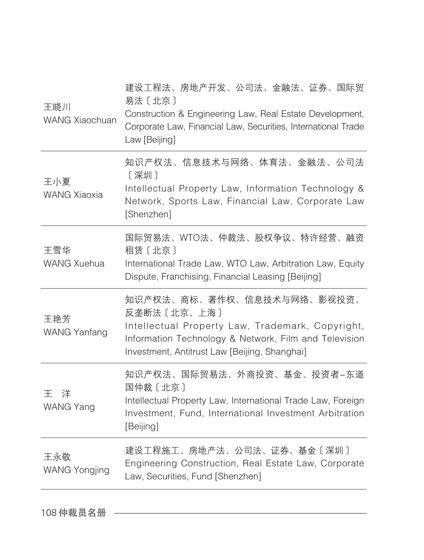| 王晓川<br>WANG Xiaochuan       | 建设工程法、房地产开发、公司法、金融法、证券、国际贸<br>易法 [北京]<br>Construction & Engineering Law, Real Estate Development,<br>Corporate Law, Financial Law, Securities, International Trade<br>Law [Beijing]                      |
|-----------------------------|----------------------------------------------------------------------------------------------------------------------------------------------------------------------------------------------------------|
| 王小夏<br><b>WANG Xiaoxia</b>  | 知识产权法、信息技术与网络、体育法、金融法、公司法<br>[深圳]<br>Intellectual Property Law, Information Technology &<br>Network, Sports Law, Financial Law, Corporate Law<br>[Shenzhen]                                              |
| 王雪华<br><b>WANG Xuehua</b>   | 国际贸易法、WTO法、仲裁法、股权争议、特许经营、融资<br>租赁〔北京〕<br>International Trade Law, WTO Law, Arbitration Law, Equity<br>Dispute, Franchising, Financial Leasing [Beijing]                                                  |
| 王艳芳<br><b>WANG Yanfang</b>  | 知识产权法、商标、著作权、信息技术与网络、影视投资、<br>反垄断法 [北京、上海]<br>Intellectual Property Law, Trademark, Copyright,<br>Information Technology & Network, Film and Television<br>Investment, Antitrust Law [Beijing, Shanghai] |
| 王洋<br>WANG Yang             | 知识产权法、国际贸易法、外商投资、基金、投资者―东道<br>国仲裁〔北京〕<br>Intellectual Property Law, International Trade Law, Foreign<br>Investment, Fund, International Investment Arbitration<br>[Beijing]                              |
| 王永敬<br><b>WANG Yongjing</b> | 建设工程施工、房地产法、公司法、证券、基金〔深圳〕<br>Engineering Construction, Real Estate Law, Corporate<br>Law, Securities, Fund [Shenzhen]                                                                                    |
|                             |                                                                                                                                                                                                          |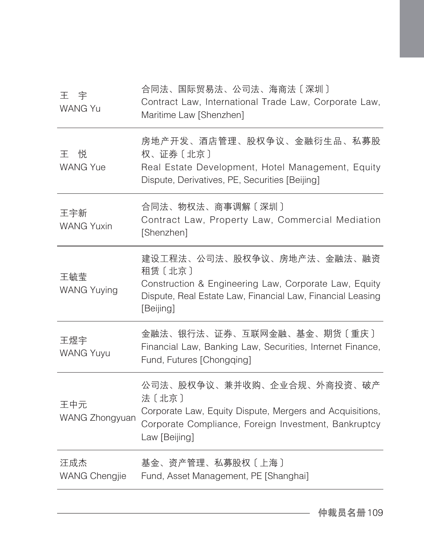| 王宇<br><b>WANG Yu</b>        | 合同法、国际贸易法、公司法、海商法〔深圳〕<br>Contract Law, International Trade Law, Corporate Law,<br>Maritime Law [Shenzhen]                                                                |
|-----------------------------|--------------------------------------------------------------------------------------------------------------------------------------------------------------------------|
| 悦<br>干<br><b>WANG Yue</b>   | 房地产开发、酒店管理、股权争议、金融衍生品、私募股<br>权、证券〔北京〕<br>Real Estate Development, Hotel Management, Equity<br>Dispute, Derivatives, PE, Securities [Beijing]                             |
| 王宇新<br><b>WANG Yuxin</b>    | 合同法、物权法、商事调解〔深圳〕<br>Contract Law, Property Law, Commercial Mediation<br>[Shenzhen]                                                                                       |
| 王毓莹<br><b>WANG Yuying</b>   | 建设工程法、公司法、股权争议、房地产法、金融法、融资<br>租赁〔北京〕<br>Construction & Engineering Law, Corporate Law, Equity<br>Dispute, Real Estate Law, Financial Law, Financial Leasing<br>[Beijing] |
| 王煜宇<br><b>WANG Yuyu</b>     | 金融法、银行法、证券、互联网金融、基金、期货〔重庆〕<br>Financial Law, Banking Law, Securities, Internet Finance,<br>Fund, Futures [Chongqing]                                                     |
| 王中元<br>WANG Zhongyuan       | 公司法、股权争议、兼并收购、企业合规、外商投资、破产<br>法〔北京〕<br>Corporate Law, Equity Dispute, Mergers and Acquisitions,<br>Corporate Compliance, Foreign Investment, Bankruptcy<br>Law [Beijing] |
| 汪成杰<br><b>WANG Chengjie</b> | 基金、资产管理、私募股权〔上海〕<br>Fund, Asset Management, PE [Shanghai]                                                                                                                |
|                             |                                                                                                                                                                          |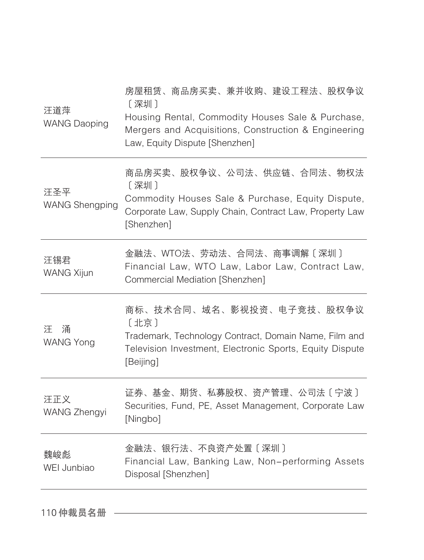| 汪道萍<br><b>WANG Daoping</b>   | 房屋租赁、商品房买卖、兼并收购、建设工程法、股权争议<br>[深圳]<br>Housing Rental, Commodity Houses Sale & Purchase,<br>Mergers and Acquisitions, Construction & Engineering<br>Law, Equity Dispute [Shenzhen] |
|------------------------------|-----------------------------------------------------------------------------------------------------------------------------------------------------------------------------------|
| 汪圣平<br><b>WANG Shengping</b> | 商品房买卖、股权争议、公司法、供应链、合同法、物权法<br>[深圳]<br>Commodity Houses Sale & Purchase, Equity Dispute,<br>Corporate Law, Supply Chain, Contract Law, Property Law<br>[Shenzhen]                  |
| 汪锡君<br><b>WANG Xijun</b>     | 金融法、WTO法、劳动法、合同法、商事调解〔深圳〕<br>Financial Law, WTO Law, Labor Law, Contract Law,<br>Commercial Mediation [Shenzhen]                                                                  |
| 涌<br>汗<br><b>WANG Yong</b>   | 商标、技术合同、域名、影视投资、电子竞技、股权争议<br>〔北京〕<br>Trademark, Technology Contract, Domain Name, Film and<br>Television Investment, Electronic Sports, Equity Dispute<br>[Beijing]               |
| 汪正义<br><b>WANG Zhengyi</b>   | 证券、基金、期货、私募股权、资产管理、公司法〔宁波〕<br>Securities, Fund, PE, Asset Management, Corporate Law<br>[Ningbo]                                                                                   |
| 魏峻彪<br>WEI Junbiao           | 金融法、银行法、不良资产处置〔深圳〕<br>Financial Law, Banking Law, Non-performing Assets<br>Disposal [Shenzhen]                                                                                    |
|                              |                                                                                                                                                                                   |

110 仲裁员名册 ––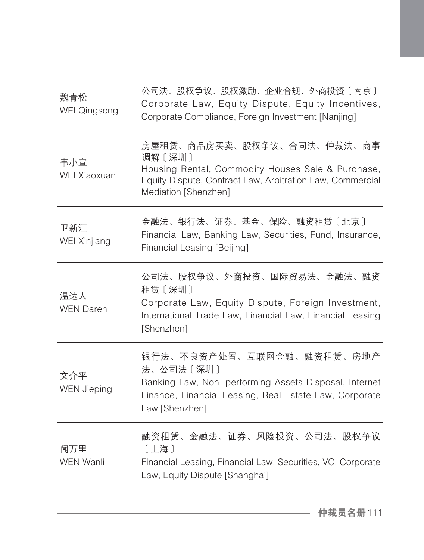| 魏青松<br><b>WEI Qingsong</b> | 公司法、股权争议、股权激励、企业合规、外商投资〔南京〕<br>Corporate Law, Equity Dispute, Equity Incentives,<br>Corporate Compliance, Foreign Investment [Nanjing]                                         |
|----------------------------|--------------------------------------------------------------------------------------------------------------------------------------------------------------------------------|
| 韦小宣<br>WEI Xiaoxuan        | 房屋租赁、商品房买卖、股权争议、合同法、仲裁法、商事<br>调解〔深圳〕<br>Housing Rental, Commodity Houses Sale & Purchase,<br>Equity Dispute, Contract Law, Arbitration Law, Commercial<br>Mediation [Shenzhen] |
| 卫新江<br>WEI Xinjiang        | 金融法、银行法、证券、基金、保险、融资租赁〔北京〕<br>Financial Law, Banking Law, Securities, Fund, Insurance,<br>Financial Leasing [Beijing]                                                           |
| 温达人<br><b>WEN Daren</b>    | 公司法、股权争议、外商投资、国际贸易法、金融法、融资<br>租赁〔深圳〕<br>Corporate Law, Equity Dispute, Foreign Investment,<br>International Trade Law, Financial Law, Financial Leasing<br>[Shenzhen]          |
| 文介平<br><b>WEN Jieping</b>  | 银行法、不良资产处置、互联网金融、融资租赁、房地产<br>法、公司法〔深圳〕<br>Banking Law, Non-performing Assets Disposal, Internet<br>Finance, Financial Leasing, Real Estate Law, Corporate<br>Law [Shenzhen]    |
| 闻万里<br><b>WEN Wanli</b>    | 融资租赁、金融法、证券、风险投资、公司法、股权争议<br>[上海]<br>Financial Leasing, Financial Law, Securities, VC, Corporate<br>Law, Equity Dispute [Shanghai]                                             |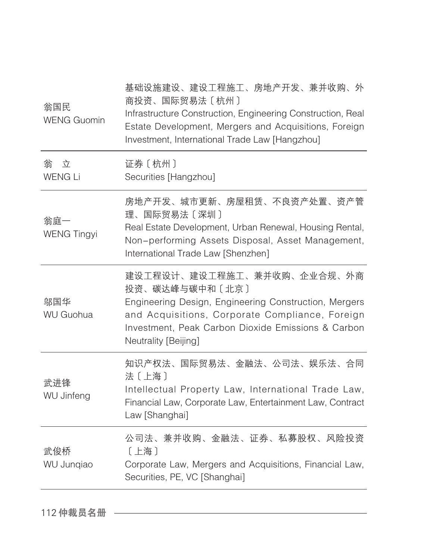| 翁国民<br><b>WENG Guomin</b> | 基础设施建设、建设工程施工、房地产开发、兼并收购、外<br>商投资、国际贸易法〔杭州〕<br>Infrastructure Construction, Engineering Construction, Real<br>Estate Development, Mergers and Acquisitions, Foreign<br>Investment, International Trade Law [Hangzhou]                  |
|---------------------------|----------------------------------------------------------------------------------------------------------------------------------------------------------------------------------------------------------------------------------------|
| 立<br>翁<br><b>WENG Li</b>  | 证券〔杭州〕<br>Securities [Hangzhou]                                                                                                                                                                                                        |
| 翁庭一<br><b>WENG Tingyi</b> | 房地产开发、城市更新、房屋租赁、不良资产处置、资产管<br>理、国际贸易法〔深圳〕<br>Real Estate Development, Urban Renewal, Housing Rental,<br>Non-performing Assets Disposal, Asset Management,<br>International Trade Law [Shenzhen]                                        |
| 邬国华<br><b>WU Guohua</b>   | 建设工程设计、建设工程施工、兼并收购、企业合规、外商<br>投资、碳达峰与碳中和〔北京〕<br>Engineering Design, Engineering Construction, Mergers<br>and Acquisitions, Corporate Compliance, Foreign<br>Investment, Peak Carbon Dioxide Emissions & Carbon<br>Neutrality [Beijing] |
| 武进锋<br>WU Jinfeng         | 知识产权法、国际贸易法、金融法、公司法、娱乐法、合同<br>法〔上海〕<br>Intellectual Property Law, International Trade Law,<br>Financial Law, Corporate Law, Entertainment Law, Contract<br>Law [Shanghai]                                                              |
| 武俊桥<br>WU Junqiao         | 公司法、兼并收购、金融法、证券、私募股权、风险投资<br>[上海]<br>Corporate Law, Mergers and Acquisitions, Financial Law,<br>Securities, PE, VC [Shanghai]                                                                                                          |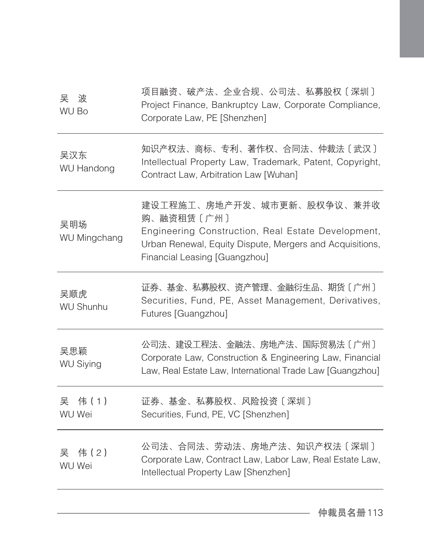| 吴<br>波<br>WU Bo          | 项目融资、破产法、企业合规、公司法、私募股权〔深圳〕<br>Project Finance, Bankruptcy Law, Corporate Compliance,<br>Corporate Law, PE [Shenzhen]                                                                        |
|--------------------------|---------------------------------------------------------------------------------------------------------------------------------------------------------------------------------------------|
| 吴汉东<br><b>WU Handong</b> | 知识产权法、商标、专利、著作权、合同法、仲裁法〔武汉〕<br>Intellectual Property Law, Trademark, Patent, Copyright,<br>Contract Law, Arbitration Law [Wuhan]                                                            |
| 吴明场<br>WU Mingchang      | 建设工程施工、房地产开发、城市更新、股权争议、兼并收<br>购、融资租赁〔广州〕<br>Engineering Construction, Real Estate Development,<br>Urban Renewal, Equity Dispute, Mergers and Acquisitions,<br>Financial Leasing [Guangzhou] |
| 吴顺虎<br><b>WU Shunhu</b>  | 证券、基金、私募股权、资产管理、金融衍生品、期货〔广州〕<br>Securities, Fund, PE, Asset Management, Derivatives,<br>Futures [Guangzhou]                                                                                 |
| 吴思颖<br><b>WU Siying</b>  | 公司法、建设工程法、金融法、房地产法、国际贸易法〔广州〕<br>Corporate Law, Construction & Engineering Law, Financial<br>Law, Real Estate Law, International Trade Law [Guangzhou]                                       |
| 吴<br>伟(1)<br>WU Wei      | 证券、基金、私募股权、风险投资〔深圳〕<br>Securities, Fund, PE, VC [Shenzhen]                                                                                                                                  |
| 伟 (2)<br>吴<br>WU Wei     | 公司法、合同法、劳动法、房地产法、知识产权法〔深圳〕<br>Corporate Law, Contract Law, Labor Law, Real Estate Law,<br>Intellectual Property Law [Shenzhen]                                                              |
|                          |                                                                                                                                                                                             |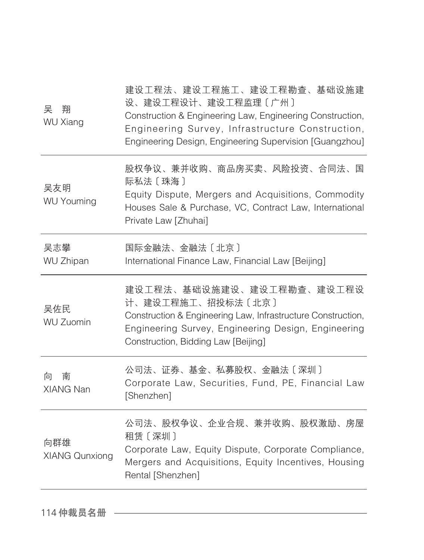| 股权争议、兼并收购、商品房买卖、风险投资、合同法、国<br>际私法〔珠海〕<br>吴友明<br>Equity Dispute, Mergers and Acquisitions, Commodity<br><b>WU Youming</b><br>Houses Sale & Purchase, VC, Contract Law, International<br>Private Law [Zhuhai]<br>吴志攀<br>国际金融法、金融法〔北京〕<br><b>WU Zhipan</b><br>International Finance Law, Financial Law [Beijing]<br>建设工程法、基础设施建设、建设工程勘查、建设工程设<br>计、建设工程施工、招投标法〔北京〕<br>吴佐民<br>Construction & Engineering Law, Infrastructure Construction,<br><b>WU Zuomin</b><br>Engineering Survey, Engineering Design, Engineering<br>Construction, Bidding Law [Beijing]<br>公司法、证券、基金、私募股权、金融法〔深圳〕<br>向<br>南<br>Corporate Law, Securities, Fund, PE, Financial Law<br>XIANG Nan<br>[Shenzhen]<br>公司法、股权争议、企业合规、兼并收购、股权激励、房屋<br>租赁〔深圳〕<br>向群雄<br>Corporate Law, Equity Dispute, Corporate Compliance,<br><b>XIANG Qunxiong</b><br>Mergers and Acquisitions, Equity Incentives, Housing<br>Rental [Shenzhen] | 吴<br>翔<br><b>WU Xiang</b> | 建设工程法、建设工程施工、建设工程勘查、基础设施建<br>设、建设工程设计、建设工程监理〔广州〕<br>Construction & Engineering Law, Engineering Construction,<br>Engineering Survey, Infrastructure Construction,<br>Engineering Design, Engineering Supervision [Guangzhou] |
|--------------------------------------------------------------------------------------------------------------------------------------------------------------------------------------------------------------------------------------------------------------------------------------------------------------------------------------------------------------------------------------------------------------------------------------------------------------------------------------------------------------------------------------------------------------------------------------------------------------------------------------------------------------------------------------------------------------------------------------------------------------------------------------------------------------------------------------------------------------------------------------------|---------------------------|------------------------------------------------------------------------------------------------------------------------------------------------------------------------------------------------------------------------------|
|                                                                                                                                                                                                                                                                                                                                                                                                                                                                                                                                                                                                                                                                                                                                                                                                                                                                                            |                           |                                                                                                                                                                                                                              |
|                                                                                                                                                                                                                                                                                                                                                                                                                                                                                                                                                                                                                                                                                                                                                                                                                                                                                            |                           |                                                                                                                                                                                                                              |
|                                                                                                                                                                                                                                                                                                                                                                                                                                                                                                                                                                                                                                                                                                                                                                                                                                                                                            |                           |                                                                                                                                                                                                                              |
|                                                                                                                                                                                                                                                                                                                                                                                                                                                                                                                                                                                                                                                                                                                                                                                                                                                                                            |                           |                                                                                                                                                                                                                              |
|                                                                                                                                                                                                                                                                                                                                                                                                                                                                                                                                                                                                                                                                                                                                                                                                                                                                                            |                           |                                                                                                                                                                                                                              |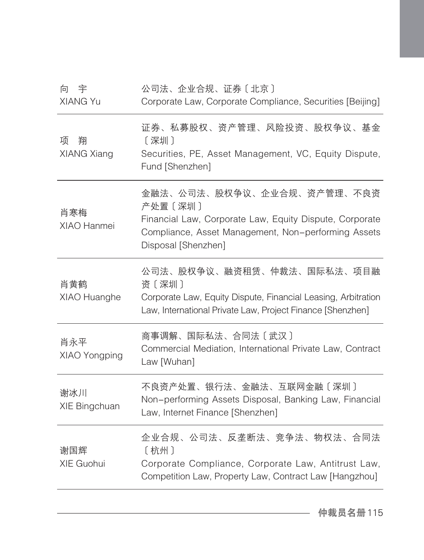| 公司法、企业合规、证券〔北京〕<br>Corporate Law, Corporate Compliance, Securities [Beijing]                                                                                                   |
|--------------------------------------------------------------------------------------------------------------------------------------------------------------------------------|
| 证券、私募股权、资产管理、风险投资、股权争议、基金<br>[深圳]<br>Securities, PE, Asset Management, VC, Equity Dispute,<br>Fund [Shenzhen]                                                                  |
| 金融法、公司法、股权争议、企业合规、资产管理、不良资<br>产处置〔深圳〕<br>Financial Law, Corporate Law, Equity Dispute, Corporate<br>Compliance, Asset Management, Non-performing Assets<br>Disposal [Shenzhen] |
| 公司法、股权争议、融资租赁、仲裁法、国际私法、项目融<br>资〔深圳〕<br>Corporate Law, Equity Dispute, Financial Leasing, Arbitration<br>Law, International Private Law, Project Finance [Shenzhen]             |
| 商事调解、国际私法、合同法〔武汉〕<br>Commercial Mediation, International Private Law, Contract<br>Law [Wuhan]                                                                                  |
| 不良资产处置、银行法、金融法、互联网金融〔深圳〕<br>Non-performing Assets Disposal, Banking Law, Financial<br>Law, Internet Finance [Shenzhen]                                                         |
| 企业合规、公司法、反垄断法、竞争法、物权法、合同法<br>[杭州]<br>Corporate Compliance, Corporate Law, Antitrust Law,<br>Competition Law, Property Law, Contract Law [Hangzhou]                             |
|                                                                                                                                                                                |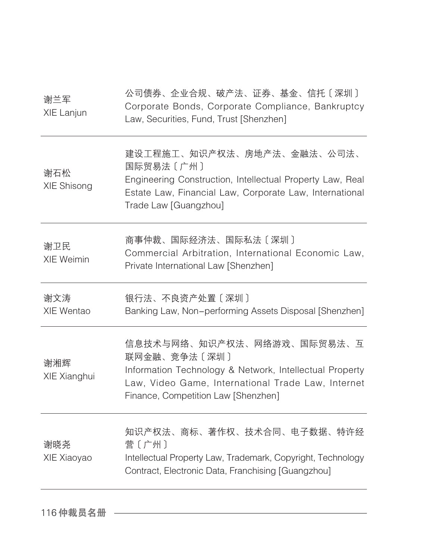| 谢兰军<br>XIE Lanjun        | 公司债券、企业合规、破产法、证券、基金、信托〔深圳〕<br>Corporate Bonds, Corporate Compliance, Bankruptcy<br>Law, Securities, Fund, Trust [Shenzhen]                                                                         |
|--------------------------|----------------------------------------------------------------------------------------------------------------------------------------------------------------------------------------------------|
| 谢石松<br>XIE Shisong       | 建设工程施工、知识产权法、房地产法、金融法、公司法、<br>国际贸易法〔广州〕<br>Engineering Construction, Intellectual Property Law, Real<br>Estate Law, Financial Law, Corporate Law, International<br>Trade Law [Guangzhou]           |
| 谢卫民<br><b>XIE Weimin</b> | 商事仲裁、国际经济法、国际私法〔深圳〕<br>Commercial Arbitration, International Economic Law,<br>Private International Law [Shenzhen]                                                                                 |
| 谢文涛<br>XIE Wentao        | 银行法、不良资产处置〔深圳〕<br>Banking Law, Non-performing Assets Disposal [Shenzhen]                                                                                                                           |
| 谢湘辉<br>XIE Xianghui      | 信息技术与网络、知识产权法、网络游戏、国际贸易法、互<br>联网金融、竞争法〔深圳〕<br>Information Technology & Network, Intellectual Property<br>Law, Video Game, International Trade Law, Internet<br>Finance, Competition Law [Shenzhen] |
| 谢晓尧<br>XIE Xiaoyao       | 知识产权法、商标、著作权、技术合同、电子数据、特许经<br>营〔广州〕<br>Intellectual Property Law, Trademark, Copyright, Technology<br>Contract, Electronic Data, Franchising [Guangzhou]                                           |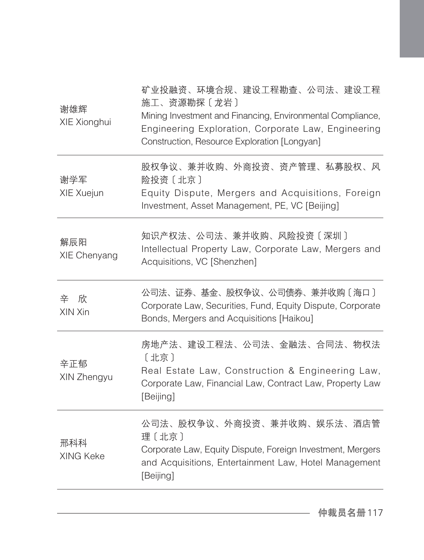| 谢雄辉<br>XIE Xionghui | 矿业投融资、环境合规、建设工程勘查、公司法、建设工程<br>施工、资源勘探〔龙岩〕<br>Mining Investment and Financing, Environmental Compliance,<br>Engineering Exploration, Corporate Law, Engineering<br>Construction, Resource Exploration [Longyan] |
|---------------------|----------------------------------------------------------------------------------------------------------------------------------------------------------------------------------------------------------------|
| 谢学军<br>XIE Xuejun   | 股权争议、兼并收购、外商投资、资产管理、私募股权、风<br>险投资〔北京〕<br>Equity Dispute, Mergers and Acquisitions, Foreign<br>Investment, Asset Management, PE, VC [Beijing]                                                                   |
| 解辰阳<br>XIE Chenyang | 知识产权法、公司法、兼并收购、风险投资〔深圳〕<br>Intellectual Property Law, Corporate Law, Mergers and<br>Acquisitions, VC [Shenzhen]                                                                                                |
| 辛 欣<br>XIN Xin      | 公司法、证券、基金、股权争议、公司债券、兼并收购〔海口〕<br>Corporate Law, Securities, Fund, Equity Dispute, Corporate<br>Bonds, Mergers and Acquisitions [Haikou]                                                                         |
| 辛正郁<br>XIN Zhengyu  | 房地产法、建设工程法、公司法、金融法、合同法、物权法<br>[北京]<br>Real Estate Law, Construction & Engineering Law,<br>Corporate Law, Financial Law, Contract Law, Property Law<br>[Beijing]                                                |
| 邢科科<br>XING Keke    | 公司法、股权争议、外商投资、兼并收购、娱乐法、酒店管<br>理〔北京〕<br>Corporate Law, Equity Dispute, Foreign Investment, Mergers<br>and Acquisitions, Entertainment Law, Hotel Management<br>[Beijing]                                        |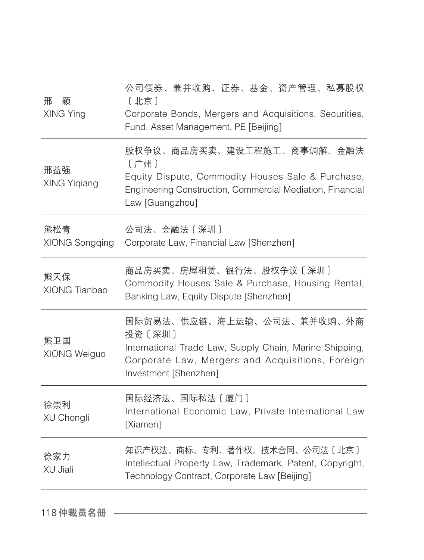| 邢<br>颖<br>XING Ying    | 公司债券、兼并收购、证券、基金、资产管理、私募股权<br>[北京]<br>Corporate Bonds, Mergers and Acquisitions, Securities,<br>Fund, Asset Management, PE [Beijing]                                          |
|------------------------|------------------------------------------------------------------------------------------------------------------------------------------------------------------------------|
| 邢益强<br>XING Yiqiang    | 股权争议、商品房买卖、建设工程施工、商事调解、金融法<br>〔广州〕<br>Equity Dispute, Commodity Houses Sale & Purchase,<br>Engineering Construction, Commercial Mediation, Financial<br>Law [Guangzhou]      |
| 熊松青<br>XIONG Songqing  | 公司法、金融法〔深圳〕<br>Corporate Law, Financial Law [Shenzhen]                                                                                                                       |
| 熊天保<br>XIONG Tianbao   | 商品房买卖、房屋租赁、银行法、股权争议〔深圳〕<br>Commodity Houses Sale & Purchase, Housing Rental,<br>Banking Law, Equity Dispute [Shenzhen]                                                       |
| 熊卫国<br>XIONG Weiguo    | 国际贸易法、供应链、海上运输、公司法、兼并收购、外商<br>投资〔深圳〕<br>International Trade Law, Supply Chain, Marine Shipping,<br>Corporate Law, Mergers and Acquisitions, Foreign<br>Investment [Shenzhen] |
| 徐崇利<br>XU Chongli      | 国际经济法、国际私法〔厦门〕<br>International Economic Law, Private International Law<br>[Xiamen]                                                                                          |
| 徐家力<br><b>XU Jiali</b> | 知识产权法、商标、专利、著作权、技术合同、公司法〔北京〕<br>Intellectual Property Law, Trademark, Patent, Copyright,<br>Technology Contract, Corporate Law [Beijing]                                     |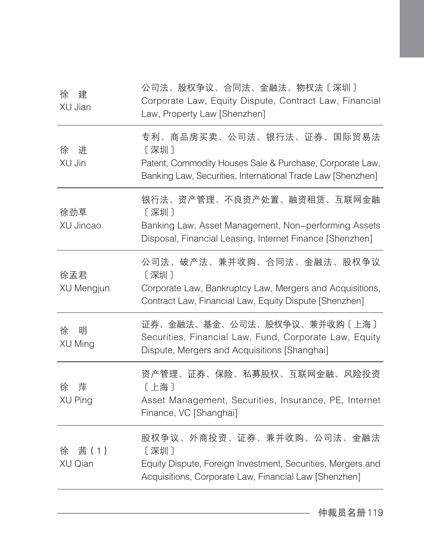| 徐<br>建<br>XU Jian        | 公司法、股权争议、合同法、金融法、物权法〔深圳〕<br>Corporate Law, Equity Dispute, Contract Law, Financial<br>Law, Property Law [Shenzhen]                                           |
|--------------------------|--------------------------------------------------------------------------------------------------------------------------------------------------------------|
| 进<br>徐<br>XU Jin         | 专利、商品房买卖、公司法、银行法、证券、国际贸易法<br>〔深圳〕<br>Patent, Commodity Houses Sale & Purchase, Corporate Law,<br>Banking Law, Securities, International Trade Law [Shenzhen] |
| 徐劲草<br>XU Jincao         | 银行法、资产管理、不良资产处置、融资租赁、互联网金融<br>[深圳]<br>Banking Law, Asset Management, Non-performing Assets<br>Disposal, Financial Leasing, Internet Finance [Shenzhen]       |
| 徐孟君<br>XU Mengjun        | 公司法、破产法、兼并收购、合同法、金融法、股权争议<br>[深圳]<br>Corporate Law, Bankruptcy Law, Mergers and Acquisitions,<br>Contract Law, Financial Law, Equity Dispute [Shenzhen]      |
| 徐<br>明<br>XU Ming        | 证券、金融法、基金、公司法、股权争议、兼并收购〔上海〕<br>Securities, Financial Law, Fund, Corporate Law, Equity<br>Dispute, Mergers and Acquisitions [Shanghai]                        |
| 萍<br>徐<br><b>XU Ping</b> | 资产管理、证券、保险、私募股权、互联网金融、风险投资<br>[上海]<br>Asset Management, Securities, Insurance, PE, Internet<br>Finance, VC [Shanghai]                                        |
| 茜(1)<br>徐<br>XU Qian     | 股权争议、外商投资、证券、兼并收购、公司法、金融法<br>[深圳]<br>Equity Dispute, Foreign Investment, Securities, Mergers and<br>Acquisitions, Corporate Law, Financial Law [Shenzhen]    |
|                          |                                                                                                                                                              |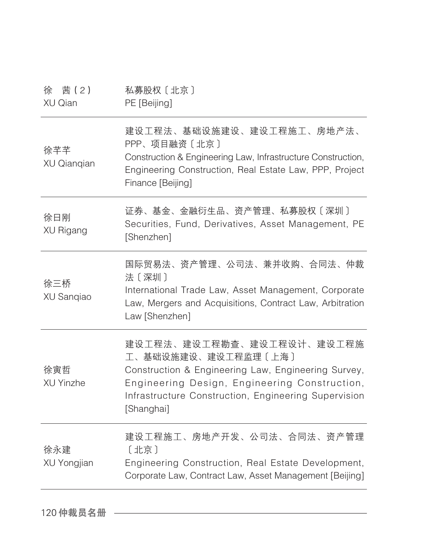| 茜 ( 2 )<br>徐<br>XU Qian | 私募股权〔北京〕<br>PE [Beijing]                                                                                                                                                                                                       |
|-------------------------|--------------------------------------------------------------------------------------------------------------------------------------------------------------------------------------------------------------------------------|
| 徐芊芊<br>XU Qianqian      | 建设工程法、基础设施建设、建设工程施工、房地产法、<br>PPP、项目融资〔北京〕<br>Construction & Engineering Law, Infrastructure Construction,<br>Engineering Construction, Real Estate Law, PPP, Project<br>Finance [Beijing]                                      |
| 徐日刚<br>XU Rigang        | 证券、基金、金融衍生品、资产管理、私募股权〔深圳〕<br>Securities, Fund, Derivatives, Asset Management, PE<br>[Shenzhen]                                                                                                                                 |
| 徐三桥<br>XU Sanqiao       | 国际贸易法、资产管理、公司法、兼并收购、合同法、仲裁<br>法〔深圳〕<br>International Trade Law, Asset Management, Corporate<br>Law, Mergers and Acquisitions, Contract Law, Arbitration<br>Law [Shenzhen]                                                      |
| 徐寅哲<br>XU Yinzhe        | 建设工程法、建设工程勘查、建设工程设计、建设工程施<br>工、基础设施建设、建设工程监理〔上海〕<br>Construction & Engineering Law, Engineering Survey,<br>Engineering Design, Engineering Construction,<br>Infrastructure Construction, Engineering Supervision<br>[Shanghai] |
| 徐永建<br>XU Yongjian      | 建设工程施工、房地产开发、公司法、合同法、资产管理<br>[北京]<br>Engineering Construction, Real Estate Development,<br>Corporate Law, Contract Law, Asset Management [Beijing]                                                                             |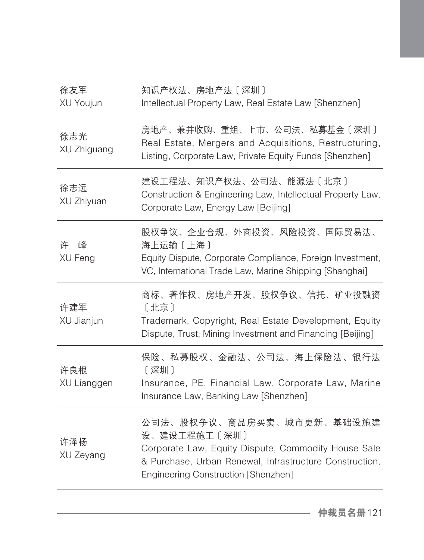| 知识产权法、房地产法〔深圳〕<br>Intellectual Property Law, Real Estate Law [Shenzhen]                                                                                                                            |
|----------------------------------------------------------------------------------------------------------------------------------------------------------------------------------------------------|
| 房地产、兼并收购、重组、上市、公司法、私募基金〔深圳〕<br>Real Estate, Mergers and Acquisitions, Restructuring,<br>Listing, Corporate Law, Private Equity Funds [Shenzhen]                                                    |
| 建设工程法、知识产权法、公司法、能源法〔北京〕<br>Construction & Engineering Law, Intellectual Property Law,<br>Corporate Law, Energy Law [Beijing]                                                                       |
| 股权争议、企业合规、外商投资、风险投资、国际贸易法、<br>海上运输〔上海〕<br>Equity Dispute, Corporate Compliance, Foreign Investment,<br>VC, International Trade Law, Marine Shipping [Shanghai]                                     |
| 商标、著作权、房地产开发、股权争议、信托、矿业投融资<br>[北京]<br>Trademark, Copyright, Real Estate Development, Equity<br>Dispute, Trust, Mining Investment and Financing [Beijing]                                           |
| 保险、私募股权、金融法、公司法、海上保险法、银行法<br>[深圳]<br>Insurance, PE, Financial Law, Corporate Law, Marine<br>Insurance Law, Banking Law [Shenzhen]                                                                  |
| 公司法、股权争议、商品房买卖、城市更新、基础设施建<br>设、建设工程施工〔深圳〕<br>Corporate Law, Equity Dispute, Commodity House Sale<br>& Purchase, Urban Renewal, Infrastructure Construction,<br>Engineering Construction [Shenzhen] |
|                                                                                                                                                                                                    |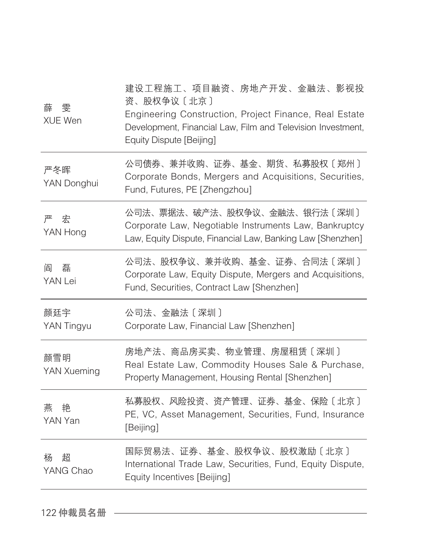| 薛<br>雯<br><b>XUE Wen</b> | 建设工程施工、项目融资、房地产开发、金融法、影视投<br>资、股权争议〔北京〕<br>Engineering Construction, Project Finance, Real Estate<br>Development, Financial Law, Film and Television Investment,<br>Equity Dispute [Beijing] |
|--------------------------|----------------------------------------------------------------------------------------------------------------------------------------------------------------------------------------------|
| 严冬晖<br>YAN Donghui       | 公司债券、兼并收购、证券、基金、期货、私募股权〔郑州〕<br>Corporate Bonds, Mergers and Acquisitions, Securities,<br>Fund, Futures, PE [Zhengzhou]                                                                       |
| 严                        | 公司法、票据法、破产法、股权争议、金融法、银行法〔深圳〕                                                                                                                                                                 |
| 宏                        | Corporate Law, Negotiable Instruments Law, Bankruptcy                                                                                                                                        |
| YAN Hong                 | Law, Equity Dispute, Financial Law, Banking Law [Shenzhen]                                                                                                                                   |
| 磊                        | 公司法、股权争议、兼并收购、基金、证券、合同法〔深圳〕                                                                                                                                                                  |
| 阎                        | Corporate Law, Equity Dispute, Mergers and Acquisitions,                                                                                                                                     |
| YAN Lei                  | Fund, Securities, Contract Law [Shenzhen]                                                                                                                                                    |
| 颜廷宇                      | 公司法、金融法〔深圳〕                                                                                                                                                                                  |
| YAN Tingyu               | Corporate Law, Financial Law [Shenzhen]                                                                                                                                                      |
| 颜雪明<br>YAN Xueming       | 房地产法、商品房买卖、物业管理、房屋租赁〔深圳〕<br>Real Estate Law, Commodity Houses Sale & Purchase,<br>Property Management, Housing Rental [Shenzhen]                                                             |
| 燕                        | 私募股权、风险投资、资产管理、证券、基金、保险〔北京〕                                                                                                                                                                  |
| 艳                        | PE, VC, Asset Management, Securities, Fund, Insurance                                                                                                                                        |
| YAN Yan                  | [Beijing]                                                                                                                                                                                    |
| 招                        | 国际贸易法、证券、基金、股权争议、股权激励〔北京〕                                                                                                                                                                    |
| 杨                        | International Trade Law, Securities, Fund, Equity Dispute,                                                                                                                                   |
| YANG Chao                | Equity Incentives [Beijing]                                                                                                                                                                  |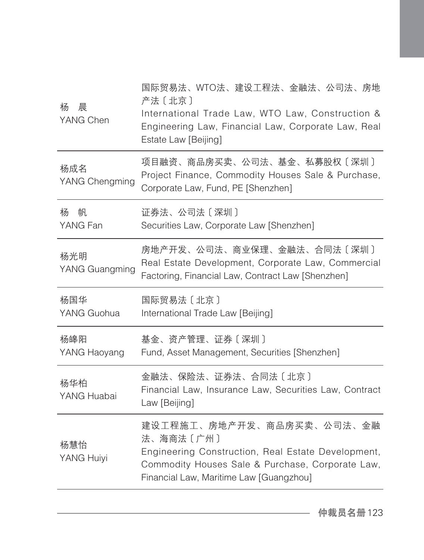| 晨<br>杨<br>YANG Chen   | 国际贸易法、WTO法、建设工程法、金融法、公司法、房地<br>产法〔北京〕<br>International Trade Law, WTO Law, Construction &<br>Engineering Law, Financial Law, Corporate Law, Real<br>Estate Law [Beijing]                    |
|-----------------------|---------------------------------------------------------------------------------------------------------------------------------------------------------------------------------------------|
| 杨成名<br>YANG Chengming | 项目融资、商品房买卖、公司法、基金、私募股权〔深圳〕<br>Project Finance, Commodity Houses Sale & Purchase,<br>Corporate Law, Fund, PE [Shenzhen]                                                                      |
| 杨<br>帆<br>YANG Fan    | 证券法、公司法〔深圳〕<br>Securities Law, Corporate Law [Shenzhen]                                                                                                                                     |
| 杨光明<br>YANG Guangming | 房地产开发、公司法、商业保理、金融法、合同法〔深圳〕<br>Real Estate Development, Corporate Law, Commercial<br>Factoring, Financial Law, Contract Law [Shenzhen]                                                       |
| 杨国华<br>YANG Guohua    | 国际贸易法〔北京〕<br>International Trade Law [Beijing]                                                                                                                                              |
| 杨皞阳<br>YANG Haoyang   | 基金、资产管理、证券〔深圳〕<br>Fund, Asset Management, Securities [Shenzhen]                                                                                                                             |
| 杨华柏<br>YANG Huabai    | 金融法、保险法、证券法、合同法〔北京〕<br>Financial Law, Insurance Law, Securities Law, Contract<br>Law [Beijing]                                                                                              |
| 杨慧怡<br>YANG Huiyi     | 建设工程施工、房地产开发、商品房买卖、公司法、金融<br>法、海商法〔广州〕<br>Engineering Construction, Real Estate Development,<br>Commodity Houses Sale & Purchase, Corporate Law,<br>Financial Law, Maritime Law [Guangzhou] |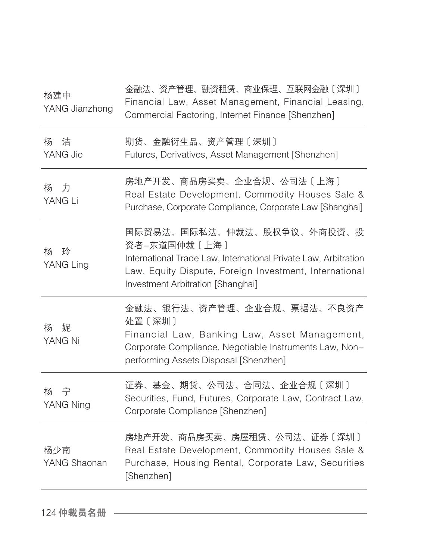| 杨建中<br>YANG Jianzhong | 金融法、资产管理、融资租赁、商业保理、互联网金融〔深圳〕<br>Financial Law, Asset Management, Financial Leasing,<br>Commercial Factoring, Internet Finance [Shenzhen]                                                                     |
|-----------------------|--------------------------------------------------------------------------------------------------------------------------------------------------------------------------------------------------------------|
| 杨<br>洁<br>YANG Jie    | 期货、金融衍生品、资产管理〔深圳〕<br>Futures, Derivatives, Asset Management [Shenzhen]                                                                                                                                       |
| 力<br>杨<br>YANG Li     | 房地产开发、商品房买卖、企业合规、公司法〔上海〕<br>Real Estate Development, Commodity Houses Sale &<br>Purchase, Corporate Compliance, Corporate Law [Shanghai]                                                                     |
| 玲<br>杨<br>YANG Ling   | 国际贸易法、国际私法、仲裁法、股权争议、外商投资、投<br>资者-东道国仲裁〔上海〕<br>International Trade Law, International Private Law, Arbitration<br>Law, Equity Dispute, Foreign Investment, International<br>Investment Arbitration [Shanghai] |
| 妮<br>杨<br>YANG Ni     | 金融法、银行法、资产管理、企业合规、票据法、不良资产<br>处置〔深圳〕<br>Financial Law, Banking Law, Asset Management,<br>Corporate Compliance, Negotiable Instruments Law, Non-<br>performing Assets Disposal [Shenzhen]                     |
| 杨の宇<br>YANG Ning      | 证券、基金、期货、公司法、合同法、企业合规〔深圳〕<br>Securities, Fund, Futures, Corporate Law, Contract Law,<br>Corporate Compliance [Shenzhen]                                                                                      |
| 杨少南<br>YANG Shaonan   | 房地产开发、商品房买卖、房屋租赁、公司法、证券〔深圳〕<br>Real Estate Development, Commodity Houses Sale &<br>Purchase, Housing Rental, Corporate Law, Securities<br>[Shenzhen]                                                         |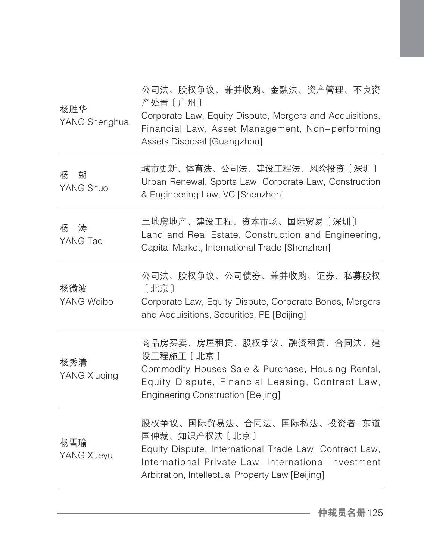| 杨胜华<br>YANG Shenghua | 公司法、股权争议、兼并收购、金融法、资产管理、不良资<br>产处置〔广州〕<br>Corporate Law, Equity Dispute, Mergers and Acquisitions,<br>Financial Law, Asset Management, Non-performing<br>Assets Disposal [Guangzhou]                              |
|----------------------|------------------------------------------------------------------------------------------------------------------------------------------------------------------------------------------------------------------|
| 朔<br>杨<br>YANG Shuo  | 城市更新、体育法、公司法、建设工程法、风险投资〔深圳〕<br>Urban Renewal, Sports Law, Corporate Law, Construction<br>& Engineering Law, VC [Shenzhen]                                                                                        |
| 涛<br>杨<br>YANG Tao   | 土地房地产、建设工程、资本市场、国际贸易〔深圳〕<br>Land and Real Estate, Construction and Engineering,<br>Capital Market, International Trade [Shenzhen]                                                                                |
| 杨微波<br>YANG Weibo    | 公司法、股权争议、公司债券、兼并收购、证券、私募股权<br>〔北京〕<br>Corporate Law, Equity Dispute, Corporate Bonds, Mergers<br>and Acquisitions, Securities, PE [Beijing]                                                                      |
| 杨秀清<br>YANG Xiuqing  | 商品房买卖、房屋租赁、股权争议、融资租赁、合同法、建<br>设工程施工 [北京]<br>Commodity Houses Sale & Purchase, Housing Rental,<br>Equity Dispute, Financial Leasing, Contract Law,<br>Engineering Construction [Beijing]                          |
| 杨雪瑜<br>YANG Xueyu    | 股权争议、国际贸易法、合同法、国际私法、投资者-东道<br>国仲裁、知识产权法〔北京〕<br>Equity Dispute, International Trade Law, Contract Law,<br>International Private Law, International Investment<br>Arbitration, Intellectual Property Law [Beijing] |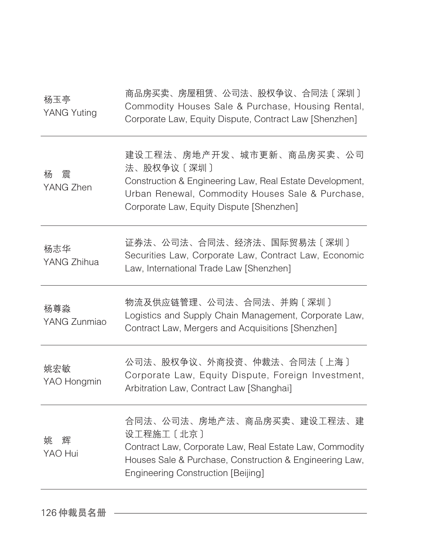| 杨玉亭<br>YANG Yuting  | 商品房买卖、房屋租赁、公司法、股权争议、合同法〔深圳〕<br>Commodity Houses Sale & Purchase, Housing Rental,<br>Corporate Law, Equity Dispute, Contract Law [Shenzhen]                                                                  |
|---------------------|-------------------------------------------------------------------------------------------------------------------------------------------------------------------------------------------------------------|
| 震<br>杨<br>YANG Zhen | 建设工程法、房地产开发、城市更新、商品房买卖、公司<br>法、股权争议〔深圳〕<br>Construction & Engineering Law, Real Estate Development,<br>Urban Renewal, Commodity Houses Sale & Purchase,<br>Corporate Law, Equity Dispute [Shenzhen]         |
| 杨志华<br>YANG Zhihua  | 证券法、公司法、合同法、经济法、国际贸易法〔深圳〕<br>Securities Law, Corporate Law, Contract Law, Economic<br>Law, International Trade Law [Shenzhen]                                                                               |
| 杨尊淼<br>YANG Zunmiao | 物流及供应链管理、公司法、合同法、并购〔深圳〕<br>Logistics and Supply Chain Management, Corporate Law,<br>Contract Law, Mergers and Acquisitions [Shenzhen]                                                                       |
| 姚宏敏<br>YAO Hongmin  | 公司法、股权争议、外商投资、仲裁法、合同法〔上海〕<br>Corporate Law, Equity Dispute, Foreign Investment,<br>Arbitration Law, Contract Law [Shanghai]                                                                                 |
| 姚<br>辉<br>YAO Hui   | 合同法、公司法、房地产法、商品房买卖、建设工程法、建<br>设工程施工 [北京]<br>Contract Law, Corporate Law, Real Estate Law, Commodity<br>Houses Sale & Purchase, Construction & Engineering Law,<br><b>Engineering Construction [Beijing]</b> |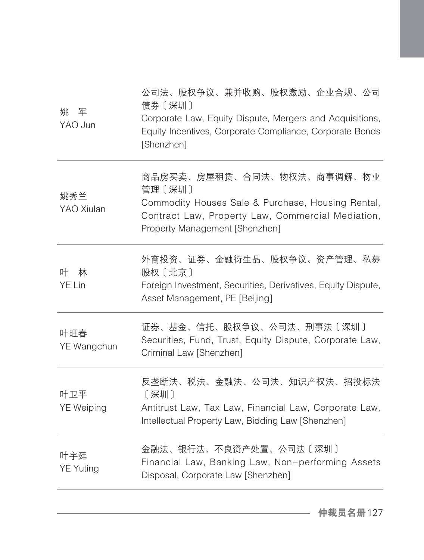| 姚 军<br>YAO Jun           | 公司法、股权争议、兼并收购、股权激励、企业合规、公司<br>债券〔深圳〕<br>Corporate Law, Equity Dispute, Mergers and Acquisitions,<br>Equity Incentives, Corporate Compliance, Corporate Bonds<br>[Shenzhen]        |
|--------------------------|-----------------------------------------------------------------------------------------------------------------------------------------------------------------------------------|
| 姚秀兰<br>YAO Xiulan        | 商品房买卖、房屋租赁、合同法、物权法、商事调解、物业<br>管理 [深圳]<br>Commodity Houses Sale & Purchase, Housing Rental,<br>Contract Law, Property Law, Commercial Mediation,<br>Property Management [Shenzhen] |
| 叶<br>林<br>YE Lin         | 外商投资、证券、金融衍生品、股权争议、资产管理、私募<br>股权〔北京〕<br>Foreign Investment, Securities, Derivatives, Equity Dispute,<br>Asset Management, PE [Beijing]                                            |
| 叶旺春<br>YE Wangchun       | 证券、基金、信托、股权争议、公司法、刑事法〔深圳〕<br>Securities, Fund, Trust, Equity Dispute, Corporate Law,<br>Criminal Law [Shenzhen]                                                                   |
| 叶卫平<br><b>YE Weiping</b> | 反垄断法、税法、金融法、公司法、知识产权法、招投标法<br>[深圳]<br>Antitrust Law, Tax Law, Financial Law, Corporate Law,<br>Intellectual Property Law, Bidding Law [Shenzhen]                                  |
| 叶宇廷<br><b>YE Yuting</b>  | 金融法、银行法、不良资产处置、公司法〔深圳〕<br>Financial Law, Banking Law, Non-performing Assets<br>Disposal, Corporate Law [Shenzhen]                                                                 |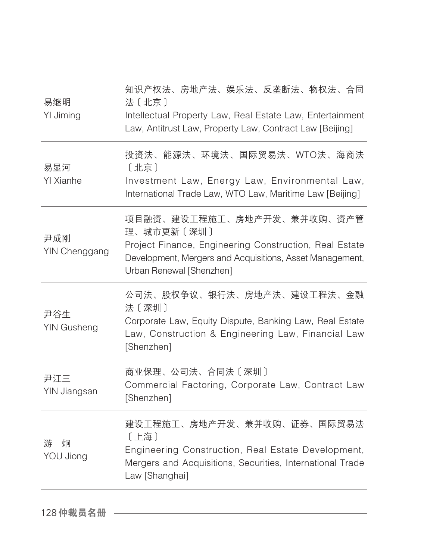| 易继明<br>YI Jiming          | 知识产权法、房地产法、娱乐法、反垄断法、物权法、合同<br>法〔北京〕<br>Intellectual Property Law, Real Estate Law, Entertainment<br>Law, Antitrust Law, Property Law, Contract Law [Beijing]                               |
|---------------------------|--------------------------------------------------------------------------------------------------------------------------------------------------------------------------------------------|
| 易显河<br>YI Xianhe          | 投资法、能源法、环境法、国际贸易法、WTO法、海商法<br>[北京]<br>Investment Law, Energy Law, Environmental Law,<br>International Trade Law, WTO Law, Maritime Law [Beijing]                                           |
| 尹成刚<br>YIN Chenggang      | 项目融资、建设工程施工、房地产开发、兼并收购、资产管<br>理、城市更新〔深圳〕<br>Project Finance, Engineering Construction, Real Estate<br>Development, Mergers and Acquisitions, Asset Management,<br>Urban Renewal [Shenzhen] |
| 尹谷生<br><b>YIN Gusheng</b> | 公司法、股权争议、银行法、房地产法、建设工程法、金融<br>法〔深圳〕<br>Corporate Law, Equity Dispute, Banking Law, Real Estate<br>Law, Construction & Engineering Law, Financial Law<br>[Shenzhen]                         |
| 尹江三<br>YIN Jiangsan       | 商业保理、公司法、合同法〔深圳〕<br>Commercial Factoring, Corporate Law, Contract Law<br>[Shenzhen]                                                                                                        |
| 炯<br>游<br>YOU Jiong       | 建设工程施工、房地产开发、兼并收购、证券、国际贸易法<br>[上海]<br>Engineering Construction, Real Estate Development,<br>Mergers and Acquisitions, Securities, International Trade<br>Law [Shanghai]                    |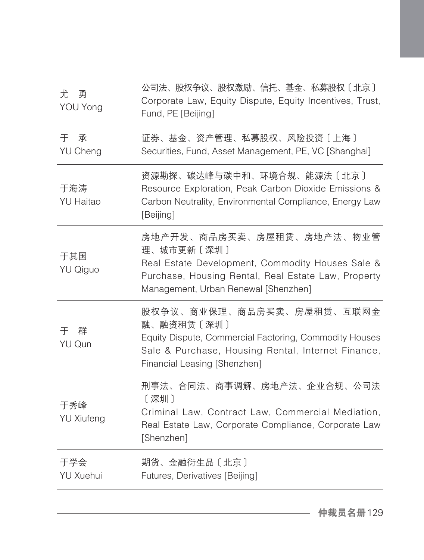| 尤<br>勇<br>YOU Yong        | 公司法、股权争议、股权激励、信托、基金、私募股权〔北京〕<br>Corporate Law, Equity Dispute, Equity Incentives, Trust,<br>Fund, PE [Beijing]                                                                             |
|---------------------------|--------------------------------------------------------------------------------------------------------------------------------------------------------------------------------------------|
| 于<br>承<br><b>YU Cheng</b> | 证券、基金、资产管理、私募股权、风险投资〔上海〕<br>Securities, Fund, Asset Management, PE, VC [Shanghai]                                                                                                          |
| 于海涛<br><b>YU Haitao</b>   | 资源勘探、碳达峰与碳中和、环境合规、能源法〔北京〕<br>Resource Exploration, Peak Carbon Dioxide Emissions &<br>Carbon Neutrality, Environmental Compliance, Energy Law<br>[Beijing]                                 |
| 于其国<br>YU Qiguo           | 房地产开发、商品房买卖、房屋租赁、房地产法、物业管<br>理、城市更新〔深圳〕<br>Real Estate Development, Commodity Houses Sale &<br>Purchase, Housing Rental, Real Estate Law, Property<br>Management, Urban Renewal [Shenzhen] |
| 于 群<br>YU Qun             | 股权争议、商业保理、商品房买卖、房屋租赁、互联网金<br>融、融资租赁〔深圳〕<br>Equity Dispute, Commercial Factoring, Commodity Houses<br>Sale & Purchase, Housing Rental, Internet Finance,<br>Financial Leasing [Shenzhen]    |
| 于秀峰<br><b>YU Xiufeng</b>  | 刑事法、合同法、商事调解、房地产法、企业合规、公司法<br>[深圳]<br>Criminal Law, Contract Law, Commercial Mediation,<br>Real Estate Law, Corporate Compliance, Corporate Law<br>[Shenzhen]                              |
| 于学会<br><b>YU Xuehui</b>   | 期货、金融衍生品〔北京〕<br>Futures, Derivatives [Beijing]                                                                                                                                             |
|                           |                                                                                                                                                                                            |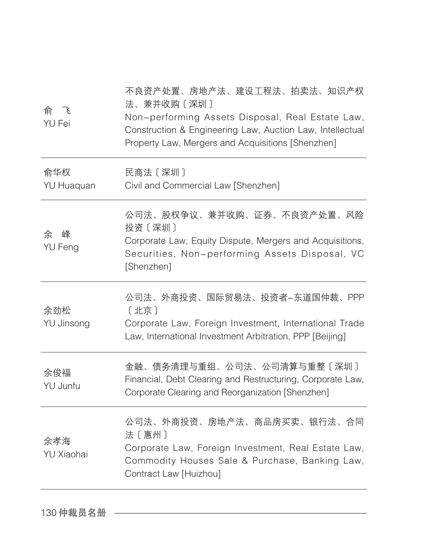| アイトラ 命じて<br><b>YU Fei</b> | 不良资产处置、房地产法、建设工程法、拍卖法、知识产权<br>法、兼并收购〔深圳〕<br>Non-performing Assets Disposal, Real Estate Law,<br>Construction & Engineering Law, Auction Law, Intellectual<br>Property Law, Mergers and Acquisitions [Shenzhen] |
|---------------------------|----------------------------------------------------------------------------------------------------------------------------------------------------------------------------------------------------------------|
| 俞华权<br><b>YU Huaquan</b>  | 民商法 [深圳]<br>Civil and Commercial Law [Shenzhen]                                                                                                                                                                |
| 峰<br>余<br><b>YU Feng</b>  | 公司法、股权争议、兼并收购、证券、不良资产处置、风险<br>投资〔深圳〕<br>Corporate Law, Equity Dispute, Mergers and Acquisitions,<br>Securities, Non-performing Assets Disposal, VC<br>[Shenzhen]                                               |
| 余劲松<br>YU Jinsong         | 公司法、外商投资、国际贸易法、投资者-东道国仲裁、PPP<br>[北京]<br>Corporate Law, Foreign Investment, International Trade<br>Law, International Investment Arbitration, PPP [Beijing]                                                     |
| 余俊福<br>YU Junfu           | 金融、债务清理与重组、公司法、公司清算与重整〔深圳〕<br>Financial, Debt Clearing and Restructuring, Corporate Law,<br>Corporate Clearing and Reorganization [Shenzhen]                                                                   |
| 余孝海<br>YU Xiaohai         | 公司法、外商投资、房地产法、商品房买卖、银行法、合同<br>法〔惠州〕<br>Corporate Law, Foreign Investment, Real Estate Law,<br>Commodity Houses Sale & Purchase, Banking Law,<br>Contract Law [Huizhou]                                         |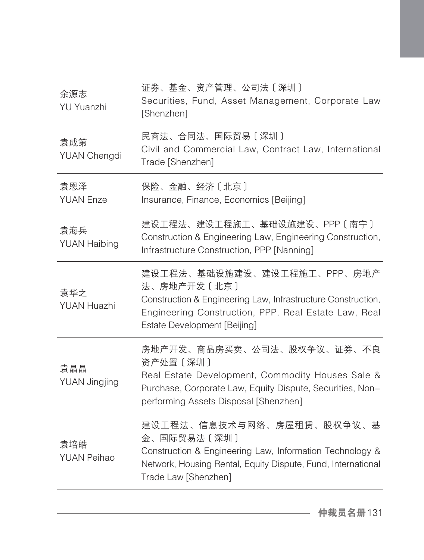| 证券、基金、资产管理、公司法〔深圳〕<br>Securities, Fund, Asset Management, Corporate Law<br>[Shenzhen]                                                                                                              |
|----------------------------------------------------------------------------------------------------------------------------------------------------------------------------------------------------|
| 民商法、合同法、国际贸易〔深圳〕<br>Civil and Commercial Law, Contract Law, International<br>Trade [Shenzhen]                                                                                                      |
| 保险、金融、经济〔北京〕<br>Insurance, Finance, Economics [Beijing]                                                                                                                                            |
| 建设工程法、建设工程施工、基础设施建设、PPP〔南宁〕<br>Construction & Engineering Law, Engineering Construction,<br>Infrastructure Construction, PPP [Nanning]                                                             |
| 建设工程法、基础设施建设、建设工程施工、PPP、房地产<br>法、房地产开发〔北京〕<br>Construction & Engineering Law, Infrastructure Construction,<br>Engineering Construction, PPP, Real Estate Law, Real<br>Estate Development [Beijing] |
| 房地产开发、商品房买卖、公司法、股权争议、证券、不良<br>资产处置〔深圳〕<br>Real Estate Development, Commodity Houses Sale &<br>Purchase, Corporate Law, Equity Dispute, Securities, Non-<br>performing Assets Disposal [Shenzhen]   |
| 建设工程法、信息技术与网络、房屋租赁、股权争议、基<br>金、国际贸易法〔深圳〕<br>Construction & Engineering Law, Information Technology &<br>Network, Housing Rental, Equity Dispute, Fund, International<br>Trade Law [Shenzhen]       |
|                                                                                                                                                                                                    |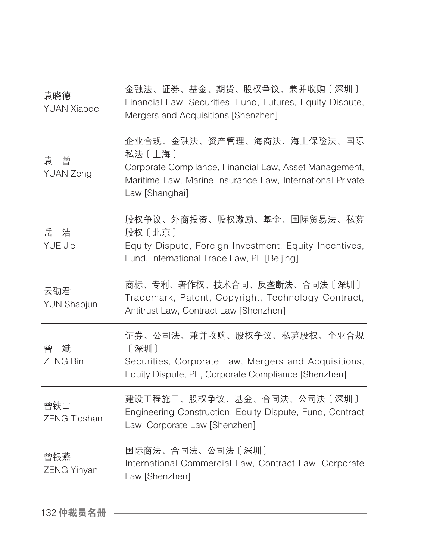| 袁晓德<br><b>YUAN Xiaode</b>  | 金融法、证券、基金、期货、股权争议、兼并收购〔深圳〕<br>Financial Law, Securities, Fund, Futures, Equity Dispute,<br>Mergers and Acquisitions [Shenzhen]                                                |
|----------------------------|-------------------------------------------------------------------------------------------------------------------------------------------------------------------------------|
| 曾<br>袁<br><b>YUAN Zeng</b> | 企业合规、金融法、资产管理、海商法、海上保险法、国际<br>私法〔上海〕<br>Corporate Compliance, Financial Law, Asset Management,<br>Maritime Law, Marine Insurance Law, International Private<br>Law [Shanghai] |
| 岳 洁<br><b>YUE Jie</b>      | 股权争议、外商投资、股权激励、基金、国际贸易法、私募<br>股权〔北京〕<br>Equity Dispute, Foreign Investment, Equity Incentives,<br>Fund, International Trade Law, PE [Beijing]                                 |
| 云劭君<br><b>YUN Shaojun</b>  | 商标、专利、著作权、技术合同、反垄断法、合同法〔深圳〕<br>Trademark, Patent, Copyright, Technology Contract,<br>Antitrust Law, Contract Law [Shenzhen]                                                   |
| 曾<br>斌<br><b>ZENG Bin</b>  | 证券、公司法、兼并收购、股权争议、私募股权、企业合规<br>[深圳]<br>Securities, Corporate Law, Mergers and Acquisitions,<br>Equity Dispute, PE, Corporate Compliance [Shenzhen]                             |
| 曾铁山<br><b>ZENG Tieshan</b> | 建设工程施工、股权争议、基金、合同法、公司法〔深圳〕<br>Engineering Construction, Equity Dispute, Fund, Contract<br>Law, Corporate Law [Shenzhen]                                                       |
| 曾银燕<br><b>ZENG Yinyan</b>  | 国际商法、合同法、公司法〔深圳〕<br>International Commercial Law, Contract Law, Corporate<br>Law [Shenzhen]                                                                                   |
|                            |                                                                                                                                                                               |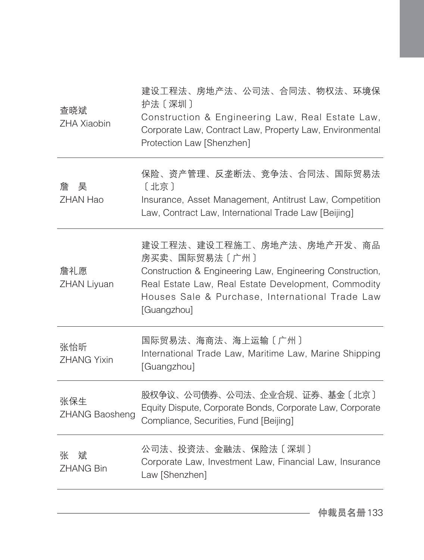| 查晓斌<br><b>ZHA Xiaobin</b>  | 建设工程法、房地产法、公司法、合同法、物权法、环境保<br>护法〔深圳〕<br>Construction & Engineering Law, Real Estate Law,<br>Corporate Law, Contract Law, Property Law, Environmental<br>Protection Law [Shenzhen]                                                 |
|----------------------------|-----------------------------------------------------------------------------------------------------------------------------------------------------------------------------------------------------------------------------------|
| 昊<br>詹<br>ZHAN Hao         | 保险、资产管理、反垄断法、竞争法、合同法、国际贸易法<br>〔北京〕<br>Insurance, Asset Management, Antitrust Law, Competition<br>Law, Contract Law, International Trade Law [Beijing]                                                                             |
| 詹礼愿<br>ZHAN Liyuan         | 建设工程法、建设工程施工、房地产法、房地产开发、商品<br>房买卖、国际贸易法〔广州〕<br>Construction & Engineering Law, Engineering Construction,<br>Real Estate Law, Real Estate Development, Commodity<br>Houses Sale & Purchase, International Trade Law<br>[Guangzhou] |
| 张怡昕<br><b>ZHANG Yixin</b>  | 国际贸易法、海商法、海上运输〔广州〕<br>International Trade Law, Maritime Law, Marine Shipping<br>[Guangzhou]                                                                                                                                       |
| 张保生<br>ZHANG Baosheng      | 股权争议、公司债券、公司法、企业合规、证券、基金〔北京〕<br>Equity Dispute, Corporate Bonds, Corporate Law, Corporate<br>Compliance, Securities, Fund [Beijing]                                                                                               |
| 张<br>斌<br><b>ZHANG Bin</b> | 公司法、投资法、金融法、保险法〔深圳〕<br>Corporate Law, Investment Law, Financial Law, Insurance<br>Law [Shenzhen]                                                                                                                                  |
|                            |                                                                                                                                                                                                                                   |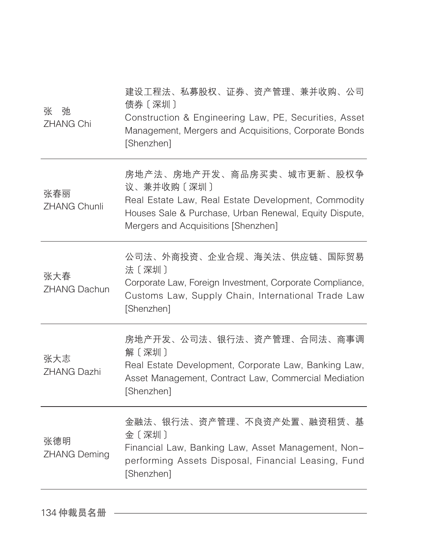| 张<br>弛<br><b>ZHANG Chi</b> | 建设工程法、私募股权、证券、资产管理、兼并收购、公司<br>债券〔深圳〕<br>Construction & Engineering Law, PE, Securities, Asset<br>Management, Mergers and Acquisitions, Corporate Bonds<br>[Shenzhen]                            |
|----------------------------|-------------------------------------------------------------------------------------------------------------------------------------------------------------------------------------------------|
| 张春丽<br><b>ZHANG Chunli</b> | 房地产法、房地产开发、商品房买卖、城市更新、股权争<br>议、兼并收购〔深圳〕<br>Real Estate Law, Real Estate Development, Commodity<br>Houses Sale & Purchase, Urban Renewal, Equity Dispute,<br>Mergers and Acquisitions [Shenzhen] |
| 张大春<br><b>ZHANG Dachun</b> | 公司法、外商投资、企业合规、海关法、供应链、国际贸易<br>法〔深圳〕<br>Corporate Law, Foreign Investment, Corporate Compliance,<br>Customs Law, Supply Chain, International Trade Law<br>[Shenzhen]                             |
| 张大志<br><b>ZHANG Dazhi</b>  | 房地产开发、公司法、银行法、资产管理、合同法、商事调<br>解〔深圳〕<br>Real Estate Development, Corporate Law, Banking Law,<br>Asset Management, Contract Law, Commercial Mediation<br>[Shenzhen]                               |
| 张德明<br><b>ZHANG Deming</b> | 金融法、银行法、资产管理、不良资产处置、融资租赁、基<br>金〔深圳〕<br>Financial Law, Banking Law, Asset Management, Non-<br>performing Assets Disposal, Financial Leasing, Fund<br>[Shenzhen]                                  |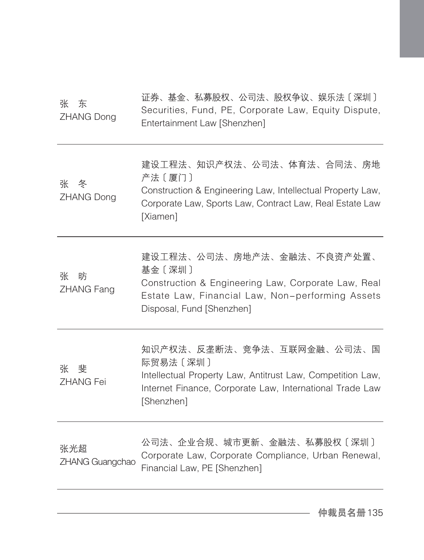| 张の 东<br>ZHANG Dong          | 证券、基金、私募股权、公司法、股权争议、娱乐法〔深圳〕<br>Securities, Fund, PE, Corporate Law, Equity Dispute,<br>Entertainment Law [Shenzhen]                                                            |
|-----------------------------|--------------------------------------------------------------------------------------------------------------------------------------------------------------------------------|
| 张 冬<br>ZHANG Dong           | 建设工程法、知识产权法、公司法、体育法、合同法、房地<br>产法〔厦门〕<br>Construction & Engineering Law, Intellectual Property Law,<br>Corporate Law, Sports Law, Contract Law, Real Estate Law<br>[Xiamen]     |
| 张<br>昉<br><b>ZHANG Fang</b> | 建设工程法、公司法、房地产法、金融法、不良资产处置、<br>基金〔深圳〕<br>Construction & Engineering Law, Corporate Law, Real<br>Estate Law, Financial Law, Non-performing Assets<br>Disposal, Fund [Shenzhen]   |
| 张 斐<br><b>ZHANG Fei</b>     | 知识产权法、反垄断法、竞争法、互联网金融、公司法、国<br>际贸易法〔深圳〕<br>Intellectual Property Law, Antitrust Law, Competition Law,<br>Internet Finance, Corporate Law, International Trade Law<br>[Shenzhen] |
| 张光超<br>ZHANG Guangchao      | 公司法、企业合规、城市更新、金融法、私募股权〔深圳〕<br>Corporate Law, Corporate Compliance, Urban Renewal,<br>Financial Law, PE [Shenzhen]                                                              |
|                             |                                                                                                                                                                                |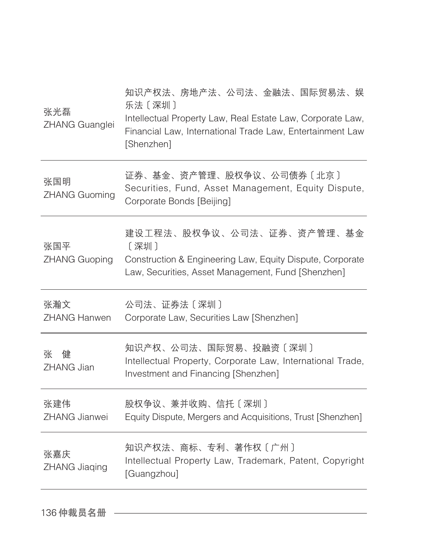| 张光磊<br>ZHANG Guanglei       | 知识产权法、房地产法、公司法、金融法、国际贸易法、娱<br>乐法〔深圳〕<br>Intellectual Property Law, Real Estate Law, Corporate Law,<br>Financial Law, International Trade Law, Entertainment Law<br>[Shenzhen] |
|-----------------------------|-------------------------------------------------------------------------------------------------------------------------------------------------------------------------------|
| 张国明<br><b>ZHANG Guoming</b> | 证券、基金、资产管理、股权争议、公司债券〔北京〕<br>Securities, Fund, Asset Management, Equity Dispute,<br>Corporate Bonds [Beijing]                                                                  |
| 张国平<br><b>ZHANG Guoping</b> | 建设工程法、股权争议、公司法、证券、资产管理、基金<br>[深圳]<br>Construction & Engineering Law, Equity Dispute, Corporate<br>Law, Securities, Asset Management, Fund [Shenzhen]                          |
|                             |                                                                                                                                                                               |
| 张瀚文<br><b>ZHANG Hanwen</b>  | 公司法、证券法〔深圳〕<br>Corporate Law, Securities Law [Shenzhen]                                                                                                                       |
| 健<br>张<br>ZHANG Jian        | 知识产权、公司法、国际贸易、投融资〔深圳〕<br>Intellectual Property, Corporate Law, International Trade,<br>Investment and Financing [Shenzhen]                                                    |
| 张建伟<br><b>ZHANG Jianwei</b> | 股权争议、兼并收购、信托〔深圳〕<br>Equity Dispute, Mergers and Acquisitions, Trust [Shenzhen]                                                                                                |
| 张嘉庆<br>ZHANG Jiaqing        | 知识产权法、商标、专利、著作权〔广州〕<br>Intellectual Property Law, Trademark, Patent, Copyright<br>[Guangzhou]                                                                                 |

136 仲裁员名册 ––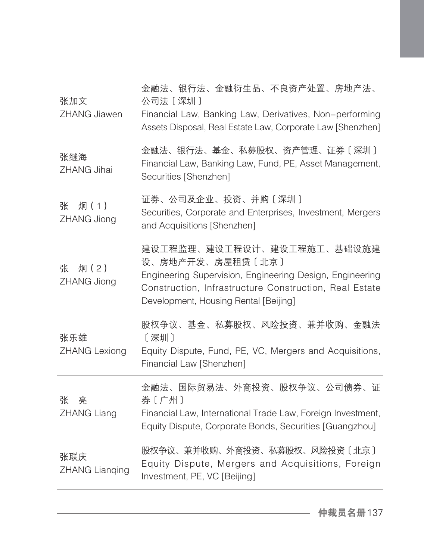| 张加文<br><b>ZHANG Jiawen</b>   | 金融法、银行法、金融衍生品、不良资产处置、房地产法、<br>公司法〔深圳〕<br>Financial Law, Banking Law, Derivatives, Non-performing<br>Assets Disposal, Real Estate Law, Corporate Law [Shenzhen]                                                |
|------------------------------|---------------------------------------------------------------------------------------------------------------------------------------------------------------------------------------------------------------|
| 张继海<br><b>ZHANG Jihai</b>    | 金融法、银行法、基金、私募股权、资产管理、证券〔深圳〕<br>Financial Law, Banking Law, Fund, PE, Asset Management,<br>Securities [Shenzhen]                                                                                               |
| 炯(1)<br>张<br>ZHANG Jiong     | 证券、公司及企业、投资、并购〔深圳〕<br>Securities, Corporate and Enterprises, Investment, Mergers<br>and Acquisitions [Shenzhen]                                                                                               |
| 炯(2)<br>张<br>ZHANG Jiong     | 建设工程监理、建设工程设计、建设工程施工、基础设施建<br>设、房地产开发、房屋租赁〔北京〕<br>Engineering Supervision, Engineering Design, Engineering<br>Construction, Infrastructure Construction, Real Estate<br>Development, Housing Rental [Beijing] |
| 张乐雄<br><b>ZHANG Lexiong</b>  | 股权争议、基金、私募股权、风险投资、兼并收购、金融法<br>[深圳]<br>Equity Dispute, Fund, PE, VC, Mergers and Acquisitions,<br>Financial Law [Shenzhen]                                                                                     |
| 张<br>亮<br><b>ZHANG Liang</b> | 金融法、国际贸易法、外商投资、股权争议、公司债券、证<br>券〔广州〕<br>Financial Law, International Trade Law, Foreign Investment,<br>Equity Dispute, Corporate Bonds, Securities [Guangzhou]                                                 |
| 张联庆<br><b>ZHANG Lianqing</b> | 股权争议、兼并收购、外商投资、私募股权、风险投资〔北京〕<br>Equity Dispute, Mergers and Acquisitions, Foreign<br>Investment, PE, VC [Beijing]                                                                                             |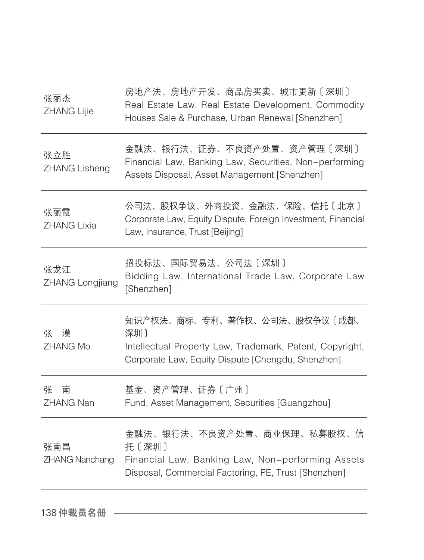| 张丽杰<br>ZHANG Lijie            | 房地产法、房地产开发、商品房买卖、城市更新〔深圳〕<br>Real Estate Law, Real Estate Development, Commodity<br>Houses Sale & Purchase, Urban Renewal [Shenzhen]                 |
|-------------------------------|------------------------------------------------------------------------------------------------------------------------------------------------------|
| 张立胜<br><b>ZHANG Lisheng</b>   | 金融法、银行法、证券、不良资产处置、资产管理〔深圳〕<br>Financial Law, Banking Law, Securities, Non-performing<br>Assets Disposal, Asset Management [Shenzhen]                 |
| 张丽霞<br><b>ZHANG Lixia</b>     | 公司法、股权争议、外商投资、金融法、保险、信托〔北京〕<br>Corporate Law, Equity Dispute, Foreign Investment, Financial<br>Law, Insurance, Trust [Beijing]                       |
| 张龙江<br><b>ZHANG Longjiang</b> | 招投标法、国际贸易法、公司法〔深圳〕<br>Bidding Law, International Trade Law, Corporate Law<br>[Shenzhen]                                                              |
| 张 漠<br><b>ZHANG Mo</b>        | 知识产权法、商标、专利、著作权、公司法、股权争议〔成都、<br>深圳]<br>Intellectual Property Law, Trademark, Patent, Copyright,<br>Corporate Law, Equity Dispute [Chengdu, Shenzhen] |
| 张<br>南<br><b>ZHANG Nan</b>    | 基金、资产管理、证券〔广州〕<br>Fund, Asset Management, Securities [Guangzhou]                                                                                     |
| 张南昌<br><b>ZHANG Nanchang</b>  | 金融法、银行法、不良资产处置、商业保理、私募股权、信<br>托〔深圳〕<br>Financial Law, Banking Law, Non-performing Assets<br>Disposal, Commercial Factoring, PE, Trust [Shenzhen]     |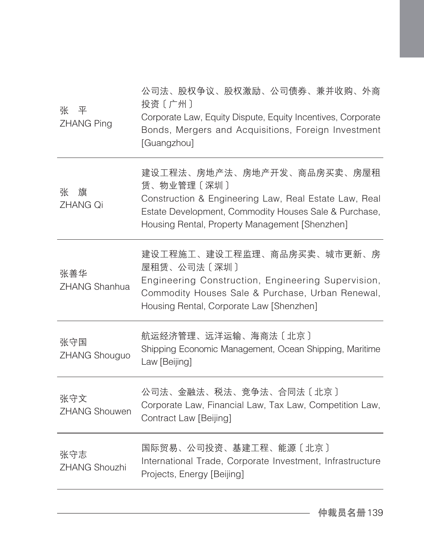| 平<br>张<br><b>ZHANG Ping</b> | 公司法、股权争议、股权激励、公司债券、兼并收购、外商<br>投资〔广州〕<br>Corporate Law, Equity Dispute, Equity Incentives, Corporate<br>Bonds, Mergers and Acquisitions, Foreign Investment<br>[Guangzhou]                                    |
|-----------------------------|--------------------------------------------------------------------------------------------------------------------------------------------------------------------------------------------------------------|
| 张<br>旗<br><b>ZHANG Qi</b>   | 建设工程法、房地产法、房地产开发、商品房买卖、房屋租<br>赁、物业管理〔深圳〕<br>Construction & Engineering Law, Real Estate Law, Real<br>Estate Development, Commodity Houses Sale & Purchase,<br>Housing Rental, Property Management [Shenzhen] |
| 张善华<br>ZHANG Shanhua        | 建设工程施工、建设工程监理、商品房买卖、城市更新、房<br>屋租赁、公司法〔深圳〕<br>Engineering Construction, Engineering Supervision,<br>Commodity Houses Sale & Purchase, Urban Renewal,<br>Housing Rental, Corporate Law [Shenzhen]              |
| 张守国<br>ZHANG Shouguo        | 航运经济管理、远洋运输、海商法〔北京〕<br>Shipping Economic Management, Ocean Shipping, Maritime<br>Law [Beijing]                                                                                                               |
| 张守文<br><b>ZHANG Shouwen</b> | 公司法、金融法、税法、竞争法、合同法〔北京〕<br>Corporate Law, Financial Law, Tax Law, Competition Law,<br>Contract Law [Beijing]                                                                                                  |
| 张守志<br><b>ZHANG Shouzhi</b> | 国际贸易、公司投资、基建工程、能源〔北京〕<br>International Trade, Corporate Investment, Infrastructure<br>Projects, Energy [Beijing]                                                                                             |
|                             |                                                                                                                                                                                                              |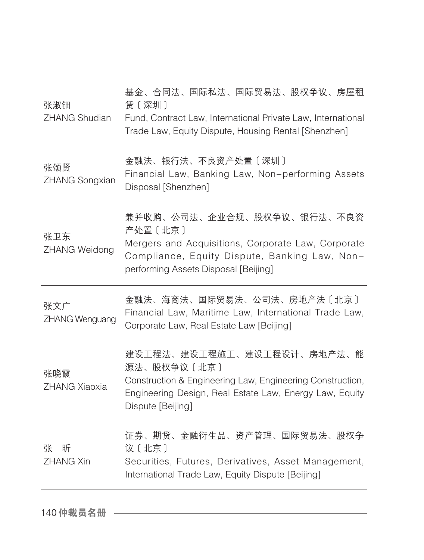| 张淑钿<br><b>ZHANG Shudian</b>  | 基金、合同法、国际私法、国际贸易法、股权争议、房屋租<br>赁〔深圳〕<br>Fund, Contract Law, International Private Law, International<br>Trade Law, Equity Dispute, Housing Rental [Shenzhen]                            |
|------------------------------|----------------------------------------------------------------------------------------------------------------------------------------------------------------------------------------|
| 张颂贤<br><b>ZHANG Songxian</b> | 金融法、银行法、不良资产处置〔深圳〕<br>Financial Law, Banking Law, Non-performing Assets<br>Disposal [Shenzhen]                                                                                         |
| 张卫东<br>ZHANG Weidong         | 兼并收购、公司法、企业合规、股权争议、银行法、不良资<br>产处置〔北京〕<br>Mergers and Acquisitions, Corporate Law, Corporate<br>Compliance, Equity Dispute, Banking Law, Non-<br>performing Assets Disposal [Beijing]   |
| 张文广<br>ZHANG Wenguang        | 金融法、海商法、国际贸易法、公司法、房地产法〔北京〕<br>Financial Law, Maritime Law, International Trade Law,<br>Corporate Law, Real Estate Law [Beijing]                                                        |
| 张晓霞<br><b>ZHANG Xiaoxia</b>  | 建设工程法、建设工程施工、建设工程设计、房地产法、能<br>源法、股权争议〔北京〕<br>Construction & Engineering Law, Engineering Construction,<br>Engineering Design, Real Estate Law, Energy Law, Equity<br>Dispute [Beijing] |
| 张<br>昕<br><b>ZHANG Xin</b>   | 证券、期货、金融衍生品、资产管理、国际贸易法、股权争<br>议〔北京〕<br>Securities, Futures, Derivatives, Asset Management,<br>International Trade Law, Equity Dispute [Beijing]                                        |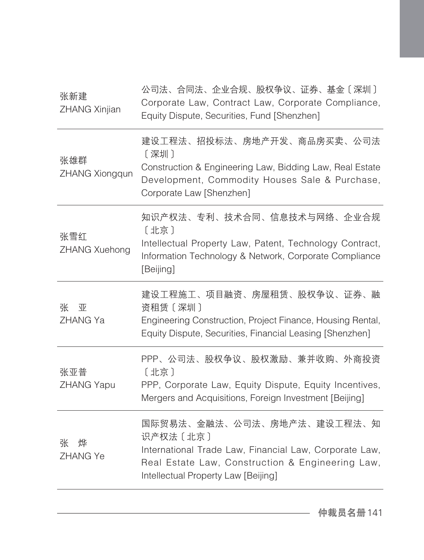| 张新建<br>ZHANG Xinjian      | 公司法、合同法、企业合规、股权争议、证券、基金〔深圳〕<br>Corporate Law, Contract Law, Corporate Compliance,<br>Equity Dispute, Securities, Fund [Shenzhen]                                                             |
|---------------------------|----------------------------------------------------------------------------------------------------------------------------------------------------------------------------------------------|
| 张雄群<br>ZHANG Xiongqun     | 建设工程法、招投标法、房地产开发、商品房买卖、公司法<br>[深圳]<br>Construction & Engineering Law, Bidding Law, Real Estate<br>Development, Commodity Houses Sale & Purchase,<br>Corporate Law [Shenzhen]                 |
| 张雪红<br>ZHANG Xuehong      | 知识产权法、专利、技术合同、信息技术与网络、企业合规<br>[北京]<br>Intellectual Property Law, Patent, Technology Contract,<br>Information Technology & Network, Corporate Compliance<br>[Beijing]                         |
| 张<br>亚<br>ZHANG Ya        | 建设工程施工、项目融资、房屋租赁、股权争议、证券、融<br>资租赁 [深圳]<br>Engineering Construction, Project Finance, Housing Rental,<br>Equity Dispute, Securities, Financial Leasing [Shenzhen]                             |
| 张亚普<br><b>ZHANG Yapu</b>  | PPP、公司法、股权争议、股权激励、兼并收购、外商投资<br>[北京]<br>PPP, Corporate Law, Equity Dispute, Equity Incentives,<br>Mergers and Acquisitions, Foreign Investment [Beijing]                                      |
| 张<br>烨<br><b>ZHANG Ye</b> | 国际贸易法、金融法、公司法、房地产法、建设工程法、知<br>识产权法 [北京]<br>International Trade Law, Financial Law, Corporate Law,<br>Real Estate Law, Construction & Engineering Law,<br>Intellectual Property Law [Beijing] |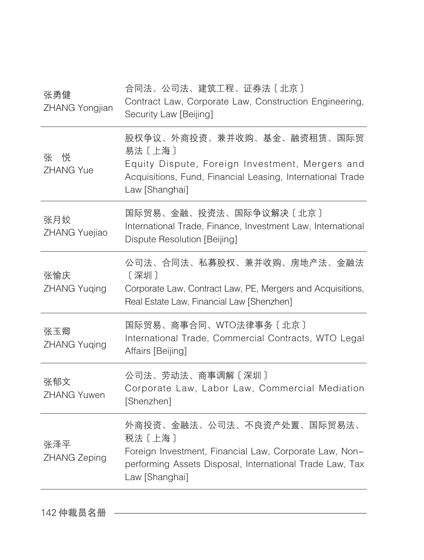| 张勇健<br>ZHANG Yongjian      | 合同法、公司法、建筑工程、证券法〔北京〕<br>Contract Law, Corporate Law, Construction Engineering,<br>Security Law [Beijing]                                                                     |
|----------------------------|------------------------------------------------------------------------------------------------------------------------------------------------------------------------------|
| 张 悦<br><b>ZHANG Yue</b>    | 股权争议、外商投资、兼并收购、基金、融资租赁、国际贸<br>易法〔上海〕<br>Equity Dispute, Foreign Investment, Mergers and<br>Acquisitions, Fund, Financial Leasing, International Trade<br>Law [Shanghai]      |
| 张月姣<br>ZHANG Yuejiao       | 国际贸易、金融、投资法、国际争议解决〔北京〕<br>International Trade, Finance, Investment Law, International<br>Dispute Resolution [Beijing]                                                        |
| 张愉庆<br><b>ZHANG Yuging</b> | 公司法、合同法、私募股权、兼并收购、房地产法、金融法<br>[深圳]<br>Corporate Law, Contract Law, PE, Mergers and Acquisitions,<br>Real Estate Law, Financial Law [Shenzhen]                                |
| 张玉卿<br><b>ZHANG Yuging</b> | 国际贸易、商事合同、WTO法律事务〔北京〕<br>International Trade, Commercial Contracts, WTO Legal<br>Affairs [Beijing]                                                                           |
| 张郁文<br><b>ZHANG Yuwen</b>  | 公司法、劳动法、商事调解〔深圳〕<br>Corporate Law, Labor Law, Commercial Mediation<br>[Shenzhen]                                                                                             |
| 张泽平<br>ZHANG Zeping        | 外商投资、金融法、公司法、不良资产处置、国际贸易法、<br>税法〔上海〕<br>Foreign Investment, Financial Law, Corporate Law, Non-<br>performing Assets Disposal, International Trade Law, Tax<br>Law [Shanghai] |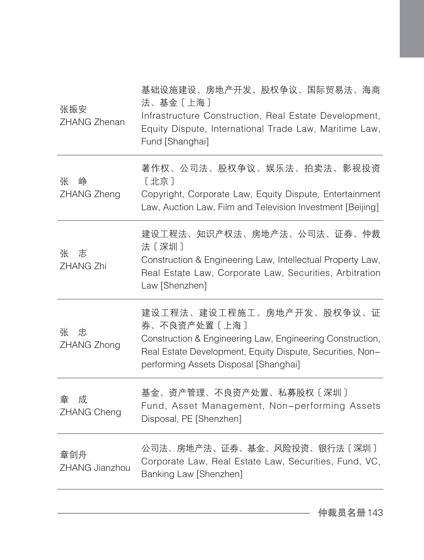| 张振安<br><b>ZHANG Zhenan</b>   | 基础设施建设、房地产开发、股权争议、国际贸易法、海商<br>法、基金〔上海〕<br>Infrastructure Construction, Real Estate Development,<br>Equity Dispute, International Trade Law, Maritime Law,<br>Fund [Shanghai]                                 |
|------------------------------|--------------------------------------------------------------------------------------------------------------------------------------------------------------------------------------------------------------|
| 峥<br>张<br>ZHANG Zheng        | 著作权、公司法、股权争议、娱乐法、拍卖法、影视投资<br>[北京]<br>Copyright, Corporate Law, Equity Dispute, Entertainment<br>Law, Auction Law, Film and Television Investment [Beijing]                                                   |
| 张<br>志<br>ZHANG Zhi          | 建设工程法、知识产权法、房地产法、公司法、证券、仲裁<br>法〔深圳〕<br>Construction & Engineering Law, Intellectual Property Law,<br>Real Estate Law, Corporate Law, Securities, Arbitration<br>Law [Shenzhen]                               |
| 张<br>忠<br>ZHANG Zhong        | 建设工程法、建设工程施工、房地产开发、股权争议、证<br>券、不良资产处置〔上海〕<br>Construction & Engineering Law, Engineering Construction,<br>Real Estate Development, Equity Dispute, Securities, Non-<br>performing Assets Disposal [Shanghai] |
| 成<br>章<br>ZHANG Cheng        | 基金、资产管理、不良资产处置、私募股权〔深圳〕<br>Fund, Asset Management, Non-performing Assets<br>Disposal, PE [Shenzhen]                                                                                                          |
| 章剑舟<br><b>ZHANG Jianzhou</b> | 公司法、房地产法、证券、基金、风险投资、银行法〔深圳〕<br>Corporate Law, Real Estate Law, Securities, Fund, VC,<br>Banking Law [Shenzhen]                                                                                               |
|                              |                                                                                                                                                                                                              |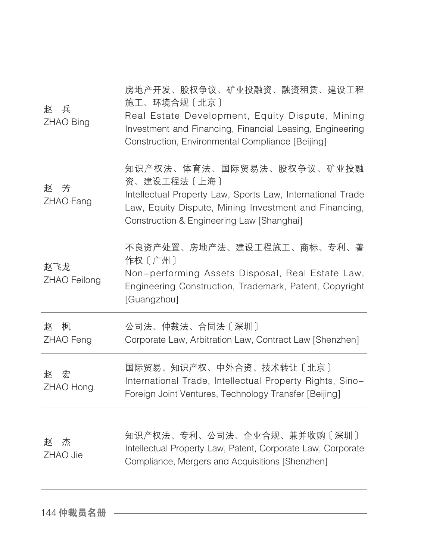| 兵<br>赵<br>ZHAO Bing | 房地产开发、股权争议、矿业投融资、融资租赁、建设工程<br>施工、环境合规〔北京〕<br>Real Estate Development, Equity Dispute, Mining<br>Investment and Financing, Financial Leasing, Engineering<br>Construction, Environmental Compliance [Beijing] |
|---------------------|--------------------------------------------------------------------------------------------------------------------------------------------------------------------------------------------------------------|
| 芳<br>赵<br>ZHAO Fang | 知识产权法、体育法、国际贸易法、股权争议、矿业投融<br>资、建设工程法〔上海〕<br>Intellectual Property Law, Sports Law, International Trade<br>Law, Equity Dispute, Mining Investment and Financing,<br>Construction & Engineering Law [Shanghai] |
| 赵飞龙<br>ZHAO Feilong | 不良资产处置、房地产法、建设工程施工、商标、专利、著<br>作权〔广州〕<br>Non-performing Assets Disposal, Real Estate Law,<br>Engineering Construction, Trademark, Patent, Copyright<br>[Guangzhou]                                            |
| 枫<br>赵<br>ZHAO Feng | 公司法、仲裁法、合同法〔深圳〕<br>Corporate Law, Arbitration Law, Contract Law [Shenzhen]                                                                                                                                   |
| 宏<br>赵<br>ZHAO Hong | 国际贸易、知识产权、中外合资、技术转让〔北京〕<br>International Trade, Intellectual Property Rights, Sino-<br>Foreign Joint Ventures, Technology Transfer [Beijing]                                                                 |
| 杰<br>赵<br>ZHAO Jie  | 知识产权法、专利、公司法、企业合规、兼并收购〔深圳〕<br>Intellectual Property Law, Patent, Corporate Law, Corporate<br>Compliance, Mergers and Acquisitions [Shenzhen]                                                                 |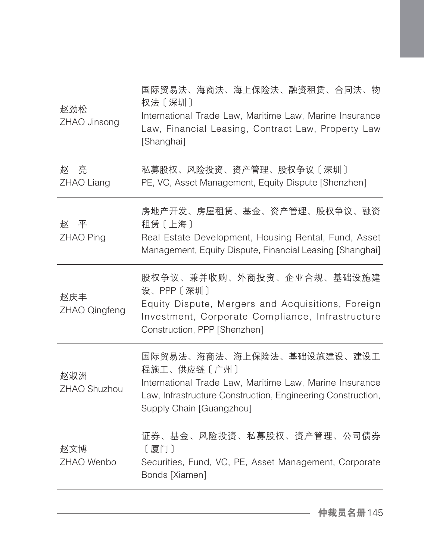| 私募股权、风险投资、资产管理、股权争议〔深圳〕<br>亮<br>赵<br>ZHAO Liang<br>PE, VC, Asset Management, Equity Dispute [Shenzhen]<br>平<br>赵<br>租赁〔上海〕<br>ZHAO Ping<br>设、PPP〔深圳〕<br>赵庆丰<br>ZHAO Qingfeng<br>Construction, PPP [Shenzhen]<br>程施工、供应链〔广州〕<br>赵淑洲<br>ZHAO Shuzhou<br>Supply Chain [Guangzhou]<br>赵文博<br>[厦门]<br>ZHAO Wenbo<br>Bonds [Xiamen] | 赵劲松<br>ZHAO Jinsong | 国际贸易法、海商法、海上保险法、融资租赁、合同法、物<br>权法〔深圳〕<br>International Trade Law, Maritime Law, Marine Insurance<br>Law, Financial Leasing, Contract Law, Property Law<br>[Shanghai] |
|-------------------------------------------------------------------------------------------------------------------------------------------------------------------------------------------------------------------------------------------------------------------------------------------------------------------------------|---------------------|---------------------------------------------------------------------------------------------------------------------------------------------------------------------|
|                                                                                                                                                                                                                                                                                                                               |                     |                                                                                                                                                                     |
|                                                                                                                                                                                                                                                                                                                               |                     | 房地产开发、房屋租赁、基金、资产管理、股权争议、融资<br>Real Estate Development, Housing Rental, Fund, Asset<br>Management, Equity Dispute, Financial Leasing [Shanghai]                      |
|                                                                                                                                                                                                                                                                                                                               |                     | 股权争议、兼并收购、外商投资、企业合规、基础设施建<br>Equity Dispute, Mergers and Acquisitions, Foreign<br>Investment, Corporate Compliance, Infrastructure                                  |
|                                                                                                                                                                                                                                                                                                                               |                     | 国际贸易法、海商法、海上保险法、基础设施建设、建设工<br>International Trade Law, Maritime Law, Marine Insurance<br>Law, Infrastructure Construction, Engineering Construction,                |
|                                                                                                                                                                                                                                                                                                                               |                     | 证券、基金、风险投资、私募股权、资产管理、公司债券<br>Securities, Fund, VC, PE, Asset Management, Corporate                                                                                  |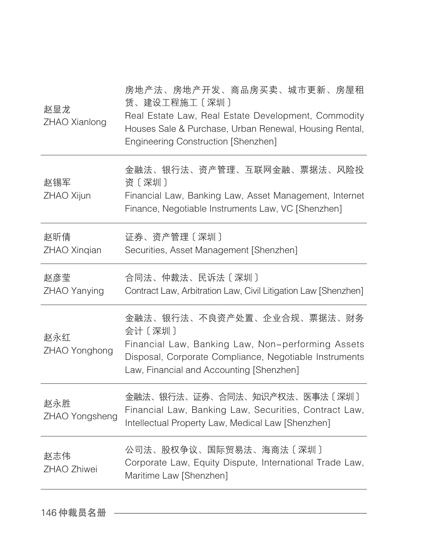| 赵显龙<br>ZHAO Xianlong  | 房地产法、房地产开发、商品房买卖、城市更新、房屋租<br>赁、建设工程施工〔深圳〕<br>Real Estate Law, Real Estate Development, Commodity<br>Houses Sale & Purchase, Urban Renewal, Housing Rental,<br>Engineering Construction [Shenzhen] |
|-----------------------|---------------------------------------------------------------------------------------------------------------------------------------------------------------------------------------------------|
| 赵锡军<br>ZHAO Xijun     | 金融法、银行法、资产管理、互联网金融、票据法、风险投<br>资〔深圳〕<br>Financial Law, Banking Law, Asset Management, Internet<br>Finance, Negotiable Instruments Law, VC [Shenzhen]                                               |
| 赵昕倩<br>ZHAO Xinqian   | 证券、资产管理〔深圳〕<br>Securities, Asset Management [Shenzhen]                                                                                                                                            |
| 赵彦莹<br>ZHAO Yanying   | 合同法、仲裁法、民诉法〔深圳〕<br>Contract Law, Arbitration Law, Civil Litigation Law [Shenzhen]                                                                                                                 |
| 赵永红<br>ZHAO Yonghong  | 金融法、银行法、不良资产处置、企业合规、票据法、财务<br>会计〔深圳〕<br>Financial Law, Banking Law, Non-performing Assets<br>Disposal, Corporate Compliance, Negotiable Instruments<br>Law, Financial and Accounting [Shenzhen]   |
| 赵永胜<br>ZHAO Yongsheng | 金融法、银行法、证券、合同法、知识产权法、医事法〔深圳〕<br>Financial Law, Banking Law, Securities, Contract Law,<br>Intellectual Property Law, Medical Law [Shenzhen]                                                        |
| 赵志伟<br>ZHAO Zhiwei    | 公司法、股权争议、国际贸易法、海商法〔深圳〕<br>Corporate Law, Equity Dispute, International Trade Law,<br>Maritime Law [Shenzhen]                                                                                      |
|                       |                                                                                                                                                                                                   |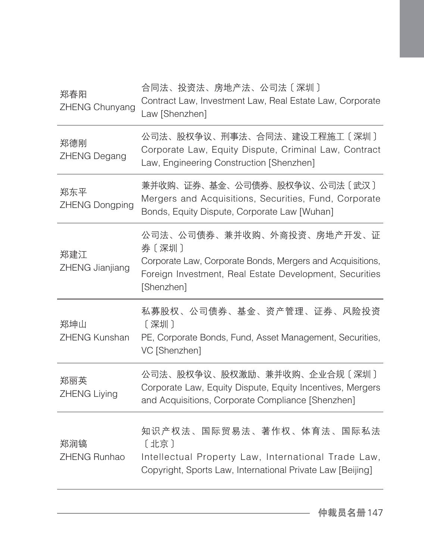| 郑春阳<br>ZHENG Chunyang        | 合同法、投资法、房地产法、公司法〔深圳〕<br>Contract Law, Investment Law, Real Estate Law, Corporate<br>Law [Shenzhen]                                                                        |
|------------------------------|---------------------------------------------------------------------------------------------------------------------------------------------------------------------------|
| 郑德刚<br><b>ZHENG Degang</b>   | 公司法、股权争议、刑事法、合同法、建设工程施工〔深圳〕<br>Corporate Law, Equity Dispute, Criminal Law, Contract<br>Law, Engineering Construction [Shenzhen]                                          |
| 郑东平<br><b>ZHENG Dongping</b> | 兼并收购、证券、基金、公司债券、股权争议、公司法〔武汉〕<br>Mergers and Acquisitions, Securities, Fund, Corporate<br>Bonds, Equity Dispute, Corporate Law [Wuhan]                                     |
| 郑建江<br>ZHENG Jianjiang       | 公司法、公司债券、兼并收购、外商投资、房地产开发、证<br>券〔深圳〕<br>Corporate Law, Corporate Bonds, Mergers and Acquisitions,<br>Foreign Investment, Real Estate Development, Securities<br>[Shenzhen] |
| 郑坤山<br>ZHENG Kunshan         | 私募股权、公司债券、基金、资产管理、证券、风险投资<br>〔深圳〕<br>PE, Corporate Bonds, Fund, Asset Management, Securities,<br>VC [Shenzhen]                                                            |
| 郑丽英<br>ZHENG Liying          | 公司法、股权争议、股权激励、兼并收购、企业合规〔深圳〕<br>Corporate Law, Equity Dispute, Equity Incentives, Mergers<br>and Acquisitions, Corporate Compliance [Shenzhen]                             |
| 郑润镐<br>ZHENG Runhao          | 知识产权法、国际贸易法、著作权、体育法、国际私法<br>[北京]<br>Intellectual Property Law, International Trade Law,<br>Copyright, Sports Law, International Private Law [Beijing]                     |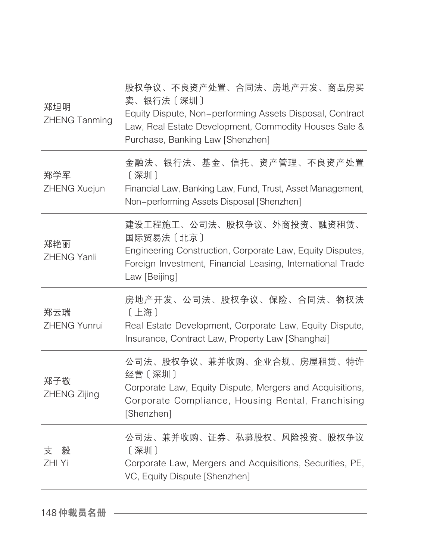| 郑坦明<br><b>ZHENG Tanming</b> | 股权争议、不良资产处置、合同法、房地产开发、商品房买<br>卖、银行法〔深圳〕<br>Equity Dispute, Non-performing Assets Disposal, Contract<br>Law, Real Estate Development, Commodity Houses Sale &<br>Purchase, Banking Law [Shenzhen] |
|-----------------------------|--------------------------------------------------------------------------------------------------------------------------------------------------------------------------------------------------|
| 郑学军<br>ZHENG Xuejun         | 金融法、银行法、基金、信托、资产管理、不良资产处置<br>[深圳]<br>Financial Law, Banking Law, Fund, Trust, Asset Management,<br>Non-performing Assets Disposal [Shenzhen]                                                     |
| 郑艳丽<br><b>ZHENG Yanli</b>   | 建设工程施工、公司法、股权争议、外商投资、融资租赁、<br>国际贸易法〔北京〕<br>Engineering Construction, Corporate Law, Equity Disputes,<br>Foreign Investment, Financial Leasing, International Trade<br>Law [Beijing]              |
| 郑云瑞<br><b>ZHENG Yunrui</b>  | 房地产开发、公司法、股权争议、保险、合同法、物权法<br>[上海]<br>Real Estate Development, Corporate Law, Equity Dispute,<br>Insurance, Contract Law, Property Law [Shanghai]                                                 |
| 郑子敬<br>ZHENG Zijing         | 公司法、股权争议、兼并收购、企业合规、房屋租赁、特许<br>经营〔深圳〕<br>Corporate Law, Equity Dispute, Mergers and Acquisitions,<br>Corporate Compliance, Housing Rental, Franchising<br>[Shenzhen]                              |
| 毅<br>支<br>ZHI Yi            | 公司法、兼并收购、证券、私募股权、风险投资、股权争议<br>[深圳]<br>Corporate Law, Mergers and Acquisitions, Securities, PE,<br>VC, Equity Dispute [Shenzhen]                                                                  |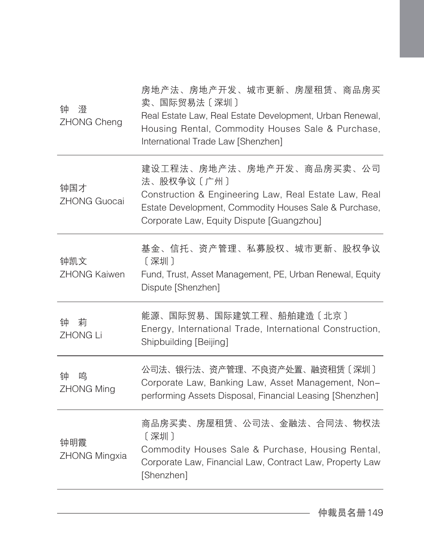| 钟<br>澄<br>ZHONG Cheng       | 房地产法、房地产开发、城市更新、房屋租赁、商品房买<br>卖、国际贸易法〔深圳〕<br>Real Estate Law, Real Estate Development, Urban Renewal,<br>Housing Rental, Commodity Houses Sale & Purchase,<br>International Trade Law [Shenzhen]        |
|-----------------------------|--------------------------------------------------------------------------------------------------------------------------------------------------------------------------------------------------------|
| 钟国才<br><b>ZHONG Guocai</b>  | 建设工程法、房地产法、房地产开发、商品房买卖、公司<br>法、股权争议〔广州〕<br>Construction & Engineering Law, Real Estate Law, Real<br>Estate Development, Commodity Houses Sale & Purchase,<br>Corporate Law, Equity Dispute [Guangzhou] |
| 钟凯文<br><b>ZHONG Kaiwen</b>  | 基金、信托、资产管理、私募股权、城市更新、股权争议<br>〔深圳〕<br>Fund, Trust, Asset Management, PE, Urban Renewal, Equity<br>Dispute [Shenzhen]                                                                                    |
| 莉<br>钟<br><b>ZHONG Li</b>   | 能源、国际贸易、国际建筑工程、船舶建造〔北京〕<br>Energy, International Trade, International Construction,<br>Shipbuilding [Beijing]                                                                                          |
| 鸣<br>钟<br><b>ZHONG Ming</b> | 公司法、银行法、资产管理、不良资产处置、融资租赁〔深圳〕<br>Corporate Law, Banking Law, Asset Management, Non-<br>performing Assets Disposal, Financial Leasing [Shenzhen]                                                         |
| 钟明霞<br><b>ZHONG Mingxia</b> | 商品房买卖、房屋租赁、公司法、金融法、合同法、物权法<br>[深圳]<br>Commodity Houses Sale & Purchase, Housing Rental,<br>Corporate Law, Financial Law, Contract Law, Property Law<br>[Shenzhen]                                      |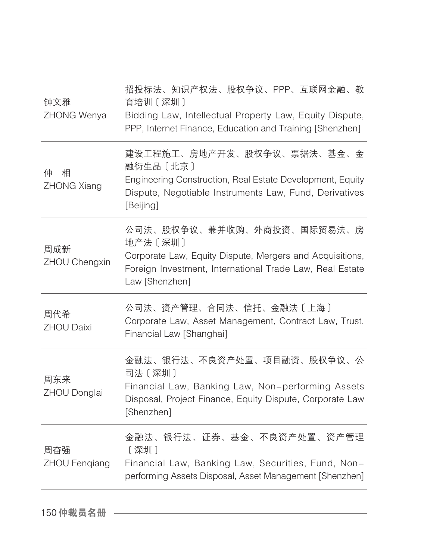| 钟文雅<br>ZHONG Wenya           | 招投标法、知识产权法、股权争议、PPP、互联网金融、教<br>育培训〔深圳〕<br>Bidding Law, Intellectual Property Law, Equity Dispute,<br>PPP, Internet Finance, Education and Training [Shenzhen]                    |
|------------------------------|----------------------------------------------------------------------------------------------------------------------------------------------------------------------------------|
| 相<br>仲<br><b>ZHONG Xiang</b> | 建设工程施工、房地产开发、股权争议、票据法、基金、金<br>融衍生品 [北京]<br>Engineering Construction, Real Estate Development, Equity<br>Dispute, Negotiable Instruments Law, Fund, Derivatives<br>[Beijing]      |
| 周成新<br>ZHOU Chengxin         | 公司法、股权争议、兼并收购、外商投资、国际贸易法、房<br>地产法 [深圳]<br>Corporate Law, Equity Dispute, Mergers and Acquisitions,<br>Foreign Investment, International Trade Law, Real Estate<br>Law [Shenzhen] |
| 周代希<br><b>ZHOU Daixi</b>     | 公司法、资产管理、合同法、信托、金融法〔上海〕<br>Corporate Law, Asset Management, Contract Law, Trust,<br>Financial Law [Shanghai]                                                                     |
| 周东来<br>ZHOU Donglai          | 金融法、银行法、不良资产处置、项目融资、股权争议、公<br>司法〔深圳〕<br>Financial Law, Banking Law, Non-performing Assets<br>Disposal, Project Finance, Equity Dispute, Corporate Law<br>[Shenzhen]              |
| 周奋强<br><b>ZHOU Fengiang</b>  | 金融法、银行法、证券、基金、不良资产处置、资产管理<br>[深圳]<br>Financial Law, Banking Law, Securities, Fund, Non-<br>performing Assets Disposal, Asset Management [Shenzhen]                               |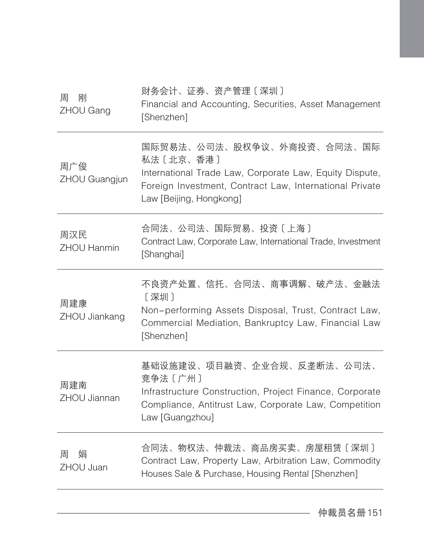| 刚<br>周<br>ZHOU Gang       | 财务会计、证券、资产管理〔深圳〕<br>Financial and Accounting, Securities, Asset Management<br>[Shenzhen]                                                                                                 |
|---------------------------|------------------------------------------------------------------------------------------------------------------------------------------------------------------------------------------|
| 周广俊<br>ZHOU Guangjun      | 国际贸易法、公司法、股权争议、外商投资、合同法、国际<br>私法〔北京、香港〕<br>International Trade Law, Corporate Law, Equity Dispute,<br>Foreign Investment, Contract Law, International Private<br>Law [Beijing, Hongkong] |
| 周汉民<br><b>ZHOU Hanmin</b> | 合同法、公司法、国际贸易、投资〔上海〕<br>Contract Law, Corporate Law, International Trade, Investment<br>[Shanghai]                                                                                        |
| 周建康<br>ZHOU Jiankang      | 不良资产处置、信托、合同法、商事调解、破产法、金融法<br>[深圳]<br>Non-performing Assets Disposal, Trust, Contract Law,<br>Commercial Mediation, Bankruptcy Law, Financial Law<br>[Shenzhen]                          |
| 周建南<br>ZHOU Jiannan       | 基础设施建设、项目融资、企业合规、反垄断法、公司法、<br>竞争法〔广州〕<br>Infrastructure Construction, Project Finance, Corporate<br>Compliance, Antitrust Law, Corporate Law, Competition<br>Law [Guangzhou]             |
| 娼<br>周<br>ZHOU Juan       | 合同法、物权法、仲裁法、商品房买卖、房屋租赁〔深圳〕<br>Contract Law, Property Law, Arbitration Law, Commodity<br>Houses Sale & Purchase, Housing Rental [Shenzhen]                                                |
|                           |                                                                                                                                                                                          |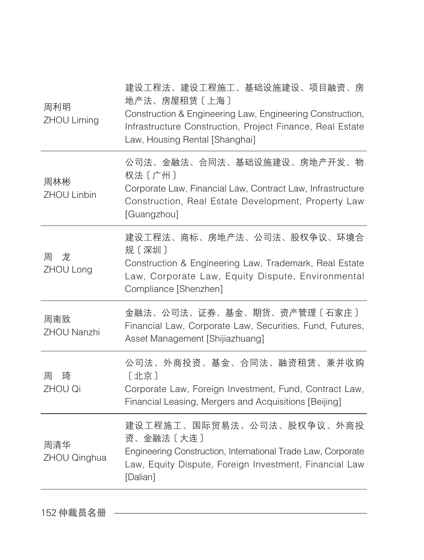| 周利明<br>ZHOU Liming  | 建设工程法、建设工程施工、基础设施建设、项目融资、房<br>地产法、房屋租赁〔上海〕<br>Construction & Engineering Law, Engineering Construction,<br>Infrastructure Construction, Project Finance, Real Estate<br>Law, Housing Rental [Shanghai] |
|---------------------|--------------------------------------------------------------------------------------------------------------------------------------------------------------------------------------------------------|
| 周林彬<br>ZHOU Linbin  | 公司法、金融法、合同法、基础设施建设、房地产开发、物<br>权法〔广州〕<br>Corporate Law, Financial Law, Contract Law, Infrastructure<br>Construction, Real Estate Development, Property Law<br>[Guangzhou]                               |
| 龙<br>周<br>ZHOU Long | 建设工程法、商标、房地产法、公司法、股权争议、环境合<br>规〔深圳〕<br>Construction & Engineering Law, Trademark, Real Estate<br>Law, Corporate Law, Equity Dispute, Environmental<br>Compliance [Shenzhen]                            |
| 周南致<br>ZHOU Nanzhi  | 金融法、公司法、证券、基金、期货、资产管理〔石家庄〕<br>Financial Law, Corporate Law, Securities, Fund, Futures,<br>Asset Management [Shijiazhuang]                                                                              |
| 琦<br>周<br>ZHOU Qi   | 公司法、外商投资、基金、合同法、融资租赁、兼并收购<br>〔北京〕<br>Corporate Law, Foreign Investment, Fund, Contract Law,<br>Financial Leasing, Mergers and Acquisitions [Beijing]                                                   |
| 周清华<br>ZHOU Qinghua | 建设工程施工、国际贸易法、公司法、股权争议、外商投<br>资、金融法〔大连〕<br>Engineering Construction, International Trade Law, Corporate<br>Law, Equity Dispute, Foreign Investment, Financial Law<br>[Dalian]                           |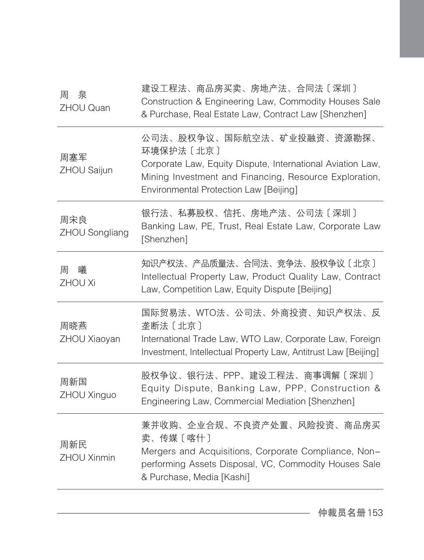| 泉<br>周<br><b>ZHOU Quan</b> | 建设工程法、商品房买卖、房地产法、合同法〔深圳〕<br>Construction & Engineering Law, Commodity Houses Sale<br>& Purchase, Real Estate Law, Contract Law [Shenzhen]                                                                  |
|----------------------------|------------------------------------------------------------------------------------------------------------------------------------------------------------------------------------------------------------|
| 周塞军<br>ZHOU Saijun         | 公司法、股权争议、国际航空法、矿业投融资、资源勘探、<br>环境保护法 [北京]<br>Corporate Law, Equity Dispute, International Aviation Law,<br>Mining Investment and Financing, Resource Exploration,<br>Environmental Protection Law [Beijing] |
| 周宋良<br>ZHOU Songliang      | 银行法、私募股权、信托、房地产法、公司法〔深圳〕<br>Banking Law, PE, Trust, Real Estate Law, Corporate Law<br>[Shenzhen]                                                                                                           |
| 曦<br>周<br><b>ZHOU Xi</b>   | 知识产权法、产品质量法、合同法、竞争法、股权争议〔北京〕<br>Intellectual Property Law, Product Quality Law, Contract<br>Law, Competition Law, Equity Dispute [Beijing]                                                                 |
| 周晓燕<br>ZHOU Xiaoyan        | 国际贸易法、WTO法、公司法、外商投资、知识产权法、反<br>垄断法 [北京]<br>International Trade Law, WTO Law, Corporate Law, Foreign<br>Investment, Intellectual Property Law, Antitrust Law [Beijing]                                      |
| 周新国<br>ZHOU Xinguo         | 股权争议、银行法、PPP、建设工程法、商事调解〔深圳〕<br>Equity Dispute, Banking Law, PPP, Construction &<br>Engineering Law, Commercial Mediation [Shenzhen]                                                                        |
| 周新民<br>ZHOU Xinmin         | 兼并收购、企业合规、不良资产处置、风险投资、商品房买<br>卖、传媒〔喀什〕<br>Mergers and Acquisitions, Corporate Compliance, Non-<br>performing Assets Disposal, VC, Commodity Houses Sale<br>& Purchase, Media [Kashi]                       |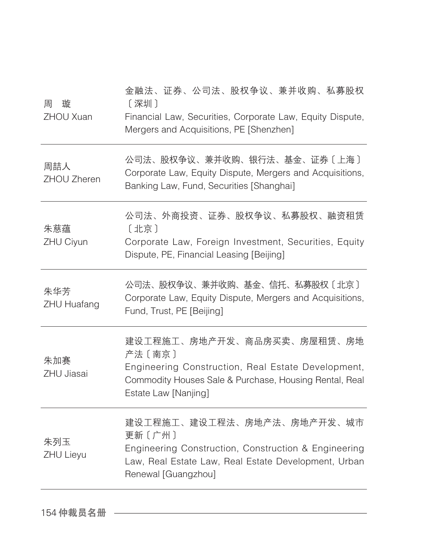| 周<br>璇<br>ZHOU Xuan       | 金融法、证券、公司法、股权争议、兼并收购、私募股权<br>[深圳]<br>Financial Law, Securities, Corporate Law, Equity Dispute,<br>Mergers and Acquisitions, PE [Shenzhen]                                     |
|---------------------------|-------------------------------------------------------------------------------------------------------------------------------------------------------------------------------|
| 周喆人<br>ZHOU Zheren        | 公司法、股权争议、兼并收购、银行法、基金、证券〔上海〕<br>Corporate Law, Equity Dispute, Mergers and Acquisitions,<br>Banking Law, Fund, Securities [Shanghai]                                           |
| 朱慈蕴<br>ZHU Ciyun          | 公司法、外商投资、证券、股权争议、私募股权、融资租赁<br>〔北京〕<br>Corporate Law, Foreign Investment, Securities, Equity<br>Dispute, PE, Financial Leasing [Beijing]                                       |
| 朱华芳<br><b>ZHU Huafang</b> | 公司法、股权争议、兼并收购、基金、信托、私募股权〔北京〕<br>Corporate Law, Equity Dispute, Mergers and Acquisitions,<br>Fund, Trust, PE [Beijing]                                                         |
| 朱加赛<br>ZHU Jiasai         | 建设工程施工、房地产开发、商品房买卖、房屋租赁、房地<br>产法 [南京]<br>Engineering Construction, Real Estate Development,<br>Commodity Houses Sale & Purchase, Housing Rental, Real<br>Estate Law [Nanjing] |
| 朱列玉<br><b>ZHU Lieyu</b>   | 建设工程施工、建设工程法、房地产法、房地产开发、城市<br>更新〔广州〕<br>Engineering Construction, Construction & Engineering<br>Law, Real Estate Law, Real Estate Development, Urban<br>Renewal [Guangzhou]   |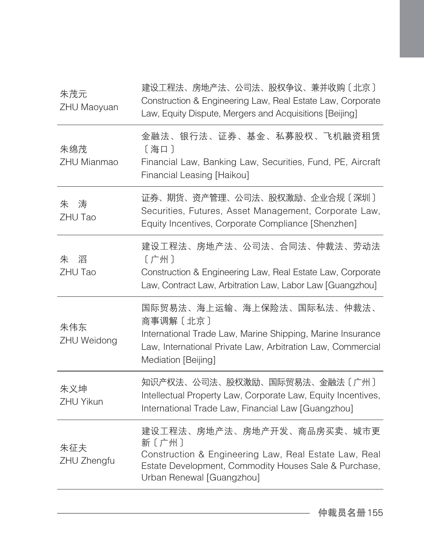| 朱茂元<br>ZHU Maoyuan        | 建设工程法、房地产法、公司法、股权争议、兼并收购〔北京〕<br>Construction & Engineering Law, Real Estate Law, Corporate<br>Law, Equity Dispute, Mergers and Acquisitions [Beijing]                                      |
|---------------------------|--------------------------------------------------------------------------------------------------------------------------------------------------------------------------------------------|
| 朱绵茂<br><b>ZHU Mianmao</b> | 金融法、银行法、证券、基金、私募股权、飞机融资租赁<br>[海口]<br>Financial Law, Banking Law, Securities, Fund, PE, Aircraft<br>Financial Leasing [Haikou]                                                              |
| 涛<br>朱<br>ZHU Tao         | 证券、期货、资产管理、公司法、股权激励、企业合规〔深圳〕<br>Securities, Futures, Asset Management, Corporate Law,<br>Equity Incentives, Corporate Compliance [Shenzhen]                                                |
| 朱<br>滔<br>ZHU Tao         | 建设工程法、房地产法、公司法、合同法、仲裁法、劳动法<br>〔广州〕<br>Construction & Engineering Law, Real Estate Law, Corporate<br>Law, Contract Law, Arbitration Law, Labor Law [Guangzhou]                              |
| 朱伟东<br>ZHU Weidong        | 国际贸易法、海上运输、海上保险法、国际私法、仲裁法、<br>商事调解〔北京〕<br>International Trade Law, Marine Shipping, Marine Insurance<br>Law, International Private Law, Arbitration Law, Commercial<br>Mediation [Beijing] |
| 朱义坤<br><b>ZHU Yikun</b>   | 知识产权法、公司法、股权激励、国际贸易法、金融法〔广州〕<br>Intellectual Property Law, Corporate Law, Equity Incentives,<br>International Trade Law, Financial Law [Guangzhou]                                         |
| 朱征夫<br>ZHU Zhengfu        | 建设工程法、房地产法、房地产开发、商品房买卖、城市更<br>新〔广州〕<br>Construction & Engineering Law, Real Estate Law, Real<br>Estate Development, Commodity Houses Sale & Purchase,<br>Urban Renewal [Guangzhou]         |
|                           |                                                                                                                                                                                            |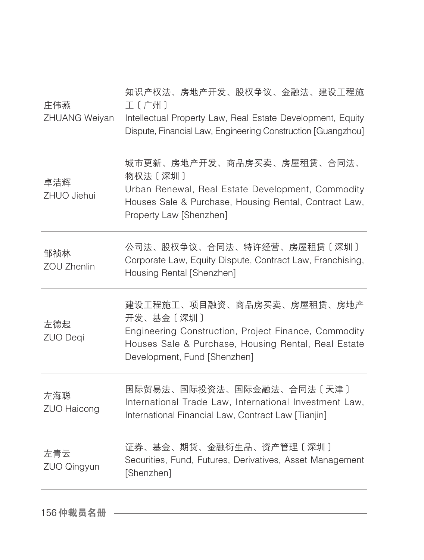| 城市更新、房地产开发、商品房买卖、房屋租赁、合同法、<br>物权法〔深圳〕<br>卓洁辉<br>ZHUO Jiehui<br>Houses Sale & Purchase, Housing Rental, Contract Law,<br>Property Law [Shenzhen]<br>公司法、股权争议、合同法、特许经营、房屋租赁〔深圳〕<br>邹祯林<br>Corporate Law, Equity Dispute, Contract Law, Franchising,<br><b>ZOU Zhenlin</b><br>Housing Rental [Shenzhen]<br>建设工程施工、项目融资、商品房买卖、房屋租赁、房地产<br>开发、基金〔深圳〕<br>左德起<br>Engineering Construction, Project Finance, Commodity<br>ZUO Deqi<br>Houses Sale & Purchase, Housing Rental, Real Estate<br>Development, Fund [Shenzhen]<br>国际贸易法、国际投资法、国际金融法、合同法〔天津〕<br>左海聪<br>International Trade Law, International Investment Law,<br><b>ZUO Haicong</b><br>International Financial Law, Contract Law [Tianjin]<br>证券、基金、期货、金融衍生品、资产管理〔深圳〕<br>左青云<br>Securities, Fund, Futures, Derivatives, Asset Management<br>ZUO Qingyun<br>[Shenzhen] | 庄伟燕<br>ZHUANG Weiyan | 知识产权法、房地产开发、股权争议、金融法、建设工程施<br>工〔广州〕<br>Intellectual Property Law, Real Estate Development, Equity<br>Dispute, Financial Law, Engineering Construction [Guangzhou] |
|-------------------------------------------------------------------------------------------------------------------------------------------------------------------------------------------------------------------------------------------------------------------------------------------------------------------------------------------------------------------------------------------------------------------------------------------------------------------------------------------------------------------------------------------------------------------------------------------------------------------------------------------------------------------------------------------------------------------------------------------------------------------------------------------------------------------------|----------------------|-------------------------------------------------------------------------------------------------------------------------------------------------------------------|
|                                                                                                                                                                                                                                                                                                                                                                                                                                                                                                                                                                                                                                                                                                                                                                                                                         |                      | Urban Renewal, Real Estate Development, Commodity                                                                                                                 |
|                                                                                                                                                                                                                                                                                                                                                                                                                                                                                                                                                                                                                                                                                                                                                                                                                         |                      |                                                                                                                                                                   |
|                                                                                                                                                                                                                                                                                                                                                                                                                                                                                                                                                                                                                                                                                                                                                                                                                         |                      |                                                                                                                                                                   |
|                                                                                                                                                                                                                                                                                                                                                                                                                                                                                                                                                                                                                                                                                                                                                                                                                         |                      |                                                                                                                                                                   |
|                                                                                                                                                                                                                                                                                                                                                                                                                                                                                                                                                                                                                                                                                                                                                                                                                         |                      |                                                                                                                                                                   |

156 仲裁员名册 ––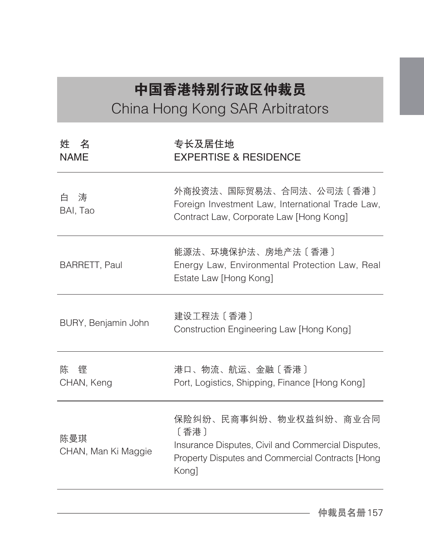## 中国香港特别行政区仲裁员 China Hong Kong SAR Arbitrators

| 专长及居住地<br><b>EXPERTISE &amp; RESIDENCE</b>                                                                                                        |
|---------------------------------------------------------------------------------------------------------------------------------------------------|
| 外商投资法、国际贸易法、合同法、公司法〔香港〕<br>Foreign Investment Law, International Trade Law,<br>Contract Law, Corporate Law [Hong Kong]                            |
| 能源法、环境保护法、房地产法〔香港〕<br>Energy Law, Environmental Protection Law, Real<br>Estate Law [Hong Kong]                                                    |
| 建设工程法 [香港]<br>Construction Engineering Law [Hong Kong]                                                                                            |
| 港口、物流、航运、金融〔香港〕<br>Port, Logistics, Shipping, Finance [Hong Kong]                                                                                 |
| 保险纠纷、民商事纠纷、物业权益纠纷、商业合同<br>〔香港〕<br>Insurance Disputes, Civil and Commercial Disputes,<br>Property Disputes and Commercial Contracts [Hong<br>Kong] |
|                                                                                                                                                   |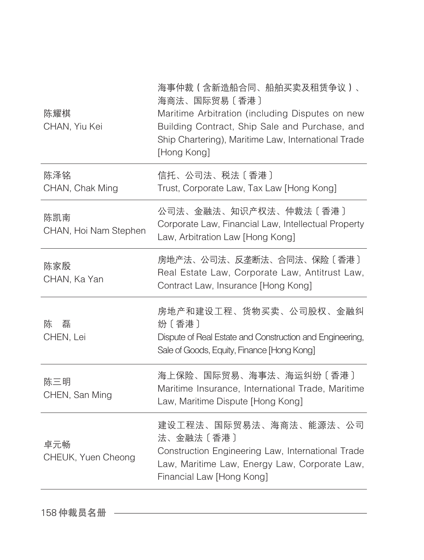| 陈耀棋<br>CHAN, Yiu Kei         | 海事仲裁(含新造船合同、船舶买卖及租赁争议)、<br>海商法、国际贸易〔香港〕<br>Maritime Arbitration (including Disputes on new<br>Building Contract, Ship Sale and Purchase, and<br>Ship Chartering), Maritime Law, International Trade<br>[Hong Kong] |
|------------------------------|--------------------------------------------------------------------------------------------------------------------------------------------------------------------------------------------------------------------|
| 陈泽铭<br>CHAN, Chak Ming       | 信托、公司法、税法〔香港〕<br>Trust, Corporate Law, Tax Law [Hong Kong]                                                                                                                                                         |
| 陈凯南<br>CHAN, Hoi Nam Stephen | 公司法、金融法、知识产权法、仲裁法〔香港〕<br>Corporate Law, Financial Law, Intellectual Property<br>Law, Arbitration Law [Hong Kong]                                                                                                   |
| 陈家殷<br>CHAN, Ka Yan          | 房地产法、公司法、反垄断法、合同法、保险〔香港〕<br>Real Estate Law, Corporate Law, Antitrust Law,<br>Contract Law, Insurance [Hong Kong]                                                                                                  |
| 磊<br>陈<br>CHEN, Lei          | 房地产和建设工程、货物买卖、公司股权、金融纠<br>纷〔香港〕<br>Dispute of Real Estate and Construction and Engineering,<br>Sale of Goods, Equity, Finance [Hong Kong]                                                                          |
| 陈三明<br>CHEN, San Ming        | 海上保险、国际贸易、海事法、海运纠纷〔香港〕<br>Maritime Insurance, International Trade, Maritime<br>Law, Maritime Dispute [Hong Kong]                                                                                                   |
| 卓元畅<br>CHEUK, Yuen Cheong    | 建设工程法、国际贸易法、海商法、能源法、公司<br>法、金融法〔香港〕<br>Construction Engineering Law, International Trade<br>Law, Maritime Law, Energy Law, Corporate Law,<br>Financial Law [Hong Kong]                                             |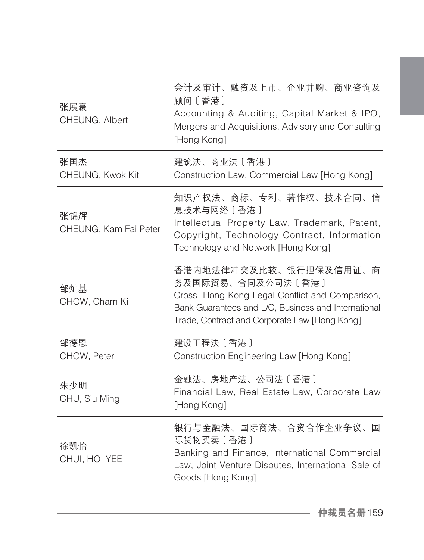| 张展豪<br>CHEUNG, Albert        | 会计及审计、融资及上市、企业并购、商业咨询及<br>顾问〔香港〕<br>Accounting & Auditing, Capital Market & IPO,<br>Mergers and Acquisitions, Advisory and Consulting<br>[Hong Kong]                                                  |
|------------------------------|-------------------------------------------------------------------------------------------------------------------------------------------------------------------------------------------------------|
| 张国杰<br>CHEUNG, Kwok Kit      | 建筑法、商业法〔香港〕<br>Construction Law, Commercial Law [Hong Kong]                                                                                                                                           |
| 张锦辉<br>CHEUNG, Kam Fai Peter | 知识产权法、商标、专利、著作权、技术合同、信<br>息技术与网络〔香港〕<br>Intellectual Property Law, Trademark, Patent,<br>Copyright, Technology Contract, Information<br>Technology and Network [Hong Kong]                            |
| 邹灿基<br>CHOW, Charn Ki        | 香港内地法律冲突及比较、银行担保及信用证、商<br>务及国际贸易、合同及公司法〔香港〕<br>Cross-Hong Kong Legal Conflict and Comparison,<br>Bank Guarantees and L/C, Business and International<br>Trade, Contract and Corporate Law [Hong Kong] |
| 邹德恩<br>CHOW, Peter           | 建设工程法 [香港]<br>Construction Engineering Law [Hong Kong]                                                                                                                                                |
| 朱少明<br>CHU, Siu Ming         | 金融法、房地产法、公司法〔香港〕<br>Financial Law, Real Estate Law, Corporate Law<br>[Hong Kong]                                                                                                                      |
| 徐凯怡<br>CHUI, HOI YEE         | 银行与金融法、国际商法、合资合作企业争议、国<br>际货物买卖〔香港〕<br>Banking and Finance, International Commercial<br>Law, Joint Venture Disputes, International Sale of<br>Goods [Hong Kong]                                       |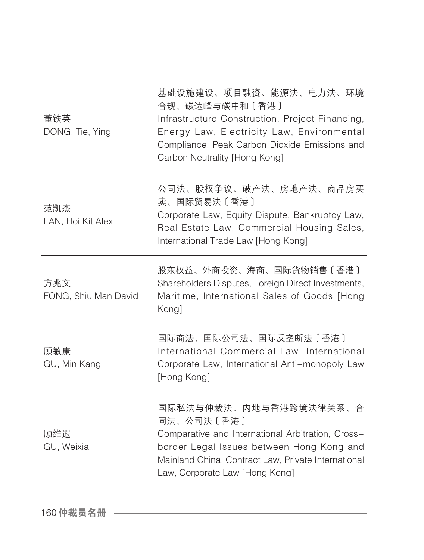| 董铁英<br>DONG, Tie, Ying      | 基础设施建设、项目融资、能源法、电力法、环境<br>合规、碳达峰与碳中和〔香港〕<br>Infrastructure Construction, Project Financing,<br>Energy Law, Electricity Law, Environmental<br>Compliance, Peak Carbon Dioxide Emissions and<br>Carbon Neutrality [Hong Kong]     |
|-----------------------------|---------------------------------------------------------------------------------------------------------------------------------------------------------------------------------------------------------------------------------|
| 范凯杰<br>FAN, Hoi Kit Alex    | 公司法、股权争议、破产法、房地产法、商品房买<br>卖、国际贸易法〔香港〕<br>Corporate Law, Equity Dispute, Bankruptcy Law,<br>Real Estate Law, Commercial Housing Sales,<br>International Trade Law [Hong Kong]                                                    |
| 方兆文<br>FONG, Shiu Man David | 股东权益、外商投资、海商、国际货物销售〔香港〕<br>Shareholders Disputes, Foreign Direct Investments,<br>Maritime, International Sales of Goods [Hong<br>Kong]                                                                                          |
| 顾敏康<br>GU, Min Kang         | 国际商法、国际公司法、国际反垄断法〔香港〕<br>International Commercial Law, International<br>Corporate Law, International Anti-monopoly Law<br>[Hong Kong]                                                                                           |
| 顾维遐<br>GU, Weixia           | 国际私法与仲裁法、内地与香港跨境法律关系、合<br>同法、公司法〔香港〕<br>Comparative and International Arbitration, Cross-<br>border Legal Issues between Hong Kong and<br>Mainland China, Contract Law, Private International<br>Law, Corporate Law [Hong Kong] |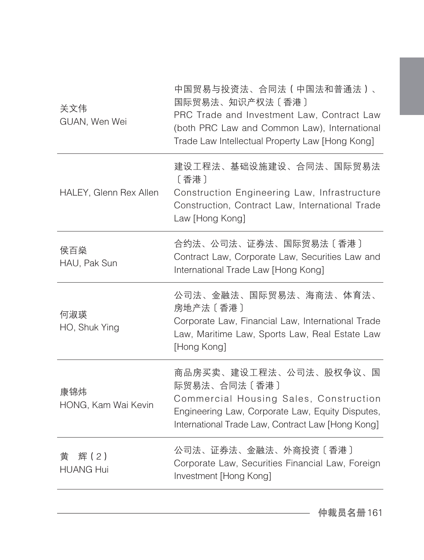| 关文伟<br>GUAN, Wen Wei          | 中国贸易与投资法、合同法(中国法和普通法)、<br>国际贸易法、知识产权法〔香港〕<br>PRC Trade and Investment Law, Contract Law<br>(both PRC Law and Common Law), International<br>Trade Law Intellectual Property Law [Hong Kong] |
|-------------------------------|--------------------------------------------------------------------------------------------------------------------------------------------------------------------------------------------|
| HALEY, Glenn Rex Allen        | 建设工程法、基础设施建设、合同法、国际贸易法<br>〔香港〕<br>Construction Engineering Law, Infrastructure<br>Construction, Contract Law, International Trade<br>Law [Hong Kong]                                       |
| 侯百燊<br>HAU, Pak Sun           | 合约法、公司法、证券法、国际贸易法〔香港〕<br>Contract Law, Corporate Law, Securities Law and<br>International Trade Law [Hong Kong]                                                                            |
| 何淑瑛<br>HO, Shuk Ying          | 公司法、金融法、国际贸易法、海商法、体育法、<br>房地产法 [香港]<br>Corporate Law, Financial Law, International Trade<br>Law, Maritime Law, Sports Law, Real Estate Law<br>[Hong Kong]                                  |
| 康锦炜<br>HONG, Kam Wai Kevin    | 商品房买卖、建设工程法、公司法、股权争议、国<br>际贸易法、合同法〔香港〕<br>Commercial Housing Sales, Construction<br>Engineering Law, Corporate Law, Equity Disputes,<br>International Trade Law, Contract Law [Hong Kong]  |
| 辉(2)<br>黄<br><b>HUANG Hui</b> | 公司法、证券法、金融法、外商投资〔香港〕<br>Corporate Law, Securities Financial Law, Foreign<br>Investment [Hong Kong]                                                                                         |
|                               |                                                                                                                                                                                            |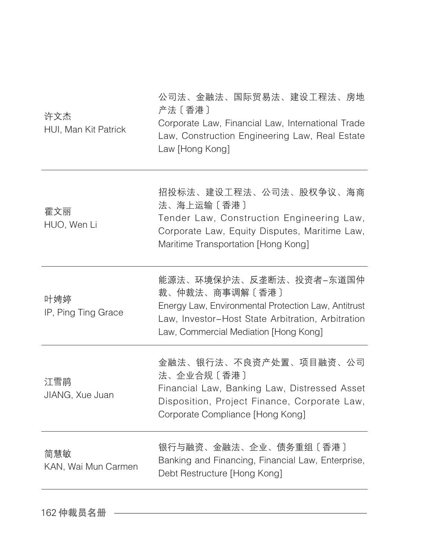| 许文杰<br>HUI, Man Kit Patrick | 公司法、金融法、国际贸易法、建设工程法、房地<br>产法〔香港〕<br>Corporate Law, Financial Law, International Trade<br>Law, Construction Engineering Law, Real Estate<br>Law [Hong Kong]                                     |
|-----------------------------|------------------------------------------------------------------------------------------------------------------------------------------------------------------------------------------------|
| 霍文丽<br>HUO, Wen Li          | 招投标法、建设工程法、公司法、股权争议、海商<br>法、海上运输〔香港〕<br>Tender Law, Construction Engineering Law,<br>Corporate Law, Equity Disputes, Maritime Law,<br>Maritime Transportation [Hong Kong]                      |
| 叶娉婷<br>IP, Ping Ting Grace  | 能源法、环境保护法、反垄断法、投资者-东道国仲<br>裁、仲裁法、商事调解〔香港〕<br>Energy Law, Environmental Protection Law, Antitrust<br>Law, Investor-Host State Arbitration, Arbitration<br>Law, Commercial Mediation [Hong Kong] |
| 江雪鹃<br>JIANG, Xue Juan      | 金融法、银行法、不良资产处置、项目融资、公司<br>法、企业合规〔香港〕<br>Financial Law, Banking Law, Distressed Asset<br>Disposition, Project Finance, Corporate Law,<br>Corporate Compliance [Hong Kong]                       |
| 简慧敏<br>KAN, Wai Mun Carmen  | 银行与融资、金融法、企业、债务重组〔香港〕<br>Banking and Financing, Financial Law, Enterprise,<br>Debt Restructure [Hong Kong]                                                                                     |

162 仲裁员名册 一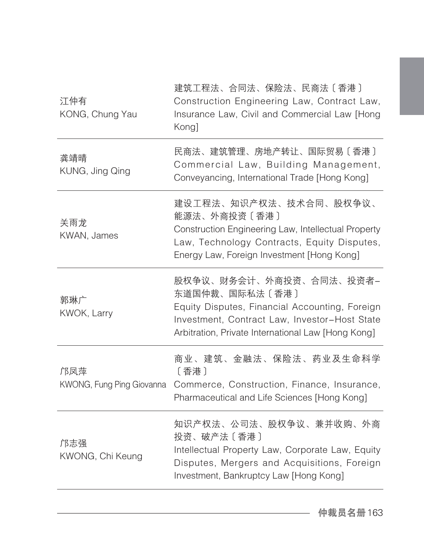| 江仲有<br>KONG, Chung Yau           | 建筑工程法、合同法、保险法、民商法〔香港〕<br>Construction Engineering Law, Contract Law,<br>Insurance Law, Civil and Commercial Law [Hong<br>Kong]                                                                     |
|----------------------------------|----------------------------------------------------------------------------------------------------------------------------------------------------------------------------------------------------|
| 龚靖晴<br>KUNG, Jing Qing           | 民商法、建筑管理、房地产转让、国际贸易〔香港〕<br>Commercial Law, Building Management,<br>Conveyancing, International Trade [Hong Kong]                                                                                   |
| 关雨龙<br>KWAN, James               | 建设工程法、知识产权法、技术合同、股权争议、<br>能源法、外商投资〔香港〕<br>Construction Engineering Law, Intellectual Property<br>Law, Technology Contracts, Equity Disputes,<br>Energy Law, Foreign Investment [Hong Kong]         |
| 郭琳广<br>KWOK, Larry               | 股权争议、财务会计、外商投资、合同法、投资者-<br>东道国仲裁、国际私法〔香港〕<br>Equity Disputes, Financial Accounting, Foreign<br>Investment, Contract Law, Investor-Host State<br>Arbitration, Private International Law [Hong Kong] |
| 邝凤萍<br>KWONG, Fung Ping Giovanna | 商业、建筑、金融法、保险法、药业及生命科学<br>[香港]<br>Commerce, Construction, Finance, Insurance,<br>Pharmaceutical and Life Sciences [Hong Kong]                                                                       |
| 邝志强<br>KWONG, Chi Keung          | 知识产权法、公司法、股权争议、兼并收购、外商<br>投资、破产法〔香港〕<br>Intellectual Property Law, Corporate Law, Equity<br>Disputes, Mergers and Acquisitions, Foreign<br>Investment, Bankruptcy Law [Hong Kong]                  |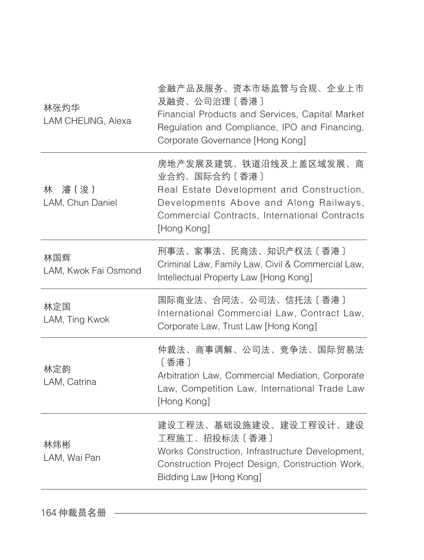| 林张灼华<br>LAM CHEUNG, Alexa   | 金融产品及服务、资本市场监管与合规、企业上市<br>及融资、公司治理〔香港〕<br>Financial Products and Services, Capital Market<br>Regulation and Compliance, IPO and Financing,<br>Corporate Governance [Hong Kong]                |
|-----------------------------|-----------------------------------------------------------------------------------------------------------------------------------------------------------------------------------------------|
| 林 濬 (浚)<br>LAM, Chun Daniel | 房地产发展及建筑、铁道沿线及上盖区域发展、商<br>业合约、国际合约〔香港〕<br>Real Estate Development and Construction,<br>Developments Above and Along Railways,<br>Commercial Contracts, International Contracts<br>[Hong Kong] |
| 林国辉<br>LAM, Kwok Fai Osmond | 刑事法、家事法、民商法、知识产权法〔香港〕<br>Criminal Law, Family Law, Civil & Commercial Law,<br>Intellectual Property Law [Hong Kong]                                                                           |
| 林定国<br>LAM, Ting Kwok       | 国际商业法、合同法、公司法、信托法〔香港〕<br>International Commercial Law, Contract Law,<br>Corporate Law, Trust Law [Hong Kong]                                                                                  |
| 林定韵<br>LAM, Catrina         | 仲裁法、商事调解、公司法、竞争法、国际贸易法<br>〔香港〕<br>Arbitration Law, Commercial Mediation, Corporate<br>Law, Competition Law, International Trade Law<br>[Hong Kong]                                            |
| 林炜彬<br>LAM, Wai Pan         | 建设工程法、基础设施建设、建设工程设计、建设<br>工程施工、招投标法〔香港〕<br>Works Construction, Infrastructure Development,<br>Construction Project Design, Construction Work,<br>Bidding Law [Hong Kong]                      |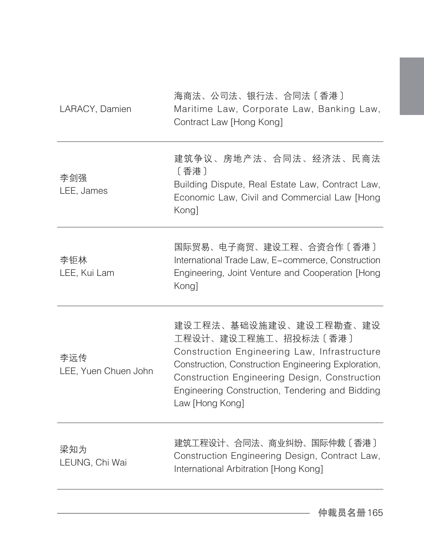| 海商法、公司法、银行法、合同法〔香港〕<br>Maritime Law, Corporate Law, Banking Law,<br>Contract Law [Hong Kong]                                                                                                                                                                                 |
|------------------------------------------------------------------------------------------------------------------------------------------------------------------------------------------------------------------------------------------------------------------------------|
| 建筑争议、房地产法、合同法、经济法、民商法<br>[香港]<br>Building Dispute, Real Estate Law, Contract Law,<br>Economic Law, Civil and Commercial Law [Hong<br>Kong]                                                                                                                                   |
| 国际贸易、电子商贸、建设工程、合资合作〔香港〕<br>International Trade Law, E-commerce, Construction<br>Engineering, Joint Venture and Cooperation [Hong<br>Kong]                                                                                                                                    |
| 建设工程法、基础设施建设、建设工程勘查、建设<br>工程设计、建设工程施工、招投标法〔香港〕<br>Construction Engineering Law, Infrastructure<br>Construction, Construction Engineering Exploration,<br>Construction Engineering Design, Construction<br>Engineering Construction, Tendering and Bidding<br>Law [Hong Kong] |
| 建筑工程设计、合同法、商业纠纷、国际仲裁〔香港〕<br>Construction Engineering Design, Contract Law,<br>International Arbitration [Hong Kong]                                                                                                                                                          |
|                                                                                                                                                                                                                                                                              |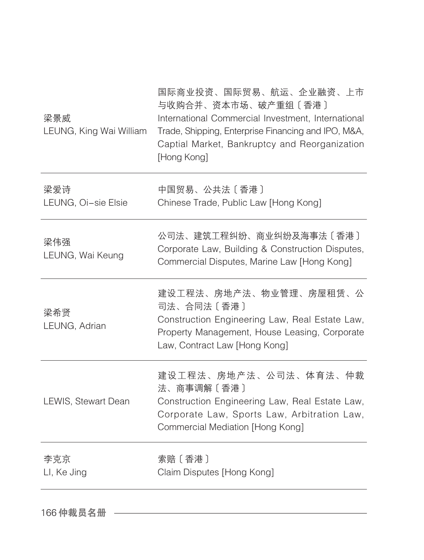| 梁景威<br>LEUNG, King Wai William | 国际商业投资、国际贸易、航运、企业融资、上市<br>与收购合并、资本市场、破产重组〔香港〕<br>International Commercial Investment, International<br>Trade, Shipping, Enterprise Financing and IPO, M&A,<br>Captial Market, Bankruptcy and Reorganization<br>[Hong Kong] |
|--------------------------------|----------------------------------------------------------------------------------------------------------------------------------------------------------------------------------------------------------------------------|
| 梁爱诗<br>LEUNG, Oi-sie Elsie     | 中国贸易、公共法〔香港〕<br>Chinese Trade, Public Law [Hong Kong]                                                                                                                                                                      |
| 梁伟强<br>LEUNG, Wai Keung        | 公司法、建筑工程纠纷、商业纠纷及海事法〔香港〕<br>Corporate Law, Building & Construction Disputes,<br>Commercial Disputes, Marine Law [Hong Kong]                                                                                                 |
| 梁希贤<br>LEUNG, Adrian           | 建设工程法、房地产法、物业管理、房屋租赁、公<br>司法、合同法〔香港〕<br>Construction Engineering Law, Real Estate Law,<br>Property Management, House Leasing, Corporate<br>Law, Contract Law [Hong Kong]                                                   |
| LEWIS, Stewart Dean            | 建设工程法、房地产法、公司法、体育法、仲裁<br>法、商事调解〔香港〕<br>Construction Engineering Law, Real Estate Law,<br>Corporate Law, Sports Law, Arbitration Law,<br>Commercial Mediation [Hong Kong]                                                   |
| 李克京<br>LI, Ke Jing             | 索赔 [ 香港 ]<br>Claim Disputes [Hong Kong]                                                                                                                                                                                    |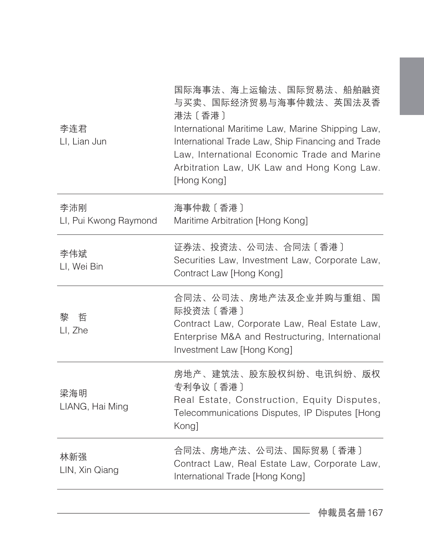| 李连君<br>LI, Lian Jun          | 国际海事法、海上运输法、国际贸易法、船舶融资<br>与买卖、国际经济贸易与海事仲裁法、英国法及香<br>港法〔香港〕<br>International Maritime Law, Marine Shipping Law,<br>International Trade Law, Ship Financing and Trade<br>Law, International Economic Trade and Marine<br>Arbitration Law, UK Law and Hong Kong Law.<br>[Hong Kong] |
|------------------------------|----------------------------------------------------------------------------------------------------------------------------------------------------------------------------------------------------------------------------------------------------------------------------------|
| 李沛刚<br>LI, Pui Kwong Raymond | 海事仲裁 [香港]<br>Maritime Arbitration [Hong Kong]                                                                                                                                                                                                                                    |
| 李伟斌<br>LI, Wei Bin           | 证券法、投资法、公司法、合同法〔香港〕<br>Securities Law, Investment Law, Corporate Law,<br>Contract Law [Hong Kong]                                                                                                                                                                                |
| 哲<br>黎<br>LI, Zhe            | 合同法、公司法、房地产法及企业并购与重组、国<br>际投资法 [香港]<br>Contract Law, Corporate Law, Real Estate Law,<br>Enterprise M&A and Restructuring, International<br>Investment Law [Hong Kong]                                                                                                            |
| 梁海明<br>LIANG, Hai Ming       | 房地产、建筑法、股东股权纠纷、电讯纠纷、版权<br>专利争议 [香港]<br>Real Estate, Construction, Equity Disputes,<br>Telecommunications Disputes, IP Disputes [Hong<br>Kong]                                                                                                                                    |
| 林新强<br>LIN, Xin Qiang        | 合同法、房地产法、公司法、国际贸易〔香港〕<br>Contract Law, Real Estate Law, Corporate Law,<br>International Trade [Hong Kong]                                                                                                                                                                        |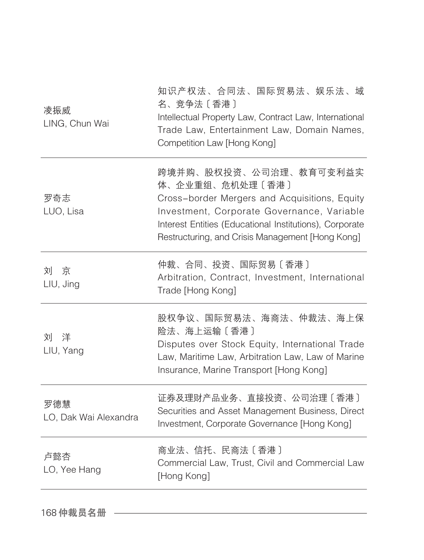| 凌振威<br>LING, Chun Wai        | 知识产权法、合同法、国际贸易法、娱乐法、域<br>名、竞争法〔香港〕<br>Intellectual Property Law, Contract Law, International<br>Trade Law, Entertainment Law, Domain Names,<br>Competition Law [Hong Kong]                                                                              |
|------------------------------|---------------------------------------------------------------------------------------------------------------------------------------------------------------------------------------------------------------------------------------------------------|
| 罗奇志<br>LUO, Lisa             | 跨境并购、股权投资、公司治理、教育可变利益实<br>体、企业重组、危机处理〔香港〕<br>Cross-border Mergers and Acquisitions, Equity<br>Investment, Corporate Governance, Variable<br>Interest Entities (Educational Institutions), Corporate<br>Restructuring, and Crisis Management [Hong Kong] |
| 刘京<br>LIU, Jing              | 仲裁、合同、投资、国际贸易〔香港〕<br>Arbitration, Contract, Investment, International<br>Trade [Hong Kong]                                                                                                                                                              |
| 刘 洋<br>LIU, Yang             | 股权争议、国际贸易法、海商法、仲裁法、海上保<br>险法、海上运输〔香港〕<br>Disputes over Stock Equity, International Trade<br>Law, Maritime Law, Arbitration Law, Law of Marine<br>Insurance, Marine Transport [Hong Kong]                                                                |
| 罗德慧<br>LO, Dak Wai Alexandra | 证券及理财产品业务、直接投资、公司治理〔香港〕<br>Securities and Asset Management Business, Direct<br>Investment, Corporate Governance [Hong Kong]                                                                                                                             |
| 卢懿杏<br>LO, Yee Hang          | 商业法、信托、民商法〔香港〕<br>Commercial Law, Trust, Civil and Commercial Law<br>[Hong Kong]                                                                                                                                                                        |

168 仲裁员名册 一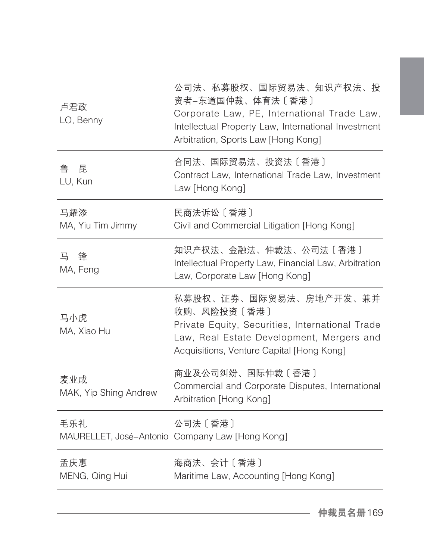| 卢君政<br>LO, Benny             | 公司法、私募股权、国际贸易法、知识产权法、投<br>资者-东道国仲裁、体育法〔香港〕<br>Corporate Law, PE, International Trade Law,<br>Intellectual Property Law, International Investment<br>Arbitration, Sports Law [Hong Kong] |
|------------------------------|-----------------------------------------------------------------------------------------------------------------------------------------------------------------------------------------|
| 鲁<br>昆<br>LU, Kun            | 合同法、国际贸易法、投资法〔香港〕<br>Contract Law, International Trade Law, Investment<br>Law [Hong Kong]                                                                                               |
| 马耀添<br>MA, Yiu Tim Jimmy     | 民商法诉讼 [香港]<br>Civil and Commercial Litigation [Hong Kong]                                                                                                                               |
| 锋<br>프<br>MA, Feng           | 知识产权法、金融法、仲裁法、公司法〔香港〕<br>Intellectual Property Law, Financial Law, Arbitration<br>Law, Corporate Law [Hong Kong]                                                                        |
| 马小虎<br>MA. Xiao Hu           | 私募股权、证券、国际贸易法、房地产开发、兼并<br>收购、风险投资〔香港〕<br>Private Equity, Securities, International Trade<br>Law, Real Estate Development, Mergers and<br>Acquisitions, Venture Capital [Hong Kong]      |
| 麦业成<br>MAK, Yip Shing Andrew | 商业及公司纠纷、国际仲裁〔香港〕<br>Commercial and Corporate Disputes, International<br>Arbitration [Hong Kong]                                                                                         |
| 毛乐礼.                         | 公司法 [香港]<br>MAURELLET, José-Antonio Company Law [Hong Kong]                                                                                                                             |
| 孟庆惠<br>MENG, Qing Hui        | 海商法、会计〔香港〕<br>Maritime Law, Accounting [Hong Kong]                                                                                                                                      |
|                              |                                                                                                                                                                                         |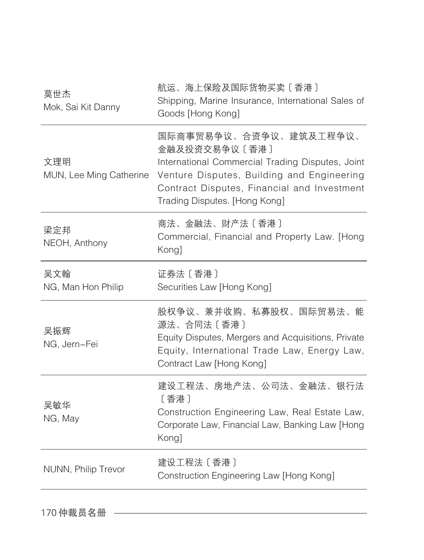| 莫世杰<br>Mok, Sai Kit Danny      | 航运、海上保险及国际货物买卖〔香港〕<br>Shipping, Marine Insurance, International Sales of<br>Goods [Hong Kong]                                                                                                                             |
|--------------------------------|---------------------------------------------------------------------------------------------------------------------------------------------------------------------------------------------------------------------------|
| 文理明<br>MUN, Lee Ming Catherine | 国际商事贸易争议、合资争议、建筑及工程争议、<br>金融及投资交易争议〔香港〕<br>International Commercial Trading Disputes, Joint<br>Venture Disputes, Building and Engineering<br>Contract Disputes, Financial and Investment<br>Trading Disputes. [Hong Kong] |
| 梁定邦<br>NEOH, Anthony           | 商法、金融法、财产法〔香港〕<br>Commercial, Financial and Property Law. [Hong<br>Kong]                                                                                                                                                  |
| 吴文翰<br>NG, Man Hon Philip      | 证券法 [香港]<br>Securities Law [Hong Kong]                                                                                                                                                                                    |
| 吴振辉<br>NG, Jern-Fei            | 股权争议、兼并收购、私募股权、国际贸易法、能<br>源法、合同法〔香港〕<br>Equity Disputes, Mergers and Acquisitions, Private<br>Equity, International Trade Law, Energy Law,<br>Contract Law [Hong Kong]                                                    |
| 吴敏华<br>NG, May                 | 建设工程法、房地产法、公司法、金融法、银行法<br>[香港]<br>Construction Engineering Law, Real Estate Law,<br>Corporate Law, Financial Law, Banking Law [Hong<br>Kong]                                                                              |
| NUNN, Philip Trevor            | 建设工程法 [香港]<br>Construction Engineering Law [Hong Kong]                                                                                                                                                                    |
|                                |                                                                                                                                                                                                                           |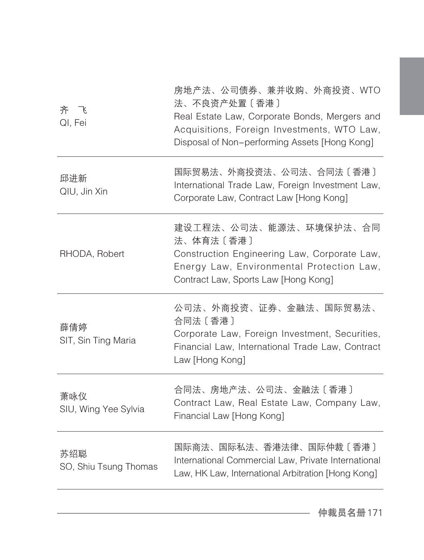| 齐 飞<br>QI, Fei               | 房地产法、公司债券、兼并收购、外商投资、WTO<br>法、不良资产处置〔香港〕<br>Real Estate Law, Corporate Bonds, Mergers and<br>Acquisitions, Foreign Investments, WTO Law,<br>Disposal of Non-performing Assets [Hong Kong] |
|------------------------------|------------------------------------------------------------------------------------------------------------------------------------------------------------------------------------------|
| 邱进新<br>QIU, Jin Xin          | 国际贸易法、外商投资法、公司法、合同法〔香港〕<br>International Trade Law, Foreign Investment Law,<br>Corporate Law, Contract Law [Hong Kong]                                                                   |
| RHODA, Robert                | 建设工程法、公司法、能源法、环境保护法、合同<br>法、体育法〔香港〕<br>Construction Engineering Law, Corporate Law,<br>Energy Law, Environmental Protection Law,<br>Contract Law, Sports Law [Hong Kong]                 |
| 薛倩婷<br>SIT, Sin Ting Maria   | 公司法、外商投资、证券、金融法、国际贸易法、<br>合同法 [香港]<br>Corporate Law, Foreign Investment, Securities,<br>Financial Law, International Trade Law, Contract<br>Law [Hong Kong]                              |
| 萧咏仪<br>SIU, Wing Yee Sylvia  | 合同法、房地产法、公司法、金融法〔香港〕<br>Contract Law, Real Estate Law, Company Law,<br>Financial Law [Hong Kong]                                                                                         |
| 苏绍聪<br>SO, Shiu Tsung Thomas | 国际商法、国际私法、香港法律、国际仲裁〔香港〕<br>International Commercial Law, Private International<br>Law, HK Law, International Arbitration [Hong Kong]                                                     |
|                              |                                                                                                                                                                                          |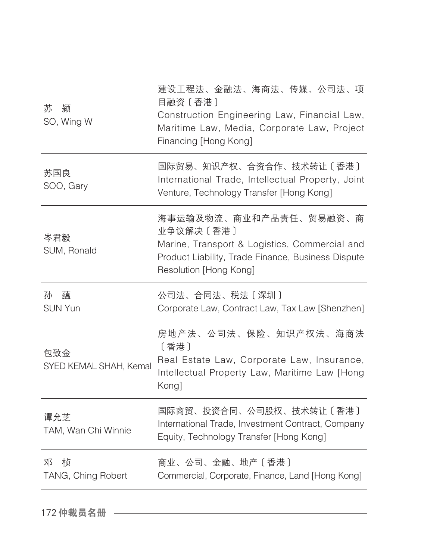| 苏<br>颍<br>SO, Wing W          | 建设工程法、金融法、海商法、传媒、公司法、项<br>目融资 〔 香港 〕<br>Construction Engineering Law, Financial Law,<br>Maritime Law, Media, Corporate Law, Project<br>Financing [Hong Kong]         |
|-------------------------------|----------------------------------------------------------------------------------------------------------------------------------------------------------------------|
| 苏国良<br>SOO, Gary              | 国际贸易、知识产权、合资合作、技术转让〔香港〕<br>International Trade, Intellectual Property, Joint<br>Venture, Technology Transfer [Hong Kong]                                             |
| 岑君毅<br>SUM, Ronald            | 海事运输及物流、商业和产品责任、贸易融资、商<br>业争议解决〔香港〕<br>Marine, Transport & Logistics, Commercial and<br>Product Liability, Trade Finance, Business Dispute<br>Resolution [Hong Kong] |
| 孙<br>蕴<br><b>SUN Yun</b>      | 公司法、合同法、税法〔深圳〕<br>Corporate Law, Contract Law, Tax Law [Shenzhen]                                                                                                    |
| 包致金<br>SYED KEMAL SHAH, Kemal | 房地产法、公司法、保险、知识产权法、海商法<br>〔香港〕<br>Real Estate Law, Corporate Law, Insurance,                                                                                          |
|                               | Intellectual Property Law, Maritime Law [Hong<br>Kong]                                                                                                               |
| 谭允芝<br>TAM, Wan Chi Winnie    | 国际商贸、投资合同、公司股权、技术转让〔香港〕<br>International Trade, Investment Contract, Company<br>Equity, Technology Transfer [Hong Kong]                                              |

172 仲裁员名册 ––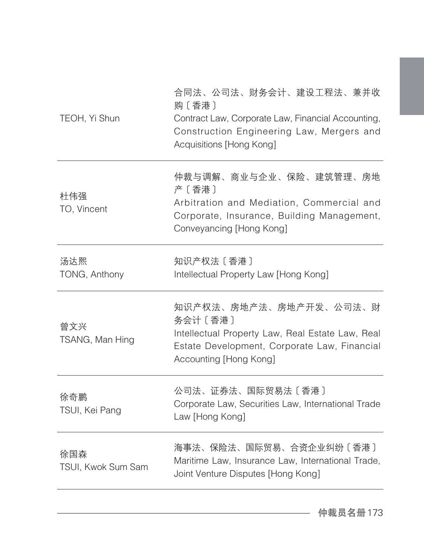| TEOH, Yi Shun             | 合同法、公司法、财务会计、建设工程法、兼并收<br>购〔香港〕<br>Contract Law, Corporate Law, Financial Accounting,<br>Construction Engineering Law, Mergers and<br>Acquisitions [Hong Kong]   |
|---------------------------|------------------------------------------------------------------------------------------------------------------------------------------------------------------|
| 杜伟强<br>TO, Vincent        | 仲裁与调解、商业与企业、保险、建筑管理、房地<br>产〔香港〕<br>Arbitration and Mediation, Commercial and<br>Corporate, Insurance, Building Management,<br>Conveyancing [Hong Kong]           |
| 汤达熙<br>TONG, Anthony      | 知识产权法 [香港]<br>Intellectual Property Law [Hong Kong]                                                                                                              |
| 曾文兴<br>TSANG, Man Hing    | 知识产权法、房地产法、房地产开发、公司法、财<br>务会计 [香港]<br>Intellectual Property Law, Real Estate Law, Real<br>Estate Development, Corporate Law, Financial<br>Accounting [Hong Kong] |
| 徐奇鹏<br>TSUI, Kei Pang     | 公司法、证券法、国际贸易法〔香港〕<br>Corporate Law, Securities Law, International Trade<br>Law [Hong Kong]                                                                       |
| 徐国森<br>TSUI, Kwok Sum Sam | 海事法、保险法、国际贸易、合资企业纠纷〔香港〕<br>Maritime Law, Insurance Law, International Trade,<br>Joint Venture Disputes [Hong Kong]                                               |
|                           |                                                                                                                                                                  |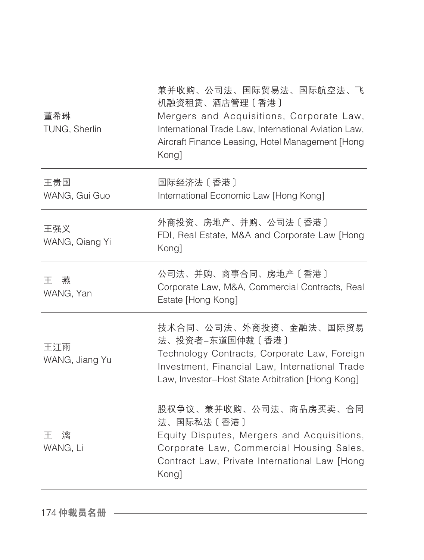| 董希琳<br>TUNG, Sherlin  | 兼并收购、公司法、国际贸易法、国际航空法、飞<br>机融资租赁、酒店管理〔香港〕<br>Mergers and Acquisitions, Corporate Law,<br>International Trade Law, International Aviation Law,<br>Aircraft Finance Leasing, Hotel Management [Hong<br>Kong] |
|-----------------------|-----------------------------------------------------------------------------------------------------------------------------------------------------------------------------------------------------------|
| 王贵国<br>WANG, Gui Guo  | 国际经济法 [香港]<br>International Economic Law [Hong Kong]                                                                                                                                                      |
| 王强义<br>WANG, Qiang Yi | 外商投资、房地产、并购、公司法〔香港〕<br>FDI, Real Estate, M&A and Corporate Law [Hong<br>Kong]                                                                                                                             |
| 燕<br>干<br>WANG, Yan   | 公司法、并购、商事合同、房地产〔香港〕<br>Corporate Law, M&A, Commercial Contracts, Real<br>Estate [Hong Kong]                                                                                                               |
| 王江雨<br>WANG, Jiang Yu | 技术合同、公司法、外商投资、金融法、国际贸易<br>法、投资者-东道国仲裁〔香港〕<br>Technology Contracts, Corporate Law, Foreign<br>Investment, Financial Law, International Trade<br>Law, Investor-Host State Arbitration [Hong Kong]           |
| 干<br>漓<br>WANG, Li    | 股权争议、兼并收购、公司法、商品房买卖、合同<br>法、国际私法〔香港〕<br>Equity Disputes, Mergers and Acquisitions,<br>Corporate Law, Commercial Housing Sales,<br>Contract Law, Private International Law [Hong<br>Kong]                  |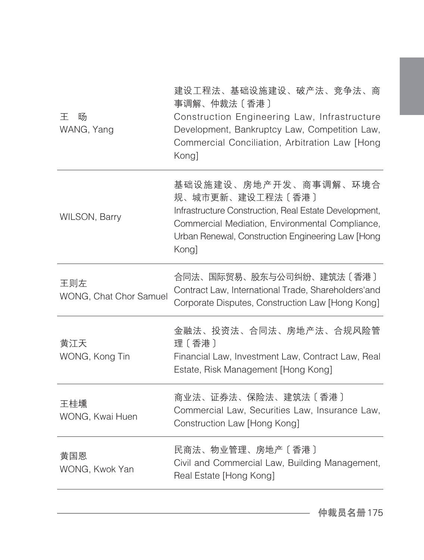| 王<br>旸<br>WANG, Yang          | 建设工程法、基础设施建设、破产法、竞争法、商<br>事调解、仲裁法〔香港〕<br>Construction Engineering Law, Infrastructure<br>Development, Bankruptcy Law, Competition Law,<br>Commercial Conciliation, Arbitration Law [Hong<br>Kong]                   |
|-------------------------------|---------------------------------------------------------------------------------------------------------------------------------------------------------------------------------------------------------------------|
| WILSON, Barry                 | 基础设施建设、房地产开发、商事调解、环境合<br>规、城市更新、建设工程法〔香港〕<br>Infrastructure Construction, Real Estate Development,<br>Commercial Mediation, Environmental Compliance,<br>Urban Renewal, Construction Engineering Law [Hong<br>Kong] |
| 王则左<br>WONG, Chat Chor Samuel | 合同法、国际贸易、股东与公司纠纷、建筑法〔香港〕<br>Contract Law, International Trade, Shareholders'and<br>Corporate Disputes, Construction Law [Hong Kong]                                                                                 |
| 黄江天<br>WONG, Kong Tin         | 金融法、投资法、合同法、房地产法、合规风险管<br>理〔香港〕<br>Financial Law, Investment Law, Contract Law, Real<br>Estate, Risk Management [Hong Kong]                                                                                         |
| 王桂壎<br>WONG, Kwai Huen        | 商业法、证券法、保险法、建筑法〔香港〕<br>Commercial Law, Securities Law, Insurance Law,<br>Construction Law [Hong Kong]                                                                                                               |
| 黄国恩<br>WONG, Kwok Yan         | 民商法、物业管理、房地产〔香港〕<br>Civil and Commercial Law, Building Management,<br>Real Estate [Hong Kong]                                                                                                                       |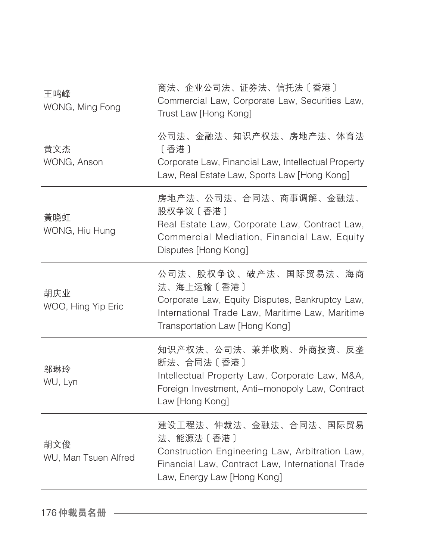| 王鸣峰<br>WONG, Ming Fong      | 商法、企业公司法、证券法、信托法〔香港〕<br>Commercial Law, Corporate Law, Securities Law,<br>Trust Law [Hong Kong]                                                                             |
|-----------------------------|-----------------------------------------------------------------------------------------------------------------------------------------------------------------------------|
| 黄文杰<br>WONG, Anson          | 公司法、金融法、知识产权法、房地产法、体育法<br>[香港]<br>Corporate Law, Financial Law, Intellectual Property<br>Law, Real Estate Law, Sports Law [Hong Kong]                                       |
| 黃晓虹<br>WONG, Hiu Hung       | 房地产法、公司法、合同法、商事调解、金融法、<br>股权争议〔香港〕<br>Real Estate Law, Corporate Law, Contract Law,<br>Commercial Mediation, Financial Law, Equity<br>Disputes [Hong Kong]                  |
| 胡庆业<br>WOO, Hing Yip Eric   | 公司法、股权争议、破产法、国际贸易法、海商<br>法、海上运输〔香港〕<br>Corporate Law, Equity Disputes, Bankruptcy Law,<br>International Trade Law, Maritime Law, Maritime<br>Transportation Law [Hong Kong] |
| 邬琳玲<br>WU, Lyn              | 知识产权法、公司法、兼并收购、外商投资、反垄<br>断法、合同法〔香港〕<br>Intellectual Property Law, Corporate Law, M&A,<br>Foreign Investment, Anti-monopoly Law, Contract<br>Law [Hong Kong]                |
| 胡文俊<br>WU, Man Tsuen Alfred | 建设工程法、仲裁法、金融法、合同法、国际贸易<br>法、能源法〔香港〕<br>Construction Engineering Law, Arbitration Law,<br>Financial Law, Contract Law, International Trade<br>Law, Energy Law [Hong Kong]    |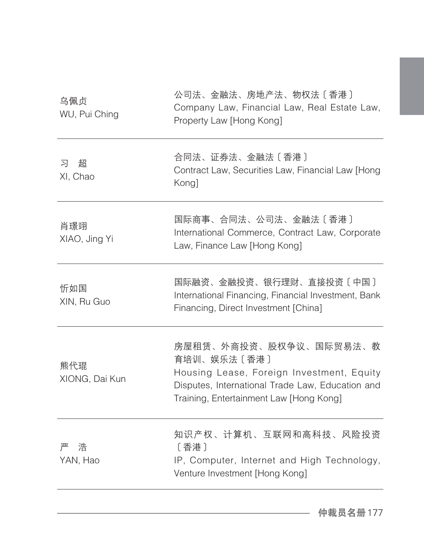| 合同法、证券法、金融法〔香港〕<br>Contract Law, Securities Law, Financial Law [Hong<br>Kong]                                                                                                     |
|-----------------------------------------------------------------------------------------------------------------------------------------------------------------------------------|
| 国际商事、合同法、公司法、金融法〔香港〕<br>International Commerce, Contract Law, Corporate<br>Law, Finance Law [Hong Kong]                                                                           |
| 国际融资、金融投资、银行理财、直接投资〔中国〕<br>International Financing, Financial Investment, Bank<br>Financing, Direct Investment [China]                                                            |
| 房屋租赁、外商投资、股权争议、国际贸易法、教<br>育培训、娱乐法〔香港〕<br>Housing Lease, Foreign Investment, Equity<br>Disputes, International Trade Law, Education and<br>Training, Entertainment Law [Hong Kong] |
| 知识产权、计算机、互联网和高科技、风险投资<br>〔香港〕<br>IP, Computer, Internet and High Technology,<br>Venture Investment [Hong Kong]                                                                    |
|                                                                                                                                                                                   |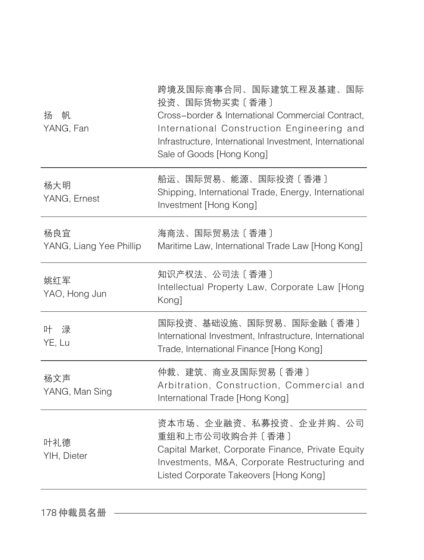| 扬<br>帆<br>YANG, Fan            | 跨境及国际商事合同、国际建筑工程及基建、国际<br>投资、国际货物买卖〔香港〕<br>Cross-border & International Commercial Contract,<br>International Construction Engineering and<br>Infrastructure, International Investment, International<br>Sale of Goods [Hong Kong] |
|--------------------------------|------------------------------------------------------------------------------------------------------------------------------------------------------------------------------------------------------------------------------------|
| 杨大明<br>YANG, Ernest            | 船运、国际贸易、能源、国际投资〔香港〕<br>Shipping, International Trade, Energy, International<br>Investment [Hong Kong]                                                                                                                              |
| 杨良宜<br>YANG, Liang Yee Phillip | 海商法、国际贸易法〔香港〕<br>Maritime Law, International Trade Law [Hong Kong]                                                                                                                                                                 |
| 姚红军<br>YAO, Hong Jun           | 知识产权法、公司法〔香港〕<br>Intellectual Property Law, Corporate Law [Hong<br>Kong]                                                                                                                                                           |
| 叶 渌<br>YE, Lu                  | 国际投资、基础设施、国际贸易、国际金融〔香港〕<br>International Investment, Infrastructure, International<br>Trade, International Finance [Hong Kong]                                                                                                     |
| 杨文声<br>YANG, Man Sing          | 仲裁、建筑、商业及国际贸易〔香港〕<br>Arbitration, Construction, Commercial and<br>International Trade [Hong Kong]                                                                                                                                  |
| 叶礼德<br>YIH, Dieter             | 资本市场、企业融资、私募投资、企业并购、公司<br>重组和上市公司收购合并〔香港〕<br>Capital Market, Corporate Finance, Private Equity<br>Investments, M&A, Corporate Restructuring and<br>Listed Corporate Takeovers [Hong Kong]                                          |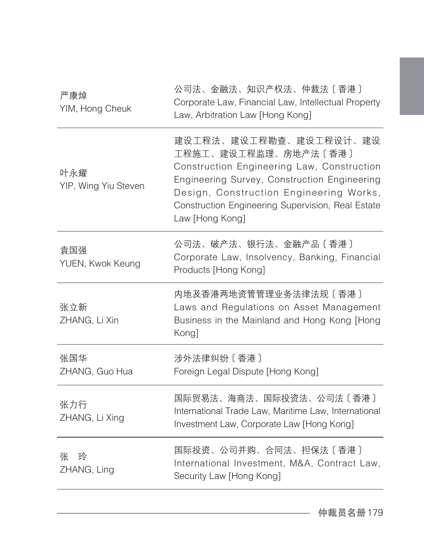| 严康焯<br>YIM, Hong Cheuk      | 公司法、金融法、知识产权法、仲裁法〔香港〕<br>Corporate Law, Financial Law, Intellectual Property<br>Law, Arbitration Law [Hong Kong]                                                                                                                                                |
|-----------------------------|-----------------------------------------------------------------------------------------------------------------------------------------------------------------------------------------------------------------------------------------------------------------|
| 叶永耀<br>YIP, Wing Yiu Steven | 建设工程法、建设工程勘查、建设工程设计、建设<br>工程施工、建设工程监理、房地产法〔香港〕<br>Construction Engineering Law, Construction<br>Engineering Survey, Construction Engineering<br>Design, Construction Engineering Works,<br>Construction Engineering Supervision, Real Estate<br>Law [Hong Kong] |
| 袁国强<br>YUEN, Kwok Keung     | 公司法、破产法、银行法、金融产品〔香港〕<br>Corporate Law, Insolvency, Banking, Financial<br>Products [Hong Kong]                                                                                                                                                                   |
| 张立新<br>ZHANG, Li Xin        | 内地及香港两地资管管理业务法律法规〔香港〕<br>Laws and Regulations on Asset Management<br>Business in the Mainland and Hong Kong [Hong<br>Kong]                                                                                                                                      |
| 张国华<br>ZHANG, Guo Hua       | 涉外法律纠纷〔香港〕<br>Foreign Legal Dispute [Hong Kong]                                                                                                                                                                                                                 |
| 张力行<br>ZHANG, Li Xing       | 国际贸易法、海商法、国际投资法、公司法〔香港〕<br>International Trade Law, Maritime Law, International<br>Investment Law, Corporate Law [Hong Kong]                                                                                                                                    |
| 张<br>玲<br>ZHANG, Ling       | 国际投资、公司并购、合同法、担保法〔香港〕<br>International Investment, M&A, Contract Law,<br>Security Law [Hong Kong]                                                                                                                                                               |
|                             |                                                                                                                                                                                                                                                                 |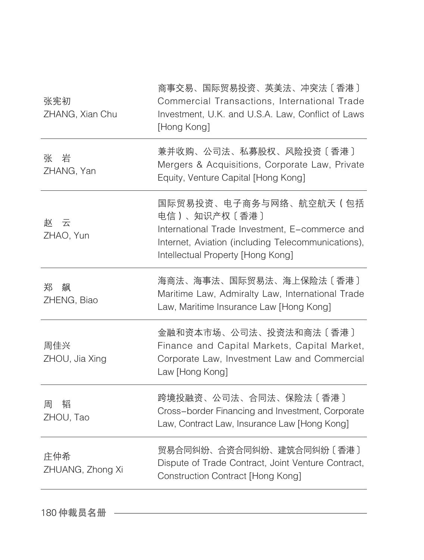| 张宪初<br>ZHANG, Xian Chu  | 商事交易、国际贸易投资、英美法、冲突法〔香港〕<br>Commercial Transactions, International Trade<br>Investment, U.K. and U.S.A. Law, Conflict of Laws<br>[Hong Kong]                                         |
|-------------------------|-------------------------------------------------------------------------------------------------------------------------------------------------------------------------------------|
| 岩<br>张<br>ZHANG, Yan    | 兼并收购、公司法、私募股权、风险投资〔香港〕<br>Mergers & Acquisitions, Corporate Law, Private<br>Equity, Venture Capital [Hong Kong]                                                                     |
| お 云<br>ZHAO, Yun        | 国际贸易投资、电子商务与网络、航空航天(包括<br>电信)、知识产权〔香港〕<br>International Trade Investment, E-commerce and<br>Internet, Aviation (including Telecommunications),<br>Intellectual Property [Hong Kong] |
| 飙<br>郑<br>ZHENG, Biao   | 海商法、海事法、国际贸易法、海上保险法〔香港〕<br>Maritime Law, Admiralty Law, International Trade<br>Law, Maritime Insurance Law [Hong Kong]                                                              |
| 周佳兴<br>ZHOU, Jia Xing   | 金融和资本市场、公司法、投资法和商法〔香港〕<br>Finance and Capital Markets, Capital Market,<br>Corporate Law, Investment Law and Commercial<br>Law [Hong Kong]                                           |
| 韬<br>周<br>ZHOU, Tao     | 跨境投融资、公司法、合同法、保险法〔香港〕<br>Cross-border Financing and Investment, Corporate<br>Law, Contract Law, Insurance Law [Hong Kong]                                                           |
| 庄仲希<br>ZHUANG, Zhong Xi | 贸易合同纠纷、合资合同纠纷、建筑合同纠纷〔香港〕<br>Dispute of Trade Contract, Joint Venture Contract,<br>Construction Contract [Hong Kong]                                                                 |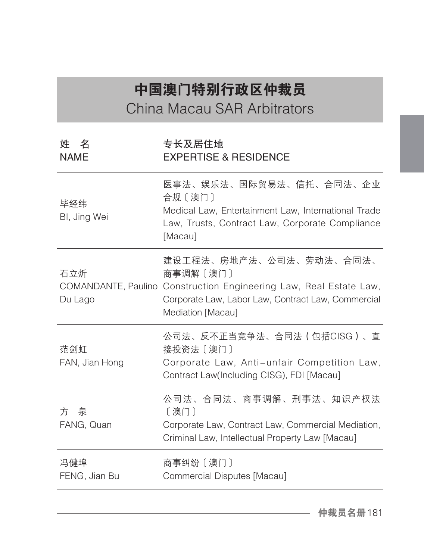## 中国澳门特别行政区仲裁员 China Macau SAR Arbitrators

| 姓名<br><b>NAME</b>     | 专长及居住地<br><b>EXPERTISE &amp; RESIDENCE</b>                                                                                                                                           |
|-----------------------|--------------------------------------------------------------------------------------------------------------------------------------------------------------------------------------|
| 毕经纬<br>BI, Jing Wei   | 医事法、娱乐法、国际贸易法、信托、合同法、企业<br>合规〔澳门〕<br>Medical Law, Entertainment Law, International Trade<br>Law, Trusts, Contract Law, Corporate Compliance<br>[Macau]                               |
| 石立炘<br>Du Lago        | 建设工程法、房地产法、公司法、劳动法、合同法、<br>商事调解〔澳门〕<br>COMANDANTE, Paulino Construction Engineering Law, Real Estate Law,<br>Corporate Law, Labor Law, Contract Law, Commercial<br>Mediation [Macau] |
| 范剑虹<br>FAN, Jian Hong | 公司法、反不正当竞争法、合同法(包括CISG)、直<br>接投资法〔澳门〕<br>Corporate Law, Anti-unfair Competition Law,<br>Contract Law(Including CISG), FDI [Macau]                                                    |
| 方の泉<br>FANG, Quan     | 公司法、合同法、商事调解、刑事法、知识产权法<br>〔澳门〕<br>Corporate Law, Contract Law, Commercial Mediation,<br>Criminal Law, Intellectual Property Law [Macau]                                              |
| 冯健埠<br>FENG, Jian Bu  | 商事纠纷〔澳门〕<br>Commercial Disputes [Macau]                                                                                                                                              |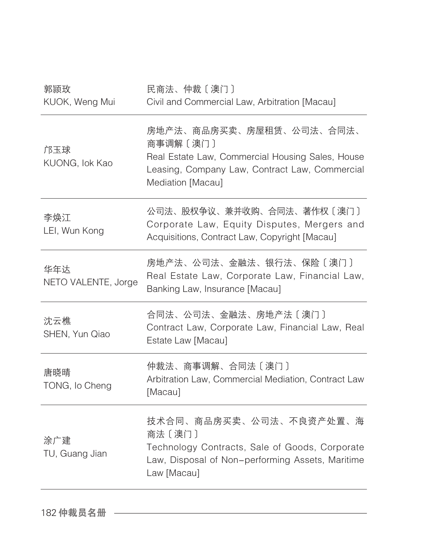| 郭颕玫<br>KUOK, Weng Mui      | 民商法、仲裁〔澳门〕<br>Civil and Commercial Law, Arbitration [Macau]                                                                                                     |
|----------------------------|-----------------------------------------------------------------------------------------------------------------------------------------------------------------|
| 邝玉球<br>KUONG, lok Kao      | 房地产法、商品房买卖、房屋租赁、公司法、合同法、<br>商事调解〔澳门〕<br>Real Estate Law, Commercial Housing Sales, House<br>Leasing, Company Law, Contract Law, Commercial<br>Mediation [Macau] |
| 李焕江<br>LEI, Wun Kong       | 公司法、股权争议、兼并收购、合同法、著作权〔澳门〕<br>Corporate Law, Equity Disputes, Mergers and<br>Acquisitions, Contract Law, Copyright [Macau]                                       |
| 华年达<br>NETO VALENTE, Jorge | 房地产法、公司法、金融法、银行法、保险〔澳门〕<br>Real Estate Law, Corporate Law, Financial Law,<br>Banking Law, Insurance [Macau]                                                     |
| 沈云樵<br>SHEN, Yun Qiao      | 合同法、公司法、金融法、房地产法〔澳门〕<br>Contract Law, Corporate Law, Financial Law, Real<br>Estate Law [Macau]                                                                  |
| 唐晓晴<br>TONG, Io Cheng      | 仲裁法、商事调解、合同法〔澳门〕<br>Arbitration Law, Commercial Mediation, Contract Law<br>[Macau]                                                                              |
| 涂广建<br>TU, Guang Jian      | 技术合同、商品房买卖、公司法、不良资产处置、海<br>商法〔澳门〕<br>Technology Contracts, Sale of Goods, Corporate<br>Law, Disposal of Non-performing Assets, Maritime<br>Law [Macau]          |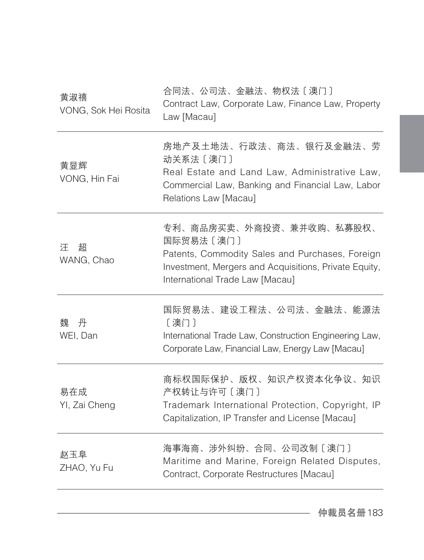| 黄淑禧<br>VONG, Sok Hei Rosita | 合同法、公司法、金融法、物权法〔澳门〕<br>Contract Law, Corporate Law, Finance Law, Property<br>Law [Macau]                                                                                             |
|-----------------------------|--------------------------------------------------------------------------------------------------------------------------------------------------------------------------------------|
| 黄显辉<br>VONG, Hin Fai        | 房地产及土地法、行政法、商法、银行及金融法、劳<br>动关系法 [澳门]<br>Real Estate and Land Law, Administrative Law,<br>Commercial Law, Banking and Financial Law, Labor<br>Relations Law [Macau]                   |
| 汗<br>超<br>WANG, Chao        | 专利、商品房买卖、外商投资、兼并收购、私募股权、<br>国际贸易法〔澳门〕<br>Patents, Commodity Sales and Purchases, Foreign<br>Investment, Mergers and Acquisitions, Private Equity,<br>International Trade Law [Macau] |
| 丹<br>魏<br>WEI, Dan          | 国际贸易法、建设工程法、公司法、金融法、能源法<br>〔澳门〕<br>International Trade Law, Construction Engineering Law,<br>Corporate Law, Financial Law, Energy Law [Macau]                                        |
| 易在成<br>YI, Zai Cheng        | 商标权国际保护、版权、知识产权资本化争议、知识<br>产权转让与许可〔澳门〕<br>Trademark International Protection, Copyright, IP<br>Capitalization, IP Transfer and License [Macau]                                       |
| 赵玉阜<br>ZHAO, Yu Fu          | 海事海商、涉外纠纷、合同、公司改制〔澳门〕<br>Maritime and Marine, Foreign Related Disputes,<br>Contract, Corporate Restructures [Macau]                                                                  |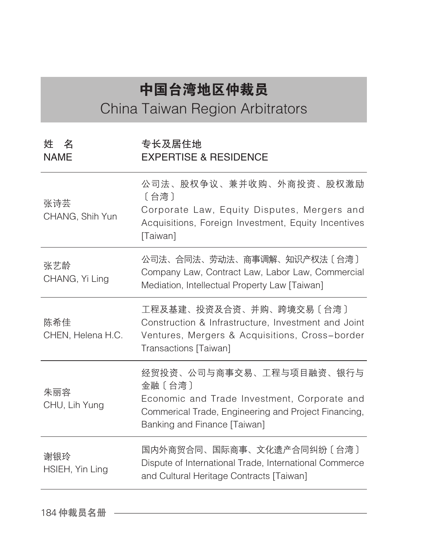## 中国台湾地区仲裁员

China Taiwan Region Arbitrators

| 姓名<br><b>NAME</b>        | 专长及居住地<br><b>EXPERTISE &amp; RESIDENCE</b>                                                                                                                                 |
|--------------------------|----------------------------------------------------------------------------------------------------------------------------------------------------------------------------|
| 张诗芸<br>CHANG, Shih Yun   | 公司法、股权争议、兼并收购、外商投资、股权激励<br>[台湾]<br>Corporate Law, Equity Disputes, Mergers and<br>Acquisitions, Foreign Investment, Equity Incentives<br>[Taiwan]                          |
| 张艺龄<br>CHANG, Yi Ling    | 公司法、合同法、劳动法、商事调解、知识产权法〔台湾〕<br>Company Law, Contract Law, Labor Law, Commercial<br>Mediation, Intellectual Property Law [Taiwan]                                            |
| 陈希佳<br>CHEN, Helena H.C. | 工程及基建、投资及合资、并购、跨境交易〔台湾〕<br>Construction & Infrastructure, Investment and Joint<br>Ventures, Mergers & Acquisitions, Cross-border<br>Transactions [Taiwan]                  |
| 朱丽容<br>CHU, Lih Yung     | 经贸投资、公司与商事交易、工程与项目融资、银行与<br>金融〔台湾〕<br>Economic and Trade Investment, Corporate and<br>Commerical Trade, Engineering and Project Financing,<br>Banking and Finance [Taiwan] |
| 谢银玲<br>HSIEH, Yin Ling   | 国内外商贸合同、国际商事、文化遗产合同纠纷〔台湾〕<br>Dispute of International Trade, International Commerce<br>and Cultural Heritage Contracts [Taiwan]                                            |

184仲裁员名册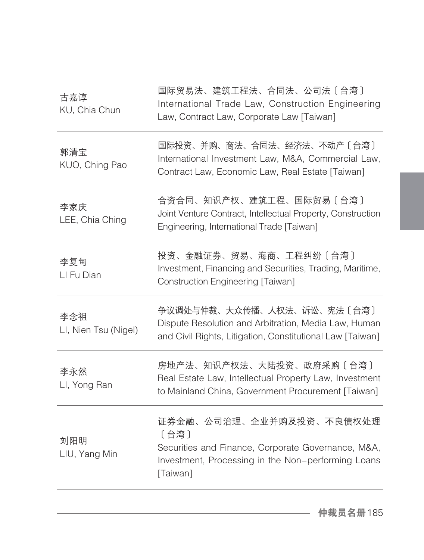| 古嘉谆<br>KU, Chia Chun        | 国际贸易法、建筑工程法、合同法、公司法〔台湾〕<br>International Trade Law, Construction Engineering<br>Law, Contract Law, Corporate Law [Taiwan]                                |
|-----------------------------|----------------------------------------------------------------------------------------------------------------------------------------------------------|
| 郭清宝<br>KUO, Ching Pao       | 国际投资、并购、商法、合同法、经济法、不动产〔台湾〕<br>International Investment Law, M&A, Commercial Law,<br>Contract Law, Economic Law, Real Estate [Taiwan]                     |
| 李家庆<br>LEE, Chia Ching      | 合资合同、知识产权、建筑工程、国际贸易〔台湾〕<br>Joint Venture Contract, Intellectual Property, Construction<br>Engineering, International Trade [Taiwan]                      |
| 李复甸<br>LI Fu Dian           | 投资、金融证券、贸易、海商、工程纠纷〔台湾〕<br>Investment, Financing and Securities, Trading, Maritime,<br>Construction Engineering [Taiwan]                                  |
| 李念祖<br>LI, Nien Tsu (Nigel) | 争议调处与仲裁、大众传播、人权法、诉讼、宪法〔台湾〕<br>Dispute Resolution and Arbitration, Media Law, Human<br>and Civil Rights, Litigation, Constitutional Law [Taiwan]          |
| 李永然<br>LI, Yong Ran         | 房地产法、知识产权法、大陆投资、政府采购〔台湾〕<br>Real Estate Law, Intellectual Property Law, Investment<br>to Mainland China, Government Procurement [Taiwan]                 |
| 刘阳明<br>LIU, Yang Min        | 证券金融、公司治理、企业并购及投资、不良债权处理<br>[台湾]<br>Securities and Finance, Corporate Governance, M&A,<br>Investment, Processing in the Non-performing Loans<br>[Taiwan] |
|                             |                                                                                                                                                          |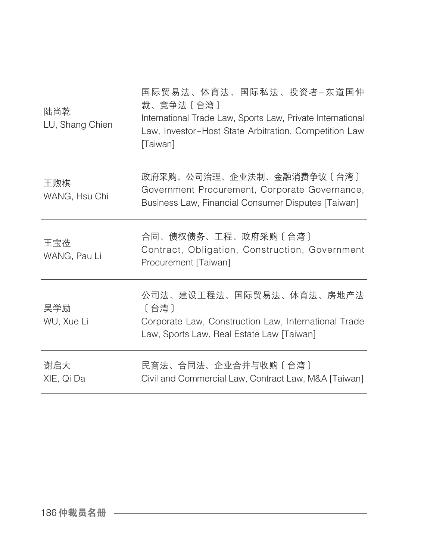| 陆尚乾<br>LU, Shang Chien | 国际贸易法、体育法、国际私法、投资者-东道国仲<br>裁、竞争法〔台湾〕<br>International Trade Law, Sports Law, Private International<br>Law, Investor-Host State Arbitration, Competition Law<br>[Taiwan] |
|------------------------|-------------------------------------------------------------------------------------------------------------------------------------------------------------------------|
| 王煦棋<br>WANG, Hsu Chi   | 政府采购、公司治理、企业法制、金融消费争议〔台湾〕<br>Government Procurement, Corporate Governance,<br>Business Law, Financial Consumer Disputes [Taiwan]                                        |
| 王宝莅<br>WANG, Pau Li    | 合同、债权债务、工程、政府采购〔台湾〕<br>Contract, Obligation, Construction, Government<br>Procurement [Taiwan]                                                                           |
| 吴学励<br>WU, Xue Li      | 公司法、建设工程法、国际贸易法、体育法、房地产法<br>〔台湾〕<br>Corporate Law, Construction Law, International Trade<br>Law, Sports Law, Real Estate Law [Taiwan]                                   |
| 谢启大<br>XIE, Qi Da      | 民商法、合同法、企业合并与收购〔台湾〕<br>Civil and Commercial Law, Contract Law, M&A [Taiwan]                                                                                             |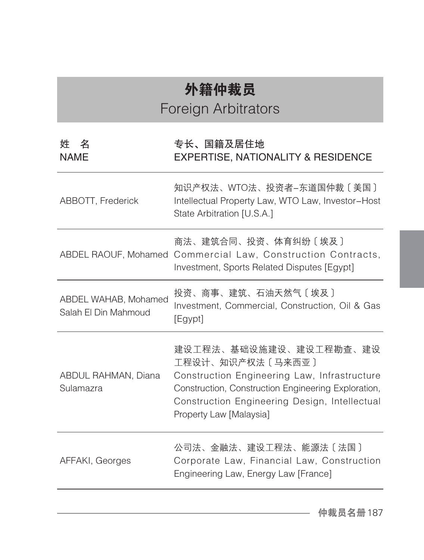## 外籍仲裁员 Foreign Arbitrators

## 姓 名 NAME 专长、国籍及居住地 EXPERTISE, NATIONALITY & RESIDENCE ABBOTT, Frederick 知识产权法、WTO法、投资者-东道国仲裁〔美国〕 Intellectual Property Law, WTO Law, Investor-Host State Arbitration [U.S.A.] ABDEL RAOUF, Mohamed Commercial Law, Construction Contracts, 商法、建筑合同、投资、体育纠纷〔埃及〕 Investment, Sports Related Disputes [Egypt] ABDEL WAHAB, Mohamed Salah El Din Mahmoud 投资、商事、建筑、石油天然气〔埃及〕 Investment, Commercial, Construction, Oil & Gas [Egypt] ABDUL RAHMAN, Diana Sulamazra 建设工程法、基础设施建设、建设工程勘查、建设 工程设计、知识产权法〔马来西亚〕 Construction Engineering Law, Infrastructure Construction, Construction Engineering Exploration, Construction Engineering Design, Intellectual Property Law [Malaysia] AFFAKI, Georges 公司法、金融法、建设工程法、能源法〔法国〕 Corporate Law, Financial Law, Construction Engineering Law, Energy Law [France]

仲裁员名册187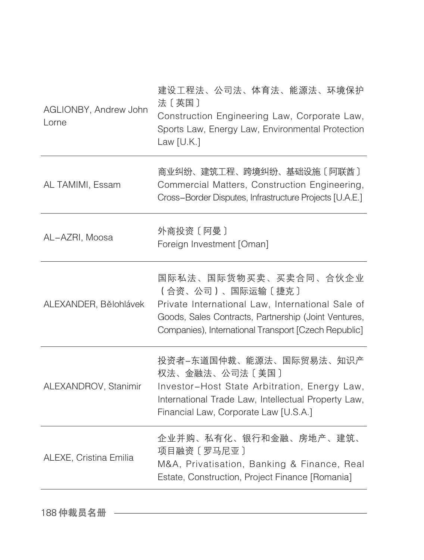| AGLIONBY, Andrew John<br>Lorne | 建设工程法、公司法、体育法、能源法、环境保护<br>法〔英国〕<br>Construction Engineering Law, Corporate Law,<br>Sports Law, Energy Law, Environmental Protection<br>Law $[U.K.]$                                                           |
|--------------------------------|---------------------------------------------------------------------------------------------------------------------------------------------------------------------------------------------------------------|
| AL TAMIMI, Essam               | 商业纠纷、建筑工程、跨境纠纷、基础设施〔阿联酋〕<br>Commercial Matters, Construction Engineering,<br>Cross-Border Disputes, Infrastructure Projects [U.A.E.]                                                                          |
| AL-AZRI, Moosa                 | 外商投资 [ 阿曼 ]<br>Foreign Investment [Oman]                                                                                                                                                                      |
| ALEXANDER, Bělohlávek          | 国际私法、国际货物买卖、买卖合同、合伙企业<br>(合资、公司)、国际运输〔捷克〕<br>Private International Law, International Sale of<br>Goods, Sales Contracts, Partnership (Joint Ventures,<br>Companies), International Transport [Czech Republic] |
| ALEXANDROV, Stanimir           | 投资者-东道国仲裁、能源法、国际贸易法、知识产<br>权法、金融法、公司法〔美国〕<br>Investor-Host State Arbitration, Energy Law,<br>International Trade Law, Intellectual Property Law,<br>Financial Law, Corporate Law [U.S.A.]                     |
| ALEXE, Cristina Emilia         | 企业并购、私有化、银行和金融、房地产、建筑、<br>项目融资〔罗马尼亚〕<br>M&A, Privatisation, Banking & Finance, Real<br>Estate, Construction, Project Finance [Romania]                                                                        |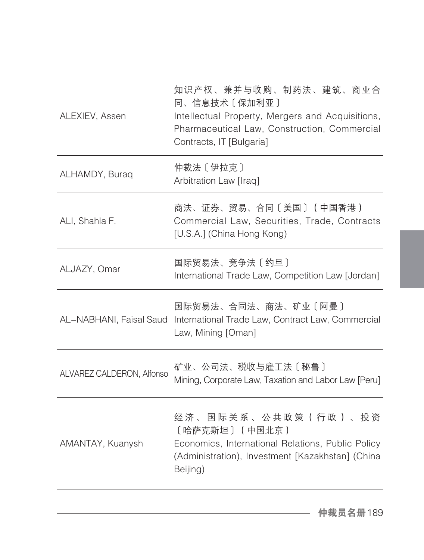| ALEXIEV, Assen            | 知识产权、兼并与收购、制药法、建筑、商业合<br>同、信息技术〔保加利亚〕<br>Intellectual Property, Mergers and Acquisitions,<br>Pharmaceutical Law, Construction, Commercial<br>Contracts, IT [Bulgaria] |
|---------------------------|-----------------------------------------------------------------------------------------------------------------------------------------------------------------------|
| ALHAMDY, Buraq            | 仲裁法 [ 伊拉克 ]<br>Arbitration Law [Iraq]                                                                                                                                 |
| ALI, Shahla F.            | 商法、证券、贸易、合同〔美国〕(中国香港)<br>Commercial Law, Securities, Trade, Contracts<br>[U.S.A.] (China Hong Kong)                                                                   |
| ALJAZY, Omar              | 国际贸易法、竞争法〔约旦〕<br>International Trade Law, Competition Law [Jordan]                                                                                                    |
|                           | 国际贸易法、合同法、商法、矿业〔阿曼〕<br>AL-NABHANI, Faisal Saud International Trade Law, Contract Law, Commercial<br>Law, Mining [Oman]                                                |
| ALVAREZ CALDERON, Alfonso | 矿业、公司法、税收与雇工法〔秘鲁〕<br>Mining, Corporate Law, Taxation and Labor Law [Peru]                                                                                             |
| AMANTAY, Kuanysh          | 经济、国际关系、公共政策(行政)、投资<br>〔哈萨克斯坦〕(中国北京)<br>Economics, International Relations, Public Policy<br>(Administration), Investment [Kazakhstan] (China<br>Beijing)             |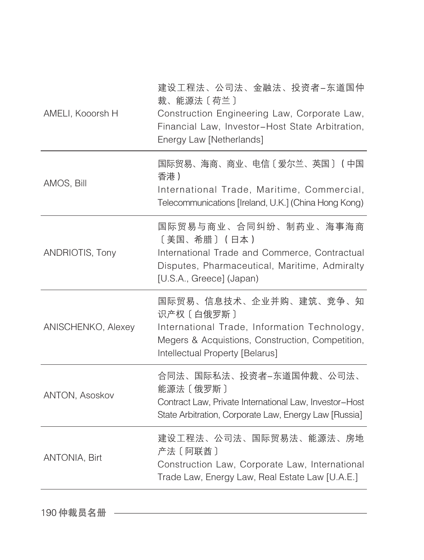| AMELI, Kooorsh H     | 建设工程法、公司法、金融法、投资者-东道国仲<br>裁、能源法〔荷兰〕<br>Construction Engineering Law, Corporate Law,<br>Financial Law, Investor-Host State Arbitration,<br>Energy Law [Netherlands]            |
|----------------------|-------------------------------------------------------------------------------------------------------------------------------------------------------------------------------|
| AMOS, Bill           | 国际贸易、海商、商业、电信〔爱尔兰、英国〕(中国<br>香港)<br>International Trade, Maritime, Commercial,<br>Telecommunications [Ireland, U.K.] (China Hong Kong)                                         |
| ANDRIOTIS, Tony      | 国际贸易与商业、合同纠纷、制药业、海事海商<br>[美国、希腊] (日本)<br>International Trade and Commerce, Contractual<br>Disputes, Pharmaceutical, Maritime, Admiralty<br>[U.S.A., Greece] (Japan)           |
| ANISCHENKO, Alexey   | 国际贸易、信息技术、企业并购、建筑、竞争、知<br>识产权 [ 白俄罗斯 ]<br>International Trade, Information Technology,<br>Megers & Acquistions, Construction, Competition,<br>Intellectual Property [Belarus] |
| ANTON, Asoskov       | 合同法、国际私法、投资者-东道国仲裁、公司法、<br>能源法 [俄罗斯]<br>Contract Law, Private International Law, Investor-Host<br>State Arbitration, Corporate Law, Energy Law [Russia]                       |
| <b>ANTONIA, Birt</b> | 建设工程法、公司法、国际贸易法、能源法、房地<br>产法〔阿联酋〕<br>Construction Law, Corporate Law, International<br>Trade Law, Energy Law, Real Estate Law [U.A.E.]                                        |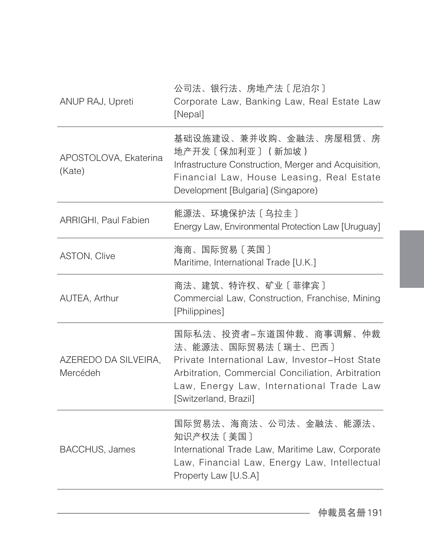| ANUP RAJ, Upreti                 | 公司法、银行法、房地产法〔尼泊尔〕<br>Corporate Law, Banking Law, Real Estate Law<br>[Nepal]                                                                                                                                              |
|----------------------------------|--------------------------------------------------------------------------------------------------------------------------------------------------------------------------------------------------------------------------|
| APOSTOLOVA, Ekaterina<br>(Kate)  | 基础设施建设、兼并收购、金融法、房屋租赁、房<br>地产开发〔保加利亚〕 (新加坡 )<br>Infrastructure Construction, Merger and Acquisition,<br>Financial Law, House Leasing, Real Estate<br>Development [Bulgaria] (Singapore)                                   |
| ARRIGHI, Paul Fabien             | 能源法、环境保护法〔乌拉圭〕<br>Energy Law, Environmental Protection Law [Uruguay]                                                                                                                                                     |
| <b>ASTON, Clive</b>              | 海商、国际贸易〔英国〕<br>Maritime, International Trade [U.K.]                                                                                                                                                                      |
| AUTEA, Arthur                    | 商法、建筑、特许权、矿业〔菲律宾〕<br>Commercial Law, Construction, Franchise, Mining<br>[Philippines]                                                                                                                                    |
| AZEREDO DA SILVEIRA,<br>Mercédeh | 国际私法、投资者―东道国仲裁、商事调解、仲裁<br>法、能源法、国际贸易法〔瑞士、巴西〕<br>Private International Law, Investor-Host State<br>Arbitration, Commercial Conciliation, Arbitration<br>Law, Energy Law, International Trade Law<br>[Switzerland, Brazil] |
| <b>BACCHUS, James</b>            | 国际贸易法、海商法、公司法、金融法、能源法、<br>知识产权法〔美国〕<br>International Trade Law, Maritime Law, Corporate<br>Law, Financial Law, Energy Law, Intellectual<br>Property Law [U.S.A]                                                          |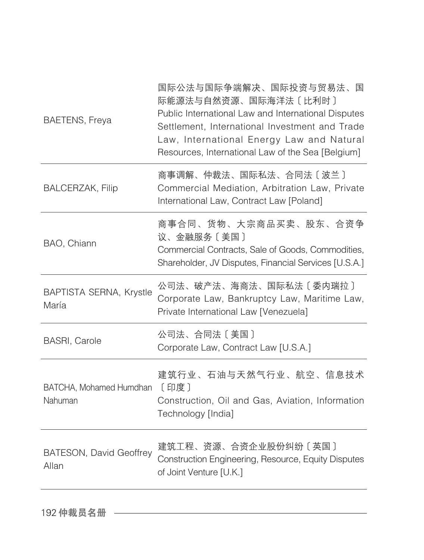| <b>BAETENS, Freya</b>                   | 国际公法与国际争端解决、国际投资与贸易法、国<br>际能源法与自然资源、国际海洋法〔比利时〕<br>Public International Law and International Disputes<br>Settlement, International Investment and Trade<br>Law, International Energy Law and Natural<br>Resources, International Law of the Sea [Belgium] |
|-----------------------------------------|-----------------------------------------------------------------------------------------------------------------------------------------------------------------------------------------------------------------------------------------------------------|
| <b>BALCERZAK, Filip</b>                 | 商事调解、仲裁法、国际私法、合同法〔波兰〕<br>Commercial Mediation, Arbitration Law, Private<br>International Law, Contract Law [Poland]                                                                                                                                       |
| BAO, Chiann                             | 商事合同、货物、大宗商品买卖、股东、合资争<br>议、金融服务〔美国〕<br>Commercial Contracts, Sale of Goods, Commodities,<br>Shareholder, JV Disputes, Financial Services [U.S.A.]                                                                                                         |
| BAPTISTA SERNA, Krystle<br>María        | 公司法、破产法、海商法、国际私法〔委内瑞拉〕<br>Corporate Law, Bankruptcy Law, Maritime Law,<br>Private International Law [Venezuela]                                                                                                                                           |
| <b>BASRI, Carole</b>                    | 公司法、合同法〔美国〕<br>Corporate Law, Contract Law [U.S.A.]                                                                                                                                                                                                       |
| BATCHA, Mohamed Humdhan [印度]<br>Nahuman | 建筑行业、石油与天然气行业、航空、信息技术<br>Construction, Oil and Gas, Aviation, Information<br>Technology [India]                                                                                                                                                           |
| <b>BATESON, David Geoffrey</b><br>Allan | 建筑工程、资源、合资企业股份纠纷〔英国〕<br>Construction Engineering, Resource, Equity Disputes<br>of Joint Venture [U.K.]                                                                                                                                                    |
|                                         |                                                                                                                                                                                                                                                           |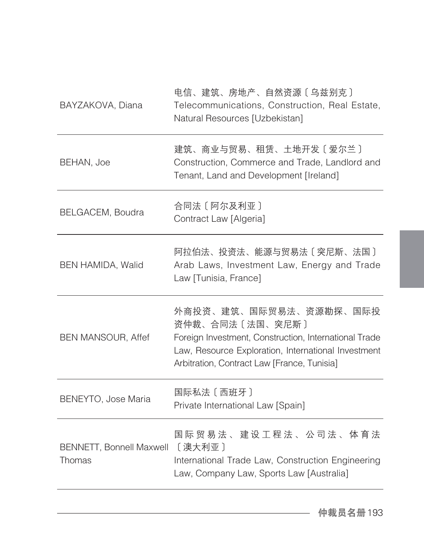| BAYZAKOVA, Diana                          | 电信、建筑、房地产、自然资源〔乌兹别克〕<br>Telecommunications, Construction, Real Estate,<br>Natural Resources [Uzbekistan]                                                                                                 |
|-------------------------------------------|----------------------------------------------------------------------------------------------------------------------------------------------------------------------------------------------------------|
| BEHAN, Joe                                | 建筑、商业与贸易、租赁、土地开发〔爱尔兰〕<br>Construction, Commerce and Trade, Landlord and<br>Tenant, Land and Development [Ireland]                                                                                        |
| BELGACEM, Boudra                          | 合同法 [ 阿尔及利亚 ]<br>Contract Law [Algeria]                                                                                                                                                                  |
| BEN HAMIDA, Walid                         | 阿拉伯法、投资法、能源与贸易法〔突尼斯、法国〕<br>Arab Laws, Investment Law, Energy and Trade<br>Law [Tunisia, France]                                                                                                          |
| <b>BEN MANSOUR, Affef</b>                 | 外商投资、建筑、国际贸易法、资源勘探、国际投<br>资仲裁、合同法〔法国、突尼斯〕<br>Foreign Investment, Construction, International Trade<br>Law, Resource Exploration, International Investment<br>Arbitration, Contract Law [France, Tunisia] |
| BENEYTO, Jose Maria                       | 国际私法 [西班牙]<br>Private International Law [Spain]                                                                                                                                                          |
| <b>BENNETT, Bonnell Maxwell</b><br>Thomas | 国际 贸 易 法 、 建 设 工 程 法 、 公 司 法 、 体 育 法<br>[澳大利亚]<br>International Trade Law, Construction Engineering<br>Law, Company Law, Sports Law [Australia]                                                          |
|                                           |                                                                                                                                                                                                          |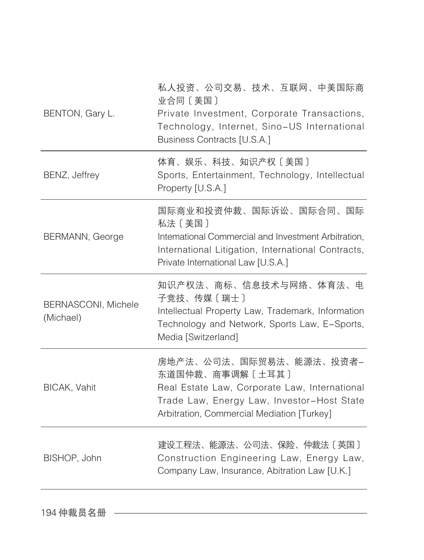| BENTON, Gary L.                  | 私人投资、公司交易、技术、互联网、中美国际商<br>业合同〔美国〕<br>Private Investment, Corporate Transactions,<br>Technology, Internet, Sino-US International<br>Business Contracts [U.S.A.]                          |
|----------------------------------|-----------------------------------------------------------------------------------------------------------------------------------------------------------------------------------------|
| BENZ, Jeffrey                    | 体育、娱乐、科技、知识产权〔美国〕<br>Sports, Entertainment, Technology, Intellectual<br>Property [U.S.A.]                                                                                               |
| BERMANN, George                  | 国际商业和投资仲裁、国际诉讼、国际合同、国际<br>私法〔美国〕<br>Intemational Commercial and Investment Arbitration,<br>International Litigation, International Contracts,<br>Private International Law [U.S.A.]     |
| BERNASCONI, Michele<br>(Michael) | 知识产权法、商标、信息技术与网络、体育法、电<br>子竞技、传媒〔瑞士〕<br>Intellectual Property Law, Trademark, Information<br>Technology and Network, Sports Law, E-Sports,<br>Media [Switzerland]                       |
| BICAK, Vahit                     | 房地产法、公司法、国际贸易法、能源法、投资者-<br>东道国仲裁、商事调解〔土耳其〕<br>Real Estate Law, Corporate Law, International<br>Trade Law, Energy Law, Investor-Host State<br>Arbitration, Commercial Mediation [Turkey] |
| BISHOP, John                     | 建设工程法、能源法、公司法、保险、仲裁法〔英国〕<br>Construction Engineering Law, Energy Law,<br>Company Law, Insurance, Abitration Law [U.K.]                                                                  |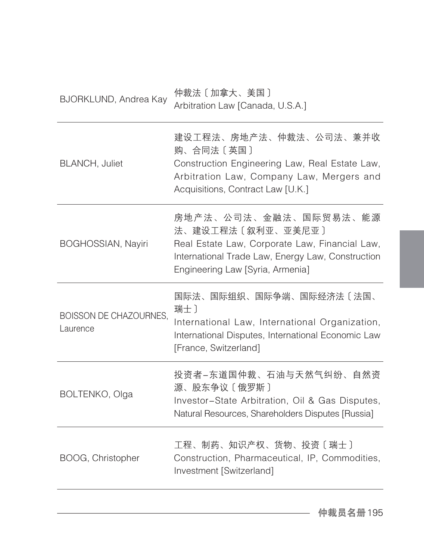| BJORKLUND, Andrea Kay                     | 仲裁法 [加拿大、美国]<br>Arbitration Law [Canada, U.S.A.]                                                                                                                                      |
|-------------------------------------------|---------------------------------------------------------------------------------------------------------------------------------------------------------------------------------------|
| <b>BLANCH, Juliet</b>                     | 建设工程法、房地产法、仲裁法、公司法、兼并收<br>购、合同法〔英国〕<br>Construction Engineering Law, Real Estate Law,<br>Arbitration Law, Company Law, Mergers and<br>Acquisitions, Contract Law [U.K.]               |
| <b>BOGHOSSIAN, Nayiri</b>                 | 房地产法、公司法、金融法、国际贸易法、能源<br>法、建设工程法〔叙利亚、亚美尼亚〕<br>Real Estate Law, Corporate Law, Financial Law,<br>International Trade Law, Energy Law, Construction<br>Engineering Law [Syria, Armenia] |
| <b>BOISSON DE CHAZOURNES,</b><br>Laurence | 国际法、国际组织、国际争端、国际经济法〔法国、<br>瑞士)<br>International Law, International Organization,<br>International Disputes, International Economic Law<br>[France, Switzerland]                       |
| BOLTENKO, Olga                            | 投资者-东道国仲裁、石油与天然气纠纷、自然资<br>源、股东争议〔俄罗斯〕<br>Investor-State Arbitration, Oil & Gas Disputes,<br>Natural Resources, Shareholders Disputes [Russia]                                         |
| BOOG, Christopher                         | 工程、制药、知识产权、货物、投资〔瑞士〕<br>Construction, Pharmaceutical, IP, Commodities,<br>Investment [Switzerland]                                                                                    |
|                                           |                                                                                                                                                                                       |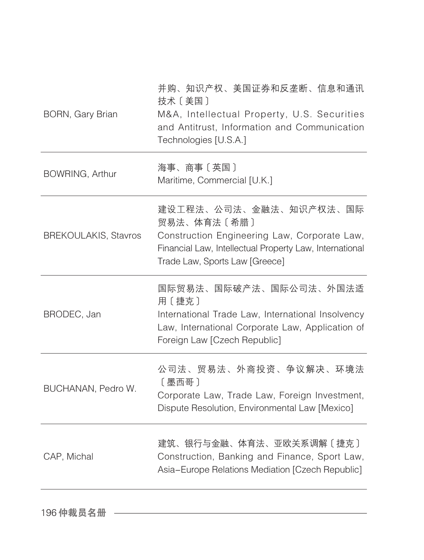| BORN, Gary Brian            | 并购、知识产权、美国证券和反垄断、信息和通讯<br>技术〔美国〕<br>M&A, Intellectual Property, U.S. Securities<br>and Antitrust, Information and Communication<br>Technologies [U.S.A.]                           |
|-----------------------------|------------------------------------------------------------------------------------------------------------------------------------------------------------------------------------|
| BOWRING, Arthur             | 海事、商事〔英国〕<br>Maritime, Commercial [U.K.]                                                                                                                                           |
| <b>BREKOULAKIS, Stavros</b> | 建设工程法、公司法、金融法、知识产权法、国际<br>贸易法、体育法〔希腊〕<br>Construction Engineering Law, Corporate Law,<br>Financial Law, Intellectual Property Law, International<br>Trade Law, Sports Law [Greece] |
| BRODEC, Jan                 | 国际贸易法、国际破产法、国际公司法、外国法适<br>用〔捷克〕<br>International Trade Law, International Insolvency<br>Law, International Corporate Law, Application of<br>Foreign Law [Czech Republic]           |
| BUCHANAN, Pedro W.          | 公司法、贸易法、外商投资、争议解决、环境法<br>[墨西哥]<br>Corporate Law, Trade Law, Foreign Investment,<br>Dispute Resolution, Environmental Law [Mexico]                                                  |
| CAP, Michal                 | 建筑、银行与金融、体育法、亚欧关系调解〔捷克〕<br>Construction, Banking and Finance, Sport Law,<br>Asia-Europe Relations Mediation [Czech Republic]                                                       |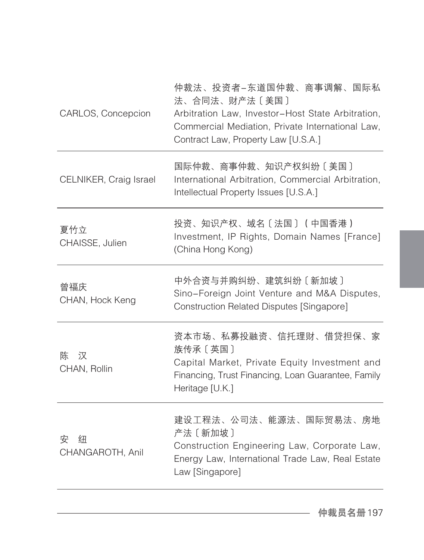| CARLOS, Concepcion         | 仲裁法、投资者-东道国仲裁、商事调解、国际私<br>法、合同法、财产法〔美国〕<br>Arbitration Law, Investor-Host State Arbitration,<br>Commercial Mediation, Private International Law,<br>Contract Law, Property Law [U.S.A.] |
|----------------------------|-----------------------------------------------------------------------------------------------------------------------------------------------------------------------------------------|
| CELNIKER, Craig Israel     | 国际仲裁、商事仲裁、知识产权纠纷〔美国〕<br>International Arbitration, Commercial Arbitration,<br>Intellectual Property Issues [U.S.A.]                                                                     |
| 夏竹立<br>CHAISSE, Julien     | 投资、知识产权、域名〔法国〕 (中国香港)<br>Investment, IP Rights, Domain Names [France]<br>(China Hong Kong)                                                                                              |
| 曾福庆<br>CHAN, Hock Keng     | 中外合资与并购纠纷、建筑纠纷〔新加坡〕<br>Sino-Foreign Joint Venture and M&A Disputes,<br>Construction Related Disputes [Singapore]                                                                        |
| 汉<br>陈<br>CHAN, Rollin     | 资本市场、私募投融资、信托理财、借贷担保、家<br>族传承〔英国〕<br>Capital Market, Private Equity Investment and<br>Financing, Trust Financing, Loan Guarantee, Family<br>Heritage [U.K.]                             |
| 安<br>纽<br>CHANGAROTH, Anil | 建设工程法、公司法、能源法、国际贸易法、房地<br>产法 [新加坡]<br>Construction Engineering Law, Corporate Law,<br>Energy Law, International Trade Law, Real Estate<br>Law [Singapore]                               |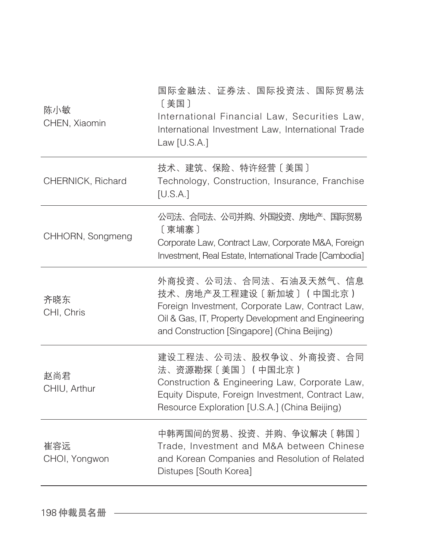| 陈小敏<br>CHEN, Xiaomin | 国际金融法、证券法、国际投资法、国际贸易法<br>〔美国〕<br>International Financial Law, Securities Law,<br>International Investment Law, International Trade<br>Law $[U.S.A.]$                                                        |
|----------------------|-------------------------------------------------------------------------------------------------------------------------------------------------------------------------------------------------------------|
| CHERNICK, Richard    | 技术、建筑、保险、特许经营〔美国〕<br>Technology, Construction, Insurance, Franchise<br>[U.S.A.]                                                                                                                             |
| CHHORN, Songmeng     | 公司法、合同法、公司并购、外国投资、房地产、国际贸易<br>[柬埔寨]<br>Corporate Law, Contract Law, Corporate M&A, Foreign<br>Investment, Real Estate, International Trade [Cambodia]                                                       |
| 齐晓东<br>CHI, Chris    | 外商投资、公司法、合同法、石油及天然气、信息<br>技术、房地产及工程建设〔新加坡〕(中国北京)<br>Foreign Investment, Corporate Law, Contract Law,<br>Oil & Gas, IT, Property Development and Engineering<br>and Construction [Singapore] (China Beijing) |
| 赵尚君<br>CHIU, Arthur  | 建设工程法、公司法、股权争议、外商投资、合同<br>法、资源勘探〔美国〕(中国北京)<br>Construction & Engineering Law, Corporate Law,<br>Equity Dispute, Foreign Investment, Contract Law,<br>Resource Exploration [U.S.A.] (China Beijing)          |
| 崔容远<br>CHOI, Yongwon | 中韩两国间的贸易、投资、并购、争议解决〔韩国〕<br>Trade, Investment and M&A between Chinese<br>and Korean Companies and Resolution of Related<br>Distupes [South Korea]                                                            |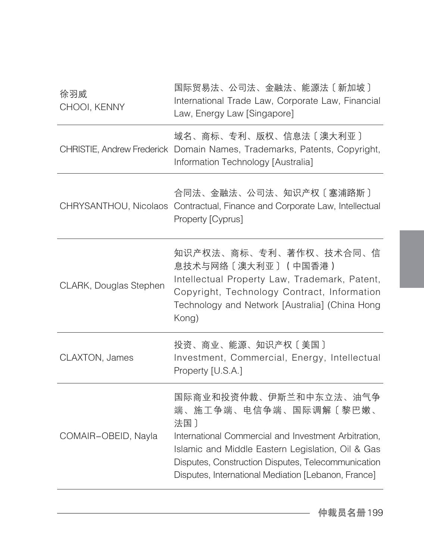| 徐羽威<br>CHOOI, KENNY    | 国际贸易法、公司法、金融法、能源法〔新加坡〕<br>International Trade Law, Corporate Law, Financial<br>Law, Energy Law [Singapore]                                                                                                                                                                       |
|------------------------|----------------------------------------------------------------------------------------------------------------------------------------------------------------------------------------------------------------------------------------------------------------------------------|
|                        | 域名、商标、专利、版权、信息法〔澳大利亚〕<br>CHRISTIE, Andrew Frederick Domain Names, Trademarks, Patents, Copyright,<br>Information Technology [Australia]                                                                                                                                          |
|                        | 合同法、金融法、公司法、知识产权〔塞浦路斯〕<br>CHRYSANTHOU, Nicolaos Contractual, Finance and Corporate Law, Intellectual<br>Property [Cyprus]                                                                                                                                                        |
| CLARK, Douglas Stephen | 知识产权法、商标、专利、著作权、技术合同、信<br>息技术与网络〔澳大利亚〕 (中国香港)<br>Intellectual Property Law, Trademark, Patent,<br>Copyright, Technology Contract, Information<br>Technology and Network [Australia] (China Hong<br>Kong)                                                                         |
| CLAXTON, James         | 投资、商业、能源、知识产权〔美国〕<br>Investment, Commercial, Energy, Intellectual<br>Property [U.S.A.]                                                                                                                                                                                           |
| COMAIR-OBEID, Nayla    | 国际商业和投资仲裁、伊斯兰和中东立法、油气争<br>端、施工争端、电信争端、国际调解〔黎巴嫩、<br>法国)<br>International Commercial and Investment Arbitration,<br>Islamic and Middle Eastern Legislation, Oil & Gas<br>Disputes, Construction Disputes, Telecommunication<br>Disputes, International Mediation [Lebanon, France] |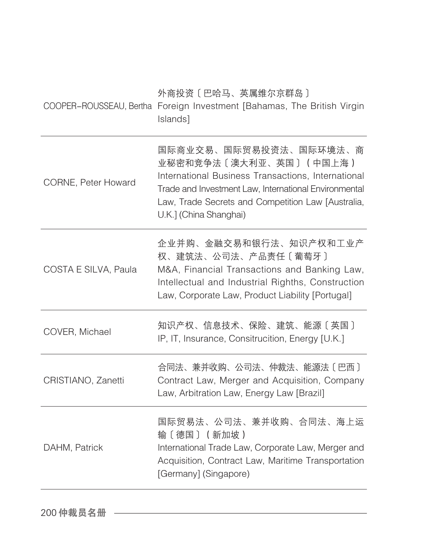|                      | 外商投资〔巴哈马、英属维尔京群岛〕<br>COOPER-ROUSSEAU, Bertha Foreign Investment [Bahamas, The British Virgin<br>Islands]                                                                                                                                        |
|----------------------|-------------------------------------------------------------------------------------------------------------------------------------------------------------------------------------------------------------------------------------------------|
| CORNE, Peter Howard  | 国际商业交易、国际贸易投资法、国际环境法、商<br>业秘密和竞争法〔澳大利亚、英国〕(中国上海)<br>International Business Transactions, International<br>Trade and Investment Law. International Environmental<br>Law, Trade Secrets and Competition Law [Australia,<br>U.K.] (China Shanghai) |
| COSTA E SILVA, Paula | 企业并购、金融交易和银行法、知识产权和工业产<br>权、建筑法、公司法、产品责任〔葡萄牙〕<br>M&A, Financial Transactions and Banking Law,<br>Intellectual and Industrial Righths, Construction<br>Law, Corporate Law, Product Liability [Portugal]                                          |
| COVER, Michael       | 知识产权、信息技术、保险、建筑、能源〔英国〕<br>IP, IT, Insurance, Consitrucition, Energy [U.K.]                                                                                                                                                                      |
| CRISTIANO, Zanetti   | 合同法、兼并收购、公司法、仲裁法、能源法〔巴西〕<br>Contract Law, Merger and Acquisition, Company<br>Law, Arbitration Law, Energy Law [Brazil]                                                                                                                          |
| DAHM, Patrick        | 国际贸易法、公司法、兼并收购、合同法、海上运<br>输〔德国〕 (新加坡)<br>International Trade Law, Corporate Law, Merger and<br>Acquisition, Contract Law, Maritime Transportation<br>[Germany] (Singapore)                                                                      |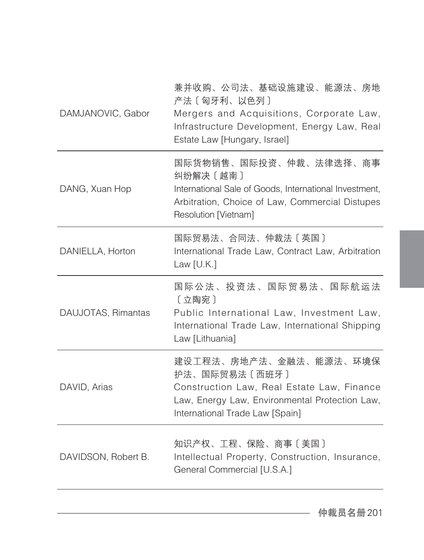| DAMJANOVIC, Gabor   | 兼并收购、公司法、基础设施建设、能源法、房地<br>产法〔匈牙利、以色列〕<br>Mergers and Acquisitions, Corporate Law,<br>Infrastructure Development, Energy Law, Real<br>Estate Law [Hungary, Israel]          |
|---------------------|----------------------------------------------------------------------------------------------------------------------------------------------------------------------------|
| DANG, Xuan Hop      | 国际货物销售、国际投资、仲裁、法律选择、商事<br>纠纷解决 [越南]<br>International Sale of Goods, International Investment,<br>Arbitration, Choice of Law, Commercial Distupes<br>Resolution [Vietnam]   |
| DANIELLA, Horton    | 国际贸易法、合同法、仲裁法〔英国〕<br>International Trade Law, Contract Law, Arbitration<br>Law $[U.K.]$                                                                                    |
| DAUJOTAS, Rimantas  | 国际公法、投资法、国际贸易法、国际航运法<br>[立陶宛]<br>Public International Law, Investment Law,<br>International Trade Law, International Shipping<br>Law [Lithuania]                           |
| DAVID, Arias        | 建设工程法、房地产法、金融法、能源法、环境保<br>护法、国际贸易法〔西班牙〕<br>Construction Law, Real Estate Law, Finance<br>Law, Energy Law, Environmental Protection Law,<br>International Trade Law [Spain] |
| DAVIDSON, Robert B. | 知识产权、工程、保险、商事〔美国〕<br>Intellectual Property, Construction, Insurance,<br>General Commercial [U.S.A.]                                                                        |
|                     |                                                                                                                                                                            |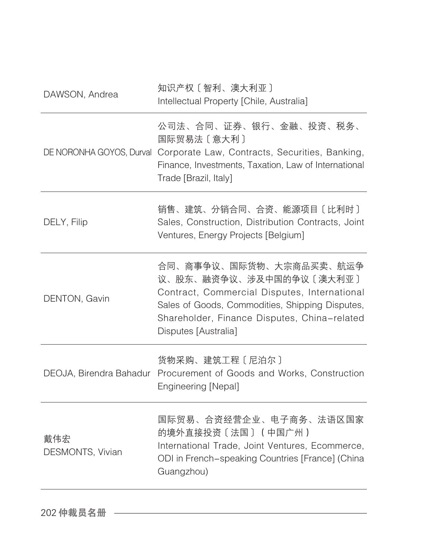| DAWSON, Andrea          | 知识产权 [智利、澳大利亚]<br>Intellectual Property [Chile, Australia]                                                                                                                                                                    |
|-------------------------|-------------------------------------------------------------------------------------------------------------------------------------------------------------------------------------------------------------------------------|
|                         | 公司法、合同、证券、银行、金融、投资、税务、<br>国际贸易法〔意大利〕<br>DE NORONHA GOYOS, Durval Corporate Law, Contracts, Securities, Banking,<br>Finance, Investments, Taxation, Law of International<br>Trade [Brazil, Italy]                              |
| DELY, Filip             | 销售、建筑、分销合同、合资、能源项目〔比利时〕<br>Sales, Construction, Distribution Contracts, Joint<br>Ventures, Energy Projects [Belgium]                                                                                                          |
| DENTON, Gavin           | 合同、商事争议、国际货物、大宗商品买卖、航运争<br>议、股东、融资争议、涉及中国的争议〔澳大利亚〕<br>Contract, Commercial Disputes, International<br>Sales of Goods, Commodities, Shipping Disputes,<br>Shareholder, Finance Disputes, China-related<br>Disputes [Australia] |
|                         | 货物采购、建筑工程〔尼泊尔〕<br>DEOJA, Birendra Bahadur Procurement of Goods and Works, Construction<br>Engineering [Nepal]                                                                                                                 |
| 戴伟宏<br>DESMONTS, Vivian | 国际贸易、合资经营企业、电子商务、法语区国家<br>的境外直接投资〔法国〕(中国广州)<br>International Trade, Joint Ventures, Ecommerce,<br>ODI in French-speaking Countries [France] (China<br>Guangzhou)                                                              |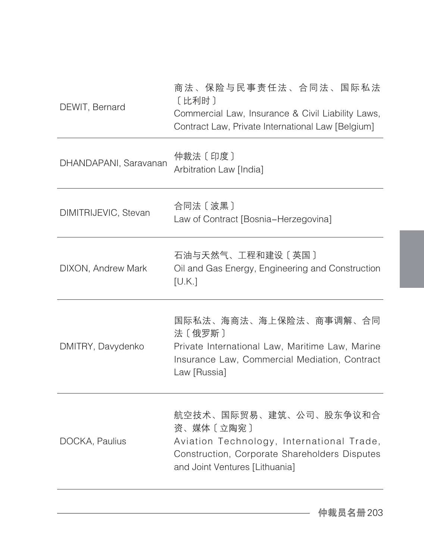| DEWIT, Bernard        | 商法、保险与民事责任法、合同法、国际私法<br>[比利时]<br>Commercial Law, Insurance & Civil Liability Laws,<br>Contract Law, Private International Law [Belgium]                             |
|-----------------------|---------------------------------------------------------------------------------------------------------------------------------------------------------------------|
| DHANDAPANI, Saravanan | 仲裁法 [印度]<br>Arbitration Law [India]                                                                                                                                 |
| DIMITRIJEVIC, Stevan  | 合同法〔波黑〕<br>Law of Contract [Bosnia-Herzegovina]                                                                                                                     |
| DIXON, Andrew Mark    | 石油与天然气、工程和建设〔英国〕<br>Oil and Gas Energy, Engineering and Construction<br>[U.K.]                                                                                      |
| DMITRY, Davydenko     | 国际私法、海商法、海上保险法、商事调解、合同<br>法〔俄罗斯〕<br>Private International Law, Maritime Law, Marine<br>Insurance Law, Commercial Mediation, Contract<br>Law [Russia]                |
| DOCKA, Paulius        | 航空技术、国际贸易、建筑、公司、股东争议和合<br>资、媒体〔立陶宛〕<br>Aviation Technology, International Trade,<br>Construction, Corporate Shareholders Disputes<br>and Joint Ventures [Lithuania] |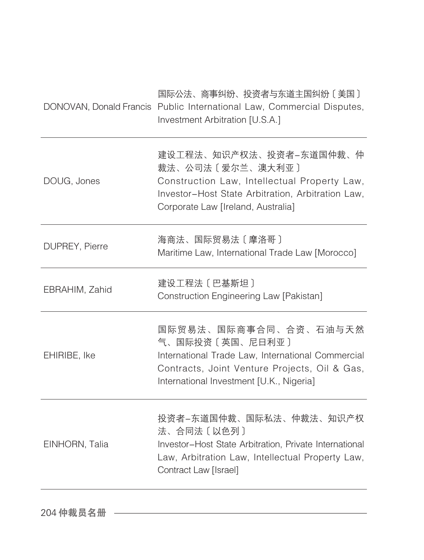|                | 国际公法、商事纠纷、投资者与东道主国纠纷〔美国〕<br>DONOVAN, Donald Francis Public International Law, Commercial Disputes,<br>Investment Arbitration [U.S.A.]                                                      |
|----------------|--------------------------------------------------------------------------------------------------------------------------------------------------------------------------------------------|
| DOUG, Jones    | 建设工程法、知识产权法、投资者-东道国仲裁、仲<br>裁法、公司法〔爱尔兰、澳大利亚〕<br>Construction Law, Intellectual Property Law,<br>Investor-Host State Arbitration, Arbitration Law,<br>Corporate Law [Ireland, Australia]     |
| DUPREY, Pierre | 海商法、国际贸易法〔摩洛哥〕<br>Maritime Law, International Trade Law [Morocco]                                                                                                                          |
| EBRAHIM, Zahid | 建设工程法 [巴基斯坦]<br>Construction Engineering Law [Pakistan]                                                                                                                                    |
| EHIRIBE, Ike   | 国际贸易法、国际商事合同、合资、石油与天然<br>气、国际投资〔英国、尼日利亚〕<br>International Trade Law, International Commercial<br>Contracts, Joint Venture Projects, Oil & Gas,<br>International Investment [U.K., Nigeria] |
| EINHORN, Talia | 投资者-东道国仲裁、国际私法、仲裁法、知识产权<br>法、合同法〔以色列〕<br>Investor-Host State Arbitration, Private International<br>Law, Arbitration Law, Intellectual Property Law,<br>Contract Law [Israel]               |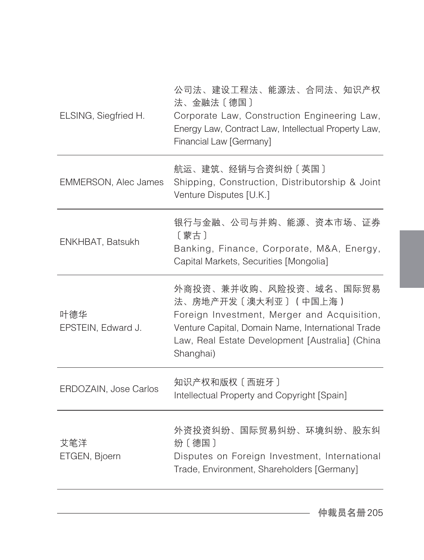| ELSING, Siegfried H.        | 公司法、建设工程法、能源法、合同法、知识产权<br>法、金融法〔德国〕<br>Corporate Law, Construction Engineering Law,<br>Energy Law, Contract Law, Intellectual Property Law,<br>Financial Law [Germany]                                            |
|-----------------------------|-------------------------------------------------------------------------------------------------------------------------------------------------------------------------------------------------------------------|
| <b>EMMERSON, Alec James</b> | 航运、建筑、经销与合资纠纷〔英国〕<br>Shipping, Construction, Distributorship & Joint<br>Venture Disputes [U.K.]                                                                                                                   |
| ENKHBAT, Batsukh            | 银行与金融、公司与并购、能源、资本市场、证券<br>〔蒙古〕<br>Banking, Finance, Corporate, M&A, Energy,<br>Capital Markets, Securities [Mongolia]                                                                                             |
| 叶德华<br>EPSTEIN, Edward J.   | 外商投资、兼并收购、风险投资、域名、国际贸易<br>法、房地产开发〔澳大利亚〕(中国上海)<br>Foreign Investment, Merger and Acquisition,<br>Venture Capital, Domain Name, International Trade<br>Law, Real Estate Development [Australia] (China<br>Shanghai) |
| ERDOZAIN, Jose Carlos       | 知识产权和版权〔西班牙〕<br>Intellectual Property and Copyright [Spain]                                                                                                                                                       |
| 艾笔洋<br>ETGEN, Bjoern        | 外资投资纠纷、国际贸易纠纷、环境纠纷、股东纠<br>纷〔德国〕<br>Disputes on Foreign Investment, International<br>Trade, Environment, Shareholders [Germany]                                                                                    |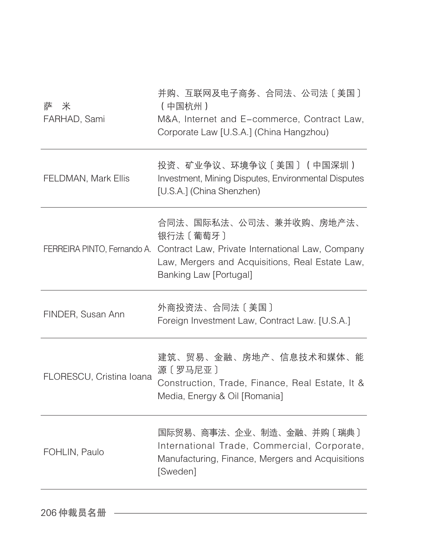| 萨<br>米<br>FARHAD, Sami   | 并购、互联网及电子商务、合同法、公司法〔美国〕<br>(中国杭州)<br>M&A, Internet and E-commerce, Contract Law,<br>Corporate Law [U.S.A.] (China Hangzhou)                                                                       |
|--------------------------|---------------------------------------------------------------------------------------------------------------------------------------------------------------------------------------------------|
| FELDMAN, Mark Ellis      | 投资、矿业争议、环境争议〔美国〕(中国深圳)<br>Investment, Mining Disputes, Environmental Disputes<br>[U.S.A.] (China Shenzhen)                                                                                        |
|                          | 合同法、国际私法、公司法、兼并收购、房地产法、<br>银行法 [葡萄牙]<br>FERREIRA PINTO, Fernando A. Contract Law, Private International Law, Company<br>Law, Mergers and Acquisitions, Real Estate Law,<br>Banking Law [Portugal] |
| FINDER, Susan Ann        | 外商投资法、合同法〔美国〕<br>Foreign Investment Law, Contract Law. [U.S.A.]                                                                                                                                   |
| FLORESCU, Cristina Ioana | 建筑、贸易、金融、房地产、信息技术和媒体、能<br>源〔罗马尼亚〕<br>Construction, Trade, Finance, Real Estate, It &<br>Media, Energy & Oil [Romania]                                                                             |
| FOHLIN, Paulo            | 国际贸易、商事法、企业、制造、金融、并购〔瑞典〕<br>International Trade, Commercial, Corporate,<br>Manufacturing, Finance, Mergers and Acquisitions<br>[Sweden]                                                           |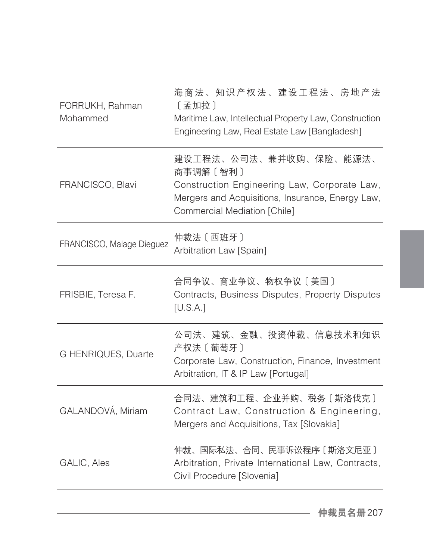| FORRUKH, Rahman<br>Mohammed | 海商法、知识产权法、建设工程法、房地产法<br>[孟加拉]<br>Maritime Law, Intellectual Property Law, Construction<br>Engineering Law, Real Estate Law [Bangladesh]                                |
|-----------------------------|------------------------------------------------------------------------------------------------------------------------------------------------------------------------|
| FRANCISCO, Blavi            | 建设工程法、公司法、兼并收购、保险、能源法、<br>商事调解〔智利〕<br>Construction Engineering Law, Corporate Law,<br>Mergers and Acquisitions, Insurance, Energy Law,<br>Commercial Mediation [Chile] |
| FRANCISCO, Malage Dieguez   | 仲裁法 [西班牙]<br>Arbitration Law [Spain]                                                                                                                                   |
| FRISBIE, Teresa F.          | 合同争议、商业争议、物权争议〔美国〕<br>Contracts, Business Disputes, Property Disputes<br>[U.S.A.]                                                                                      |
| G HENRIQUES, Duarte         | 公司法、建筑、金融、投资仲裁、信息技术和知识<br>产权法 〔 葡萄牙 〕<br>Corporate Law, Construction, Finance, Investment<br>Arbitration, IT & IP Law [Portugal]                                       |
| GALANDOVÁ, Miriam           | 合同法、建筑和工程、企业并购、税务〔斯洛伐克〕<br>Contract Law, Construction & Engineering,<br>Mergers and Acquisitions, Tax [Slovakia]                                                       |
| GALIC, Ales                 | 仲裁、国际私法、合同、民事诉讼程序〔斯洛文尼亚〕<br>Arbitration, Private International Law, Contracts,<br>Civil Procedure [Slovenia]                                                           |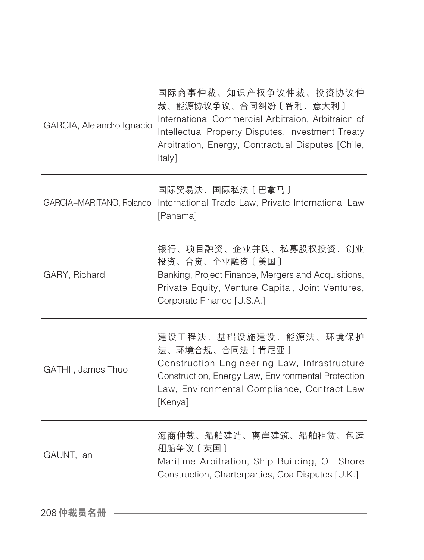| GARCIA, Alejandro Ignacio | 国际商事仲裁、知识产权争议仲裁、投资协议仲<br>裁、能源协议争议、合同纠纷〔智利、意大利〕<br>International Commercial Arbitraion, Arbitraion of<br>Intellectual Property Disputes, Investment Treaty<br>Arbitration, Energy, Contractual Disputes [Chile,<br>Italy] |
|---------------------------|--------------------------------------------------------------------------------------------------------------------------------------------------------------------------------------------------------------------------|
| GARCIA-MARITANO, Rolando  | 国际贸易法、国际私法〔巴拿马〕<br>International Trade Law, Private International Law<br>[Panama]                                                                                                                                        |
| GARY, Richard             | 银行、项目融资、企业并购、私募股权投资、创业<br>投资、合资、企业融资〔美国〕<br>Banking, Project Finance, Mergers and Acquisitions,<br>Private Equity, Venture Capital, Joint Ventures,<br>Corporate Finance [U.S.A.]                                        |
| GATHII, James Thuo        | 建设工程法、基础设施建设、能源法、环境保护<br>法、环境合规、合同法〔肯尼亚〕<br>Construction Engineering Law, Infrastructure<br>Construction, Energy Law, Environmental Protection<br>Law, Environmental Compliance, Contract Law<br>[Kenya]                 |
| GAUNT, lan                | 海商仲裁、船舶建造、离岸建筑、船舶租赁、包运<br>租船争议 [英国]<br>Maritime Arbitration, Ship Building, Off Shore<br>Construction, Charterparties, Coa Disputes [U.K.]                                                                               |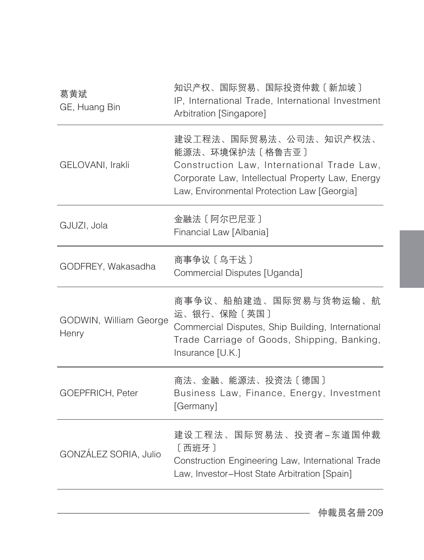| 葛黄斌<br>GE, Huang Bin            | 知识产权、国际贸易、国际投资仲裁〔新加坡〕<br>IP, International Trade, International Investment<br>Arbitration [Singapore]                                                                                      |
|---------------------------------|--------------------------------------------------------------------------------------------------------------------------------------------------------------------------------------------|
| GELOVANI, Irakli                | 建设工程法、国际贸易法、公司法、知识产权法、<br>能源法、环境保护法〔格鲁吉亚〕<br>Construction Law, International Trade Law,<br>Corporate Law, Intellectual Property Law, Energy<br>Law, Environmental Protection Law [Georgia] |
| GJUZI, Jola                     | 金融法〔阿尔巴尼亚〕<br>Financial Law [Albania]                                                                                                                                                      |
| GODFREY, Wakasadha              | 商事争议 [乌干达]<br>Commercial Disputes [Uganda]                                                                                                                                                 |
| GODWIN, William George<br>Henry | 商事争议、船舶建造、国际贸易与货物运输、航<br>运、银行、保险〔英国〕<br>Commercial Disputes, Ship Building, International<br>Trade Carriage of Goods, Shipping, Banking,<br>Insurance [U.K.]                               |
| GOEPFRICH, Peter                | 商法、金融、能源法、投资法〔德国〕<br>Business Law, Finance, Energy, Investment<br>[Germany]                                                                                                                |
| GONZÁLEZ SORIA, Julio           | 建设工程法、国际贸易法、投资者-东道国仲裁<br>[西班牙]<br>Construction Engineering Law, International Trade<br>Law, Investor-Host State Arbitration [Spain]                                                        |
|                                 |                                                                                                                                                                                            |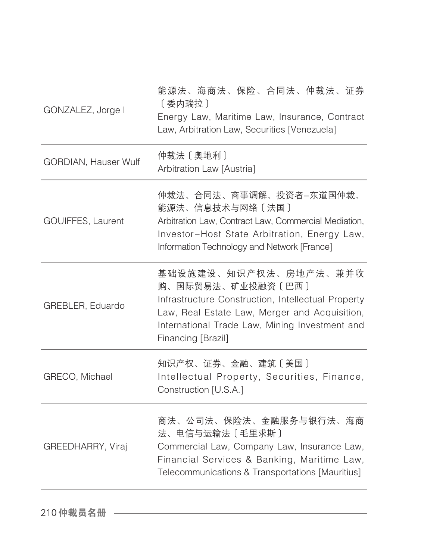| GONZALEZ, Jorge I    | 能源法、海商法、保险、合同法、仲裁法、证券<br>[委内瑞拉]<br>Energy Law, Maritime Law, Insurance, Contract<br>Law, Arbitration Law, Securities [Venezuela]                                                                                          |
|----------------------|---------------------------------------------------------------------------------------------------------------------------------------------------------------------------------------------------------------------------|
| GORDIAN, Hauser Wulf | 仲裁法 [奥地利]<br>Arbitration Law [Austria]                                                                                                                                                                                    |
| GOUIFFES, Laurent    | 仲裁法、合同法、商事调解、投资者-东道国仲裁、<br>能源法、信息技术与网络〔法国〕<br>Arbitration Law, Contract Law, Commercial Mediation,<br>Investor-Host State Arbitration, Energy Law,<br>Information Technology and Network [France]                         |
| GREBLER, Eduardo     | 基础设施建设、知识产权法、房地产法、兼并收<br>购、国际贸易法、矿业投融资〔巴西〕<br>Infrastructure Construction, Intellectual Property<br>Law, Real Estate Law, Merger and Acquisition,<br>International Trade Law, Mining Investment and<br>Financing [Brazil] |
| GRECO, Michael       | 知识产权、证券、金融、建筑〔美国〕<br>Intellectual Property, Securities, Finance,<br>Construction [U.S.A.]                                                                                                                                 |
| GREEDHARRY, Viraj    | 商法、公司法、保险法、金融服务与银行法、海商<br>法、电信与运输法〔毛里求斯〕<br>Commercial Law, Company Law, Insurance Law,<br>Financial Services & Banking, Maritime Law,<br>Telecommunications & Transportations [Mauritius]                                |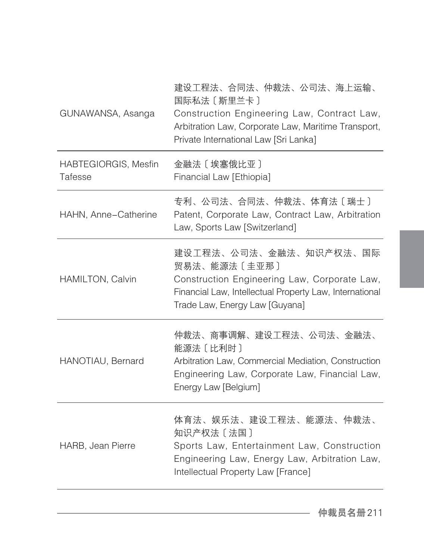| GUNAWANSA, Asanga               | 建设工程法、合同法、仲裁法、公司法、海上运输、<br>国际私法 [斯里兰卡]<br>Construction Engineering Law, Contract Law,<br>Arbitration Law, Corporate Law, Maritime Transport,<br>Private International Law [Sri Lanka] |
|---------------------------------|---------------------------------------------------------------------------------------------------------------------------------------------------------------------------------------|
| HABTEGIORGIS, Mesfin<br>Tafesse | 金融法 [埃塞俄比亚]<br>Financial Law [Ethiopia]                                                                                                                                               |
| HAHN, Anne-Catherine            | 专利、公司法、合同法、仲裁法、体育法〔瑞士〕<br>Patent, Corporate Law, Contract Law, Arbitration<br>Law, Sports Law [Switzerland]                                                                           |
| HAMILTON, Calvin                | 建设工程法、公司法、金融法、知识产权法、国际<br>贸易法、能源法〔圭亚那〕<br>Construction Engineering Law, Corporate Law,<br>Financial Law, Intellectual Property Law, International<br>Trade Law, Energy Law [Guyana]   |
| HANOTIAU, Bernard               | 仲裁法、商事调解、建设工程法、公司法、金融法、<br>能源法 [比利时]<br>Arbitration Law, Commercial Mediation, Construction<br>Engineering Law, Corporate Law, Financial Law,<br>Energy Law [Belgium]                 |
| HARB, Jean Pierre               | 体育法、娱乐法、建设工程法、能源法、仲裁法、<br>知识产权法〔法国〕<br>Sports Law, Entertainment Law, Construction<br>Engineering Law, Energy Law, Arbitration Law,<br>Intellectual Property Law [France]             |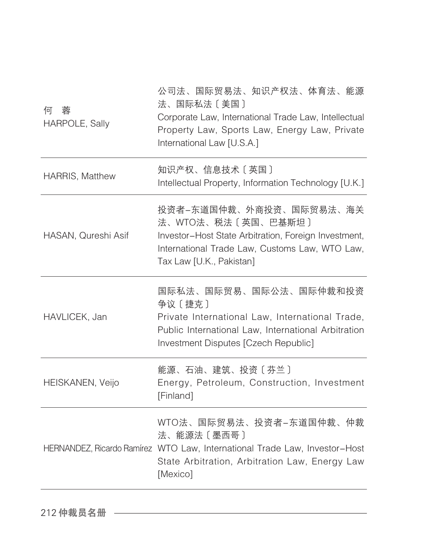| 何<br>蓉<br>HARPOLE, Sally | 公司法、国际贸易法、知识产权法、体育法、能源<br>法、国际私法〔美国〕<br>Corporate Law, International Trade Law, Intellectual<br>Property Law, Sports Law, Energy Law, Private<br>International Law [U.S.A.]         |
|--------------------------|-------------------------------------------------------------------------------------------------------------------------------------------------------------------------------------|
| <b>HARRIS, Matthew</b>   | 知识产权、信息技术〔英国〕<br>Intellectual Property, Information Technology [U.K.]                                                                                                               |
| HASAN, Qureshi Asif      | 投资者-东道国仲裁、外商投资、国际贸易法、海关<br>法、WTO法、税法〔英国、巴基斯坦〕<br>Investor-Host State Arbitration, Foreign Investment,<br>International Trade Law, Customs Law, WTO Law,<br>Tax Law [U.K., Pakistan] |
| HAVLICEK, Jan            | 国际私法、国际贸易、国际公法、国际仲裁和投资<br>争议 [捷克]<br>Private International Law, International Trade,<br>Public International Law, International Arbitration<br>Investment Disputes [Czech Republic] |
| HEISKANEN, Veijo         | 能源、石油、建筑、投资〔芬兰〕<br>Energy, Petroleum, Construction, Investment<br>[Finland]                                                                                                         |
|                          | WTO法、国际贸易法、投资者-东道国仲裁、仲裁<br>法、能源法〔墨西哥〕<br>HERNANDEZ, Ricardo Ramírez WTO Law, International Trade Law, Investor-Host<br>State Arbitration, Arbitration Law, Energy Law<br>[Mexico]   |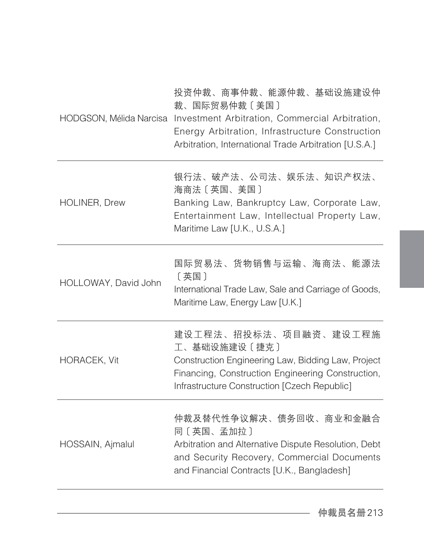|                      | 投资仲裁、商事仲裁、能源仲裁、基础设施建设仲<br>裁、国际贸易仲裁〔美国〕<br>HODGSON, Mélida Narcisa Investment Arbitration, Commercial Arbitration,<br>Energy Arbitration, Infrastructure Construction<br>Arbitration, International Trade Arbitration [U.S.A.] |
|----------------------|-------------------------------------------------------------------------------------------------------------------------------------------------------------------------------------------------------------------------------|
| <b>HOLINER, Drew</b> | 银行法、破产法、公司法、娱乐法、知识产权法、<br>海商法〔英国、美国〕<br>Banking Law, Bankruptcy Law, Corporate Law,<br>Entertainment Law, Intellectual Property Law,<br>Maritime Law [U.K., U.S.A.]                                                           |
| HOLLOWAY, David John | 国际贸易法、货物销售与运输、海商法、能源法<br>[英国]<br>International Trade Law, Sale and Carriage of Goods,<br>Maritime Law, Energy Law [U.K.]                                                                                                      |
| <b>HORACEK, Vit</b>  | 建设工程法、招投标法、项目融资、建设工程施<br>工、基础设施建设〔捷克〕<br>Construction Engineering Law, Bidding Law, Project<br>Financing, Construction Engineering Construction,<br>Infrastructure Construction [Czech Republic]                              |
| HOSSAIN, Ajmalul     | 仲裁及替代性争议解决、债务回收、商业和金融合<br>同〔英国、孟加拉〕<br>Arbitration and Alternative Dispute Resolution, Debt<br>and Security Recovery, Commercial Documents<br>and Financial Contracts [U.K., Bangladesh]                                      |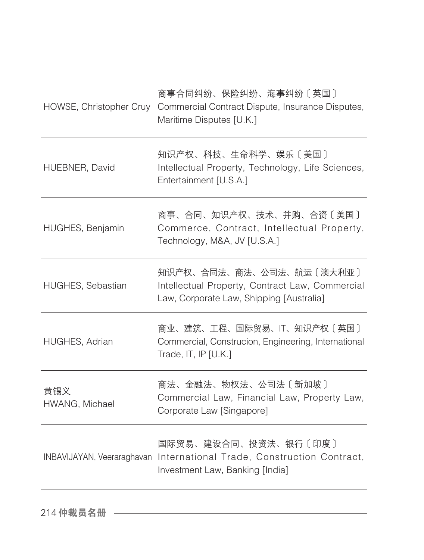| HOWSE, Christopher Cruy    | 商事合同纠纷、保险纠纷、海事纠纷〔英国〕<br>Commercial Contract Dispute, Insurance Disputes,<br>Maritime Disputes [U.K.]                    |
|----------------------------|-------------------------------------------------------------------------------------------------------------------------|
| HUEBNER, David             | 知识产权、科技、生命科学、娱乐〔美国〕<br>Intellectual Property, Technology, Life Sciences,<br>Entertainment [U.S.A.]                      |
| HUGHES, Benjamin           | 商事、合同、知识产权、技术、并购、合资〔美国〕<br>Commerce, Contract, Intellectual Property,<br>Technology, M&A, JV [U.S.A.]                   |
| <b>HUGHES, Sebastian</b>   | 知识产权、合同法、商法、公司法、航运〔澳大利亚〕<br>Intellectual Property, Contract Law, Commercial<br>Law, Corporate Law, Shipping [Australia] |
| HUGHES, Adrian             | 商业、建筑、工程、国际贸易、IT、知识产权〔英国〕<br>Commercial, Construcion, Engineering, International<br>Trade, IT, IP $[U.K.]$              |
| 黄锡义<br>HWANG, Michael      | 商法、金融法、物权法、公司法〔新加坡〕<br>Commercial Law, Financial Law, Property Law,<br>Corporate Law [Singapore]                        |
| INBAVIJAYAN, Veeraraghavan | 国际贸易、建设合同、投资法、银行〔印度〕<br>International Trade, Construction Contract,<br>Investment Law, Banking [India]                  |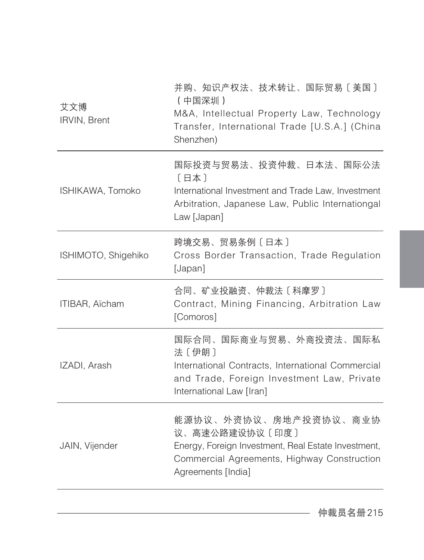| 艾文博<br>IRVIN, Brent   | 并购、知识产权法、技术转让、国际贸易〔美国〕<br>(中国深圳)<br>M&A, Intellectual Property Law, Technology<br>Transfer, International Trade [U.S.A.] (China<br>Shenzhen)                        |
|-----------------------|---------------------------------------------------------------------------------------------------------------------------------------------------------------------|
| ISHIKAWA, Tomoko      | 国际投资与贸易法、投资仲裁、日本法、国际公法<br>[日本]<br>International Investment and Trade Law, Investment<br>Arbitration, Japanese Law, Public Internationgal<br>Law [Japan]             |
| ISHIMOTO, Shigehiko   | 跨境交易、贸易条例〔日本〕<br>Cross Border Transaction, Trade Regulation<br>[Japan]                                                                                              |
| <b>ITIBAR, Aïcham</b> | 合同、矿业投融资、仲裁法〔科摩罗〕<br>Contract, Mining Financing, Arbitration Law<br>[Comoros]                                                                                       |
| IZADI, Arash          | 国际合同、国际商业与贸易、外商投资法、国际私<br>法〔伊朗〕<br>International Contracts, International Commercial<br>and Trade, Foreign Investment Law, Private<br>International Law [Iran]      |
| JAIN, Vijender        | 能源协议、外资协议、房地产投资协议、商业协<br>议、高速公路建设协议〔印度〕<br>Energy, Foreign Investment, Real Estate Investment,<br>Commercial Agreements, Highway Construction<br>Agreements [India] |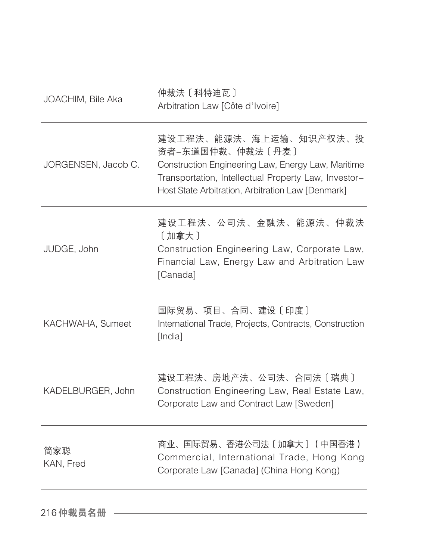| JOACHIM, Bile Aka   | 仲裁法 [科特迪瓦]<br>Arbitration Law [Côte d'Ivoire]                                                                                                                                                                 |
|---------------------|---------------------------------------------------------------------------------------------------------------------------------------------------------------------------------------------------------------|
| JORGENSEN, Jacob C. | 建设工程法、能源法、海上运输、知识产权法、投<br>资者-东道国仲裁、仲裁法〔丹麦〕<br>Construction Engineering Law, Energy Law, Maritime<br>Transportation, Intellectual Property Law, Investor-<br>Host State Arbitration, Arbitration Law [Denmark] |
| JUDGE, John         | 建设工程法、公司法、金融法、能源法、仲裁法<br>[加拿大]<br>Construction Engineering Law, Corporate Law,<br>Financial Law, Energy Law and Arbitration Law<br>[Canada]                                                                   |
| KACHWAHA, Sumeet    | 国际贸易、项目、合同、建设〔印度〕<br>International Trade, Projects, Contracts, Construction<br>[India]                                                                                                                        |
| KADELBURGER, John   | 建设工程法、房地产法、公司法、合同法〔瑞典〕<br>Construction Engineering Law, Real Estate Law,<br>Corporate Law and Contract Law [Sweden]                                                                                           |
| 简家聪<br>KAN, Fred    | 商业、国际贸易、香港公司法〔加拿大〕 (中国香港)<br>Commercial, International Trade, Hong Kong<br>Corporate Law [Canada] (China Hong Kong)                                                                                           |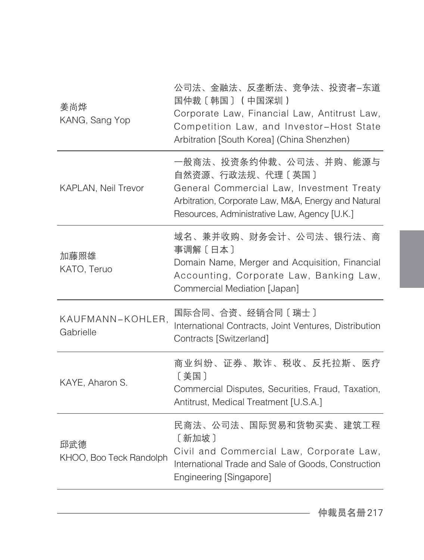| 姜尚烨<br>KANG, Sang Yop          | 公司法、金融法、反垄断法、竞争法、投资者-东道<br>国仲裁〔韩国〕(中国深圳)<br>Corporate Law, Financial Law, Antitrust Law,<br>Competition Law, and Investor-Host State<br>Arbitration [South Korea] (China Shenzhen)             |
|--------------------------------|------------------------------------------------------------------------------------------------------------------------------------------------------------------------------------------------|
| <b>KAPLAN, Neil Trevor</b>     | 一般商法、投资条约仲裁、公司法、并购、能源与<br>自然资源、行政法规、代理〔英国〕<br>General Commercial Law, Investment Treaty<br>Arbitration, Corporate Law, M&A, Energy and Natural<br>Resources, Administrative Law, Agency [U.K.] |
| 加藤照雄<br>KATO, Teruo            | 域名、兼并收购、财务会计、公司法、银行法、商<br>事调解〔日本〕<br>Domain Name, Merger and Acquisition, Financial<br>Accounting, Corporate Law, Banking Law,<br>Commercial Mediation [Japan]                                 |
| KAUFMANN-KOHLER,<br>Gabrielle  | 国际合同、合资、经销合同〔瑞士〕<br>International Contracts, Joint Ventures, Distribution<br>Contracts [Switzerland]                                                                                           |
| KAYE, Aharon S.                | 商业纠纷、证券、欺诈、税收、反托拉斯、医疗<br>〔美国〕<br>Commercial Disputes, Securities, Fraud, Taxation,<br>Antitrust, Medical Treatment [U.S.A.]                                                                    |
| 邱武德<br>KHOO, Boo Teck Randolph | 民商法、公司法、国际贸易和货物买卖、建筑工程<br>[新加坡]<br>Civil and Commercial Law, Corporate Law,<br>International Trade and Sale of Goods, Construction<br>Engineering [Singapore]                                  |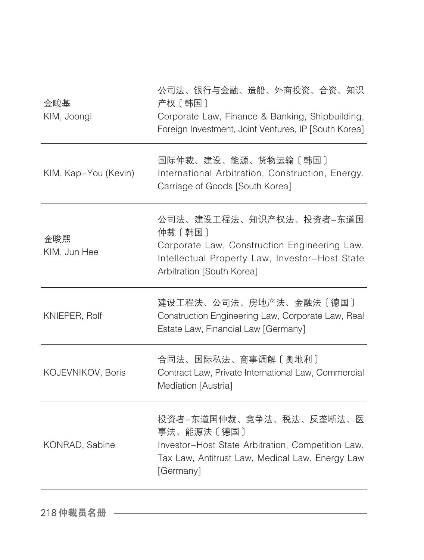| 金畯基<br>KIM, Joongi   | 公司法、银行与金融、造船、外商投资、合资、知识<br>产权〔韩国〕<br>Corporate Law, Finance & Banking, Shipbuilding,<br>Foreign Investment, Joint Ventures, IP [South Korea]                     |
|----------------------|------------------------------------------------------------------------------------------------------------------------------------------------------------------|
| KIM, Kap-You (Kevin) | 国际仲裁、建设、能源、货物运输〔韩国〕<br>International Arbitration, Construction, Energy,<br>Carriage of Goods [South Korea]                                                       |
| 金晙熙<br>KIM, Jun Hee  | 公司法、建设工程法、知识产权法、投资者-东道国<br>仲裁〔韩国〕<br>Corporate Law, Construction Engineering Law,<br>Intellectual Property Law, Investor-Host State<br>Arbitration [South Korea] |
| KNIEPER, Rolf        | 建设工程法、公司法、房地产法、金融法〔德国〕<br>Construction Engineering Law, Corporate Law, Real<br>Estate Law, Financial Law [Germany]                                               |
| KOJEVNIKOV, Boris    | 合同法、国际私法、商事调解〔奥地利〕<br>Contract Law, Private International Law, Commercial<br>Mediation [Austria]                                                                 |
| KONRAD, Sabine       | 投资者-东道国仲裁、竞争法、税法、反垄断法、医<br>事法、能源法〔德国〕<br>Investor-Host State Arbitration, Competition Law,<br>Tax Law, Antitrust Law, Medical Law, Energy Law<br>[Germany]       |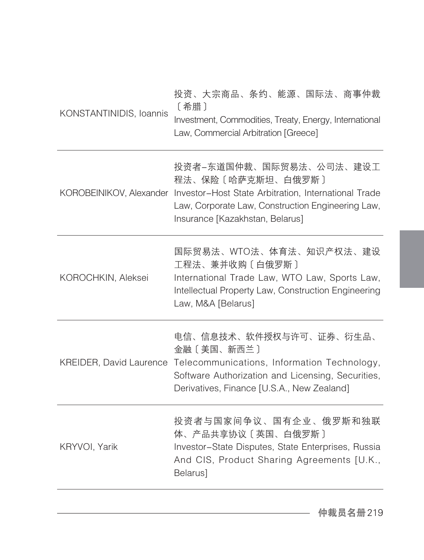| 投资、大宗商品、条约、能源、国际法、商事仲裁<br>〔希腊〕<br>KONSTANTINIDIS, Ioannis<br>Investment, Commodities, Treaty, Energy, International<br>Law, Commercial Arbitration [Greece]                                                          |
|----------------------------------------------------------------------------------------------------------------------------------------------------------------------------------------------------------------------|
| 投资者-东道国仲裁、国际贸易法、公司法、建设工<br>程法、保险〔哈萨克斯坦、白俄罗斯〕<br>KOROBEINIKOV, Alexander Investor–Host State Arbitration, International Trade<br>Law, Corporate Law, Construction Engineering Law,<br>Insurance [Kazakhstan, Belarus] |
| 国际贸易法、WTO法、体育法、知识产权法、建设<br>工程法、兼并收购〔白俄罗斯〕<br>International Trade Law, WTO Law, Sports Law,<br>Intellectual Property Law, Construction Engineering<br>Law, M&A [Belarus]                                              |
| 电信、信息技术、软件授权与许可、证券、衍生品、<br>金融〔美国、新西兰〕<br>KREIDER, David Laurence Telecommunications, Information Technology,<br>Software Authorization and Licensing, Securities,<br>Derivatives, Finance [U.S.A., New Zealand]      |
| 投资者与国家间争议、国有企业、俄罗斯和独联<br>体、产品共享协议〔英国、白俄罗斯〕<br>Investor-State Disputes, State Enterprises, Russia<br>And CIS, Product Sharing Agreements [U.K.,<br>Belarus]                                                           |
|                                                                                                                                                                                                                      |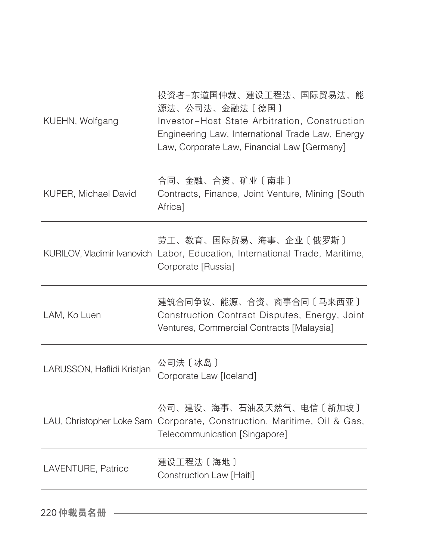| KUEHN, Wolfgang             | 投资者-东道国仲裁、建设工程法、国际贸易法、能<br>源法、公司法、金融法〔德国〕<br>Investor-Host State Arbitration, Construction<br>Engineering Law, International Trade Law, Energy<br>Law, Corporate Law, Financial Law [Germany] |
|-----------------------------|-----------------------------------------------------------------------------------------------------------------------------------------------------------------------------------------------|
| <b>KUPER, Michael David</b> | 合同、金融、合资、矿业〔南非〕<br>Contracts, Finance, Joint Venture, Mining [South<br>Africa]                                                                                                                |
|                             | 劳工、教育、国际贸易、海事、企业〔俄罗斯〕<br>KURILOV, Vladimir Ivanovich Labor, Education, International Trade, Maritime,<br>Corporate [Russia]                                                                   |
| LAM, Ko Luen                | 建筑合同争议、能源、合资、商事合同〔马来西亚〕<br>Construction Contract Disputes, Energy, Joint<br>Ventures, Commercial Contracts [Malaysia]                                                                         |
| LARUSSON, Haflidi Kristjan  | 公司法〔冰岛〕<br>Corporate Law [Iceland]                                                                                                                                                            |
|                             | 公司、建设、海事、石油及天然气、电信〔新加坡〕<br>LAU, Christopher Loke Sam Corporate, Construction, Maritime, Oil & Gas,<br>Telecommunication [Singapore]                                                           |
| LAVENTURE, Patrice          | 建设工程法 [海地]<br>Construction Law [Haiti]                                                                                                                                                        |

220 仲裁员名册 ––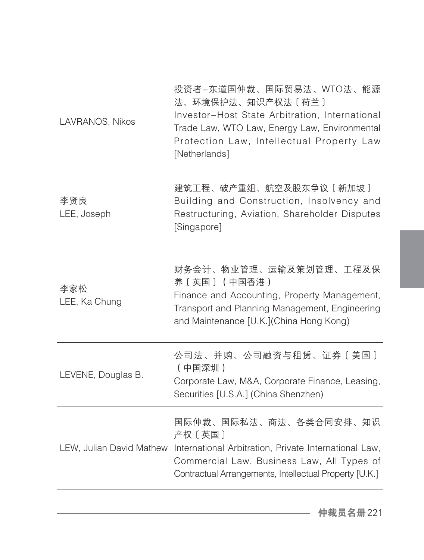| LAVRANOS, Nikos      | 投资者-东道国仲裁、国际贸易法、WTO法、能源<br>法、环境保护法、知识产权法〔荷兰〕<br>Investor-Host State Arbitration, International<br>Trade Law, WTO Law, Energy Law, Environmental<br>Protection Law, Intellectual Property Law<br>[Netherlands]              |
|----------------------|----------------------------------------------------------------------------------------------------------------------------------------------------------------------------------------------------------------------------|
| 李贤良<br>LEE, Joseph   | 建筑工程、破产重组、航空及股东争议〔新加坡〕<br>Building and Construction, Insolvency and<br>Restructuring, Aviation, Shareholder Disputes<br>[Singapore]                                                                                        |
| 李家松<br>LEE, Ka Chung | 财务会计、物业管理、运输及策划管理、工程及保<br>养〔英国〕 (中国香港)<br>Finance and Accounting, Property Management,<br>Transport and Planning Management, Engineering<br>and Maintenance [U.K.](China Hong Kong)                                        |
| LEVENE, Douglas B.   | 公司法、并购、公司融资与租赁、证券〔美国〕<br>(中国深圳)<br>Corporate Law, M&A, Corporate Finance, Leasing,<br>Securities [U.S.A.] (China Shenzhen)                                                                                                 |
|                      | 国际仲裁、国际私法、商法、各类合同安排、知识<br>产权〔英国〕<br>LEW, Julian David Mathew International Arbitration, Private International Law,<br>Commercial Law, Business Law, All Types of<br>Contractual Arrangements, Intellectual Property [U.K.] |
|                      |                                                                                                                                                                                                                            |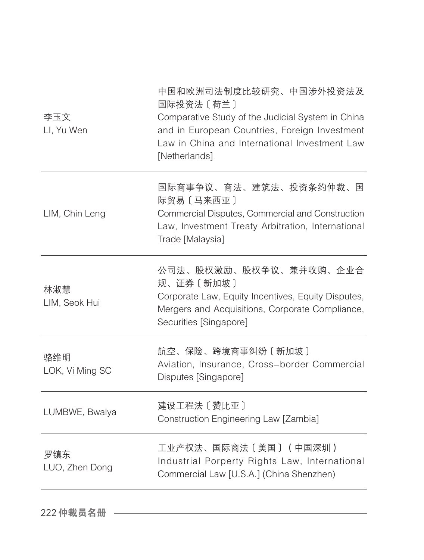| 李玉文<br>LI, Yu Wen      | 中国和欧洲司法制度比较研究、中国涉外投资法及<br>国际投资法 [荷兰]<br>Comparative Study of the Judicial System in China<br>and in European Countries, Foreign Investment<br>Law in China and International Investment Law<br>[Netherlands] |
|------------------------|--------------------------------------------------------------------------------------------------------------------------------------------------------------------------------------------------------------|
| LIM, Chin Leng         | 国际商事争议、商法、建筑法、投资条约仲裁、国<br>际贸易〔马来西亚〕<br>Commercial Disputes, Commercial and Construction<br>Law, Investment Treaty Arbitration, International<br>Trade [Malaysia]                                             |
| 林淑慧<br>LIM, Seok Hui   | 公司法、股权激励、股权争议、兼并收购、企业合<br>规、证券〔新加坡〕<br>Corporate Law, Equity Incentives, Equity Disputes,<br>Mergers and Acquisitions, Corporate Compliance,<br>Securities [Singapore]                                       |
| 骆维明<br>LOK, Vi Ming SC | 航空、保险、跨境商事纠纷〔新加坡〕<br>Aviation, Insurance, Cross-border Commercial<br>Disputes [Singapore]                                                                                                                    |
| LUMBWE, Bwalya         | 建设工程法 [赞比亚]<br>Construction Engineering Law [Zambia]                                                                                                                                                         |
| 罗镇东<br>LUO, Zhen Dong  | 工业产权法、国际商法〔美国〕(中国深圳)<br>Industrial Porperty Rights Law, International<br>Commercial Law [U.S.A.] (China Shenzhen)                                                                                            |
|                        |                                                                                                                                                                                                              |

222 仲裁员名册 –––––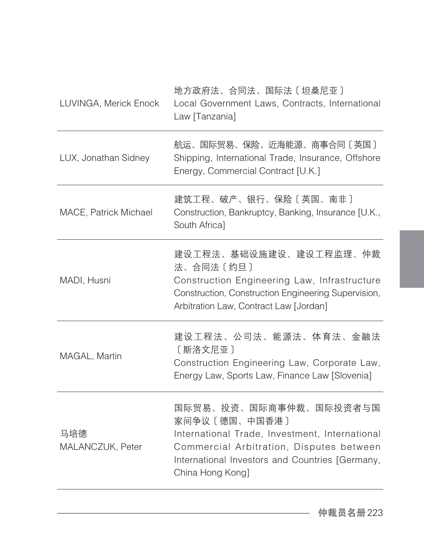| LUVINGA, Merick Enock   | 地方政府法、合同法、国际法〔坦桑尼亚〕<br>Local Government Laws, Contracts, International<br>Law [Tanzania]                                                                                                                     |
|-------------------------|--------------------------------------------------------------------------------------------------------------------------------------------------------------------------------------------------------------|
| LUX, Jonathan Sidney    | 航运、国际贸易、保险、近海能源、商事合同〔英国〕<br>Shipping, International Trade, Insurance, Offshore<br>Energy, Commercial Contract [U.K.]                                                                                         |
| MACE, Patrick Michael   | 建筑工程、破产、银行、保险〔英国、南非〕<br>Construction, Bankruptcy, Banking, Insurance [U.K.,<br>South Africa]                                                                                                                 |
| MADI, Husni             | 建设工程法、基础设施建设、建设工程监理、仲裁<br>法、合同法〔约旦〕<br>Construction Engineering Law, Infrastructure<br>Construction, Construction Engineering Supervision,<br>Arbitration Law, Contract Law [Jordan]                         |
| MAGAL, Martin           | 建设工程法、公司法、能源法、体育法、金融法<br>[斯洛文尼亚]<br>Construction Engineering Law, Corporate Law,<br>Energy Law, Sports Law, Finance Law [Slovenia]                                                                           |
| 马培德<br>MALANCZUK, Peter | 国际贸易、投资、国际商事仲裁、国际投资者与国<br>家间争议〔德国、中国香港〕<br>International Trade, Investment, International<br>Commercial Arbitration, Disputes between<br>International Investors and Countries [Germany,<br>China Hong Kong] |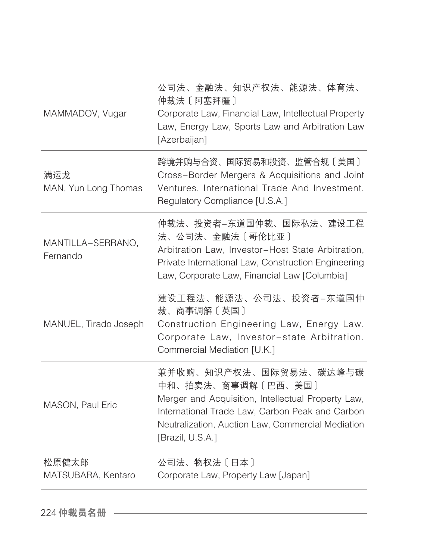| MAMMADOV, Vugar               | 公司法、金融法、知识产权法、能源法、体育法、<br>仲裁法 [ 阿塞拜疆 ]<br>Corporate Law, Financial Law, Intellectual Property<br>Law, Energy Law, Sports Law and Arbitration Law<br>[Azerbaijan]                                                               |
|-------------------------------|--------------------------------------------------------------------------------------------------------------------------------------------------------------------------------------------------------------------------------|
| 满运龙<br>MAN, Yun Long Thomas   | 跨境并购与合资、国际贸易和投资、监管合规〔美国〕<br>Cross-Border Mergers & Acquisitions and Joint<br>Ventures, International Trade And Investment,<br>Regulatory Compliance [U.S.A.]                                                                   |
| MANTILLA-SERRANO,<br>Fernando | 仲裁法、投资者-东道国仲裁、国际私法、建设工程<br>法、公司法、金融法〔哥伦比亚〕<br>Arbitration Law, Investor-Host State Arbitration,<br>Private International Law, Construction Engineering<br>Law, Corporate Law, Financial Law [Columbia]                         |
| MANUEL, Tirado Joseph         | 建设工程法、能源法、公司法、投资者-东道国仲<br>裁、商事调解〔英国〕<br>Construction Engineering Law, Energy Law,<br>Corporate Law, Investor-state Arbitration,<br>Commercial Mediation [U.K.]                                                                 |
| MASON, Paul Eric              | 兼并收购、知识产权法、国际贸易法、碳达峰与碳<br>中和、拍卖法、商事调解〔巴西、美国〕<br>Merger and Acquisition, Intellectual Property Law,<br>International Trade Law, Carbon Peak and Carbon<br>Neutralization, Auction Law, Commercial Mediation<br>[Brazil, U.S.A.] |
| 松原健太郎<br>MATSUBARA, Kentaro   | 公司法、物权法〔日本〕<br>Corporate Law, Property Law [Japan]                                                                                                                                                                             |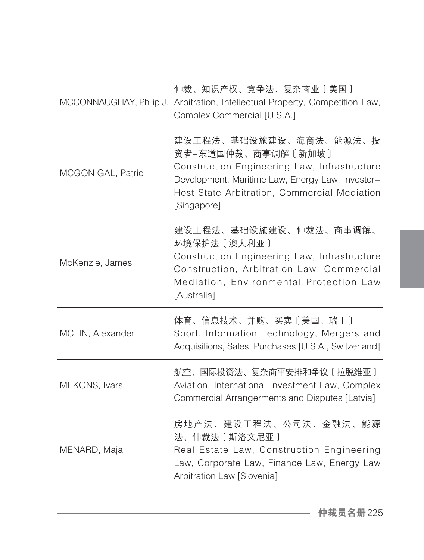仲裁、知识产权、竞争法、复杂商业〔美国〕

|                   | MCCONNAUGHAY, Philip J. Arbitration, Intellectual Property, Competition Law,<br>Complex Commercial [U.S.A.]                                                                                                     |
|-------------------|-----------------------------------------------------------------------------------------------------------------------------------------------------------------------------------------------------------------|
| MCGONIGAL, Patric | 建设工程法、基础设施建设、海商法、能源法、投<br>资者-东道国仲裁、商事调解〔新加坡〕<br>Construction Engineering Law, Infrastructure<br>Development, Maritime Law, Energy Law, Investor-<br>Host State Arbitration, Commercial Mediation<br>[Singapore] |
| McKenzie, James   | 建设工程法、基础设施建设、仲裁法、商事调解、<br>环境保护法 [ 澳大利亚 ]<br>Construction Engineering Law, Infrastructure<br>Construction, Arbitration Law, Commercial<br>Mediation, Environmental Protection Law<br>[Australia]                 |
| MCLIN, Alexander  | 体育、信息技术、并购、买卖〔美国、瑞士〕<br>Sport, Information Technology, Mergers and<br>Acquisitions, Sales, Purchases [U.S.A., Switzerland]                                                                                      |
| MEKONS, Ivars     | 航空、国际投资法、复杂商事安排和争议〔拉脱维亚〕<br>Aviation, International Investment Law, Complex<br>Commercial Arrangerments and Disputes [Latvia]                                                                                   |
| MENARD, Maja      | 房地产法、建设工程法、公司法、金融法、能源<br>法、仲裁法〔斯洛文尼亚〕<br>Real Estate Law, Construction Engineering<br>Law, Corporate Law, Finance Law, Energy Law<br>Arbitration Law [Slovenia]                                                 |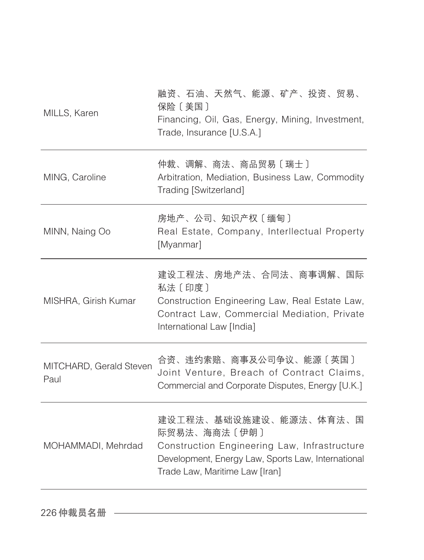| MILLS, Karen                    | 融资、石油、天然气、能源、矿产、投资、贸易、<br>保险〔美国〕<br>Financing, Oil, Gas, Energy, Mining, Investment,<br>Trade, Insurance [U.S.A.]                                                              |
|---------------------------------|--------------------------------------------------------------------------------------------------------------------------------------------------------------------------------|
| MING, Caroline                  | 仲裁、调解、商法、商品贸易〔瑞士〕<br>Arbitration, Mediation, Business Law, Commodity<br>Trading [Switzerland]                                                                                  |
| MINN, Naing Oo                  | 房地产、公司、知识产权〔缅甸〕<br>Real Estate, Company, Interllectual Property<br>[Myanmar]                                                                                                   |
| MISHRA, Girish Kumar            | 建设工程法、房地产法、合同法、商事调解、国际<br>私法 [印度]<br>Construction Engineering Law, Real Estate Law,<br>Contract Law, Commercial Mediation, Private<br>International Law [India]                |
| MITCHARD, Gerald Steven<br>Paul | 合资、违约索赔、商事及公司争议、能源〔英国〕<br>Joint Venture, Breach of Contract Claims,<br>Commercial and Corporate Disputes, Energy [U.K.]                                                        |
| MOHAMMADI, Mehrdad              | 建设工程法、基础设施建设、能源法、体育法、国<br>际贸易法、海商法〔伊朗〕<br>Construction Engineering Law, Infrastructure<br>Development, Energy Law, Sports Law, International<br>Trade Law, Maritime Law [Iran] |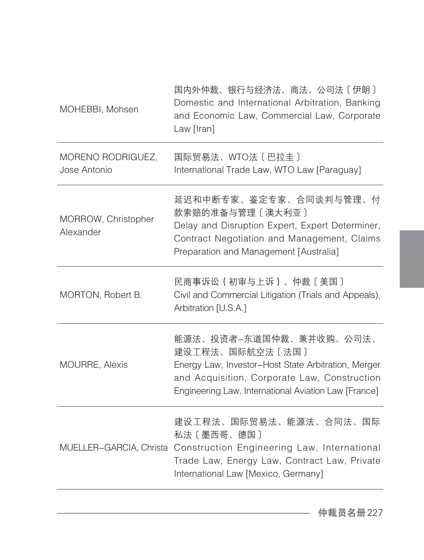| 国内外仲裁、银行与经济法、商法、公司法〔伊朗〕<br>Domestic and International Arbitration, Banking<br>and Economic Law, Commercial Law, Corporate<br>Law [Iran]                                                                   |
|-----------------------------------------------------------------------------------------------------------------------------------------------------------------------------------------------------------|
| 国际贸易法、WTO法〔巴拉圭〕<br>International Trade Law, WTO Law [Paraguay]                                                                                                                                            |
| 延迟和中断专家、鉴定专家、合同谈判与管理、付<br>款索赔的准备与管理〔澳大利亚〕<br>Delay and Disruption Expert, Expert Determiner,<br>Contract Negotiation and Management, Claims<br>Preparation and Management [Australia]                     |
| 民商事诉讼(初审与上诉)、仲裁〔美国〕<br>Civil and Commercial Litigation (Trials and Appeals),<br>Arbitration [U.S.A.]                                                                                                      |
| 能源法、投资者-东道国仲裁、兼并收购、公司法、<br>建设工程法、国际航空法〔法国〕<br>Energy Law, Investor-Host State Arbitration, Merger<br>and Acquisition, Corporate Law, Construction<br>Engineering Law, International Aviation Law [France] |
| 建设工程法、国际贸易法、能源法、合同法、国际<br>私法〔墨西哥、德国〕<br>MUELLER-GARCIA, Christa Construction Engineering Law, International<br>Trade Law, Energy Law, Contract Law, Private<br>International Law [Mexico, Germany]        |
|                                                                                                                                                                                                           |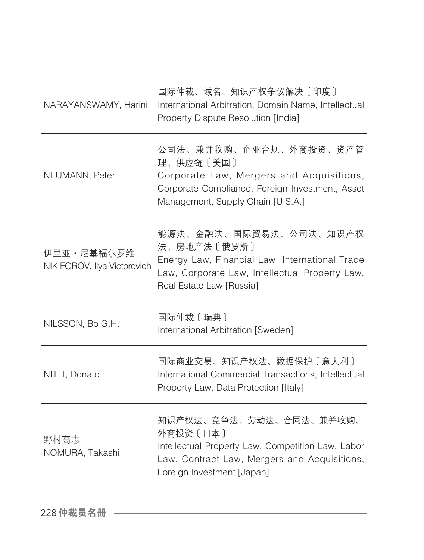| NARAYANSWAMY, Harini                      | 国际仲裁、域名、知识产权争议解决〔印度〕<br>International Arbitration, Domain Name, Intellectual<br>Property Dispute Resolution [India]                                                     |
|-------------------------------------------|-------------------------------------------------------------------------------------------------------------------------------------------------------------------------|
| NEUMANN, Peter                            | 公司法、兼并收购、企业合规、外商投资、资产管<br>理、供应链〔美国〕<br>Corporate Law, Mergers and Acquisitions,<br>Corporate Compliance, Foreign Investment, Asset<br>Management, Supply Chain [U.S.A.] |
| 伊里亚·尼基福尔罗维<br>NIKIFOROV, Ilya Victorovich | 能源法、金融法、国际贸易法、公司法、知识产权<br>法、房地产法〔俄罗斯〕<br>Energy Law, Financial Law, International Trade<br>Law, Corporate Law, Intellectual Property Law,<br>Real Estate Law [Russia]   |
| NILSSON, Bo G.H.                          | 国际仲裁 [瑞典]<br>International Arbitration [Sweden]                                                                                                                         |
| NITTI, Donato                             | 国际商业交易、知识产权法、数据保护〔意大利〕<br>International Commercial Transactions, Intellectual<br>Property Law, Data Protection [Italy]                                                  |
| 野村高志<br>NOMURA, Takashi                   | 知识产权法、竞争法、劳动法、合同法、兼并收购、<br>外商投资〔日本〕<br>Intellectual Property Law, Competition Law, Labor<br>Law, Contract Law, Mergers and Acquisitions,<br>Foreign Investment [Japan]  |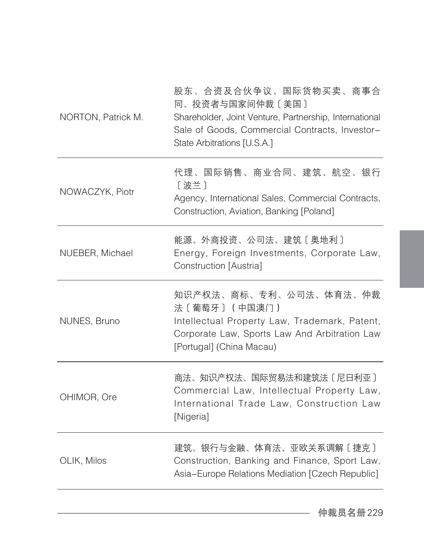| NORTON, Patrick M. | 股东、合资及合伙争议、国际货物买卖、商事合<br>同、投资者与国家间仲裁〔美国〕<br>Shareholder, Joint Venture, Partnership, International<br>Sale of Goods, Commercial Contracts, Investor-<br>State Arbitrations [U.S.A.] |
|--------------------|-------------------------------------------------------------------------------------------------------------------------------------------------------------------------------------|
| NOWACZYK, Piotr    | 代理、国际销售、商业合同、建筑、航空、银行<br>[波兰]<br>Agency, International Sales, Commercial Contracts,<br>Construction, Aviation, Banking [Poland]                                                     |
| NUEBER, Michael    | 能源、外商投资、公司法、建筑〔奥地利〕<br>Energy, Foreign Investments, Corporate Law,<br>Construction [Austria]                                                                                        |
| NUNES, Bruno       | 知识产权法、商标、专利、公司法、体育法、仲裁<br>法〔葡萄牙〕 (中国澳门)<br>Intellectual Property Law, Trademark, Patent,<br>Corporate Law, Sports Law And Arbitration Law<br>[Portugal] (China Macau)               |
| OHIMOR, Ore        | 商法、知识产权法、国际贸易法和建筑法〔尼日利亚〕<br>Commercial Law, Intellectual Property Law,<br>International Trade Law, Construction Law<br>[Nigeria]                                                    |
| OLIK, Milos        | 建筑、银行与金融、体育法、亚欧关系调解〔捷克〕<br>Construction, Banking and Finance, Sport Law,<br>Asia-Europe Relations Mediation [Czech Republic]                                                        |
|                    |                                                                                                                                                                                     |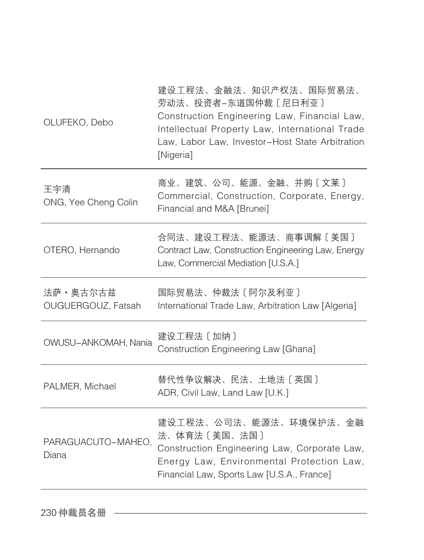| 商业、建筑、公司、能源、金融、并购〔文莱〕<br>王宇清<br>Commercial, Construction, Corporate, Energy,<br>ONG, Yee Cheng Colin<br>Financial and M&A [Brunei]<br>合同法、建设工程法、能源法、商事调解〔美国〕<br>OTERO, Hernando<br>Contract Law, Construction Engineering Law, Energy<br>Law, Commercial Mediation [U.S.A.]<br>法萨·奥古尔古兹<br>国际贸易法、仲裁法〔阿尔及利亚〕<br>OUGUERGOUZ, Fatsah<br>International Trade Law, Arbitration Law [Algeria]<br>建设工程法 [加纳]<br>OWUSU-ANKOMAH, Nania<br>Construction Engineering Law [Ghana]<br>替代性争议解决、民法、土地法〔英国〕<br>PALMER, Michael<br>ADR, Civil Law, Land Law [U.K.]<br>建设工程法、公司法、能源法、环境保护法、金融<br>法、体育法〔美国、法国〕<br>PARAGUACUTO-MAHEO,<br>Construction Engineering Law, Corporate Law,<br>Diana<br>Energy Law, Environmental Protection Law,<br>Financial Law, Sports Law [U.S.A., France] | OLUFEKO, Debo | 建设工程法、金融法、知识产权法、国际贸易法、<br>劳动法、投资者-东道国仲裁〔尼日利亚〕<br>Construction Engineering Law, Financial Law,<br>Intellectual Property Law, International Trade<br>Law, Labor Law, Investor-Host State Arbitration<br>[Nigeria] |
|-----------------------------------------------------------------------------------------------------------------------------------------------------------------------------------------------------------------------------------------------------------------------------------------------------------------------------------------------------------------------------------------------------------------------------------------------------------------------------------------------------------------------------------------------------------------------------------------------------------------------------------------------------------------------------------------------------------------------------------------------------------------------|---------------|-----------------------------------------------------------------------------------------------------------------------------------------------------------------------------------------------------------------|
|                                                                                                                                                                                                                                                                                                                                                                                                                                                                                                                                                                                                                                                                                                                                                                       |               |                                                                                                                                                                                                                 |
|                                                                                                                                                                                                                                                                                                                                                                                                                                                                                                                                                                                                                                                                                                                                                                       |               |                                                                                                                                                                                                                 |
|                                                                                                                                                                                                                                                                                                                                                                                                                                                                                                                                                                                                                                                                                                                                                                       |               |                                                                                                                                                                                                                 |
|                                                                                                                                                                                                                                                                                                                                                                                                                                                                                                                                                                                                                                                                                                                                                                       |               |                                                                                                                                                                                                                 |
|                                                                                                                                                                                                                                                                                                                                                                                                                                                                                                                                                                                                                                                                                                                                                                       |               |                                                                                                                                                                                                                 |
|                                                                                                                                                                                                                                                                                                                                                                                                                                                                                                                                                                                                                                                                                                                                                                       |               |                                                                                                                                                                                                                 |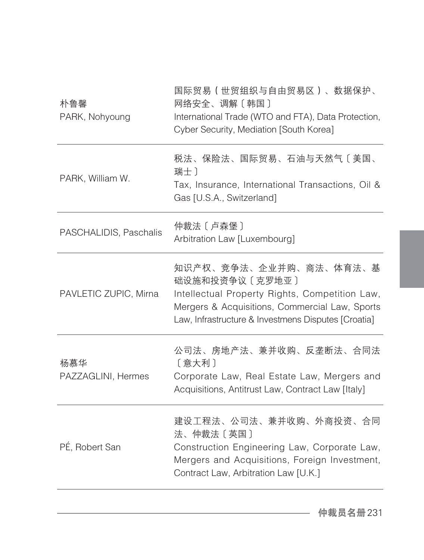| 朴鲁馨<br>PARK, Nohyoung     | 国际贸易(世贸组织与自由贸易区)、数据保护、<br>网络安全、调解〔韩国〕<br>International Trade (WTO and FTA), Data Protection,<br>Cyber Security, Mediation [South Korea]                                                             |
|---------------------------|-----------------------------------------------------------------------------------------------------------------------------------------------------------------------------------------------------|
| PARK, William W.          | 税法、保险法、国际贸易、石油与天然气〔美国、<br>瑞士)<br>Tax, Insurance, International Transactions, Oil &<br>Gas [U.S.A., Switzerland]                                                                                     |
| PASCHALIDIS, Paschalis    | 仲裁法 [ 卢森堡 ]<br>Arbitration Law [Luxembourg]                                                                                                                                                         |
| PAVLETIC ZUPIC, Mirna     | 知识产权、竞争法、企业并购、商法、体育法、基<br>础设施和投资争议〔克罗地亚〕<br>Intellectual Property Rights, Competition Law,<br>Mergers & Acquisitions, Commercial Law, Sports<br>Law, Infrastructure & Investmens Disputes [Croatia] |
| 杨慕华<br>PAZZAGLINI, Hermes | 公司法、房地产法、兼并收购、反垄断法、合同法<br>[意大利]<br>Corporate Law, Real Estate Law, Mergers and<br>Acquisitions, Antitrust Law, Contract Law [Italy]                                                                 |
| PÉ, Robert San            | 建设工程法、公司法、兼并收购、外商投资、合同<br>法、仲裁法〔英国〕<br>Construction Engineering Law, Corporate Law,<br>Mergers and Acquisitions, Foreign Investment,<br>Contract Law, Arbitration Law [U.K.]                        |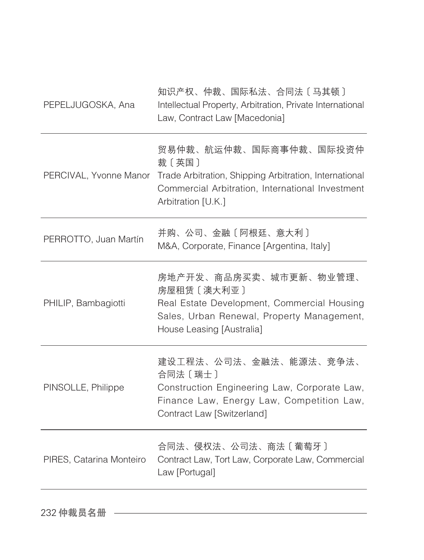| PEPELJUGOSKA, Ana        | 知识产权、仲裁、国际私法、合同法〔马其顿〕<br>Intellectual Property, Arbitration, Private International<br>Law, Contract Law [Macedonia]                                                                        |
|--------------------------|--------------------------------------------------------------------------------------------------------------------------------------------------------------------------------------------|
|                          | 贸易仲裁、航运仲裁、国际商事仲裁、国际投资仲<br>裁〔英国〕<br>PERCIVAL, Yvonne Manor Trade Arbitration, Shipping Arbitration, International<br>Commercial Arbitration, International Investment<br>Arbitration [U.K.] |
| PERROTTO, Juan Martín    | 并购、公司、金融〔阿根廷、意大利〕<br>M&A, Corporate, Finance [Argentina, Italy]                                                                                                                            |
| PHILIP, Bambagiotti      | 房地产开发、商品房买卖、城市更新、物业管理、<br>房屋租赁〔澳大利亚〕<br>Real Estate Development, Commercial Housing<br>Sales, Urban Renewal, Property Management,<br>House Leasing [Australia]                             |
| PINSOLLE, Philippe       | 建设工程法、公司法、金融法、能源法、竞争法、<br>合同法 〔瑞士〕<br>Construction Engineering Law, Corporate Law,<br>Finance Law, Energy Law, Competition Law,<br>Contract Law [Switzerland]                              |
| PIRES, Catarina Monteiro | 合同法、侵权法、公司法、商法〔葡萄牙〕<br>Contract Law, Tort Law, Corporate Law, Commercial<br>Law [Portugal]                                                                                                 |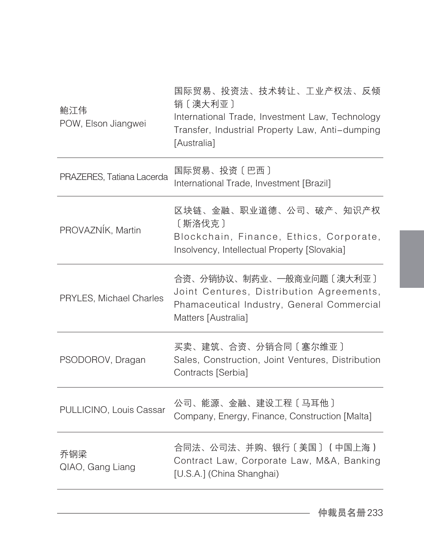| 鲍江伟<br>POW, Elson Jiangwei | 国际贸易、投资法、技术转让、工业产权法、反倾<br>销〔澳大利亚〕<br>International Trade, Investment Law, Technology<br>Transfer, Industrial Property Law, Anti-dumping<br>[Australia] |
|----------------------------|--------------------------------------------------------------------------------------------------------------------------------------------------------|
| PRAZERES, Tatiana Lacerda  | 国际贸易、投资〔巴西〕<br>International Trade, Investment [Brazil]                                                                                                |
| PROVAZNÍK, Martin          | 区块链、金融、职业道德、公司、破产、知识产权<br>〔斯洛伐克〕<br>Blockchain, Finance, Ethics, Corporate,<br>Insolvency, Intellectual Property [Slovakia]                            |
| PRYLES, Michael Charles    | 合资、分销协议、制药业、一般商业问题〔澳大利亚〕<br>Joint Centures, Distribution Agreements,<br>Phamaceutical Industry, General Commercial<br>Matters [Australia]              |
| PSODOROV, Dragan           | 买卖、建筑、合资、分销合同〔塞尔维亚〕<br>Sales, Construction, Joint Ventures, Distribution<br>Contracts [Serbia]                                                         |
| PULLICINO, Louis Cassar    | 公司、能源、金融、建设工程〔马耳他〕<br>Company, Energy, Finance, Construction [Malta]                                                                                   |
| 乔钢梁<br>QIAO, Gang Liang    | 合同法、公司法、并购、银行〔美国〕(中国上海)<br>Contract Law, Corporate Law, M&A, Banking<br>[U.S.A.] (China Shanghai)                                                      |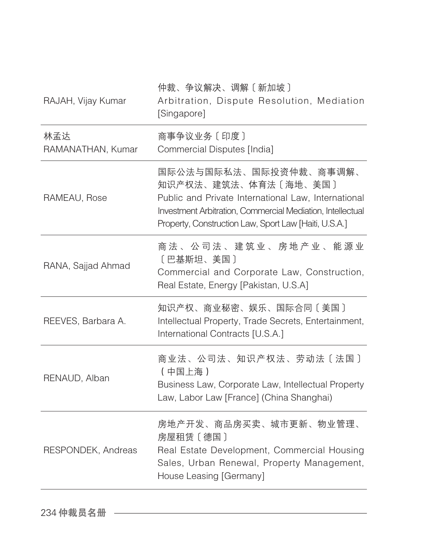| RAJAH, Vijay Kumar       | 仲裁、争议解决、调解〔新加坡〕<br>Arbitration, Dispute Resolution, Mediation<br>[Singapore]                                                                                                                                                 |
|--------------------------|------------------------------------------------------------------------------------------------------------------------------------------------------------------------------------------------------------------------------|
| 林孟达<br>RAMANATHAN, Kumar | 商事争议业务〔印度〕<br>Commercial Disputes [India]                                                                                                                                                                                    |
| RAMEAU, Rose             | 国际公法与国际私法、国际投资仲裁、商事调解、<br>知识产权法、建筑法、体育法〔海地、美国〕<br>Public and Private International Law, International<br>Investment Arbitration, Commercial Mediation, Intellectual<br>Property, Construction Law, Sport Law [Haiti, U.S.A.] |
| RANA, Sajjad Ahmad       | 商法、公司法、建筑业、房地产业、能源业<br>〔巴基斯坦、美国〕<br>Commercial and Corporate Law, Construction,<br>Real Estate, Energy [Pakistan, U.S.A]                                                                                                     |
| REEVES, Barbara A.       | 知识产权、商业秘密、娱乐、国际合同〔美国〕<br>Intellectual Property, Trade Secrets, Entertainment,<br>International Contracts [U.S.A.]                                                                                                            |
| RENAUD, Alban            | 商业法、公司法、知识产权法、劳动法〔法国〕<br>(中国上海)<br>Business Law, Corporate Law, Intellectual Property<br>Law, Labor Law [France] (China Shanghai)                                                                                            |
| RESPONDEK, Andreas       | 房地产开发、商品房买卖、城市更新、物业管理、<br>房屋租赁〔德国〕<br>Real Estate Development, Commercial Housing<br>Sales, Urban Renewal, Property Management,<br>House Leasing [Germany]                                                                   |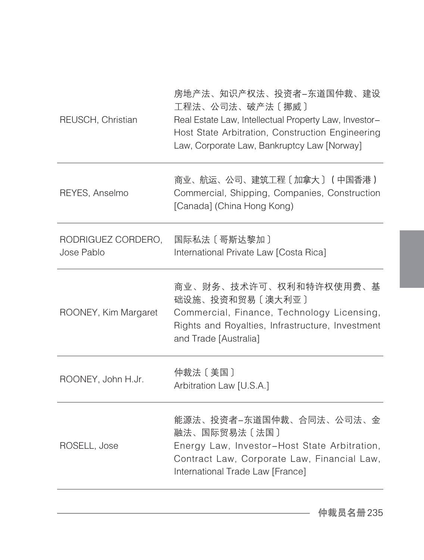| REUSCH, Christian                | 房地产法、知识产权法、投资者-东道国仲裁、建设<br>工程法、公司法、破产法〔挪威〕<br>Real Estate Law, Intellectual Property Law, Investor-<br>Host State Arbitration, Construction Engineering<br>Law, Corporate Law, Bankruptcy Law [Norway] |
|----------------------------------|--------------------------------------------------------------------------------------------------------------------------------------------------------------------------------------------------------|
| REYES, Anselmo                   | 商业、航运、公司、建筑工程〔加拿大〕(中国香港)<br>Commercial, Shipping, Companies, Construction<br>[Canada] (China Hong Kong)                                                                                                |
| RODRIGUEZ CORDERO,<br>Jose Pablo | 国际私法 〔 哥斯达黎加 〕<br>International Private Law [Costa Rica]                                                                                                                                               |
| ROONEY, Kim Margaret             | 商业、财务、技术许可、权利和特许权使用费、基<br>础设施、投资和贸易〔澳大利亚〕<br>Commercial, Finance, Technology Licensing,<br>Rights and Royalties, Infrastructure, Investment<br>and Trade [Australia]                                   |
| ROONEY, John H.Jr.               | 仲裁法〔美国〕<br>Arbitration Law [U.S.A.]                                                                                                                                                                    |
| ROSELL, Jose                     | 能源法、投资者-东道国仲裁、合同法、公司法、金<br>融法、国际贸易法〔法国〕<br>Energy Law, Investor-Host State Arbitration,<br>Contract Law, Corporate Law, Financial Law,<br>International Trade Law [France]                             |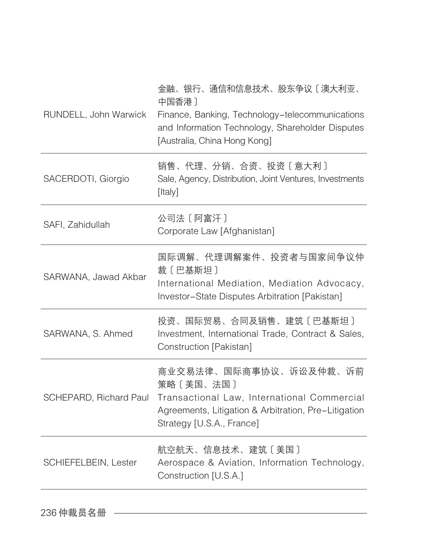| RUNDELL, John Warwick  | 金融、银行、通信和信息技术、股东争议〔澳大利亚、<br>中国香港)<br>Finance, Banking, Technology-telecommunications<br>and Information Technology, Shareholder Disputes<br>[Australia, China Hong Kong] |
|------------------------|--------------------------------------------------------------------------------------------------------------------------------------------------------------------------|
| SACERDOTI, Giorgio     | 销售、代理、分销、合资、投资〔意大利〕<br>Sale, Agency, Distribution, Joint Ventures, Investments<br>[Italy]                                                                                |
| SAFI, Zahidullah       | 公司法 [阿富汗]<br>Corporate Law [Afghanistan]                                                                                                                                 |
| SARWANA, Jawad Akbar   | 国际调解、代理调解案件、投资者与国家间争议仲<br>裁〔巴基斯坦〕<br>International Mediation, Mediation Advocacy,<br>Investor-State Disputes Arbitration [Pakistan]                                      |
| SARWANA, S. Ahmed      | 投资、国际贸易、合同及销售、建筑〔巴基斯坦〕<br>Investment, International Trade, Contract & Sales,<br>Construction [Pakistan]                                                                  |
| SCHEPARD, Richard Paul | 商业交易法律、国际商事协议、诉讼及仲裁、诉前<br>策略 [美国、法国]<br>Transactional Law, International Commercial<br>Agreements, Litigation & Arbitration, Pre-Litigation<br>Strategy [U.S.A., France] |
| SCHIEFELBEIN, Lester   | 航空航天、信息技术、建筑〔美国〕<br>Aerospace & Aviation, Information Technology,<br>Construction [U.S.A.]                                                                               |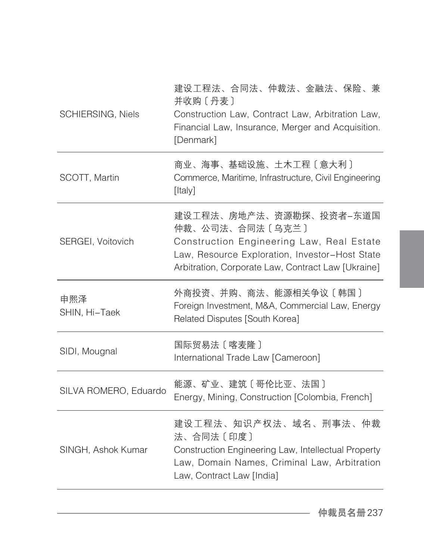| <b>SCHIERSING, Niels</b> | 建设工程法、合同法、仲裁法、金融法、保险、兼<br>并收购〔丹麦〕<br>Construction Law, Contract Law, Arbitration Law,<br>Financial Law, Insurance, Merger and Acquisition.<br>[Denmark]                                         |
|--------------------------|-------------------------------------------------------------------------------------------------------------------------------------------------------------------------------------------------|
| SCOTT, Martin            | 商业、海事、基础设施、土木工程〔意大利〕<br>Commerce, Maritime, Infrastructure, Civil Engineering<br>[Italy]                                                                                                        |
| SERGEI, Voitovich        | 建设工程法、房地产法、资源勘探、投资者-东道国<br>仲裁、公司法、合同法〔乌克兰〕<br>Construction Engineering Law, Real Estate<br>Law, Resource Exploration, Investor-Host State<br>Arbitration, Corporate Law, Contract Law [Ukraine] |
| 申熙泽<br>SHIN, Hi-Taek     | 外商投资、并购、商法、能源相关争议〔韩国〕<br>Foreign Investment, M&A, Commercial Law, Energy<br>Related Disputes [South Korea]                                                                                      |
| SIDI, Mougnal            | 国际贸易法〔喀麦隆〕<br>International Trade Law [Cameroon]                                                                                                                                                |
| SILVA ROMERO, Eduardo    | 能源、矿业、建筑〔哥伦比亚、法国〕<br>Energy, Mining, Construction [Colombia, French]                                                                                                                            |
| SINGH, Ashok Kumar       | 建设工程法、知识产权法、域名、刑事法、仲裁<br>法、合同法〔印度〕<br>Construction Engineering Law, Intellectual Property<br>Law, Domain Names, Criminal Law, Arbitration<br>Law, Contract Law [India]                          |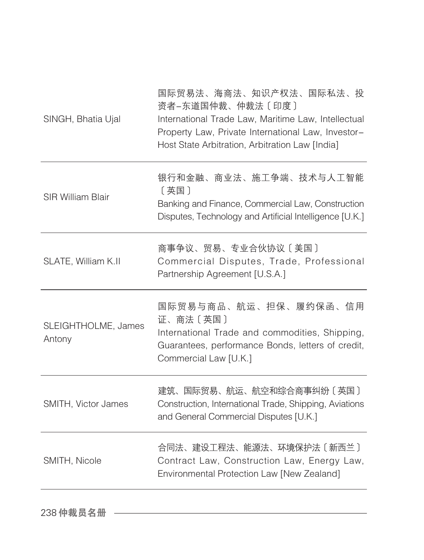| SINGH, Bhatia Ujal            | 国际贸易法、海商法、知识产权法、国际私法、投<br>资者-东道国仲裁、仲裁法〔印度〕<br>International Trade Law, Maritime Law, Intellectual<br>Property Law, Private International Law, Investor-<br>Host State Arbitration, Arbitration Law [India] |
|-------------------------------|------------------------------------------------------------------------------------------------------------------------------------------------------------------------------------------------------------|
| <b>SIR William Blair</b>      | 银行和金融、商业法、施工争端、技术与人工智能<br>[英国]<br>Banking and Finance, Commercial Law, Construction<br>Disputes, Technology and Artificial Intelligence [U.K.]                                                             |
| SLATE, William K.II           | 商事争议、贸易、专业合伙协议〔美国〕<br>Commercial Disputes, Trade, Professional<br>Partnership Agreement [U.S.A.]                                                                                                           |
| SLEIGHTHOLME, James<br>Antony | 国际贸易与商品、航运、担保、履约保函、信用<br>证、商法〔英国〕<br>International Trade and commodities, Shipping,<br>Guarantees, performance Bonds, letters of credit,<br>Commercial Law [U.K.]                                          |
| SMITH, Victor James           | 建筑、国际贸易、航运、航空和综合商事纠纷〔英国〕<br>Construction, International Trade, Shipping, Aviations<br>and General Commercial Disputes [U.K.]                                                                               |
| SMITH, Nicole                 | 合同法、建设工程法、能源法、环境保护法〔新西兰〕<br>Contract Law, Construction Law, Energy Law,<br>Environmental Protection Law [New Zealand]                                                                                      |
|                               |                                                                                                                                                                                                            |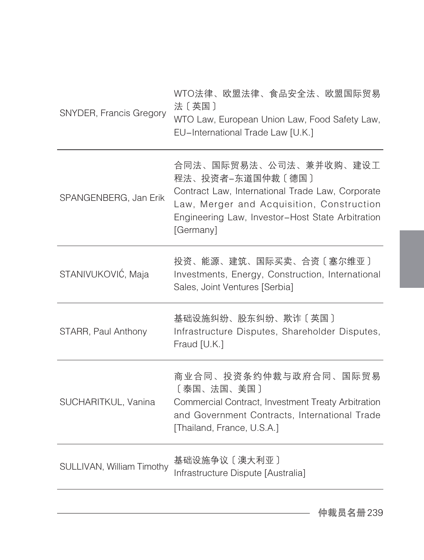| SNYDER, Francis Gregory   | WTO法律、欧盟法律、食品安全法、欧盟国际贸易<br>法〔英国〕<br>WTO Law, European Union Law, Food Safety Law,<br>EU-International Trade Law [U.K.]                                                                                       |
|---------------------------|--------------------------------------------------------------------------------------------------------------------------------------------------------------------------------------------------------------|
| SPANGENBERG, Jan Erik     | 合同法、国际贸易法、公司法、兼并收购、建设工<br>程法、投资者-东道国仲裁〔德国〕<br>Contract Law, International Trade Law, Corporate<br>Law, Merger and Acquisition, Construction<br>Engineering Law, Investor-Host State Arbitration<br>[Germany] |
| STANIVUKOVIĆ, Maja        | 投资、能源、建筑、国际买卖、合资〔塞尔维亚〕<br>Investments, Energy, Construction, International<br>Sales, Joint Ventures [Serbia]                                                                                                 |
| STARR, Paul Anthony       | 基础设施纠纷、股东纠纷、欺诈〔英国〕<br>Infrastructure Disputes, Shareholder Disputes,<br>Fraud [U.K.]                                                                                                                         |
| SUCHARITKUL, Vanina       | 商业合同、投资条约仲裁与政府合同、国际贸易<br>〔泰国、法国、美国〕<br>Commercial Contract, Investment Treaty Arbitration<br>and Government Contracts, International Trade<br>[Thailand, France, U.S.A.]                                     |
| SULLIVAN, William Timothy | 基础设施争议 [ 澳大利亚 ]<br>Infrastructure Dispute [Australia]                                                                                                                                                        |
|                           |                                                                                                                                                                                                              |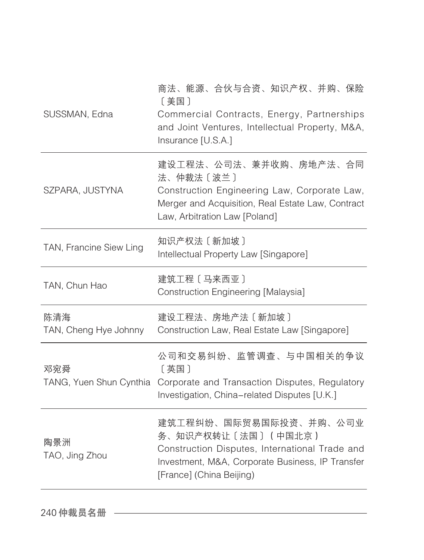| SUSSMAN, Edna                | 商法、能源、合伙与合资、知识产权、并购、保险<br>〔美国〕<br>Commercial Contracts, Energy, Partnerships<br>and Joint Ventures, Intellectual Property, M&A,<br>Insurance [U.S.A.]                           |
|------------------------------|---------------------------------------------------------------------------------------------------------------------------------------------------------------------------------|
| SZPARA, JUSTYNA              | 建设工程法、公司法、兼并收购、房地产法、合同<br>法、仲裁法〔波兰〕<br>Construction Engineering Law, Corporate Law,<br>Merger and Acquisition, Real Estate Law, Contract<br>Law, Arbitration Law [Poland]       |
| TAN, Francine Siew Ling      | 知识产权法 [新加坡]<br>Intellectual Property Law [Singapore]                                                                                                                            |
| TAN, Chun Hao                | 建筑工程 [马来西亚]<br>Construction Engineering [Malaysia]                                                                                                                              |
| 陈清海<br>TAN, Cheng Hye Johnny | 建设工程法、房地产法〔新加坡〕<br>Construction Law, Real Estate Law [Singapore]                                                                                                                |
| 邓宛舜                          | 公司和交易纠纷、监管调查、与中国相关的争议<br>[英国]<br>TANG, Yuen Shun Cynthia Corporate and Transaction Disputes, Regulatory<br>Investigation, China-related Disputes [U.K.]                         |
| 陶景洲<br>TAO, Jing Zhou        | 建筑工程纠纷、国际贸易国际投资、并购、公司业<br>务、知识产权转让〔法国〕 (中国北京)<br>Construction Disputes, International Trade and<br>Investment, M&A, Corporate Business, IP Transfer<br>[France] (China Beijing) |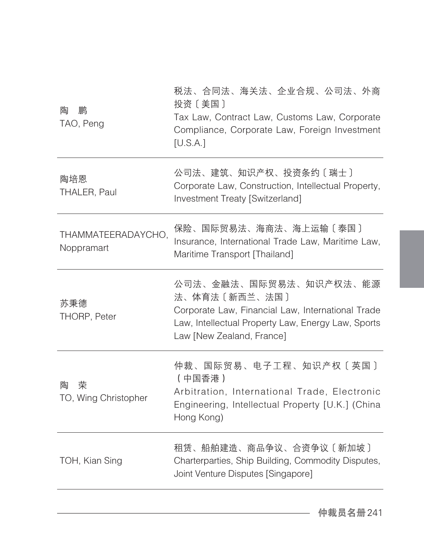| 鹏<br>陶<br>TAO, Peng              | 税法、合同法、海关法、企业合规、公司法、外商<br>投资〔美国〕<br>Tax Law, Contract Law, Customs Law, Corporate<br>Compliance, Corporate Law, Foreign Investment<br>[U.S.A.]                                  |
|----------------------------------|---------------------------------------------------------------------------------------------------------------------------------------------------------------------------------|
| 陶培恩<br>THALER, Paul              | 公司法、建筑、知识产权、投资条约〔瑞士〕<br>Corporate Law, Construction, Intellectual Property,<br>Investment Treaty [Switzerland]                                                                  |
| THAMMATEERADAYCHO,<br>Noppramart | 保险、国际贸易法、海商法、海上运输〔泰国〕<br>Insurance, International Trade Law, Maritime Law,<br>Maritime Transport [Thailand]                                                                     |
| 苏秉德<br>THORP, Peter              | 公司法、金融法、国际贸易法、知识产权法、能源<br>法、体育法〔新西兰、法国〕<br>Corporate Law, Financial Law, International Trade<br>Law, Intellectual Property Law, Energy Law, Sports<br>Law [New Zealand, France] |
| 荣<br>陶<br>TO, Wing Christopher   | 仲裁、国际贸易、电子工程、知识产权〔英国〕<br>(中国香港)<br>Arbitration, International Trade, Electronic<br>Engineering, Intellectual Property [U.K.] (China<br>Hong Kong)                               |
| TOH, Kian Sing                   | 租赁、船舶建造、商品争议、合资争议〔新加坡〕<br>Charterparties, Ship Building, Commodity Disputes,<br>Joint Venture Disputes [Singapore]                                                              |
|                                  |                                                                                                                                                                                 |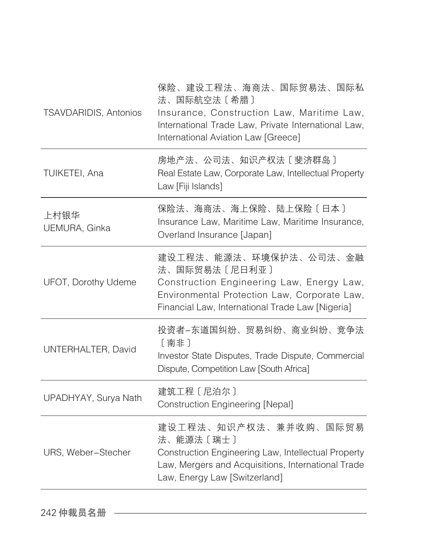| <b>TSAVDARIDIS, Antonios</b> | 保险、建设工程法、海商法、国际贸易法、国际私<br>法、国际航空法〔希腊〕<br>Insurance, Construction Law, Maritime Law,<br>International Trade Law, Private International Law,<br>International Aviation Law [Greece]        |
|------------------------------|------------------------------------------------------------------------------------------------------------------------------------------------------------------------------------------|
| TUIKETEI, Ana                | 房地产法、公司法、知识产权法〔斐济群岛〕<br>Real Estate Law, Corporate Law, Intellectual Property<br>Law [Fiji Islands]                                                                                      |
| 上村银华<br>UEMURA, Ginka        | 保险法、海商法、海上保险、陆上保险〔日本〕<br>Insurance Law, Maritime Law, Maritime Insurance,<br>Overland Insurance [Japan]                                                                                  |
| UFOT, Dorothy Udeme          | 建设工程法、能源法、环境保护法、公司法、金融<br>法、国际贸易法〔尼日利亚〕<br>Construction Engineering Law, Energy Law,<br>Environmental Protection Law, Corporate Law,<br>Financial Law, International Trade Law [Nigeria] |
| UNTERHALTER, David           | 投资者-东道国纠纷、贸易纠纷、商业纠纷、竞争法<br>〔南非〕<br>Investor State Disputes, Trade Dispute, Commercial<br>Dispute, Competition Law [South Africa]                                                         |
| UPADHYAY, Surya Nath         | 建筑工程 [尼泊尔]<br><b>Construction Engineering [Nepal]</b>                                                                                                                                    |
| URS, Weber-Stecher           | 建设工程法、知识产权法、兼并收购、国际贸易<br>法、能源法〔瑞士〕<br>Construction Engineering Law, Intellectual Property<br>Law, Mergers and Acquisitions, International Trade<br>Law, Energy Law [Switzerland]         |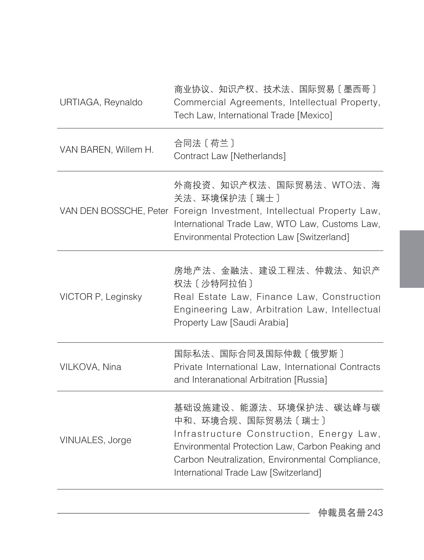| URTIAGA, Reynaldo    | 商业协议、知识产权、技术法、国际贸易〔墨西哥〕<br>Commercial Agreements, Intellectual Property,<br>Tech Law, International Trade [Mexico]                                                                                                                       |
|----------------------|------------------------------------------------------------------------------------------------------------------------------------------------------------------------------------------------------------------------------------------|
| VAN BAREN, Willem H. | 合同法 〔 荷兰 〕<br>Contract Law [Netherlands]                                                                                                                                                                                                 |
|                      | 外商投资、知识产权法、国际贸易法、WTO法、海<br>关法、环境保护法〔瑞士〕<br>VAN DEN BOSSCHE, Peter Foreign Investment, Intellectual Property Law,<br>International Trade Law, WTO Law, Customs Law,<br>Environmental Protection Law [Switzerland]                         |
| VICTOR P, Leginsky   | 房地产法、金融法、建设工程法、仲裁法、知识产<br>权法 [沙特阿拉伯]<br>Real Estate Law, Finance Law, Construction<br>Engineering Law, Arbitration Law, Intellectual<br>Property Law [Saudi Arabia]                                                                      |
| VILKOVA, Nina        | 国际私法、国际合同及国际仲裁〔俄罗斯〕<br>Private International Law, International Contracts<br>and Interanational Arbitration [Russia]                                                                                                                     |
| VINUALES, Jorge      | 基础设施建设、能源法、环境保护法、碳达峰与碳<br>中和、环境合规、国际贸易法〔瑞士〕<br>Infrastructure Construction, Energy Law,<br>Environmental Protection Law, Carbon Peaking and<br>Carbon Neutralization, Environmental Compliance,<br>International Trade Law [Switzerland] |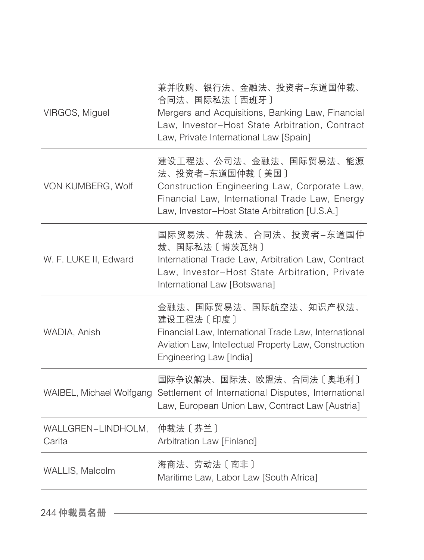| VIRGOS, Miguel               | 兼并收购、银行法、金融法、投资者-东道国仲裁、<br>合同法、国际私法〔西班牙〕<br>Mergers and Acquisitions, Banking Law, Financial<br>Law, Investor-Host State Arbitration, Contract<br>Law, Private International Law [Spain]     |
|------------------------------|----------------------------------------------------------------------------------------------------------------------------------------------------------------------------------------------|
| VON KUMBERG, Wolf            | 建设工程法、公司法、金融法、国际贸易法、能源<br>法、投资者-东道国仲裁〔美国〕<br>Construction Engineering Law, Corporate Law,<br>Financial Law, International Trade Law, Energy<br>Law, Investor-Host State Arbitration [U.S.A.] |
| W. F. LUKE II, Edward        | 国际贸易法、仲裁法、合同法、投资者-东道国仲<br>裁、国际私法〔博茨瓦纳〕<br>International Trade Law, Arbitration Law, Contract<br>Law, Investor-Host State Arbitration, Private<br>International Law [Botswana]                |
| WADIA, Anish                 | 金融法、国际贸易法、国际航空法、知识产权法、<br>建设工程法 [印度]<br>Financial Law, International Trade Law, International<br>Aviation Law, Intellectual Property Law, Construction<br>Engineering Law [India]            |
| WAIBEL, Michael Wolfgang     | 国际争议解决、国际法、欧盟法、合同法〔奥地利〕<br>Settlement of International Disputes, International<br>Law, European Union Law, Contract Law [Austria]                                                            |
| WALLGREN-LINDHOLM,<br>Carita | 仲裁法 [芬兰]<br>Arbitration Law [Finland]                                                                                                                                                        |
| WALLIS, Malcolm              | 海商法、劳动法〔南非〕<br>Maritime Law, Labor Law [South Africa]                                                                                                                                        |
|                              |                                                                                                                                                                                              |

244 仲裁员名册 ––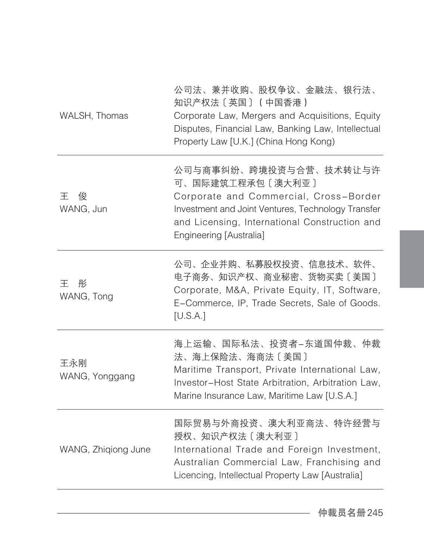| WALSH, Thomas         | 公司法、兼并收购、股权争议、金融法、银行法、<br>知识产权法〔英国〕 (中国香港)<br>Corporate Law, Mergers and Acquisitions, Equity<br>Disputes, Financial Law, Banking Law, Intellectual<br>Property Law [U.K.] (China Hong Kong)                           |
|-----------------------|------------------------------------------------------------------------------------------------------------------------------------------------------------------------------------------------------------------------|
| 王<br>俊<br>WANG, Jun   | 公司与商事纠纷、跨境投资与合营、技术转让与许<br>可、国际建筑工程承包〔澳大利亚〕<br>Corporate and Commercial, Cross-Border<br>Investment and Joint Ventures, Technology Transfer<br>and Licensing, International Construction and<br>Engineering [Australia] |
| 王<br>彤<br>WANG, Tong  | 公司、企业并购、私募股权投资、信息技术、软件、<br>电子商务、知识产权、商业秘密、货物买卖〔美国〕<br>Corporate, M&A, Private Equity, IT, Software,<br>E-Commerce, IP, Trade Secrets, Sale of Goods.<br>[U.S.A.]                                                       |
| 王永刚<br>WANG, Yonggang | 海上运输、国际私法、投资者―东道国仲裁、仲裁<br>法、海上保险法、海商法〔美国〕<br>Maritime Transport, Private International Law,<br>Investor-Host State Arbitration, Arbitration Law,<br>Marine Insurance Law, Maritime Law [U.S.A.]                        |
| WANG, Zhiqiong June   | 国际贸易与外商投资、澳大利亚商法、特许经营与<br>授权、知识产权法〔澳大利亚〕<br>International Trade and Foreign Investment,<br>Australian Commercial Law, Franchising and<br>Licencing, Intellectual Property Law [Australia]                              |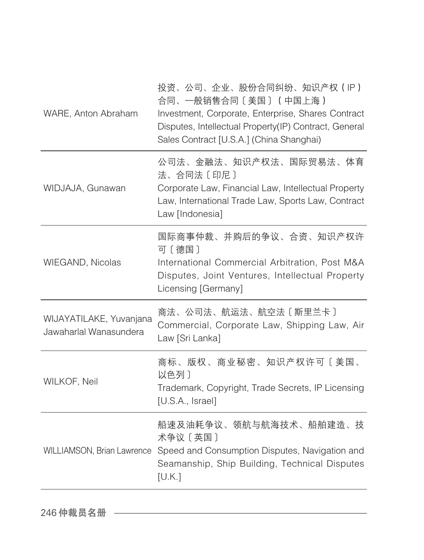| WARE, Anton Abraham                               | 投资、公司、企业、股份合同纠纷、知识产权(IP)<br>合同、一般销售合同〔美国〕(中国上海)<br>Investment, Corporate, Enterprise, Shares Contract<br>Disputes, Intellectual Property(IP) Contract, General<br>Sales Contract [U.S.A.] (China Shanghai) |
|---------------------------------------------------|------------------------------------------------------------------------------------------------------------------------------------------------------------------------------------------------------------|
| WIDJAJA, Gunawan                                  | 公司法、金融法、知识产权法、国际贸易法、体育<br>法、合同法〔印尼〕<br>Corporate Law, Financial Law, Intellectual Property<br>Law, International Trade Law, Sports Law, Contract<br>Law [Indonesia]                                        |
| WIEGAND, Nicolas                                  | 国际商事仲裁、并购后的争议、合资、知识产权许<br>可〔德国〕<br>International Commercial Arbitration, Post M&A<br>Disputes, Joint Ventures, Intellectual Property<br>Licensing [Germany]                                                |
| WIJAYATILAKE, Yuvanjana<br>Jawaharlal Wanasundera | 商法、公司法、航运法、航空法〔斯里兰卡〕<br>Commercial, Corporate Law, Shipping Law, Air<br>Law [Sri Lanka]                                                                                                                    |
| WILKOF, Neil                                      | 商标、版权、商业秘密、知识产权许可〔美国、<br>以色列〕<br>Trademark, Copyright, Trade Secrets, IP Licensing<br>[U.S.A., Israel]                                                                                                     |
|                                                   | 船速及油耗争议、领航与航海技术、船舶建造、技<br>术争议〔英国〕<br>WILLIAMSON, Brian Lawrence Speed and Consumption Disputes, Navigation and<br>Seamanship, Ship Building, Technical Disputes<br>[U.K.]                                  |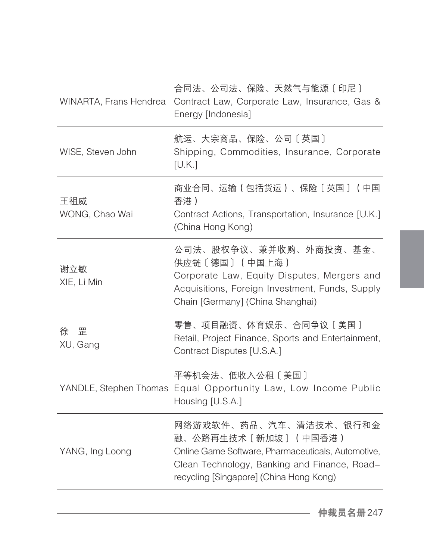| 合同法、公司法、保险、天然气与能源〔印尼〕<br>Contract Law, Corporate Law, Insurance, Gas &<br>Energy [Indonesia]                                                                                                   |
|------------------------------------------------------------------------------------------------------------------------------------------------------------------------------------------------|
| 航运、大宗商品、保险、公司〔英国〕<br>Shipping, Commodities, Insurance, Corporate<br>[U.K.]                                                                                                                     |
| 商业合同、运输(包括货运)、保险〔英国〕(中国<br>香港)<br>Contract Actions, Transportation, Insurance [U.K.]<br>(China Hong Kong)                                                                                      |
| 公司法、股权争议、兼并收购、外商投资、基金、<br>供应链 〔德国〕 (中国上海)<br>Corporate Law, Equity Disputes, Mergers and<br>Acquisitions, Foreign Investment, Funds, Supply<br>Chain [Germany] (China Shanghai)                |
| 零售、项目融资、体育娱乐、合同争议〔美国〕<br>Retail, Project Finance, Sports and Entertainment,<br>Contract Disputes [U.S.A.]                                                                                      |
| 平等机会法、低收入公租〔美国〕<br>YANDLE, Stephen Thomas Equal Opportunity Law, Low Income Public<br>Housing [U.S.A.]                                                                                         |
| 网络游戏软件、药品、汽车、清洁技术、银行和金<br>融、公路再生技术〔新加坡〕(中国香港)<br>Online Game Software, Pharmaceuticals, Automotive,<br>Clean Technology, Banking and Finance, Road-<br>recycling [Singapore] (China Hong Kong) |
|                                                                                                                                                                                                |

仲裁员名册247

 $\overline{\phantom{0}}$